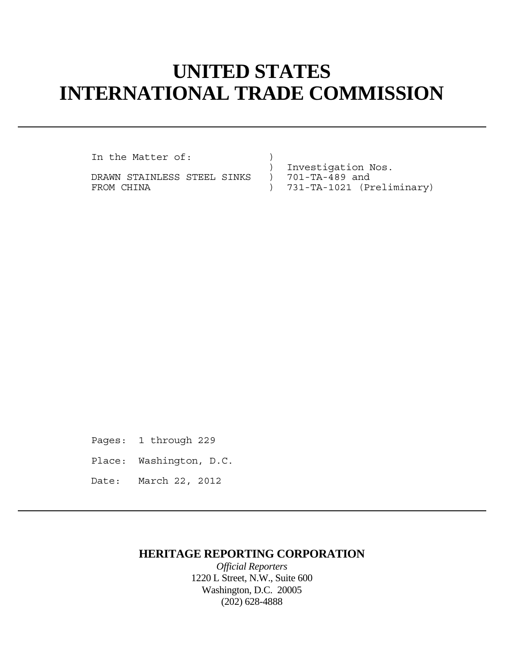## **UNITED STATES INTERNATIONAL TRADE COMMISSION**

In the Matter of:

DRAWN STAINLESS STEEL SINKS ) FROM CHINA  $(Preliminary)$ 

) Investigation Nos.<br>) 701-TA-489 and

- 
- 

Pages: 1 through 229

- Place: Washington, D.C.
- Date: March 22, 2012

## **HERITAGE REPORTING CORPORATION**

*Official Reporters* 1220 L Street, N.W., Suite 600 Washington, D.C. 20005 (202) 628-4888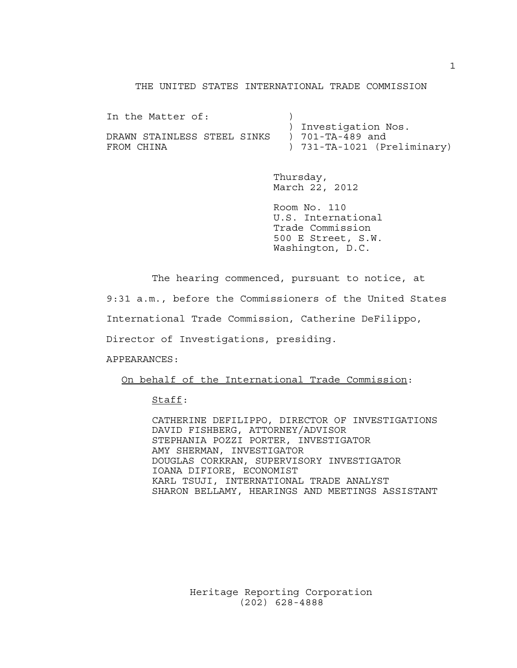## THE UNITED STATES INTERNATIONAL TRADE COMMISSION

In the Matter of: (1) ) Investigation Nos. DRAWN STAINLESS STEEL SINKS ) 701-TA-489 and FROM CHINA  $(Preliminary)$ 

> Thursday, March 22, 2012

 Room No. 110 U.S. International Trade Commission 500 E Street, S.W. Washington, D.C.

The hearing commenced, pursuant to notice, at

9:31 a.m., before the Commissioners of the United States

International Trade Commission, Catherine DeFilippo,

Director of Investigations, presiding.

APPEARANCES:

On behalf of the International Trade Commission:

Staff:

 CATHERINE DEFILIPPO, DIRECTOR OF INVESTIGATIONS DAVID FISHBERG, ATTORNEY/ADVISOR STEPHANIA POZZI PORTER, INVESTIGATOR AMY SHERMAN, INVESTIGATOR DOUGLAS CORKRAN, SUPERVISORY INVESTIGATOR IOANA DIFIORE, ECONOMIST KARL TSUJI, INTERNATIONAL TRADE ANALYST SHARON BELLAMY, HEARINGS AND MEETINGS ASSISTANT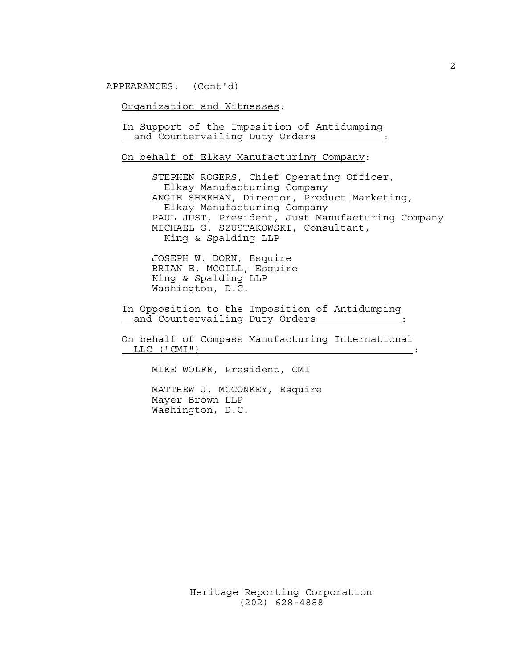APPEARANCES: (Cont'd)

Organization and Witnesses:

 In Support of the Imposition of Antidumping and Countervailing Duty Orders :

On behalf of Elkay Manufacturing Company:

 STEPHEN ROGERS, Chief Operating Officer, Elkay Manufacturing Company ANGIE SHEEHAN, Director, Product Marketing, Elkay Manufacturing Company PAUL JUST, President, Just Manufacturing Company MICHAEL G. SZUSTAKOWSKI, Consultant, King & Spalding LLP

 JOSEPH W. DORN, Esquire BRIAN E. MCGILL, Esquire King & Spalding LLP Washington, D.C.

 In Opposition to the Imposition of Antidumping and Countervailing Duty Orders :

 On behalf of Compass Manufacturing International LLC ("CMI")  $\qquad \qquad \vdots$ 

MIKE WOLFE, President, CMI

 MATTHEW J. MCCONKEY, Esquire Mayer Brown LLP Washington, D.C.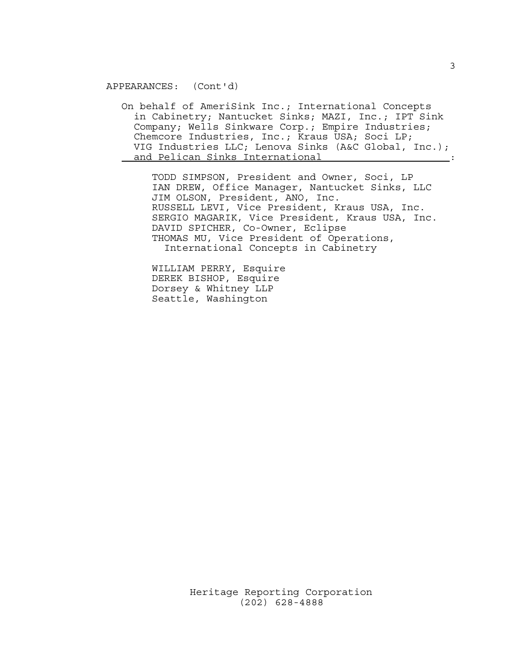APPEARANCES: (Cont'd)

 On behalf of AmeriSink Inc.; International Concepts in Cabinetry; Nantucket Sinks; MAZI, Inc.; IPT Sink Company; Wells Sinkware Corp.; Empire Industries; Chemcore Industries, Inc.; Kraus USA; Soci LP; VIG Industries LLC; Lenova Sinks (A&C Global, Inc.); and Pelican Sinks International :

 TODD SIMPSON, President and Owner, Soci, LP IAN DREW, Office Manager, Nantucket Sinks, LLC JIM OLSON, President, ANO, Inc. RUSSELL LEVI, Vice President, Kraus USA, Inc. SERGIO MAGARIK, Vice President, Kraus USA, Inc. DAVID SPICHER, Co-Owner, Eclipse THOMAS MU, Vice President of Operations, International Concepts in Cabinetry

 WILLIAM PERRY, Esquire DEREK BISHOP, Esquire Dorsey & Whitney LLP Seattle, Washington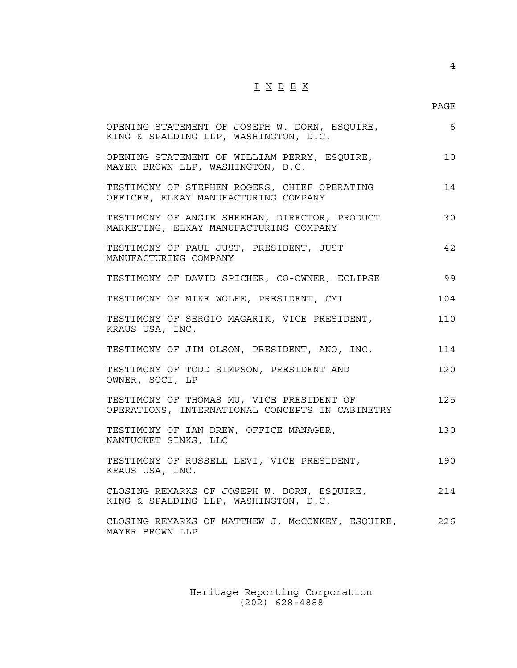## I N D E X

en de la provincia de la provincia de la provincia de la provincia de la provincia de la provincia de la provi

4

| OPENING STATEMENT OF JOSEPH W. DORN, ESQUIRE,<br>KING & SPALDING LLP, WASHINGTON, D.C.       | 6   |
|----------------------------------------------------------------------------------------------|-----|
| OPENING STATEMENT OF WILLIAM PERRY, ESQUIRE,<br>MAYER BROWN LLP, WASHINGTON, D.C.            | 10  |
| TESTIMONY OF STEPHEN ROGERS, CHIEF OPERATING<br>OFFICER, ELKAY MANUFACTURING COMPANY         | 14  |
| TESTIMONY OF ANGIE SHEEHAN, DIRECTOR, PRODUCT<br>MARKETING, ELKAY MANUFACTURING COMPANY      | 30  |
| TESTIMONY OF PAUL JUST, PRESIDENT, JUST<br>MANUFACTURING COMPANY                             | 42  |
| TESTIMONY OF DAVID SPICHER, CO-OWNER, ECLIPSE                                                | 99  |
| TESTIMONY OF MIKE WOLFE, PRESIDENT, CMI                                                      | 104 |
| TESTIMONY OF SERGIO MAGARIK, VICE PRESIDENT,<br>KRAUS USA, INC.                              | 110 |
| TESTIMONY OF JIM OLSON, PRESIDENT, ANO, INC.                                                 | 114 |
| TESTIMONY OF TODD SIMPSON, PRESIDENT AND<br>OWNER, SOCI, LP                                  | 120 |
| TESTIMONY OF THOMAS MU, VICE PRESIDENT OF<br>OPERATIONS, INTERNATIONAL CONCEPTS IN CABINETRY | 125 |
| TESTIMONY OF IAN DREW, OFFICE MANAGER,<br>NANTUCKET SINKS, LLC                               | 130 |
| TESTIMONY OF RUSSELL LEVI, VICE PRESIDENT,<br>KRAUS USA, INC.                                | 190 |
| CLOSING REMARKS OF JOSEPH W. DORN, ESQUIRE,<br>KING & SPALDING LLP, WASHINGTON, D.C.         | 214 |
| CLOSING REMARKS OF MATTHEW J. MCCONKEY, ESQUIRE,<br>MAYER BROWN LLP                          | 226 |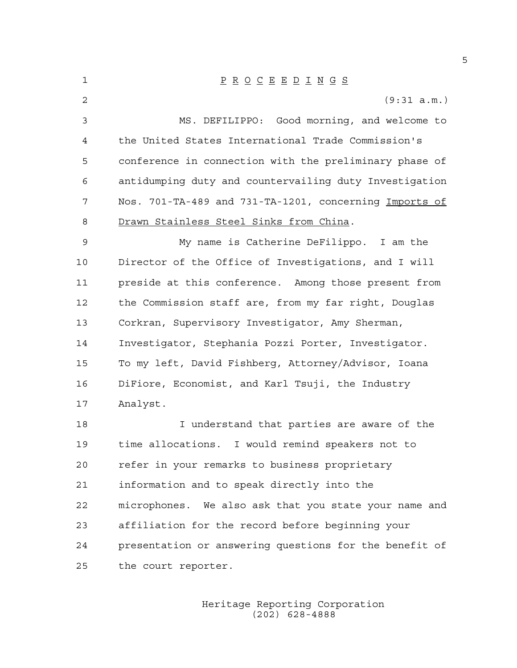| 1  | $\underline{P} \underline{R} \underline{O} \underline{C} \underline{E} \underline{E} \underline{D} \underline{I} \underline{N} \underline{G} \underline{S}$ |
|----|-------------------------------------------------------------------------------------------------------------------------------------------------------------|
| 2  | (9:31 a.m.)                                                                                                                                                 |
| 3  | MS. DEFILIPPO: Good morning, and welcome to                                                                                                                 |
| 4  | the United States International Trade Commission's                                                                                                          |
| 5  | conference in connection with the preliminary phase of                                                                                                      |
| 6  | antidumping duty and countervailing duty Investigation                                                                                                      |
| 7  | Nos. 701-TA-489 and 731-TA-1201, concerning Imports of                                                                                                      |
| 8  | Drawn Stainless Steel Sinks from China.                                                                                                                     |
| 9  | My name is Catherine DeFilippo. I am the                                                                                                                    |
| 10 | Director of the Office of Investigations, and I will                                                                                                        |
| 11 | preside at this conference. Among those present from                                                                                                        |
| 12 | the Commission staff are, from my far right, Douglas                                                                                                        |
| 13 | Corkran, Supervisory Investigator, Amy Sherman,                                                                                                             |
| 14 | Investigator, Stephania Pozzi Porter, Investigator.                                                                                                         |
| 15 | To my left, David Fishberg, Attorney/Advisor, Ioana                                                                                                         |
| 16 | DiFiore, Economist, and Karl Tsuji, the Industry                                                                                                            |
| 17 | Analyst.                                                                                                                                                    |
| 18 | I understand that parties are aware of the                                                                                                                  |
| 19 | time allocations. I would remind speakers not to                                                                                                            |
| 20 | refer in your remarks to business proprietary                                                                                                               |
| 21 | information and to speak directly into the                                                                                                                  |
| 22 | microphones. We also ask that you state your name and                                                                                                       |
| 23 | affiliation for the record before beginning your                                                                                                            |
| 24 | presentation or answering questions for the benefit of                                                                                                      |
| 25 | the court reporter.                                                                                                                                         |

 Heritage Reporting Corporation (202) 628-4888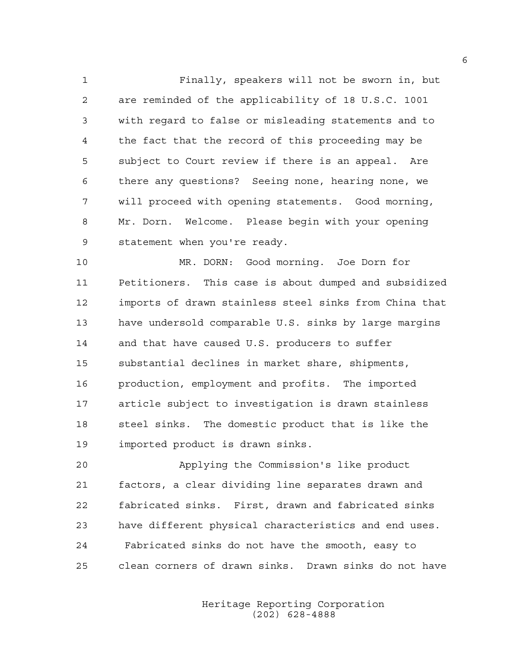1 Finally, speakers will not be sworn in, but 2 are reminded of the applicability of 18 U.S.C. 1001 3 with regard to false or misleading statements and to 4 the fact that the record of this proceeding may be 5 subject to Court review if there is an appeal. Are 6 there any questions? Seeing none, hearing none, we 7 will proceed with opening statements. Good morning, 8 Mr. Dorn. Welcome. Please begin with your opening 9 statement when you're ready.

10 MR. DORN: Good morning. Joe Dorn for 11 Petitioners. This case is about dumped and subsidized 12 imports of drawn stainless steel sinks from China that 13 have undersold comparable U.S. sinks by large margins 14 and that have caused U.S. producers to suffer 15 substantial declines in market share, shipments, 16 production, employment and profits. The imported 17 article subject to investigation is drawn stainless 18 steel sinks. The domestic product that is like the 19 imported product is drawn sinks.

20 Applying the Commission's like product 21 factors, a clear dividing line separates drawn and 22 fabricated sinks. First, drawn and fabricated sinks 23 have different physical characteristics and end uses. 24 Fabricated sinks do not have the smooth, easy to 25 clean corners of drawn sinks. Drawn sinks do not have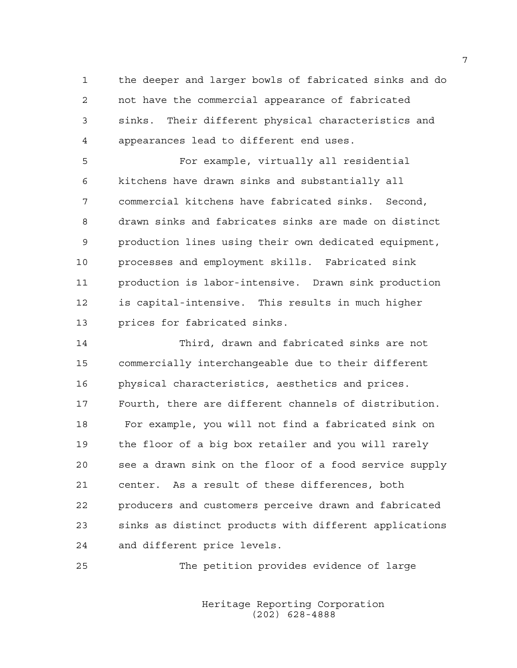1 the deeper and larger bowls of fabricated sinks and do 2 not have the commercial appearance of fabricated 3 sinks. Their different physical characteristics and 4 appearances lead to different end uses.

5 For example, virtually all residential 6 kitchens have drawn sinks and substantially all 7 commercial kitchens have fabricated sinks. Second, 8 drawn sinks and fabricates sinks are made on distinct 9 production lines using their own dedicated equipment, 10 processes and employment skills. Fabricated sink 11 production is labor-intensive. Drawn sink production 12 is capital-intensive. This results in much higher 13 prices for fabricated sinks.

14 Third, drawn and fabricated sinks are not 15 commercially interchangeable due to their different 16 physical characteristics, aesthetics and prices. 17 Fourth, there are different channels of distribution. 18 For example, you will not find a fabricated sink on 19 the floor of a big box retailer and you will rarely 20 see a drawn sink on the floor of a food service supply 21 center. As a result of these differences, both 22 producers and customers perceive drawn and fabricated 23 sinks as distinct products with different applications 24 and different price levels.

25 The petition provides evidence of large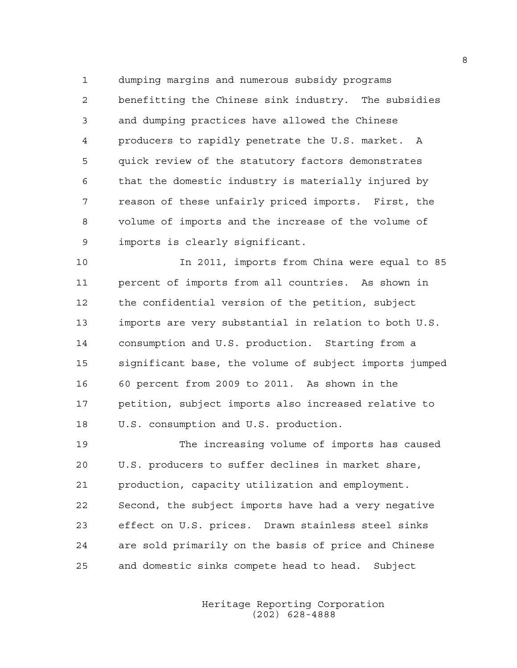1 dumping margins and numerous subsidy programs 2 benefitting the Chinese sink industry. The subsidies 3 and dumping practices have allowed the Chinese 4 producers to rapidly penetrate the U.S. market. A 5 quick review of the statutory factors demonstrates 6 that the domestic industry is materially injured by 7 reason of these unfairly priced imports. First, the 8 volume of imports and the increase of the volume of 9 imports is clearly significant.

10 In 2011, imports from China were equal to 85 11 percent of imports from all countries. As shown in 12 the confidential version of the petition, subject 13 imports are very substantial in relation to both U.S. 14 consumption and U.S. production. Starting from a 15 significant base, the volume of subject imports jumped 16 60 percent from 2009 to 2011. As shown in the 17 petition, subject imports also increased relative to 18 U.S. consumption and U.S. production.

19 The increasing volume of imports has caused 20 U.S. producers to suffer declines in market share, 21 production, capacity utilization and employment. 22 Second, the subject imports have had a very negative 23 effect on U.S. prices. Drawn stainless steel sinks 24 are sold primarily on the basis of price and Chinese 25 and domestic sinks compete head to head. Subject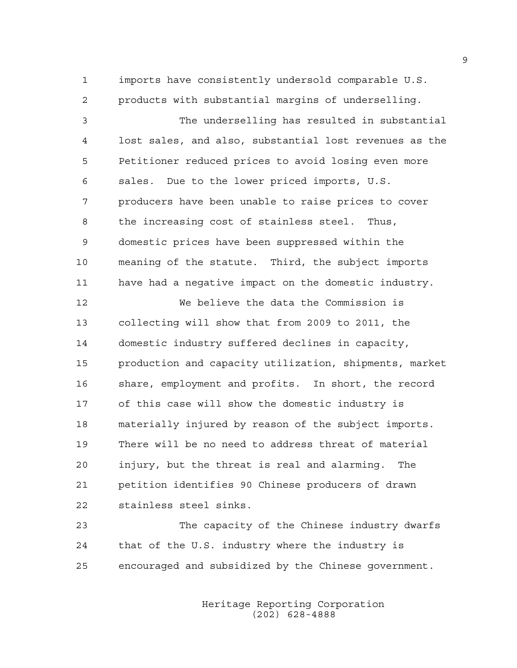1 imports have consistently undersold comparable U.S. 2 products with substantial margins of underselling.

3 The underselling has resulted in substantial 4 lost sales, and also, substantial lost revenues as the 5 Petitioner reduced prices to avoid losing even more 6 sales. Due to the lower priced imports, U.S. 7 producers have been unable to raise prices to cover 8 the increasing cost of stainless steel. Thus, 9 domestic prices have been suppressed within the 10 meaning of the statute. Third, the subject imports 11 have had a negative impact on the domestic industry.

12 We believe the data the Commission is 13 collecting will show that from 2009 to 2011, the 14 domestic industry suffered declines in capacity, 15 production and capacity utilization, shipments, market 16 share, employment and profits. In short, the record 17 of this case will show the domestic industry is 18 materially injured by reason of the subject imports. 19 There will be no need to address threat of material 20 injury, but the threat is real and alarming. The 21 petition identifies 90 Chinese producers of drawn 22 stainless steel sinks.

23 The capacity of the Chinese industry dwarfs 24 that of the U.S. industry where the industry is 25 encouraged and subsidized by the Chinese government.

> Heritage Reporting Corporation (202) 628-4888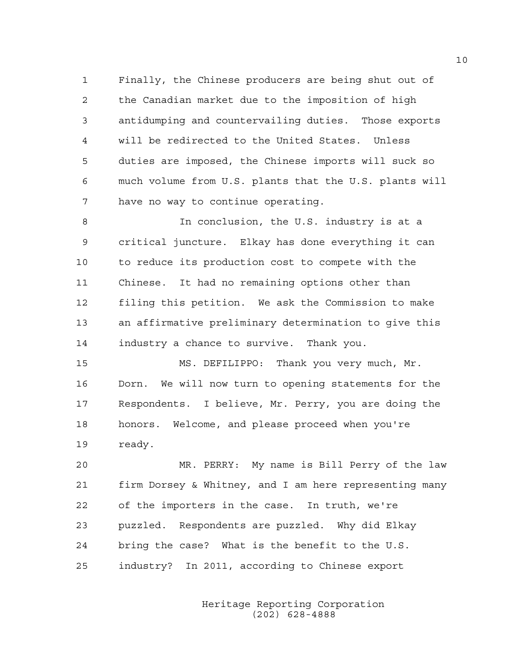1 Finally, the Chinese producers are being shut out of 2 the Canadian market due to the imposition of high 3 antidumping and countervailing duties. Those exports 4 will be redirected to the United States. Unless 5 duties are imposed, the Chinese imports will suck so 6 much volume from U.S. plants that the U.S. plants will 7 have no way to continue operating.

8 In conclusion, the U.S. industry is at a 9 critical juncture. Elkay has done everything it can 10 to reduce its production cost to compete with the 11 Chinese. It had no remaining options other than 12 filing this petition. We ask the Commission to make 13 an affirmative preliminary determination to give this 14 industry a chance to survive. Thank you.

15 MS. DEFILIPPO: Thank you very much, Mr. 16 Dorn. We will now turn to opening statements for the 17 Respondents. I believe, Mr. Perry, you are doing the 18 honors. Welcome, and please proceed when you're 19 ready.

20 MR. PERRY: My name is Bill Perry of the law 21 firm Dorsey & Whitney, and I am here representing many 22 of the importers in the case. In truth, we're 23 puzzled. Respondents are puzzled. Why did Elkay 24 bring the case? What is the benefit to the U.S. 25 industry? In 2011, according to Chinese export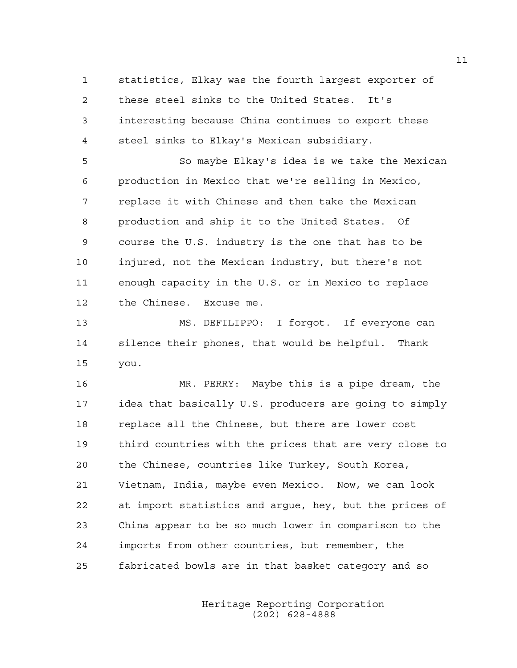1 statistics, Elkay was the fourth largest exporter of 2 these steel sinks to the United States. It's 3 interesting because China continues to export these 4 steel sinks to Elkay's Mexican subsidiary.

5 So maybe Elkay's idea is we take the Mexican 6 production in Mexico that we're selling in Mexico, 7 replace it with Chinese and then take the Mexican 8 production and ship it to the United States. Of 9 course the U.S. industry is the one that has to be 10 injured, not the Mexican industry, but there's not 11 enough capacity in the U.S. or in Mexico to replace 12 the Chinese. Excuse me.

13 MS. DEFILIPPO: I forgot. If everyone can 14 silence their phones, that would be helpful. Thank 15 you.

16 MR. PERRY: Maybe this is a pipe dream, the 17 idea that basically U.S. producers are going to simply 18 replace all the Chinese, but there are lower cost 19 third countries with the prices that are very close to 20 the Chinese, countries like Turkey, South Korea, 21 Vietnam, India, maybe even Mexico. Now, we can look 22 at import statistics and argue, hey, but the prices of 23 China appear to be so much lower in comparison to the 24 imports from other countries, but remember, the 25 fabricated bowls are in that basket category and so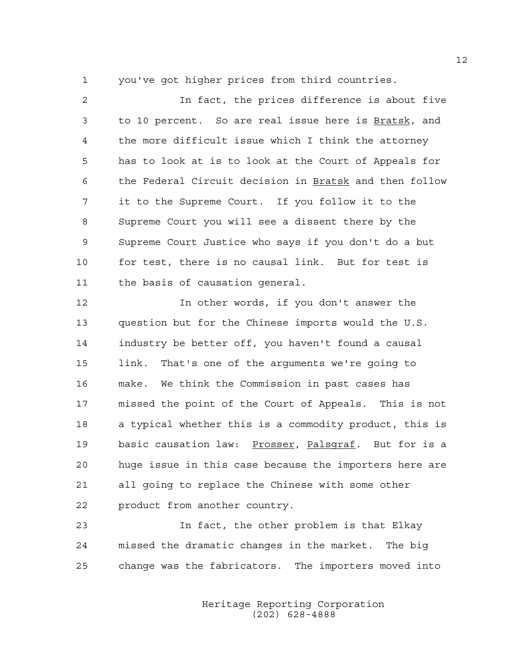1 you've got higher prices from third countries.

2 In fact, the prices difference is about five 3 to 10 percent. So are real issue here is Bratsk, and 4 the more difficult issue which I think the attorney 5 has to look at is to look at the Court of Appeals for 6 the Federal Circuit decision in Bratsk and then follow 7 it to the Supreme Court. If you follow it to the 8 Supreme Court you will see a dissent there by the 9 Supreme Court Justice who says if you don't do a but 10 for test, there is no causal link. But for test is 11 the basis of causation general.

12 In other words, if you don't answer the 13 question but for the Chinese imports would the U.S. 14 industry be better off, you haven't found a causal 15 link. That's one of the arguments we're going to 16 make. We think the Commission in past cases has 17 missed the point of the Court of Appeals. This is not 18 a typical whether this is a commodity product, this is 19 basic causation law: Prosser, Palsgraf. But for is a 20 huge issue in this case because the importers here are 21 all going to replace the Chinese with some other 22 product from another country.

23 In fact, the other problem is that Elkay 24 missed the dramatic changes in the market. The big 25 change was the fabricators. The importers moved into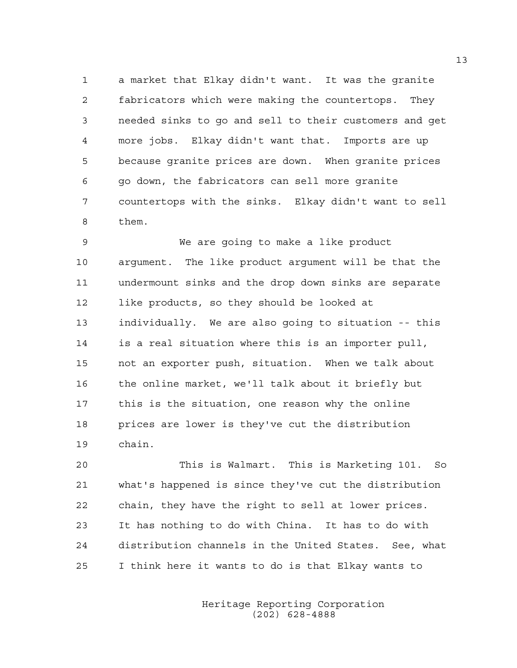1 a market that Elkay didn't want. It was the granite 2 fabricators which were making the countertops. They 3 needed sinks to go and sell to their customers and get 4 more jobs. Elkay didn't want that. Imports are up 5 because granite prices are down. When granite prices 6 go down, the fabricators can sell more granite 7 countertops with the sinks. Elkay didn't want to sell 8 them.

9 We are going to make a like product 10 argument. The like product argument will be that the 11 undermount sinks and the drop down sinks are separate 12 like products, so they should be looked at 13 individually. We are also going to situation -- this 14 is a real situation where this is an importer pull, 15 not an exporter push, situation. When we talk about 16 the online market, we'll talk about it briefly but 17 this is the situation, one reason why the online 18 prices are lower is they've cut the distribution 19 chain.

20 This is Walmart. This is Marketing 101. So 21 what's happened is since they've cut the distribution 22 chain, they have the right to sell at lower prices. 23 It has nothing to do with China. It has to do with 24 distribution channels in the United States. See, what 25 I think here it wants to do is that Elkay wants to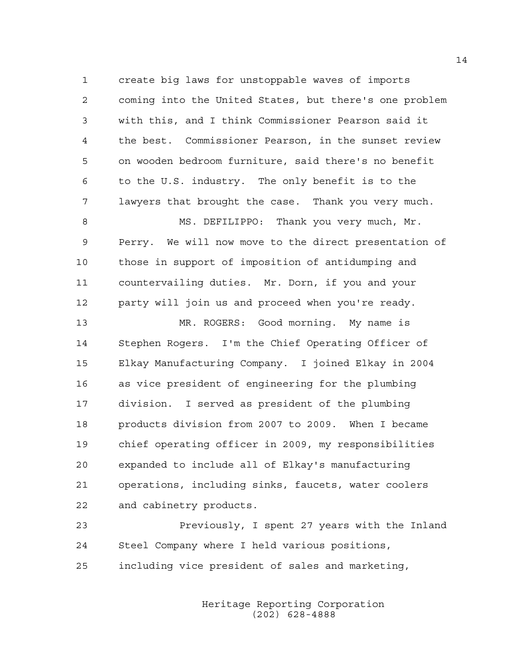1 create big laws for unstoppable waves of imports 2 coming into the United States, but there's one problem 3 with this, and I think Commissioner Pearson said it 4 the best. Commissioner Pearson, in the sunset review 5 on wooden bedroom furniture, said there's no benefit 6 to the U.S. industry. The only benefit is to the 7 lawyers that brought the case. Thank you very much. 8 MS. DEFILIPPO: Thank you very much, Mr.

9 Perry. We will now move to the direct presentation of 10 those in support of imposition of antidumping and 11 countervailing duties. Mr. Dorn, if you and your 12 party will join us and proceed when you're ready.

13 MR. ROGERS: Good morning. My name is 14 Stephen Rogers. I'm the Chief Operating Officer of 15 Elkay Manufacturing Company. I joined Elkay in 2004 16 as vice president of engineering for the plumbing 17 division. I served as president of the plumbing 18 products division from 2007 to 2009. When I became 19 chief operating officer in 2009, my responsibilities 20 expanded to include all of Elkay's manufacturing 21 operations, including sinks, faucets, water coolers 22 and cabinetry products.

23 Previously, I spent 27 years with the Inland 24 Steel Company where I held various positions, 25 including vice president of sales and marketing,

> Heritage Reporting Corporation (202) 628-4888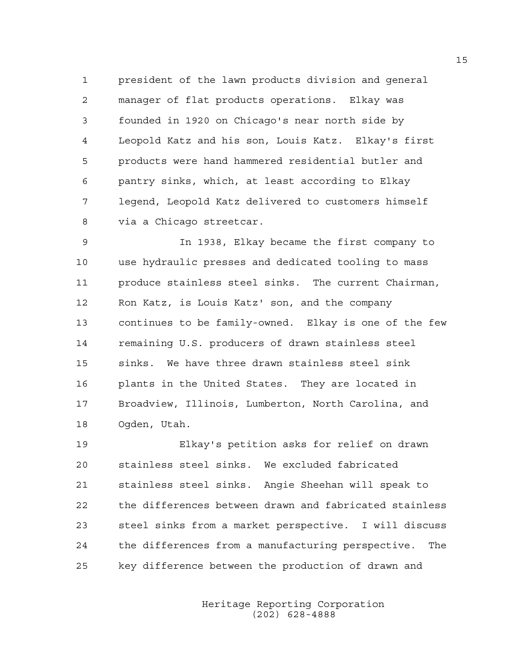1 president of the lawn products division and general 2 manager of flat products operations. Elkay was 3 founded in 1920 on Chicago's near north side by 4 Leopold Katz and his son, Louis Katz. Elkay's first 5 products were hand hammered residential butler and 6 pantry sinks, which, at least according to Elkay 7 legend, Leopold Katz delivered to customers himself 8 via a Chicago streetcar.

9 In 1938, Elkay became the first company to 10 use hydraulic presses and dedicated tooling to mass 11 produce stainless steel sinks. The current Chairman, 12 Ron Katz, is Louis Katz' son, and the company 13 continues to be family-owned. Elkay is one of the few 14 remaining U.S. producers of drawn stainless steel 15 sinks. We have three drawn stainless steel sink 16 plants in the United States. They are located in 17 Broadview, Illinois, Lumberton, North Carolina, and 18 Ogden, Utah.

19 Elkay's petition asks for relief on drawn 20 stainless steel sinks. We excluded fabricated 21 stainless steel sinks. Angie Sheehan will speak to 22 the differences between drawn and fabricated stainless 23 steel sinks from a market perspective. I will discuss 24 the differences from a manufacturing perspective. The 25 key difference between the production of drawn and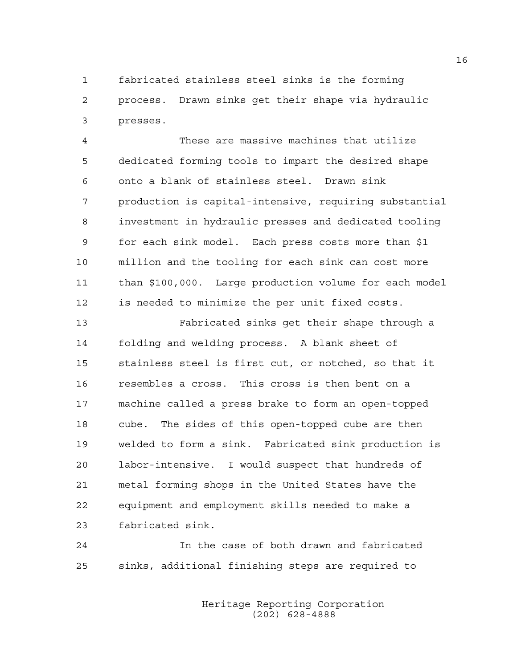1 fabricated stainless steel sinks is the forming 2 process. Drawn sinks get their shape via hydraulic 3 presses.

4 These are massive machines that utilize 5 dedicated forming tools to impart the desired shape 6 onto a blank of stainless steel. Drawn sink 7 production is capital-intensive, requiring substantial 8 investment in hydraulic presses and dedicated tooling 9 for each sink model. Each press costs more than \$1 10 million and the tooling for each sink can cost more 11 than \$100,000. Large production volume for each model 12 is needed to minimize the per unit fixed costs.

13 Fabricated sinks get their shape through a 14 folding and welding process. A blank sheet of 15 stainless steel is first cut, or notched, so that it 16 resembles a cross. This cross is then bent on a 17 machine called a press brake to form an open-topped 18 cube. The sides of this open-topped cube are then 19 welded to form a sink. Fabricated sink production is 20 labor-intensive. I would suspect that hundreds of 21 metal forming shops in the United States have the 22 equipment and employment skills needed to make a 23 fabricated sink.

24 In the case of both drawn and fabricated 25 sinks, additional finishing steps are required to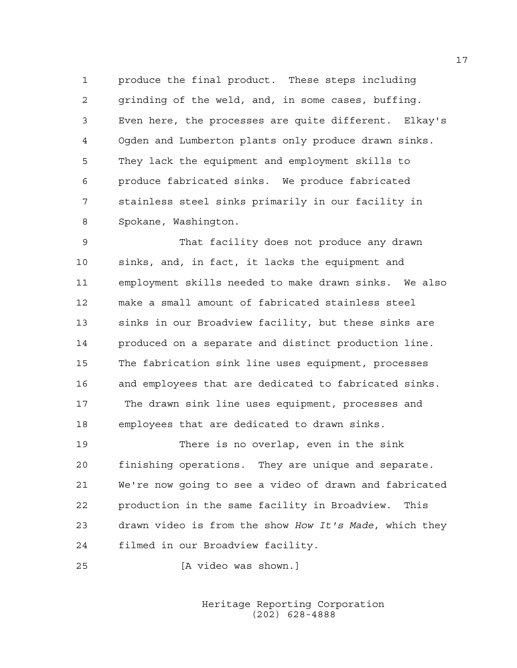1 produce the final product. These steps including 2 grinding of the weld, and, in some cases, buffing. 3 Even here, the processes are quite different. Elkay's 4 Ogden and Lumberton plants only produce drawn sinks. 5 They lack the equipment and employment skills to 6 produce fabricated sinks. We produce fabricated 7 stainless steel sinks primarily in our facility in 8 Spokane, Washington.

9 That facility does not produce any drawn 10 sinks, and, in fact, it lacks the equipment and 11 employment skills needed to make drawn sinks. We also 12 make a small amount of fabricated stainless steel 13 sinks in our Broadview facility, but these sinks are 14 produced on a separate and distinct production line. 15 The fabrication sink line uses equipment, processes 16 and employees that are dedicated to fabricated sinks. 17 The drawn sink line uses equipment, processes and 18 employees that are dedicated to drawn sinks.

19 There is no overlap, even in the sink 20 finishing operations. They are unique and separate. 21 We're now going to see a video of drawn and fabricated 22 production in the same facility in Broadview. This 23 drawn video is from the show *How It's Made*, which they 24 filmed in our Broadview facility.

25 [A video was shown.]

 Heritage Reporting Corporation (202) 628-4888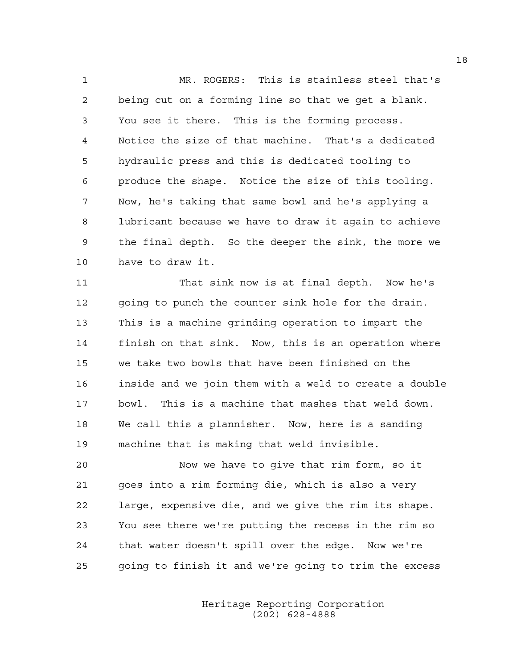1 MR. ROGERS: This is stainless steel that's 2 being cut on a forming line so that we get a blank. 3 You see it there. This is the forming process. 4 Notice the size of that machine. That's a dedicated 5 hydraulic press and this is dedicated tooling to 6 produce the shape. Notice the size of this tooling. 7 Now, he's taking that same bowl and he's applying a 8 lubricant because we have to draw it again to achieve 9 the final depth. So the deeper the sink, the more we 10 have to draw it.

11 That sink now is at final depth. Now he's 12 going to punch the counter sink hole for the drain. 13 This is a machine grinding operation to impart the 14 finish on that sink. Now, this is an operation where 15 we take two bowls that have been finished on the 16 inside and we join them with a weld to create a double 17 bowl. This is a machine that mashes that weld down. 18 We call this a plannisher. Now, here is a sanding 19 machine that is making that weld invisible.

20 Now we have to give that rim form, so it 21 goes into a rim forming die, which is also a very 22 large, expensive die, and we give the rim its shape. 23 You see there we're putting the recess in the rim so 24 that water doesn't spill over the edge. Now we're 25 going to finish it and we're going to trim the excess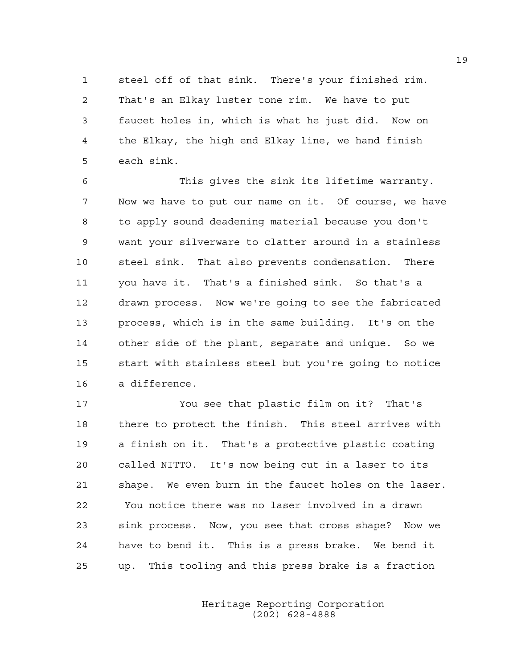1 steel off of that sink. There's your finished rim. 2 That's an Elkay luster tone rim. We have to put 3 faucet holes in, which is what he just did. Now on 4 the Elkay, the high end Elkay line, we hand finish 5 each sink.

6 This gives the sink its lifetime warranty. 7 Now we have to put our name on it. Of course, we have 8 to apply sound deadening material because you don't 9 want your silverware to clatter around in a stainless 10 steel sink. That also prevents condensation. There 11 you have it. That's a finished sink. So that's a 12 drawn process. Now we're going to see the fabricated 13 process, which is in the same building. It's on the 14 other side of the plant, separate and unique. So we 15 start with stainless steel but you're going to notice 16 a difference.

17 You see that plastic film on it? That's 18 there to protect the finish. This steel arrives with 19 a finish on it. That's a protective plastic coating 20 called NITTO. It's now being cut in a laser to its 21 shape. We even burn in the faucet holes on the laser. 22 You notice there was no laser involved in a drawn 23 sink process. Now, you see that cross shape? Now we 24 have to bend it. This is a press brake. We bend it 25 up. This tooling and this press brake is a fraction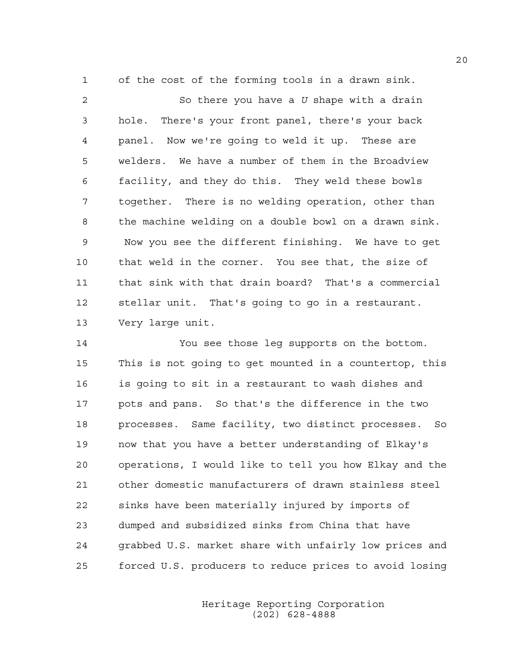1 of the cost of the forming tools in a drawn sink.

2 So there you have a *U* shape with a drain 3 hole. There's your front panel, there's your back 4 panel. Now we're going to weld it up. These are 5 welders. We have a number of them in the Broadview 6 facility, and they do this. They weld these bowls 7 together. There is no welding operation, other than 8 the machine welding on a double bowl on a drawn sink. 9 Now you see the different finishing. We have to get 10 that weld in the corner. You see that, the size of 11 that sink with that drain board? That's a commercial 12 stellar unit. That's going to go in a restaurant. 13 Very large unit.

14 You see those leg supports on the bottom. 15 This is not going to get mounted in a countertop, this 16 is going to sit in a restaurant to wash dishes and 17 pots and pans. So that's the difference in the two 18 processes. Same facility, two distinct processes. So 19 now that you have a better understanding of Elkay's 20 operations, I would like to tell you how Elkay and the 21 other domestic manufacturers of drawn stainless steel 22 sinks have been materially injured by imports of 23 dumped and subsidized sinks from China that have 24 grabbed U.S. market share with unfairly low prices and 25 forced U.S. producers to reduce prices to avoid losing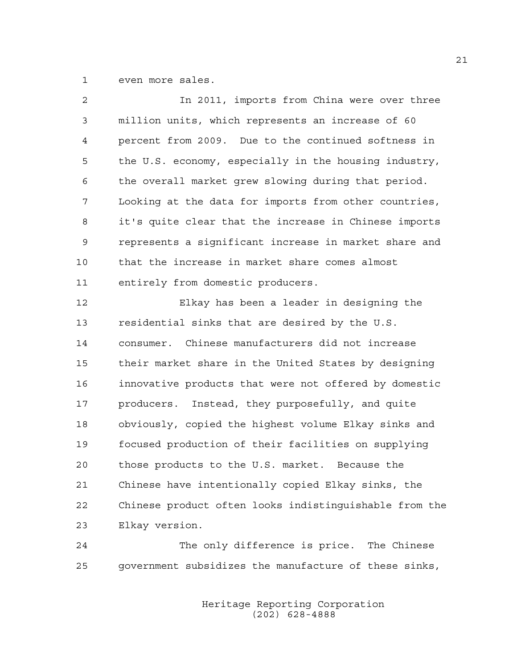1 even more sales.

| $\overline{2}$ | In 2011, imports from China were over three            |
|----------------|--------------------------------------------------------|
| 3              | million units, which represents an increase of 60      |
| 4              | percent from 2009. Due to the continued softness in    |
| 5              | the U.S. economy, especially in the housing industry,  |
| 6              | the overall market grew slowing during that period.    |
| 7              | Looking at the data for imports from other countries,  |
| 8              | it's quite clear that the increase in Chinese imports  |
| 9              | represents a significant increase in market share and  |
| 10             | that the increase in market share comes almost         |
| 11             | entirely from domestic producers.                      |
| 12             | Elkay has been a leader in designing the               |
| 13             | residential sinks that are desired by the U.S.         |
| 14             | consumer. Chinese manufacturers did not increase       |
| 15             | their market share in the United States by designing   |
| 16             | innovative products that were not offered by domestic  |
| 17             | producers. Instead, they purposefully, and quite       |
| 18             | obviously, copied the highest volume Elkay sinks and   |
| 19             | focused production of their facilities on supplying    |
| 20             | those products to the U.S. market. Because the         |
| 21             | Chinese have intentionally copied Elkay sinks, the     |
| 22             | Chinese product often looks indistinguishable from the |
| 23             | Elkay version.                                         |

24 The only difference is price. The Chinese 25 government subsidizes the manufacture of these sinks,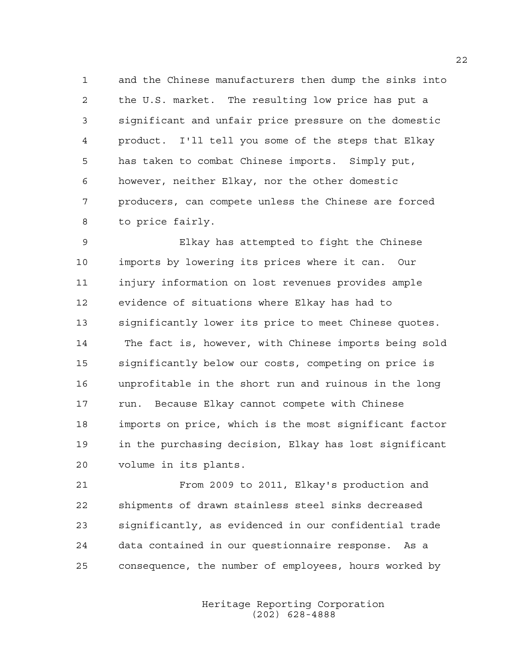1 and the Chinese manufacturers then dump the sinks into 2 the U.S. market. The resulting low price has put a 3 significant and unfair price pressure on the domestic 4 product. I'll tell you some of the steps that Elkay 5 has taken to combat Chinese imports. Simply put, 6 however, neither Elkay, nor the other domestic 7 producers, can compete unless the Chinese are forced 8 to price fairly.

9 Elkay has attempted to fight the Chinese 10 imports by lowering its prices where it can. Our 11 injury information on lost revenues provides ample 12 evidence of situations where Elkay has had to 13 significantly lower its price to meet Chinese quotes. 14 The fact is, however, with Chinese imports being sold 15 significantly below our costs, competing on price is 16 unprofitable in the short run and ruinous in the long 17 run. Because Elkay cannot compete with Chinese 18 imports on price, which is the most significant factor 19 in the purchasing decision, Elkay has lost significant 20 volume in its plants.

21 From 2009 to 2011, Elkay's production and 22 shipments of drawn stainless steel sinks decreased 23 significantly, as evidenced in our confidential trade 24 data contained in our questionnaire response. As a 25 consequence, the number of employees, hours worked by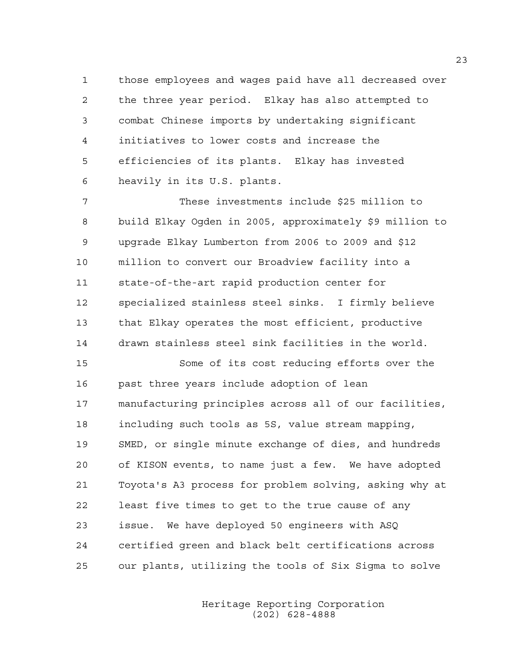1 those employees and wages paid have all decreased over 2 the three year period. Elkay has also attempted to 3 combat Chinese imports by undertaking significant 4 initiatives to lower costs and increase the 5 efficiencies of its plants. Elkay has invested 6 heavily in its U.S. plants.

7 These investments include \$25 million to 8 build Elkay Ogden in 2005, approximately \$9 million to 9 upgrade Elkay Lumberton from 2006 to 2009 and \$12 10 million to convert our Broadview facility into a 11 state-of-the-art rapid production center for 12 specialized stainless steel sinks. I firmly believe 13 that Elkay operates the most efficient, productive 14 drawn stainless steel sink facilities in the world.

15 Some of its cost reducing efforts over the 16 past three years include adoption of lean 17 manufacturing principles across all of our facilities, 18 including such tools as 5S, value stream mapping, 19 SMED, or single minute exchange of dies, and hundreds 20 of KISON events, to name just a few. We have adopted 21 Toyota's A3 process for problem solving, asking why at 22 least five times to get to the true cause of any 23 issue. We have deployed 50 engineers with ASQ 24 certified green and black belt certifications across 25 our plants, utilizing the tools of Six Sigma to solve

> Heritage Reporting Corporation (202) 628-4888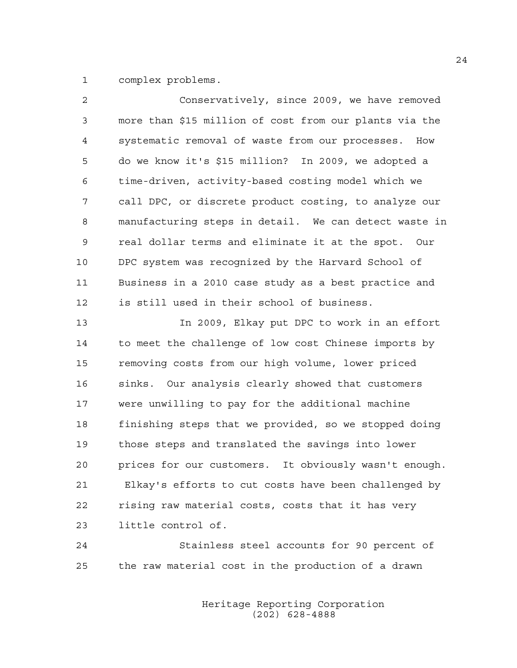1 complex problems.

| $\overline{2}$ | Conservatively, since 2009, we have removed              |
|----------------|----------------------------------------------------------|
| 3              | more than \$15 million of cost from our plants via the   |
| 4              | systematic removal of waste from our processes. How      |
| 5              | do we know it's \$15 million? In 2009, we adopted a      |
| 6              | time-driven, activity-based costing model which we       |
| 7              | call DPC, or discrete product costing, to analyze our    |
| 8              | manufacturing steps in detail. We can detect waste in    |
| 9              | real dollar terms and eliminate it at the spot. Our      |
| 10             | DPC system was recognized by the Harvard School of       |
| 11             | Business in a 2010 case study as a best practice and     |
| 12             | is still used in their school of business.               |
| 13             | In 2009, Elkay put DPC to work in an effort              |
| 14             | to meet the challenge of low cost Chinese imports by     |
| 15             | removing costs from our high volume, lower priced        |
| 16             | sinks. Our analysis clearly showed that customers        |
| 17             | were unwilling to pay for the additional machine         |
| 18             | finishing steps that we provided, so we stopped doing    |
| 19             | those steps and translated the savings into lower        |
| 20             | It obviously wasn't enough.<br>prices for our customers. |
| 21             | Elkay's efforts to cut costs have been challenged by     |
| 22             | rising raw material costs, costs that it has very        |
| 23             | little control of.                                       |
|                |                                                          |

24 Stainless steel accounts for 90 percent of 25 the raw material cost in the production of a drawn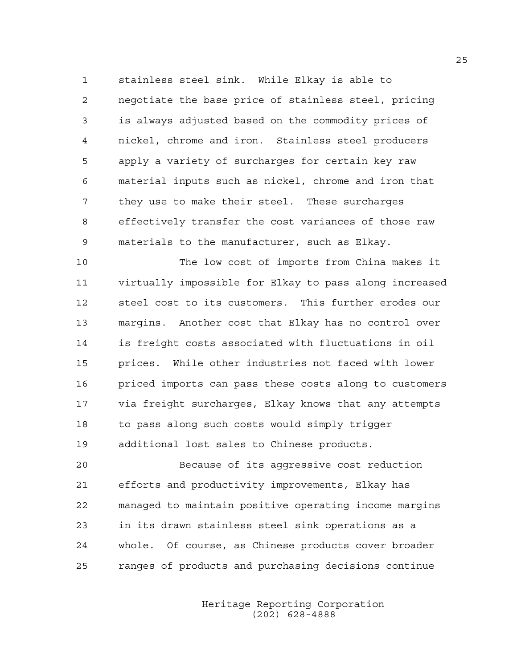1 stainless steel sink. While Elkay is able to 2 negotiate the base price of stainless steel, pricing 3 is always adjusted based on the commodity prices of 4 nickel, chrome and iron. Stainless steel producers 5 apply a variety of surcharges for certain key raw 6 material inputs such as nickel, chrome and iron that 7 they use to make their steel. These surcharges 8 effectively transfer the cost variances of those raw 9 materials to the manufacturer, such as Elkay.

10 The low cost of imports from China makes it 11 virtually impossible for Elkay to pass along increased 12 steel cost to its customers. This further erodes our 13 margins. Another cost that Elkay has no control over 14 is freight costs associated with fluctuations in oil 15 prices. While other industries not faced with lower 16 priced imports can pass these costs along to customers 17 via freight surcharges, Elkay knows that any attempts 18 to pass along such costs would simply trigger 19 additional lost sales to Chinese products.

20 Because of its aggressive cost reduction 21 efforts and productivity improvements, Elkay has 22 managed to maintain positive operating income margins 23 in its drawn stainless steel sink operations as a 24 whole. Of course, as Chinese products cover broader 25 ranges of products and purchasing decisions continue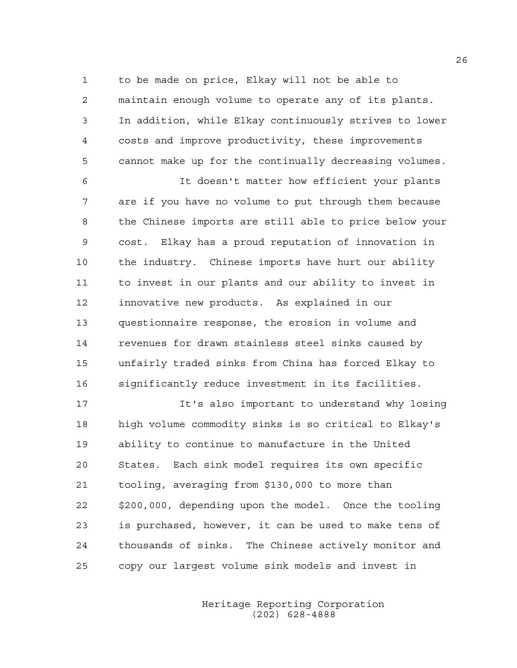1 to be made on price, Elkay will not be able to 2 maintain enough volume to operate any of its plants. 3 In addition, while Elkay continuously strives to lower 4 costs and improve productivity, these improvements 5 cannot make up for the continually decreasing volumes.

6 It doesn't matter how efficient your plants 7 are if you have no volume to put through them because 8 the Chinese imports are still able to price below your 9 cost. Elkay has a proud reputation of innovation in 10 the industry. Chinese imports have hurt our ability 11 to invest in our plants and our ability to invest in 12 innovative new products. As explained in our 13 questionnaire response, the erosion in volume and 14 revenues for drawn stainless steel sinks caused by 15 unfairly traded sinks from China has forced Elkay to 16 significantly reduce investment in its facilities.

17 It's also important to understand why losing 18 high volume commodity sinks is so critical to Elkay's 19 ability to continue to manufacture in the United 20 States. Each sink model requires its own specific 21 tooling, averaging from \$130,000 to more than 22 \$200,000, depending upon the model. Once the tooling 23 is purchased, however, it can be used to make tens of 24 thousands of sinks. The Chinese actively monitor and 25 copy our largest volume sink models and invest in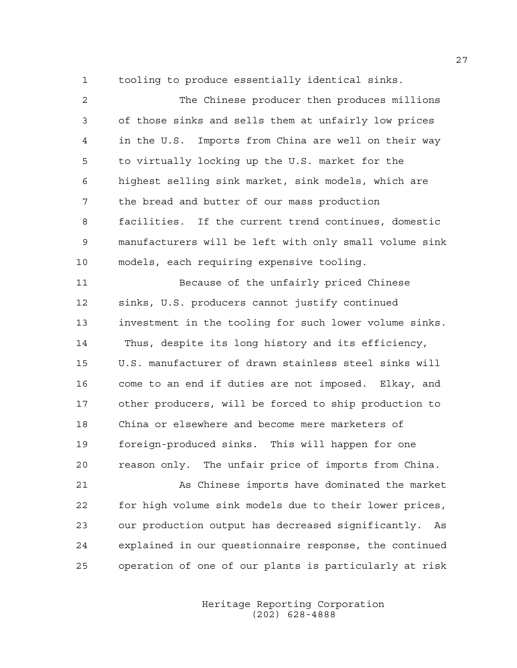1 tooling to produce essentially identical sinks.

| 2  | The Chinese producer then produces millions              |
|----|----------------------------------------------------------|
| 3  | of those sinks and sells them at unfairly low prices     |
| 4  | in the U.S. Imports from China are well on their way     |
| 5  | to virtually locking up the U.S. market for the          |
| 6  | highest selling sink market, sink models, which are      |
| 7  | the bread and butter of our mass production              |
| 8  | facilities. If the current trend continues, domestic     |
| 9  | manufacturers will be left with only small volume sink   |
| 10 | models, each requiring expensive tooling.                |
| 11 | Because of the unfairly priced Chinese                   |
| 12 | sinks, U.S. producers cannot justify continued           |
| 13 | investment in the tooling for such lower volume sinks.   |
| 14 | Thus, despite its long history and its efficiency,       |
| 15 | U.S. manufacturer of drawn stainless steel sinks will    |
| 16 | come to an end if duties are not imposed. Elkay, and     |
| 17 | other producers, will be forced to ship production to    |
| 18 | China or elsewhere and become mere marketers of          |
| 19 | foreign-produced sinks. This will happen for one         |
| 20 | reason only. The unfair price of imports from China.     |
| 21 | As Chinese imports have dominated the market             |
| 22 | for high volume sink models due to their lower prices,   |
| 23 | our production output has decreased significantly.<br>As |
| 24 | explained in our questionnaire response, the continued   |
| 25 | operation of one of our plants is particularly at risk   |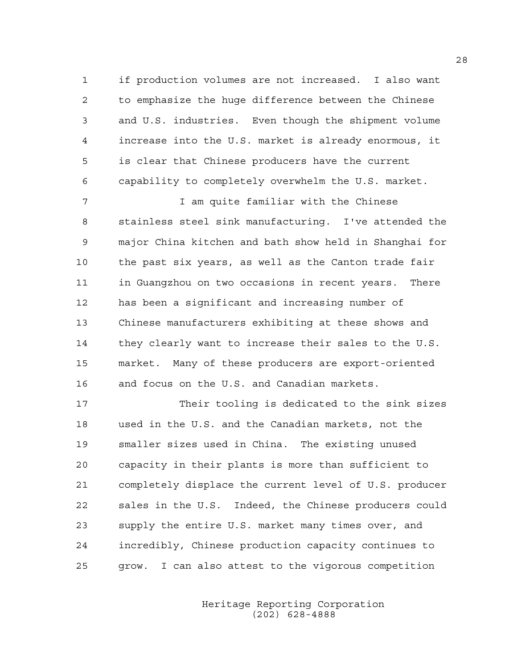1 if production volumes are not increased. I also want 2 to emphasize the huge difference between the Chinese 3 and U.S. industries. Even though the shipment volume 4 increase into the U.S. market is already enormous, it 5 is clear that Chinese producers have the current 6 capability to completely overwhelm the U.S. market.

7 1 am quite familiar with the Chinese 8 stainless steel sink manufacturing. I've attended the 9 major China kitchen and bath show held in Shanghai for 10 the past six years, as well as the Canton trade fair 11 in Guangzhou on two occasions in recent years. There 12 has been a significant and increasing number of 13 Chinese manufacturers exhibiting at these shows and 14 they clearly want to increase their sales to the U.S. 15 market. Many of these producers are export-oriented 16 and focus on the U.S. and Canadian markets.

17 Their tooling is dedicated to the sink sizes 18 used in the U.S. and the Canadian markets, not the 19 smaller sizes used in China. The existing unused 20 capacity in their plants is more than sufficient to 21 completely displace the current level of U.S. producer 22 sales in the U.S. Indeed, the Chinese producers could 23 supply the entire U.S. market many times over, and 24 incredibly, Chinese production capacity continues to 25 grow. I can also attest to the vigorous competition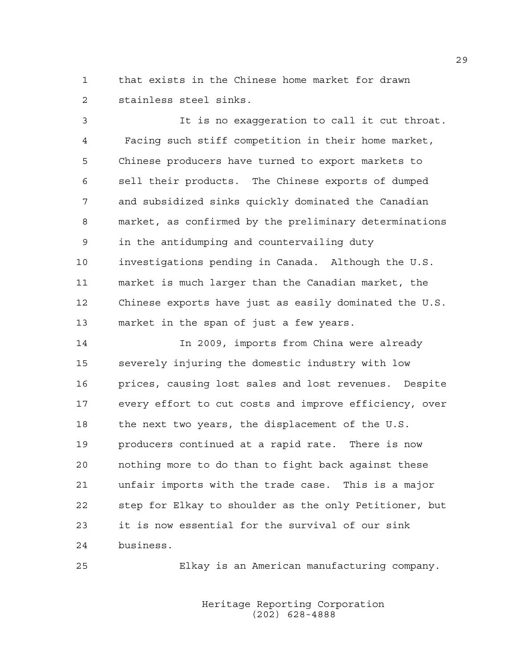1 that exists in the Chinese home market for drawn 2 stainless steel sinks.

3 It is no exaggeration to call it cut throat. 4 Facing such stiff competition in their home market, 5 Chinese producers have turned to export markets to 6 sell their products. The Chinese exports of dumped 7 and subsidized sinks quickly dominated the Canadian 8 market, as confirmed by the preliminary determinations 9 in the antidumping and countervailing duty 10 investigations pending in Canada. Although the U.S. 11 market is much larger than the Canadian market, the 12 Chinese exports have just as easily dominated the U.S. 13 market in the span of just a few years.

14 In 2009, imports from China were already 15 severely injuring the domestic industry with low 16 prices, causing lost sales and lost revenues. Despite 17 every effort to cut costs and improve efficiency, over 18 the next two years, the displacement of the U.S. 19 producers continued at a rapid rate. There is now 20 nothing more to do than to fight back against these 21 unfair imports with the trade case. This is a major 22 step for Elkay to shoulder as the only Petitioner, but 23 it is now essential for the survival of our sink 24 business.

25 Elkay is an American manufacturing company.

 Heritage Reporting Corporation (202) 628-4888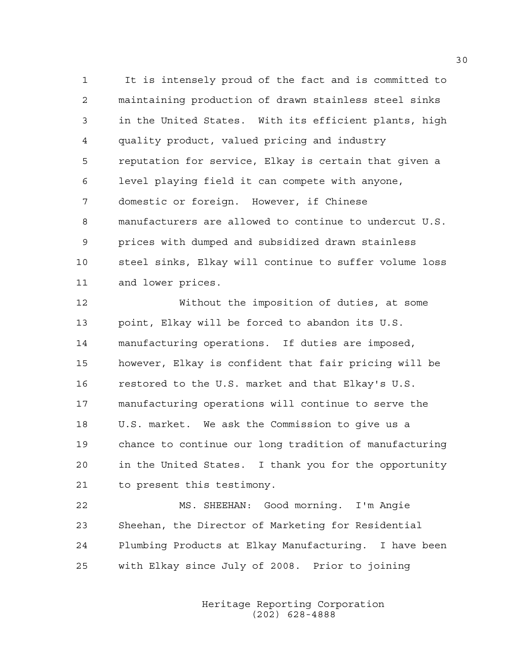1 It is intensely proud of the fact and is committed to 2 maintaining production of drawn stainless steel sinks 3 in the United States. With its efficient plants, high 4 quality product, valued pricing and industry 5 reputation for service, Elkay is certain that given a 6 level playing field it can compete with anyone, 7 domestic or foreign. However, if Chinese 8 manufacturers are allowed to continue to undercut U.S. 9 prices with dumped and subsidized drawn stainless 10 steel sinks, Elkay will continue to suffer volume loss 11 and lower prices.

12 Without the imposition of duties, at some 13 point, Elkay will be forced to abandon its U.S. 14 manufacturing operations. If duties are imposed, 15 however, Elkay is confident that fair pricing will be 16 restored to the U.S. market and that Elkay's U.S. 17 manufacturing operations will continue to serve the 18 U.S. market. We ask the Commission to give us a 19 chance to continue our long tradition of manufacturing 20 in the United States. I thank you for the opportunity 21 to present this testimony.

22 MS. SHEEHAN: Good morning. I'm Angie 23 Sheehan, the Director of Marketing for Residential 24 Plumbing Products at Elkay Manufacturing. I have been 25 with Elkay since July of 2008. Prior to joining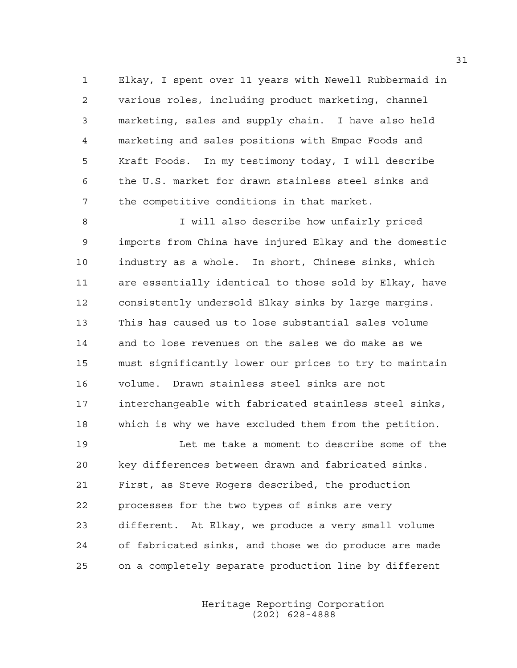1 Elkay, I spent over 11 years with Newell Rubbermaid in 2 various roles, including product marketing, channel 3 marketing, sales and supply chain. I have also held 4 marketing and sales positions with Empac Foods and 5 Kraft Foods. In my testimony today, I will describe 6 the U.S. market for drawn stainless steel sinks and 7 the competitive conditions in that market.

8 I will also describe how unfairly priced 9 imports from China have injured Elkay and the domestic 10 industry as a whole. In short, Chinese sinks, which 11 are essentially identical to those sold by Elkay, have 12 consistently undersold Elkay sinks by large margins. 13 This has caused us to lose substantial sales volume 14 and to lose revenues on the sales we do make as we 15 must significantly lower our prices to try to maintain 16 volume. Drawn stainless steel sinks are not 17 interchangeable with fabricated stainless steel sinks, 18 which is why we have excluded them from the petition.

19 Let me take a moment to describe some of the 20 key differences between drawn and fabricated sinks. 21 First, as Steve Rogers described, the production 22 processes for the two types of sinks are very 23 different. At Elkay, we produce a very small volume 24 of fabricated sinks, and those we do produce are made 25 on a completely separate production line by different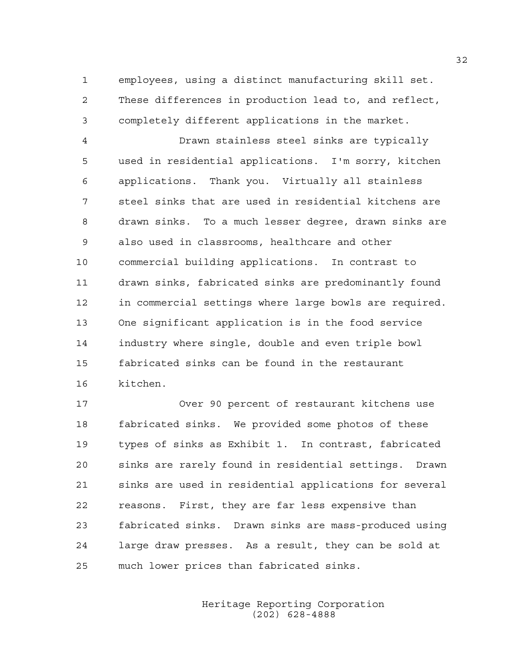1 employees, using a distinct manufacturing skill set. 2 These differences in production lead to, and reflect, 3 completely different applications in the market.

4 Drawn stainless steel sinks are typically 5 used in residential applications. I'm sorry, kitchen 6 applications. Thank you. Virtually all stainless 7 steel sinks that are used in residential kitchens are 8 drawn sinks. To a much lesser degree, drawn sinks are 9 also used in classrooms, healthcare and other 10 commercial building applications. In contrast to 11 drawn sinks, fabricated sinks are predominantly found 12 in commercial settings where large bowls are required. 13 One significant application is in the food service 14 industry where single, double and even triple bowl 15 fabricated sinks can be found in the restaurant 16 kitchen.

17 Over 90 percent of restaurant kitchens use 18 fabricated sinks. We provided some photos of these 19 types of sinks as Exhibit 1. In contrast, fabricated 20 sinks are rarely found in residential settings. Drawn 21 sinks are used in residential applications for several 22 reasons. First, they are far less expensive than 23 fabricated sinks. Drawn sinks are mass-produced using 24 large draw presses. As a result, they can be sold at 25 much lower prices than fabricated sinks.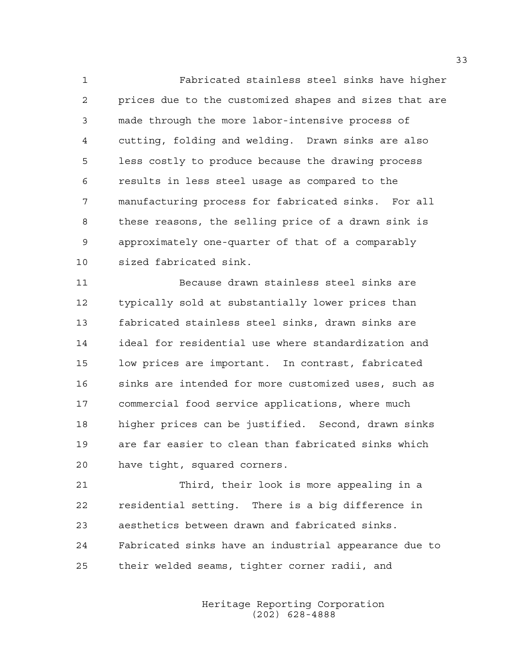1 Fabricated stainless steel sinks have higher 2 prices due to the customized shapes and sizes that are 3 made through the more labor-intensive process of 4 cutting, folding and welding. Drawn sinks are also 5 less costly to produce because the drawing process 6 results in less steel usage as compared to the 7 manufacturing process for fabricated sinks. For all 8 these reasons, the selling price of a drawn sink is 9 approximately one-quarter of that of a comparably 10 sized fabricated sink.

11 Because drawn stainless steel sinks are 12 typically sold at substantially lower prices than 13 fabricated stainless steel sinks, drawn sinks are 14 ideal for residential use where standardization and 15 low prices are important. In contrast, fabricated 16 sinks are intended for more customized uses, such as 17 commercial food service applications, where much 18 higher prices can be justified. Second, drawn sinks 19 are far easier to clean than fabricated sinks which 20 have tight, squared corners.

21 Third, their look is more appealing in a 22 residential setting. There is a big difference in 23 aesthetics between drawn and fabricated sinks. 24 Fabricated sinks have an industrial appearance due to 25 their welded seams, tighter corner radii, and

> Heritage Reporting Corporation (202) 628-4888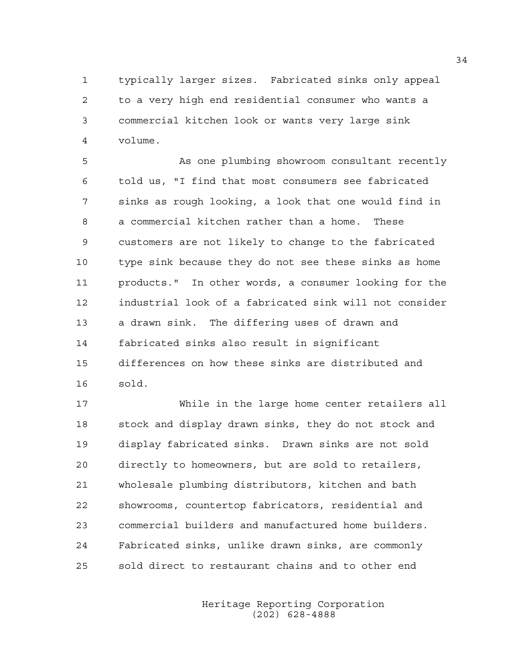1 typically larger sizes. Fabricated sinks only appeal 2 to a very high end residential consumer who wants a 3 commercial kitchen look or wants very large sink 4 volume.

5 As one plumbing showroom consultant recently 6 told us, "I find that most consumers see fabricated 7 sinks as rough looking, a look that one would find in 8 a commercial kitchen rather than a home. These 9 customers are not likely to change to the fabricated 10 type sink because they do not see these sinks as home 11 products." In other words, a consumer looking for the 12 industrial look of a fabricated sink will not consider 13 a drawn sink. The differing uses of drawn and 14 fabricated sinks also result in significant 15 differences on how these sinks are distributed and 16 sold.

17 While in the large home center retailers all 18 stock and display drawn sinks, they do not stock and 19 display fabricated sinks. Drawn sinks are not sold 20 directly to homeowners, but are sold to retailers, 21 wholesale plumbing distributors, kitchen and bath 22 showrooms, countertop fabricators, residential and 23 commercial builders and manufactured home builders. 24 Fabricated sinks, unlike drawn sinks, are commonly 25 sold direct to restaurant chains and to other end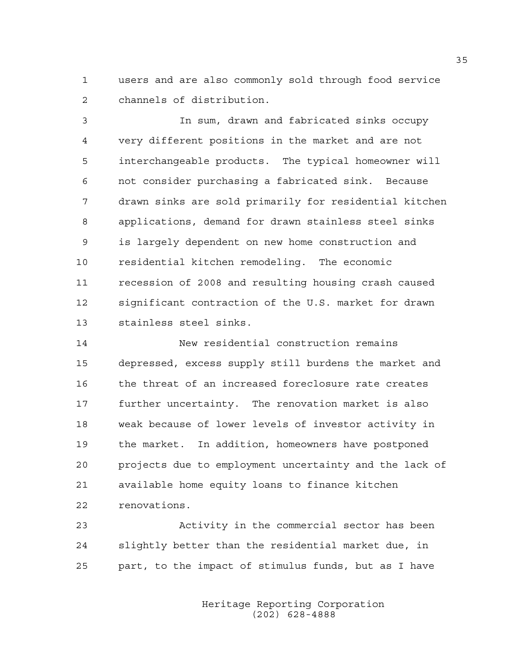1 users and are also commonly sold through food service 2 channels of distribution.

3 In sum, drawn and fabricated sinks occupy 4 very different positions in the market and are not 5 interchangeable products. The typical homeowner will 6 not consider purchasing a fabricated sink. Because 7 drawn sinks are sold primarily for residential kitchen 8 applications, demand for drawn stainless steel sinks 9 is largely dependent on new home construction and 10 residential kitchen remodeling. The economic 11 recession of 2008 and resulting housing crash caused 12 significant contraction of the U.S. market for drawn 13 stainless steel sinks.

14 New residential construction remains 15 depressed, excess supply still burdens the market and 16 the threat of an increased foreclosure rate creates 17 further uncertainty. The renovation market is also 18 weak because of lower levels of investor activity in 19 the market. In addition, homeowners have postponed 20 projects due to employment uncertainty and the lack of 21 available home equity loans to finance kitchen 22 renovations.

23 Activity in the commercial sector has been 24 slightly better than the residential market due, in 25 part, to the impact of stimulus funds, but as I have

> Heritage Reporting Corporation (202) 628-4888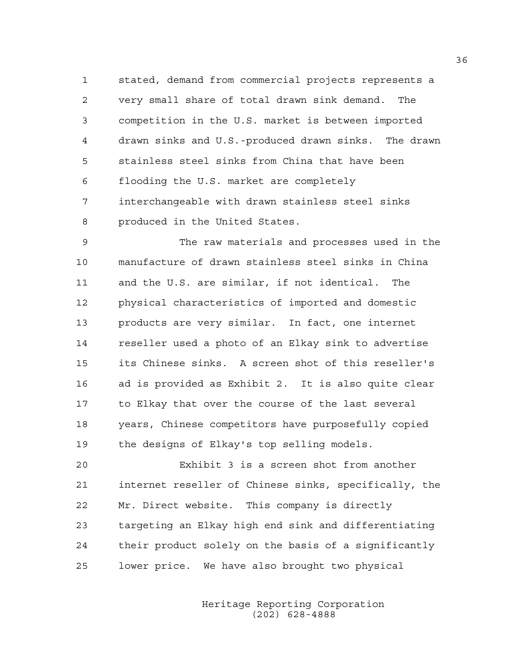1 stated, demand from commercial projects represents a 2 very small share of total drawn sink demand. The 3 competition in the U.S. market is between imported 4 drawn sinks and U.S.-produced drawn sinks. The drawn 5 stainless steel sinks from China that have been 6 flooding the U.S. market are completely 7 interchangeable with drawn stainless steel sinks 8 produced in the United States.

9 The raw materials and processes used in the 10 manufacture of drawn stainless steel sinks in China 11 and the U.S. are similar, if not identical. The 12 physical characteristics of imported and domestic 13 products are very similar. In fact, one internet 14 reseller used a photo of an Elkay sink to advertise 15 its Chinese sinks. A screen shot of this reseller's 16 ad is provided as Exhibit 2. It is also quite clear 17 to Elkay that over the course of the last several 18 years, Chinese competitors have purposefully copied 19 the designs of Elkay's top selling models.

20 Exhibit 3 is a screen shot from another 21 internet reseller of Chinese sinks, specifically, the 22 Mr. Direct website. This company is directly 23 targeting an Elkay high end sink and differentiating 24 their product solely on the basis of a significantly 25 lower price. We have also brought two physical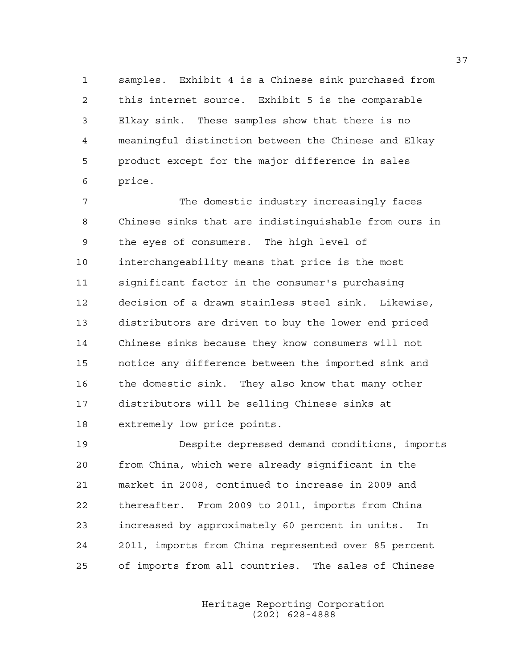1 samples. Exhibit 4 is a Chinese sink purchased from 2 this internet source. Exhibit 5 is the comparable 3 Elkay sink. These samples show that there is no 4 meaningful distinction between the Chinese and Elkay 5 product except for the major difference in sales 6 price.

7 The domestic industry increasingly faces 8 Chinese sinks that are indistinguishable from ours in 9 the eyes of consumers. The high level of 10 interchangeability means that price is the most 11 significant factor in the consumer's purchasing 12 decision of a drawn stainless steel sink. Likewise, 13 distributors are driven to buy the lower end priced 14 Chinese sinks because they know consumers will not 15 notice any difference between the imported sink and 16 the domestic sink. They also know that many other 17 distributors will be selling Chinese sinks at 18 extremely low price points.

19 Despite depressed demand conditions, imports 20 from China, which were already significant in the 21 market in 2008, continued to increase in 2009 and 22 thereafter. From 2009 to 2011, imports from China 23 increased by approximately 60 percent in units. In 24 2011, imports from China represented over 85 percent 25 of imports from all countries. The sales of Chinese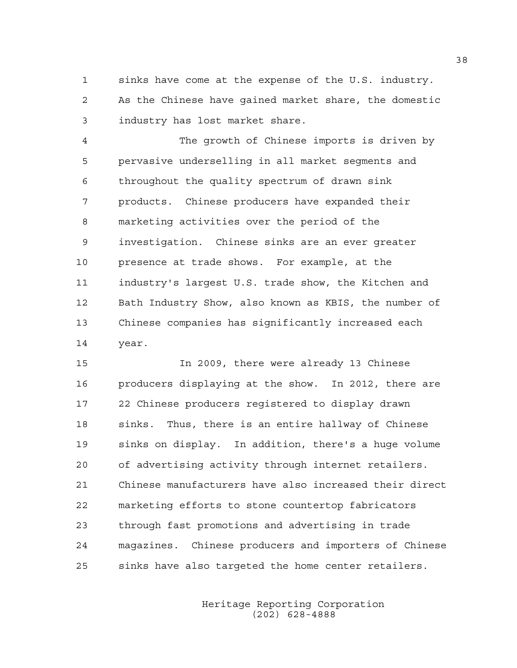1 sinks have come at the expense of the U.S. industry. 2 As the Chinese have gained market share, the domestic 3 industry has lost market share.

4 The growth of Chinese imports is driven by 5 pervasive underselling in all market segments and 6 throughout the quality spectrum of drawn sink 7 products. Chinese producers have expanded their 8 marketing activities over the period of the 9 investigation. Chinese sinks are an ever greater 10 presence at trade shows. For example, at the 11 industry's largest U.S. trade show, the Kitchen and 12 Bath Industry Show, also known as KBIS, the number of 13 Chinese companies has significantly increased each 14 year.

15 In 2009, there were already 13 Chinese 16 producers displaying at the show. In 2012, there are 17 22 Chinese producers registered to display drawn 18 sinks. Thus, there is an entire hallway of Chinese 19 sinks on display. In addition, there's a huge volume 20 of advertising activity through internet retailers. 21 Chinese manufacturers have also increased their direct 22 marketing efforts to stone countertop fabricators 23 through fast promotions and advertising in trade 24 magazines. Chinese producers and importers of Chinese 25 sinks have also targeted the home center retailers.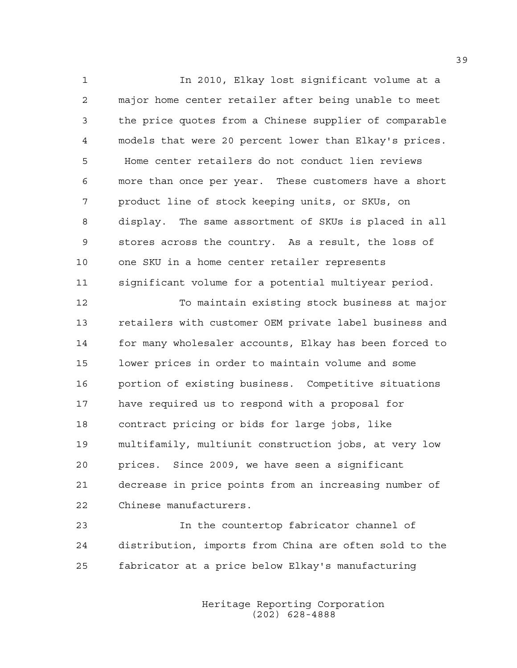1 In 2010, Elkay lost significant volume at a 2 major home center retailer after being unable to meet 3 the price quotes from a Chinese supplier of comparable 4 models that were 20 percent lower than Elkay's prices. 5 Home center retailers do not conduct lien reviews 6 more than once per year. These customers have a short 7 product line of stock keeping units, or SKUs, on 8 display. The same assortment of SKUs is placed in all 9 stores across the country. As a result, the loss of 10 one SKU in a home center retailer represents 11 significant volume for a potential multiyear period.

12 To maintain existing stock business at major 13 retailers with customer OEM private label business and 14 for many wholesaler accounts, Elkay has been forced to 15 lower prices in order to maintain volume and some 16 portion of existing business. Competitive situations 17 have required us to respond with a proposal for 18 contract pricing or bids for large jobs, like 19 multifamily, multiunit construction jobs, at very low 20 prices. Since 2009, we have seen a significant 21 decrease in price points from an increasing number of 22 Chinese manufacturers.

23 In the countertop fabricator channel of 24 distribution, imports from China are often sold to the 25 fabricator at a price below Elkay's manufacturing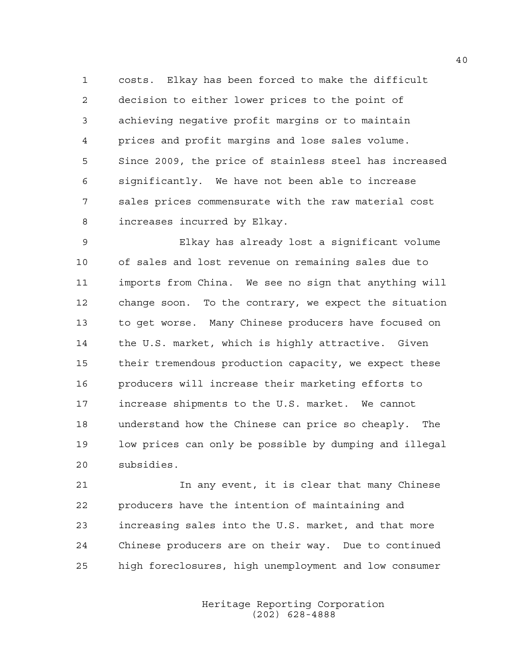1 costs. Elkay has been forced to make the difficult 2 decision to either lower prices to the point of 3 achieving negative profit margins or to maintain 4 prices and profit margins and lose sales volume. 5 Since 2009, the price of stainless steel has increased 6 significantly. We have not been able to increase 7 sales prices commensurate with the raw material cost 8 increases incurred by Elkay.

9 Elkay has already lost a significant volume 10 of sales and lost revenue on remaining sales due to 11 imports from China. We see no sign that anything will 12 change soon. To the contrary, we expect the situation 13 to get worse. Many Chinese producers have focused on 14 the U.S. market, which is highly attractive. Given 15 their tremendous production capacity, we expect these 16 producers will increase their marketing efforts to 17 increase shipments to the U.S. market. We cannot 18 understand how the Chinese can price so cheaply. The 19 low prices can only be possible by dumping and illegal 20 subsidies.

21 In any event, it is clear that many Chinese 22 producers have the intention of maintaining and 23 increasing sales into the U.S. market, and that more 24 Chinese producers are on their way. Due to continued 25 high foreclosures, high unemployment and low consumer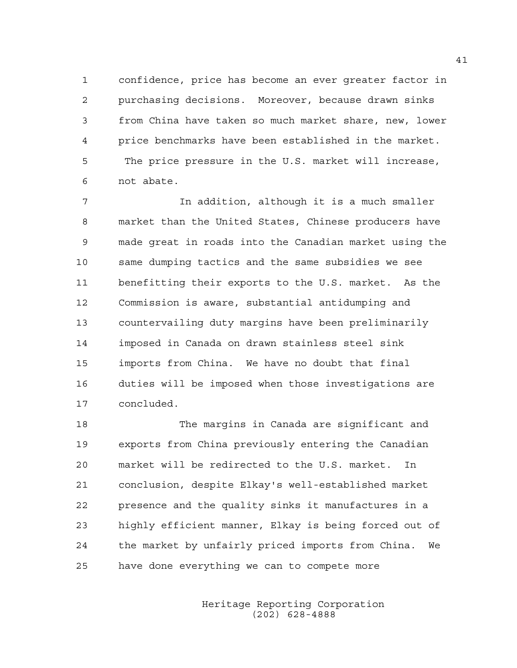1 confidence, price has become an ever greater factor in 2 purchasing decisions. Moreover, because drawn sinks 3 from China have taken so much market share, new, lower 4 price benchmarks have been established in the market. 5 The price pressure in the U.S. market will increase, 6 not abate.

7 In addition, although it is a much smaller 8 market than the United States, Chinese producers have 9 made great in roads into the Canadian market using the 10 same dumping tactics and the same subsidies we see 11 benefitting their exports to the U.S. market. As the 12 Commission is aware, substantial antidumping and 13 countervailing duty margins have been preliminarily 14 imposed in Canada on drawn stainless steel sink 15 imports from China. We have no doubt that final 16 duties will be imposed when those investigations are 17 concluded.

18 The margins in Canada are significant and 19 exports from China previously entering the Canadian 20 market will be redirected to the U.S. market. In 21 conclusion, despite Elkay's well-established market 22 presence and the quality sinks it manufactures in a 23 highly efficient manner, Elkay is being forced out of 24 the market by unfairly priced imports from China. We 25 have done everything we can to compete more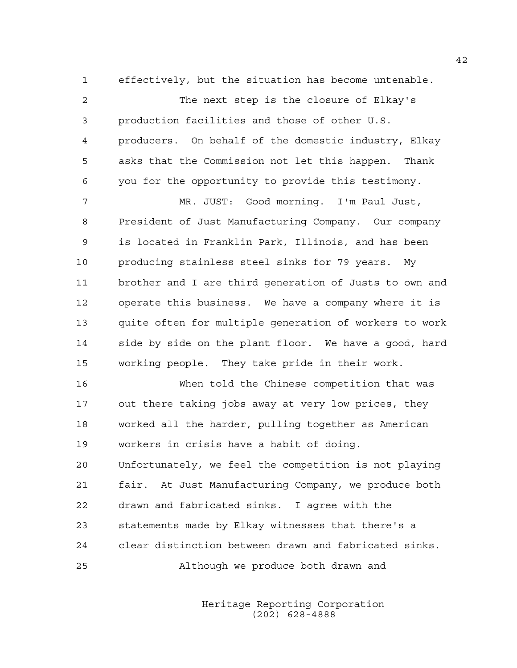1 effectively, but the situation has become untenable. 2 The next step is the closure of Elkay's 3 production facilities and those of other U.S. 4 producers. On behalf of the domestic industry, Elkay 5 asks that the Commission not let this happen. Thank 6 you for the opportunity to provide this testimony. 7 MR. JUST: Good morning. I'm Paul Just, 8 President of Just Manufacturing Company. Our company 9 is located in Franklin Park, Illinois, and has been 10 producing stainless steel sinks for 79 years. My 11 brother and I are third generation of Justs to own and 12 operate this business. We have a company where it is 13 quite often for multiple generation of workers to work 14 side by side on the plant floor. We have a good, hard 15 working people. They take pride in their work.

16 When told the Chinese competition that was 17 out there taking jobs away at very low prices, they 18 worked all the harder, pulling together as American 19 workers in crisis have a habit of doing. 20 Unfortunately, we feel the competition is not playing 21 fair. At Just Manufacturing Company, we produce both 22 drawn and fabricated sinks. I agree with the 23 statements made by Elkay witnesses that there's a 24 clear distinction between drawn and fabricated sinks.

25 Although we produce both drawn and

 Heritage Reporting Corporation (202) 628-4888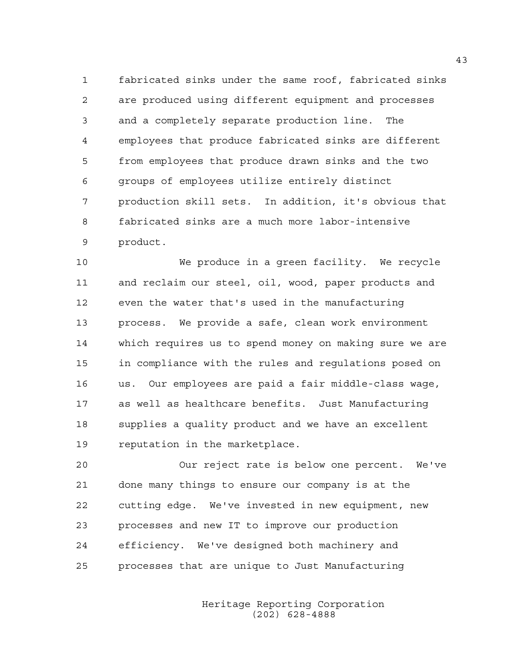1 fabricated sinks under the same roof, fabricated sinks 2 are produced using different equipment and processes 3 and a completely separate production line. The 4 employees that produce fabricated sinks are different 5 from employees that produce drawn sinks and the two 6 groups of employees utilize entirely distinct 7 production skill sets. In addition, it's obvious that 8 fabricated sinks are a much more labor-intensive 9 product.

10 We produce in a green facility. We recycle 11 and reclaim our steel, oil, wood, paper products and 12 even the water that's used in the manufacturing 13 process. We provide a safe, clean work environment 14 which requires us to spend money on making sure we are 15 in compliance with the rules and regulations posed on 16 us. Our employees are paid a fair middle-class wage, 17 as well as healthcare benefits. Just Manufacturing 18 supplies a quality product and we have an excellent 19 reputation in the marketplace.

20 Our reject rate is below one percent. We've 21 done many things to ensure our company is at the 22 cutting edge. We've invested in new equipment, new 23 processes and new IT to improve our production 24 efficiency. We've designed both machinery and 25 processes that are unique to Just Manufacturing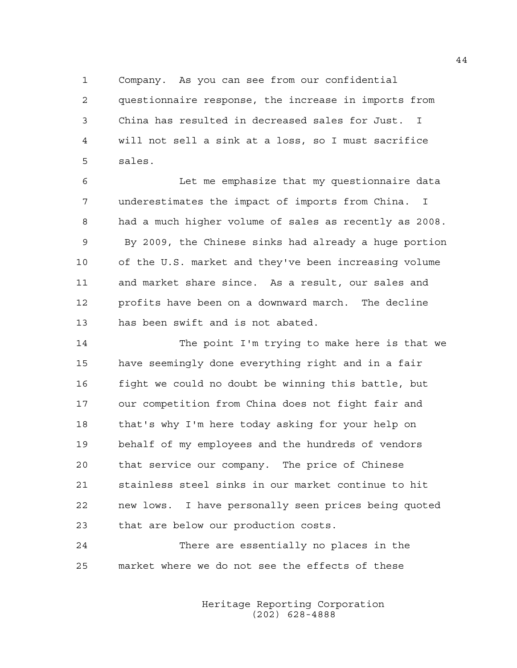1 Company. As you can see from our confidential 2 questionnaire response, the increase in imports from 3 China has resulted in decreased sales for Just. I 4 will not sell a sink at a loss, so I must sacrifice 5 sales.

6 Let me emphasize that my questionnaire data 7 underestimates the impact of imports from China. I 8 had a much higher volume of sales as recently as 2008. 9 By 2009, the Chinese sinks had already a huge portion 10 of the U.S. market and they've been increasing volume 11 and market share since. As a result, our sales and 12 profits have been on a downward march. The decline 13 has been swift and is not abated.

14 The point I'm trying to make here is that we 15 have seemingly done everything right and in a fair 16 fight we could no doubt be winning this battle, but 17 our competition from China does not fight fair and 18 that's why I'm here today asking for your help on 19 behalf of my employees and the hundreds of vendors 20 that service our company. The price of Chinese 21 stainless steel sinks in our market continue to hit 22 new lows. I have personally seen prices being quoted 23 that are below our production costs.

24 There are essentially no places in the 25 market where we do not see the effects of these

> Heritage Reporting Corporation (202) 628-4888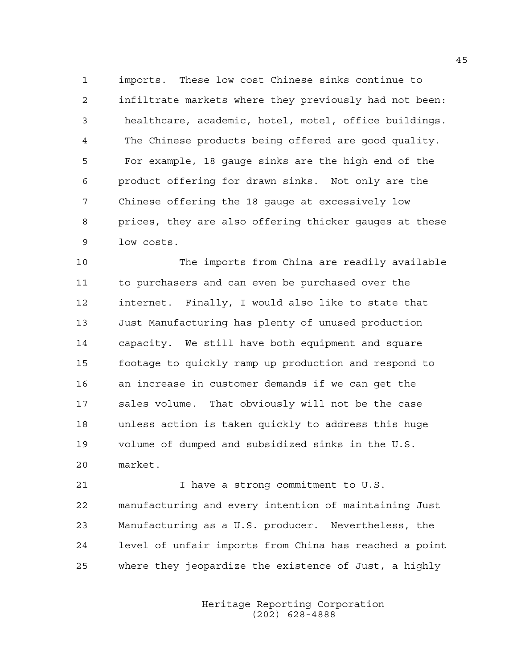1 imports. These low cost Chinese sinks continue to 2 infiltrate markets where they previously had not been: 3 healthcare, academic, hotel, motel, office buildings. 4 The Chinese products being offered are good quality. 5 For example, 18 gauge sinks are the high end of the 6 product offering for drawn sinks. Not only are the 7 Chinese offering the 18 gauge at excessively low 8 prices, they are also offering thicker gauges at these 9 low costs.

10 The imports from China are readily available 11 to purchasers and can even be purchased over the 12 internet. Finally, I would also like to state that 13 Just Manufacturing has plenty of unused production 14 capacity. We still have both equipment and square 15 footage to quickly ramp up production and respond to 16 an increase in customer demands if we can get the 17 sales volume. That obviously will not be the case 18 unless action is taken quickly to address this huge 19 volume of dumped and subsidized sinks in the U.S. 20 market.

21 I have a strong commitment to U.S. 22 manufacturing and every intention of maintaining Just 23 Manufacturing as a U.S. producer. Nevertheless, the 24 level of unfair imports from China has reached a point 25 where they jeopardize the existence of Just, a highly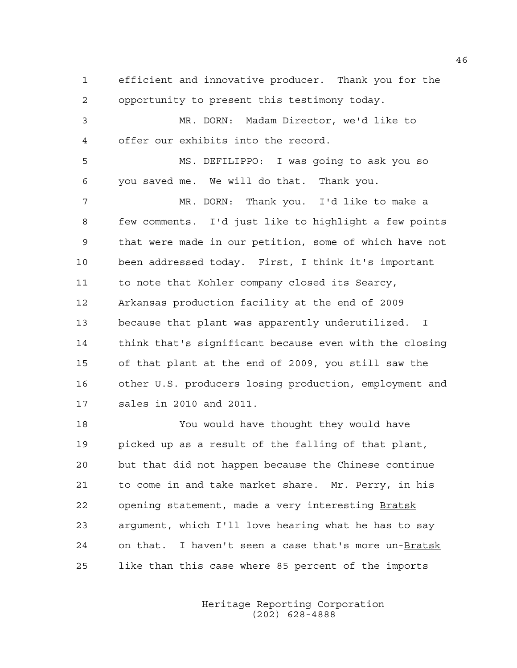1 efficient and innovative producer. Thank you for the 2 opportunity to present this testimony today. 3 MR. DORN: Madam Director, we'd like to

4 offer our exhibits into the record.

5 MS. DEFILIPPO: I was going to ask you so 6 you saved me. We will do that. Thank you.

7 MR. DORN: Thank you. I'd like to make a 8 few comments. I'd just like to highlight a few points 9 that were made in our petition, some of which have not 10 been addressed today. First, I think it's important 11 to note that Kohler company closed its Searcy, 12 Arkansas production facility at the end of 2009 13 because that plant was apparently underutilized. I 14 think that's significant because even with the closing 15 of that plant at the end of 2009, you still saw the 16 other U.S. producers losing production, employment and 17 sales in 2010 and 2011.

18 You would have thought they would have 19 picked up as a result of the falling of that plant, 20 but that did not happen because the Chinese continue 21 to come in and take market share. Mr. Perry, in his 22 opening statement, made a very interesting Bratsk 23 argument, which I'll love hearing what he has to say 24 on that. I haven't seen a case that's more un-Bratsk 25 like than this case where 85 percent of the imports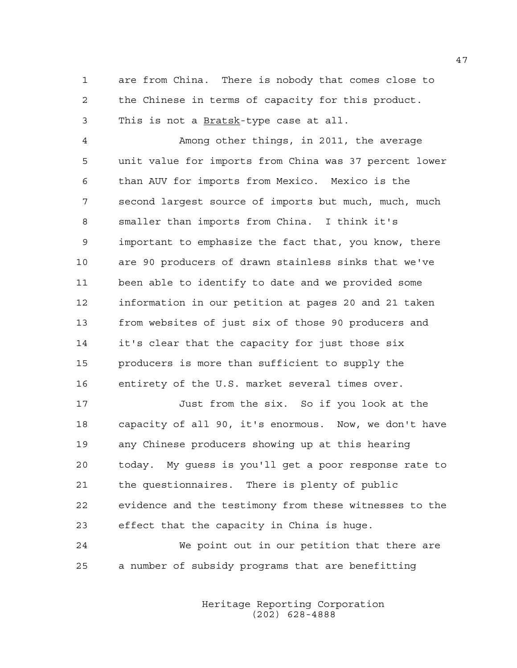1 are from China. There is nobody that comes close to 2 the Chinese in terms of capacity for this product. 3 This is not a Bratsk-type case at all.

4 Among other things, in 2011, the average 5 unit value for imports from China was 37 percent lower 6 than AUV for imports from Mexico. Mexico is the 7 second largest source of imports but much, much, much 8 smaller than imports from China. I think it's 9 important to emphasize the fact that, you know, there 10 are 90 producers of drawn stainless sinks that we've 11 been able to identify to date and we provided some 12 information in our petition at pages 20 and 21 taken 13 from websites of just six of those 90 producers and 14 it's clear that the capacity for just those six 15 producers is more than sufficient to supply the 16 entirety of the U.S. market several times over.

17 Just from the six. So if you look at the 18 capacity of all 90, it's enormous. Now, we don't have 19 any Chinese producers showing up at this hearing 20 today. My guess is you'll get a poor response rate to 21 the questionnaires. There is plenty of public 22 evidence and the testimony from these witnesses to the 23 effect that the capacity in China is huge.

24 We point out in our petition that there are 25 a number of subsidy programs that are benefitting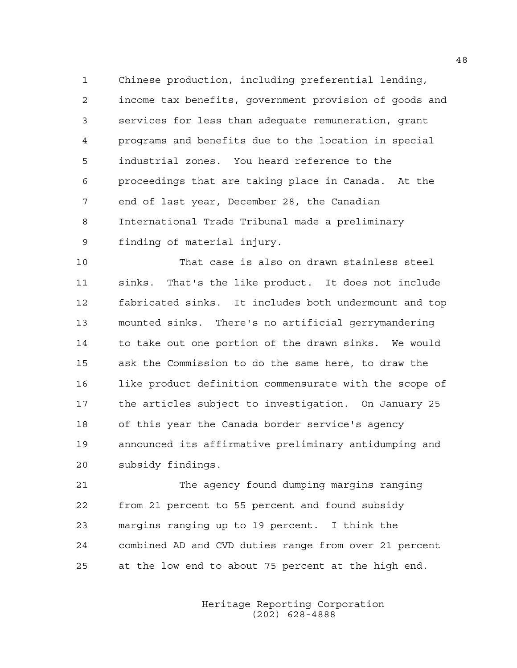1 Chinese production, including preferential lending, 2 income tax benefits, government provision of goods and 3 services for less than adequate remuneration, grant 4 programs and benefits due to the location in special 5 industrial zones. You heard reference to the 6 proceedings that are taking place in Canada. At the 7 end of last year, December 28, the Canadian 8 International Trade Tribunal made a preliminary 9 finding of material injury.

10 That case is also on drawn stainless steel 11 sinks. That's the like product. It does not include 12 fabricated sinks. It includes both undermount and top 13 mounted sinks. There's no artificial gerrymandering 14 to take out one portion of the drawn sinks. We would 15 ask the Commission to do the same here, to draw the 16 like product definition commensurate with the scope of 17 the articles subject to investigation. On January 25 18 of this year the Canada border service's agency 19 announced its affirmative preliminary antidumping and 20 subsidy findings.

21 The agency found dumping margins ranging 22 from 21 percent to 55 percent and found subsidy 23 margins ranging up to 19 percent. I think the 24 combined AD and CVD duties range from over 21 percent 25 at the low end to about 75 percent at the high end.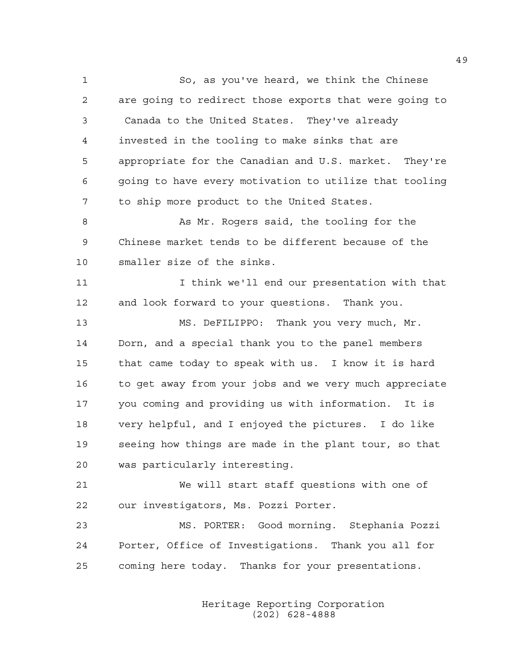1 So, as you've heard, we think the Chinese 2 are going to redirect those exports that were going to 3 Canada to the United States. They've already 4 invested in the tooling to make sinks that are 5 appropriate for the Canadian and U.S. market. They're 6 going to have every motivation to utilize that tooling 7 to ship more product to the United States. 8 As Mr. Rogers said, the tooling for the 9 Chinese market tends to be different because of the 10 smaller size of the sinks.

11 I think we'll end our presentation with that 12 and look forward to your questions. Thank you.

13 MS. DeFILIPPO: Thank you very much, Mr. 14 Dorn, and a special thank you to the panel members 15 that came today to speak with us. I know it is hard 16 to get away from your jobs and we very much appreciate 17 you coming and providing us with information. It is 18 very helpful, and I enjoyed the pictures. I do like 19 seeing how things are made in the plant tour, so that 20 was particularly interesting.

21 We will start staff questions with one of 22 our investigators, Ms. Pozzi Porter.

23 MS. PORTER: Good morning. Stephania Pozzi 24 Porter, Office of Investigations. Thank you all for 25 coming here today. Thanks for your presentations.

> Heritage Reporting Corporation (202) 628-4888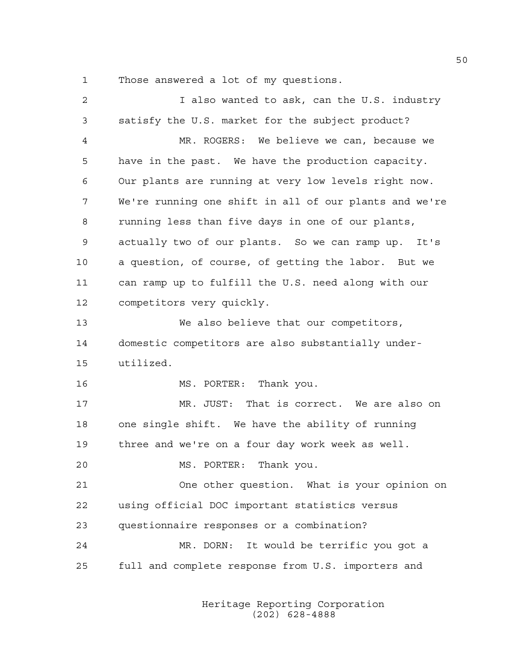1 Those answered a lot of my questions.

| $\overline{a}$ | I also wanted to ask, can the U.S. industry            |
|----------------|--------------------------------------------------------|
| 3              | satisfy the U.S. market for the subject product?       |
| 4              | MR. ROGERS: We believe we can, because we              |
| 5              | have in the past. We have the production capacity.     |
| 6              | Our plants are running at very low levels right now.   |
| 7              | We're running one shift in all of our plants and we're |
| 8              | running less than five days in one of our plants,      |
| 9              | actually two of our plants. So we can ramp up. It's    |
| 10             | a question, of course, of getting the labor. But we    |
| 11             | can ramp up to fulfill the U.S. need along with our    |
| 12             | competitors very quickly.                              |
| 13             | We also believe that our competitors,                  |
| 14             | domestic competitors are also substantially under-     |
| 15             | utilized.                                              |
| 16             | MS. PORTER: Thank you.                                 |
| 17             | MR. JUST: That is correct. We are also on              |
| 18             | one single shift. We have the ability of running       |
| 19             | three and we're on a four day work week as well.       |
| 20             | MS. PORTER: Thank you.                                 |
| 21             | One other question. What is your opinion on            |
| 22             | using official DOC important statistics versus         |
| 23             | questionnaire responses or a combination?              |
| 24             | It would be terrific you got a<br>MR. DORN:            |
| 25             | full and complete response from U.S. importers and     |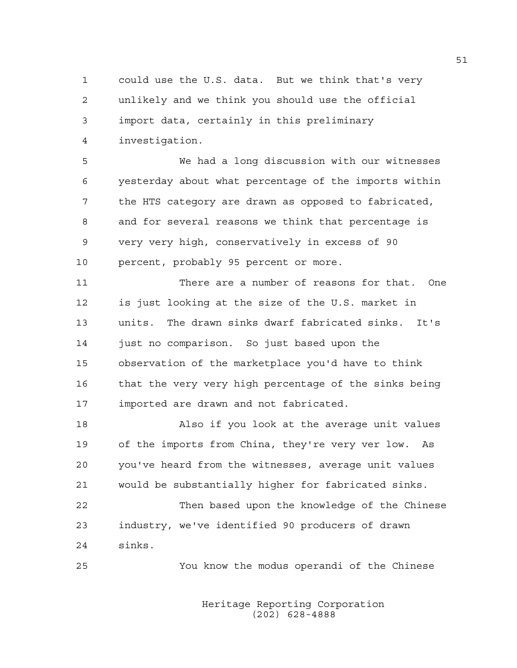1 could use the U.S. data. But we think that's very 2 unlikely and we think you should use the official 3 import data, certainly in this preliminary 4 investigation.

5 We had a long discussion with our witnesses 6 yesterday about what percentage of the imports within 7 the HTS category are drawn as opposed to fabricated, 8 and for several reasons we think that percentage is 9 very very high, conservatively in excess of 90 10 percent, probably 95 percent or more.

11 There are a number of reasons for that. One 12 is just looking at the size of the U.S. market in 13 units. The drawn sinks dwarf fabricated sinks. It's 14 just no comparison. So just based upon the 15 observation of the marketplace you'd have to think 16 that the very very high percentage of the sinks being 17 imported are drawn and not fabricated.

18 Also if you look at the average unit values 19 of the imports from China, they're very ver low. As 20 you've heard from the witnesses, average unit values 21 would be substantially higher for fabricated sinks.

22 Then based upon the knowledge of the Chinese 23 industry, we've identified 90 producers of drawn 24 sinks.

25 You know the modus operandi of the Chinese

 Heritage Reporting Corporation (202) 628-4888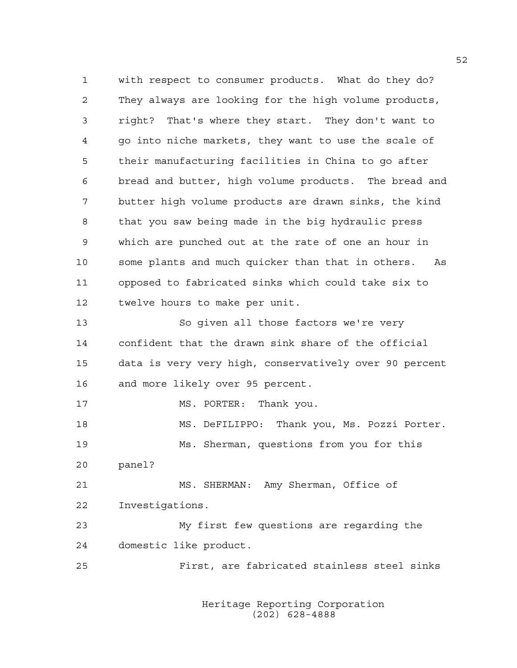1 with respect to consumer products. What do they do? 2 They always are looking for the high volume products, 3 right? That's where they start. They don't want to 4 go into niche markets, they want to use the scale of 5 their manufacturing facilities in China to go after 6 bread and butter, high volume products. The bread and 7 butter high volume products are drawn sinks, the kind 8 that you saw being made in the big hydraulic press 9 which are punched out at the rate of one an hour in 10 some plants and much quicker than that in others. As 11 opposed to fabricated sinks which could take six to 12 twelve hours to make per unit. 13 So given all those factors we're very 14 confident that the drawn sink share of the official 15 data is very very high, conservatively over 90 percent 16 and more likely over 95 percent. 17 MS. PORTER: Thank you. 18 MS. DeFILIPPO: Thank you, Ms. Pozzi Porter. 19 Ms. Sherman, questions from you for this 20 panel? 21 MS. SHERMAN: Amy Sherman, Office of 22 Investigations. 23 My first few questions are regarding the 24 domestic like product. 25 First, are fabricated stainless steel sinks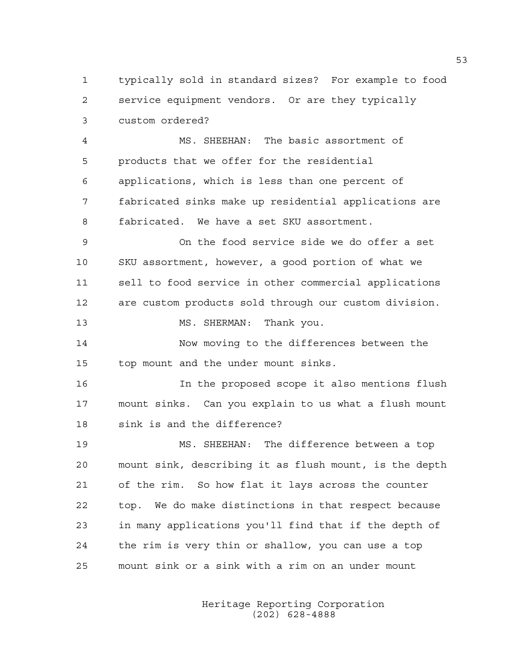1 typically sold in standard sizes? For example to food 2 service equipment vendors. Or are they typically 3 custom ordered?

4 MS. SHEEHAN: The basic assortment of 5 products that we offer for the residential 6 applications, which is less than one percent of 7 fabricated sinks make up residential applications are 8 fabricated. We have a set SKU assortment.

9 On the food service side we do offer a set 10 SKU assortment, however, a good portion of what we 11 sell to food service in other commercial applications 12 are custom products sold through our custom division.

13 MS. SHERMAN: Thank you.

14 Now moving to the differences between the 15 top mount and the under mount sinks.

16 In the proposed scope it also mentions flush 17 mount sinks. Can you explain to us what a flush mount 18 sink is and the difference?

19 MS. SHEEHAN: The difference between a top 20 mount sink, describing it as flush mount, is the depth 21 of the rim. So how flat it lays across the counter 22 top. We do make distinctions in that respect because 23 in many applications you'll find that if the depth of 24 the rim is very thin or shallow, you can use a top 25 mount sink or a sink with a rim on an under mount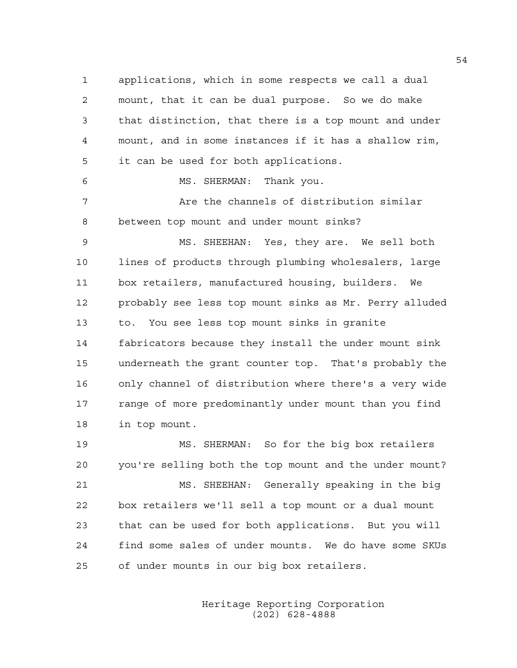1 applications, which in some respects we call a dual 2 mount, that it can be dual purpose. So we do make 3 that distinction, that there is a top mount and under 4 mount, and in some instances if it has a shallow rim, 5 it can be used for both applications. 6 MS. SHERMAN: Thank you. 7 Are the channels of distribution similar 8 between top mount and under mount sinks? 9 MS. SHEEHAN: Yes, they are. We sell both 10 lines of products through plumbing wholesalers, large 11 box retailers, manufactured housing, builders. We 12 probably see less top mount sinks as Mr. Perry alluded 13 to. You see less top mount sinks in granite 14 fabricators because they install the under mount sink 15 underneath the grant counter top. That's probably the 16 only channel of distribution where there's a very wide 17 range of more predominantly under mount than you find 18 in top mount. 19 MS. SHERMAN: So for the big box retailers

20 you're selling both the top mount and the under mount? 21 MS. SHEEHAN: Generally speaking in the big 22 box retailers we'll sell a top mount or a dual mount 23 that can be used for both applications. But you will 24 find some sales of under mounts. We do have some SKUs 25 of under mounts in our big box retailers.

> Heritage Reporting Corporation (202) 628-4888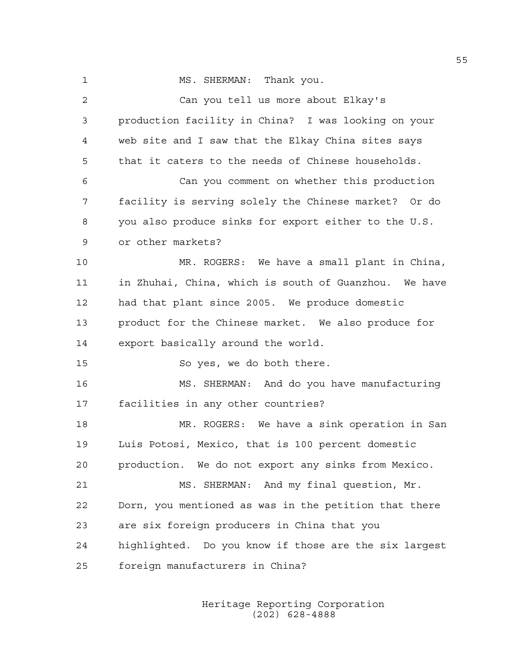1 MS. SHERMAN: Thank you. 2 Can you tell us more about Elkay's 3 production facility in China? I was looking on your 4 web site and I saw that the Elkay China sites says 5 that it caters to the needs of Chinese households. 6 Can you comment on whether this production 7 facility is serving solely the Chinese market? Or do 8 you also produce sinks for export either to the U.S. 9 or other markets? 10 MR. ROGERS: We have a small plant in China, 11 in Zhuhai, China, which is south of Guanzhou. We have 12 had that plant since 2005. We produce domestic 13 product for the Chinese market. We also produce for 14 export basically around the world. 15 So yes, we do both there. 16 MS. SHERMAN: And do you have manufacturing 17 facilities in any other countries? 18 MR. ROGERS: We have a sink operation in San 19 Luis Potosi, Mexico, that is 100 percent domestic 20 production. We do not export any sinks from Mexico. 21 MS. SHERMAN: And my final question, Mr. 22 Dorn, you mentioned as was in the petition that there 23 are six foreign producers in China that you 24 highlighted. Do you know if those are the six largest 25 foreign manufacturers in China?

> Heritage Reporting Corporation (202) 628-4888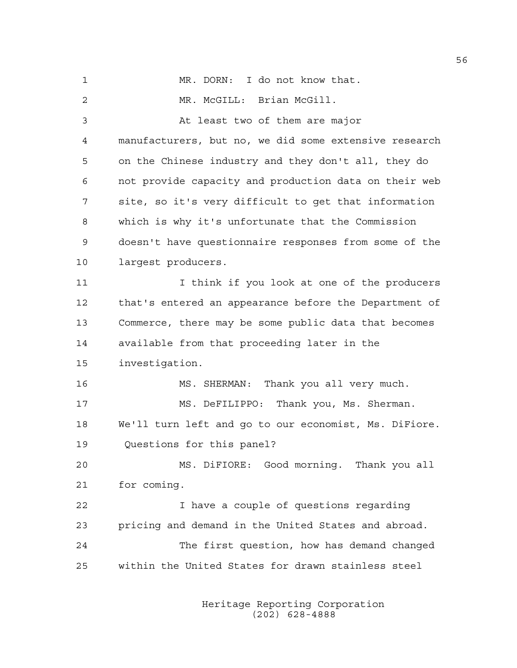1 MR. DORN: I do not know that. 2 MR. McGILL: Brian McGill. 3 At least two of them are major 4 manufacturers, but no, we did some extensive research 5 on the Chinese industry and they don't all, they do 6 not provide capacity and production data on their web 7 site, so it's very difficult to get that information 8 which is why it's unfortunate that the Commission 9 doesn't have questionnaire responses from some of the 10 largest producers. 11 11 I think if you look at one of the producers 12 that's entered an appearance before the Department of 13 Commerce, there may be some public data that becomes 14 available from that proceeding later in the 15 investigation. 16 MS. SHERMAN: Thank you all very much. 17 MS. DeFILIPPO: Thank you, Ms. Sherman. 18 We'll turn left and go to our economist, Ms. DiFiore. 19 Questions for this panel? 20 MS. DiFIORE: Good morning. Thank you all 21 for coming. 22 I have a couple of questions regarding 23 pricing and demand in the United States and abroad. 24 The first question, how has demand changed 25 within the United States for drawn stainless steel

> Heritage Reporting Corporation (202) 628-4888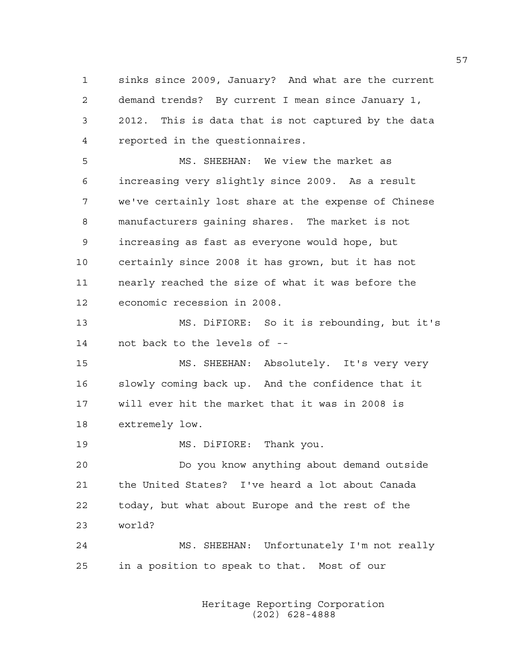1 sinks since 2009, January? And what are the current 2 demand trends? By current I mean since January 1, 3 2012. This is data that is not captured by the data 4 reported in the questionnaires.

5 MS. SHEEHAN: We view the market as 6 increasing very slightly since 2009. As a result 7 we've certainly lost share at the expense of Chinese 8 manufacturers gaining shares. The market is not 9 increasing as fast as everyone would hope, but 10 certainly since 2008 it has grown, but it has not 11 nearly reached the size of what it was before the 12 economic recession in 2008.

13 MS. DiFIORE: So it is rebounding, but it's 14 not back to the levels of --

15 MS. SHEEHAN: Absolutely. It's very very 16 slowly coming back up. And the confidence that it 17 will ever hit the market that it was in 2008 is 18 extremely low.

19 MS. DiFIORE: Thank you.

20 Do you know anything about demand outside 21 the United States? I've heard a lot about Canada 22 today, but what about Europe and the rest of the 23 world?

24 MS. SHEEHAN: Unfortunately I'm not really 25 in a position to speak to that. Most of our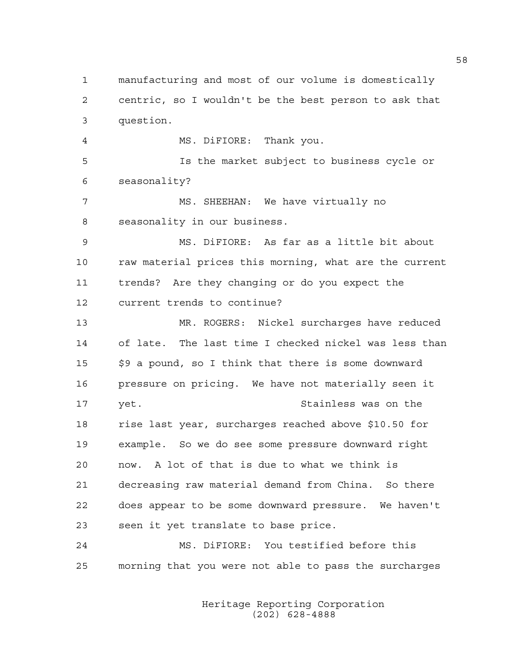1 manufacturing and most of our volume is domestically 2 centric, so I wouldn't be the best person to ask that 3 question. 4 MS. DiFIORE: Thank you. 5 Is the market subject to business cycle or 6 seasonality? 7 MS. SHEEHAN: We have virtually no 8 seasonality in our business. 9 MS. DiFIORE: As far as a little bit about 10 raw material prices this morning, what are the current 11 trends? Are they changing or do you expect the 12 current trends to continue? 13 MR. ROGERS: Nickel surcharges have reduced 14 of late. The last time I checked nickel was less than 15 \$9 a pound, so I think that there is some downward 16 pressure on pricing. We have not materially seen it 17 yet. Stainless was on the 18 rise last year, surcharges reached above \$10.50 for 19 example. So we do see some pressure downward right 20 now. A lot of that is due to what we think is 21 decreasing raw material demand from China. So there 22 does appear to be some downward pressure. We haven't 23 seen it yet translate to base price. 24 MS. DiFIORE: You testified before this 25 morning that you were not able to pass the surcharges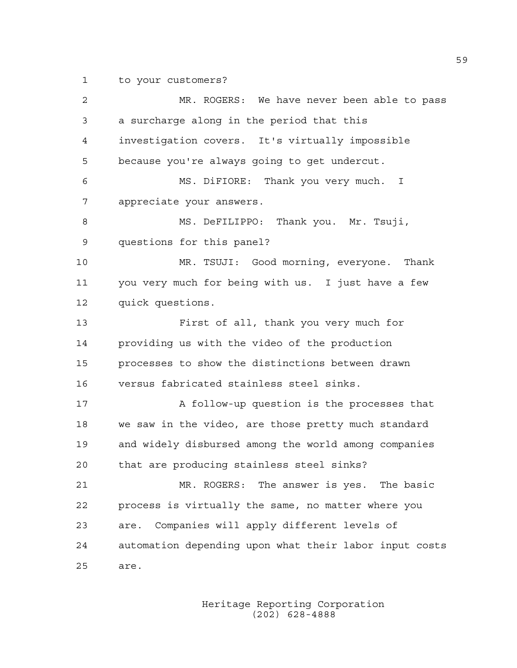1 to your customers?

2 MR. ROGERS: We have never been able to pass 3 a surcharge along in the period that this 4 investigation covers. It's virtually impossible 5 because you're always going to get undercut. 6 MS. DiFIORE: Thank you very much. I 7 appreciate your answers. 8 MS. DeFILIPPO: Thank you. Mr. Tsuji, 9 questions for this panel? 10 MR. TSUJI: Good morning, everyone. Thank 11 you very much for being with us. I just have a few 12 quick questions. 13 First of all, thank you very much for 14 providing us with the video of the production 15 processes to show the distinctions between drawn 16 versus fabricated stainless steel sinks. 17 A follow-up question is the processes that 18 we saw in the video, are those pretty much standard 19 and widely disbursed among the world among companies 20 that are producing stainless steel sinks? 21 MR. ROGERS: The answer is yes. The basic 22 process is virtually the same, no matter where you 23 are. Companies will apply different levels of 24 automation depending upon what their labor input costs 25 are.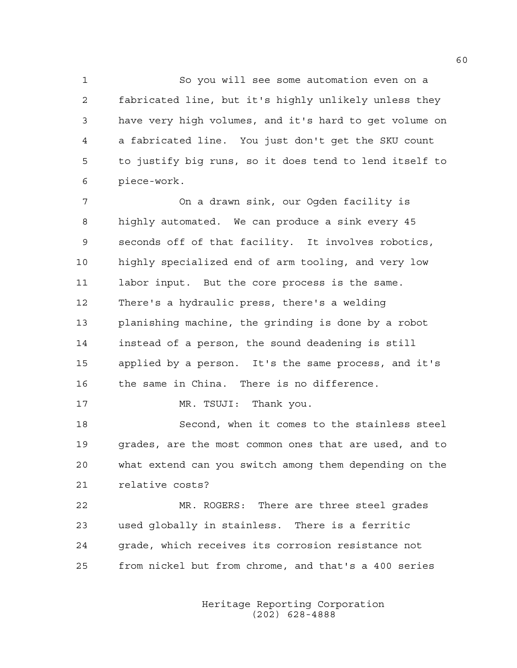1 So you will see some automation even on a 2 fabricated line, but it's highly unlikely unless they 3 have very high volumes, and it's hard to get volume on 4 a fabricated line. You just don't get the SKU count 5 to justify big runs, so it does tend to lend itself to 6 piece-work.

7 On a drawn sink, our Ogden facility is 8 highly automated. We can produce a sink every 45 9 seconds off of that facility. It involves robotics, 10 highly specialized end of arm tooling, and very low 11 labor input. But the core process is the same. 12 There's a hydraulic press, there's a welding 13 planishing machine, the grinding is done by a robot 14 instead of a person, the sound deadening is still 15 applied by a person. It's the same process, and it's 16 the same in China. There is no difference.

17 MR. TSUJI: Thank you.

18 Second, when it comes to the stainless steel 19 grades, are the most common ones that are used, and to 20 what extend can you switch among them depending on the 21 relative costs?

22 MR. ROGERS: There are three steel grades 23 used globally in stainless. There is a ferritic 24 grade, which receives its corrosion resistance not 25 from nickel but from chrome, and that's a 400 series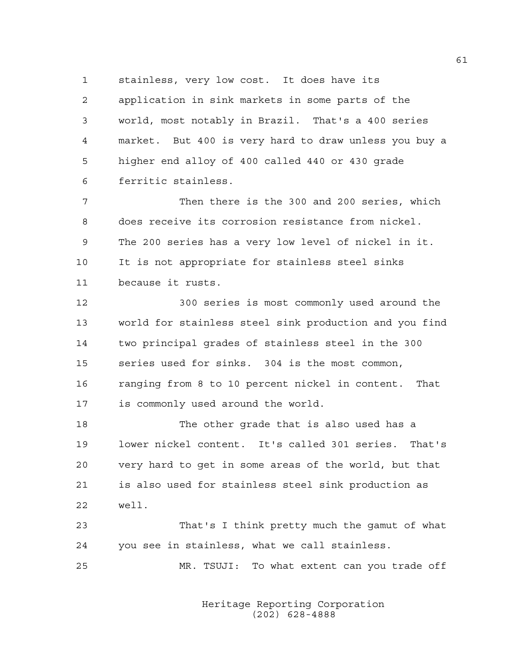1 stainless, very low cost. It does have its 2 application in sink markets in some parts of the 3 world, most notably in Brazil. That's a 400 series 4 market. But 400 is very hard to draw unless you buy a 5 higher end alloy of 400 called 440 or 430 grade 6 ferritic stainless.

7 Then there is the 300 and 200 series, which 8 does receive its corrosion resistance from nickel. 9 The 200 series has a very low level of nickel in it. 10 It is not appropriate for stainless steel sinks 11 because it rusts.

12 300 series is most commonly used around the 13 world for stainless steel sink production and you find 14 two principal grades of stainless steel in the 300 15 series used for sinks. 304 is the most common, 16 ranging from 8 to 10 percent nickel in content. That 17 is commonly used around the world.

18 The other grade that is also used has a 19 lower nickel content. It's called 301 series. That's 20 very hard to get in some areas of the world, but that 21 is also used for stainless steel sink production as 22 well.

23 That's I think pretty much the gamut of what 24 you see in stainless, what we call stainless.

25 MR. TSUJI: To what extent can you trade off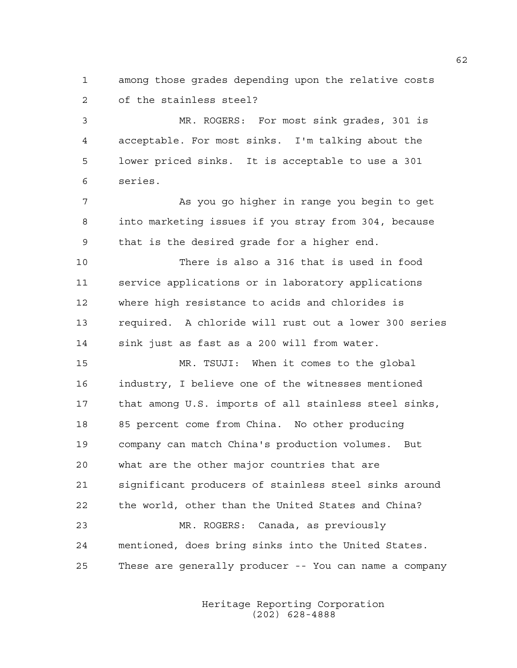1 among those grades depending upon the relative costs 2 of the stainless steel?

3 MR. ROGERS: For most sink grades, 301 is 4 acceptable. For most sinks. I'm talking about the 5 lower priced sinks. It is acceptable to use a 301 6 series.

7 As you go higher in range you begin to get 8 into marketing issues if you stray from 304, because 9 that is the desired grade for a higher end.

10 There is also a 316 that is used in food 11 service applications or in laboratory applications 12 where high resistance to acids and chlorides is 13 required. A chloride will rust out a lower 300 series 14 sink just as fast as a 200 will from water.

15 MR. TSUJI: When it comes to the global 16 industry, I believe one of the witnesses mentioned 17 that among U.S. imports of all stainless steel sinks, 18 85 percent come from China. No other producing 19 company can match China's production volumes. But 20 what are the other major countries that are 21 significant producers of stainless steel sinks around 22 the world, other than the United States and China? 23 MR. ROGERS: Canada, as previously 24 mentioned, does bring sinks into the United States. 25 These are generally producer -- You can name a company

> Heritage Reporting Corporation (202) 628-4888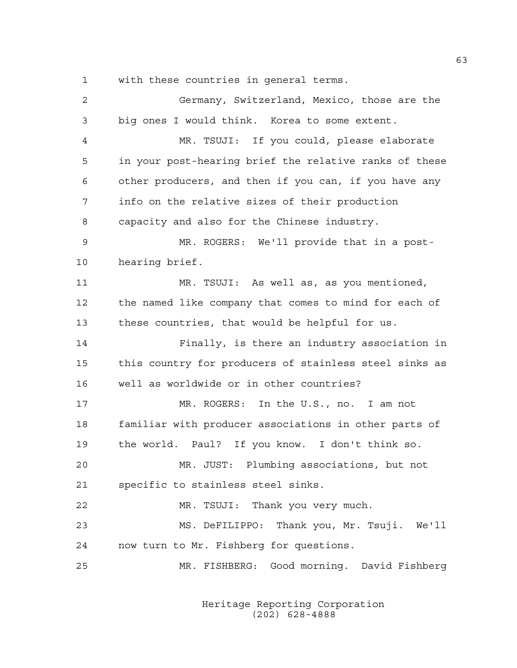1 with these countries in general terms.

| 2  | Germany, Switzerland, Mexico, those are the            |
|----|--------------------------------------------------------|
| 3  | big ones I would think. Korea to some extent.          |
| 4  | MR. TSUJI: If you could, please elaborate              |
| 5  | in your post-hearing brief the relative ranks of these |
| 6  | other producers, and then if you can, if you have any  |
| 7  | info on the relative sizes of their production         |
| 8  | capacity and also for the Chinese industry.            |
| 9  | MR. ROGERS: We'll provide that in a post-              |
| 10 | hearing brief.                                         |
| 11 | MR. TSUJI: As well as, as you mentioned,               |
| 12 | the named like company that comes to mind for each of  |
| 13 | these countries, that would be helpful for us.         |
| 14 | Finally, is there an industry association in           |
| 15 | this country for producers of stainless steel sinks as |
| 16 | well as worldwide or in other countries?               |
| 17 | MR. ROGERS: In the U.S., no. I am not                  |
| 18 | familiar with producer associations in other parts of  |
| 19 | the world. Paul? If you know. I don't think so.        |
| 20 | MR. JUST: Plumbing associations, but not               |
| 21 | specific to stainless steel sinks.                     |
| 22 | MR. TSUJI: Thank you very much.                        |
| 23 | MS. DeFILIPPO: Thank you, Mr. Tsuji. We'll             |
| 24 | now turn to Mr. Fishberg for questions.                |
| 25 | MR. FISHBERG: Good morning. David Fishberg             |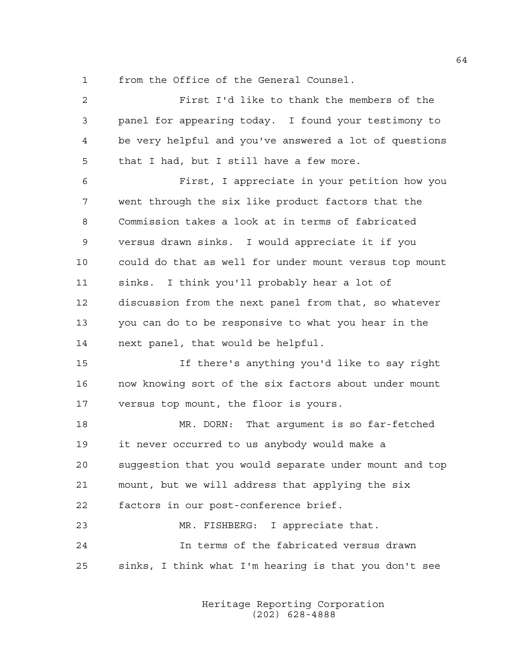1 from the Office of the General Counsel.

| 2  | First I'd like to thank the members of the             |
|----|--------------------------------------------------------|
| 3  | panel for appearing today. I found your testimony to   |
| 4  | be very helpful and you've answered a lot of questions |
| 5  | that I had, but I still have a few more.               |
| 6  | First, I appreciate in your petition how you           |
| 7  | went through the six like product factors that the     |
| 8  | Commission takes a look at in terms of fabricated      |
| 9  | versus drawn sinks. I would appreciate it if you       |
| 10 | could do that as well for under mount versus top mount |
| 11 | sinks. I think you'll probably hear a lot of           |
| 12 | discussion from the next panel from that, so whatever  |
| 13 | you can do to be responsive to what you hear in the    |
| 14 | next panel, that would be helpful.                     |
| 15 | If there's anything you'd like to say right            |
| 16 | now knowing sort of the six factors about under mount  |
| 17 | versus top mount, the floor is yours.                  |
| 18 | MR. DORN: That argument is so far-fetched              |
| 19 | it never occurred to us anybody would make a           |
| 20 | suqqestion that you would separate under mount and top |
| 21 | mount, but we will address that applying the six       |
| 22 | factors in our post-conference brief.                  |
| 23 | MR. FISHBERG: I appreciate that.                       |
| 24 | In terms of the fabricated versus drawn                |
| 25 | sinks, I think what I'm hearing is that you don't see  |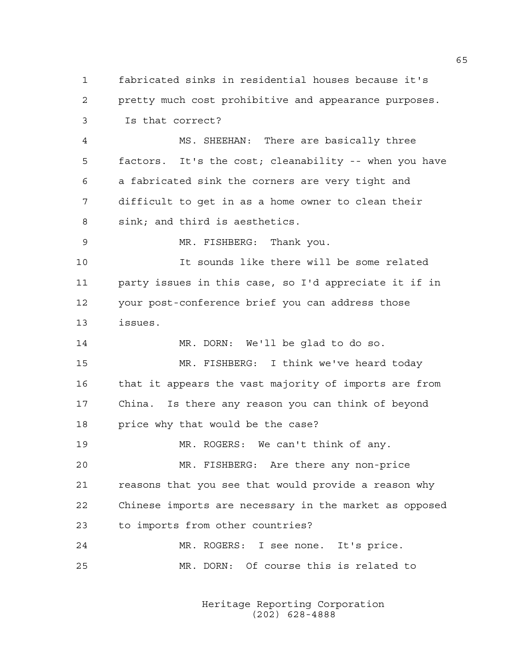1 fabricated sinks in residential houses because it's 2 pretty much cost prohibitive and appearance purposes. 3 Is that correct?

4 MS. SHEEHAN: There are basically three 5 factors. It's the cost; cleanability -- when you have 6 a fabricated sink the corners are very tight and 7 difficult to get in as a home owner to clean their 8 sink; and third is aesthetics.

9 MR. FISHBERG: Thank you.

10 It sounds like there will be some related 11 party issues in this case, so I'd appreciate it if in 12 your post-conference brief you can address those 13 issues.

14 MR. DORN: We'll be glad to do so. 15 MR. FISHBERG: I think we've heard today 16 that it appears the vast majority of imports are from 17 China. Is there any reason you can think of beyond 18 price why that would be the case?

19 MR. ROGERS: We can't think of any.

20 MR. FISHBERG: Are there any non-price 21 reasons that you see that would provide a reason why 22 Chinese imports are necessary in the market as opposed 23 to imports from other countries?

24 MR. ROGERS: I see none. It's price. 25 MR. DORN: Of course this is related to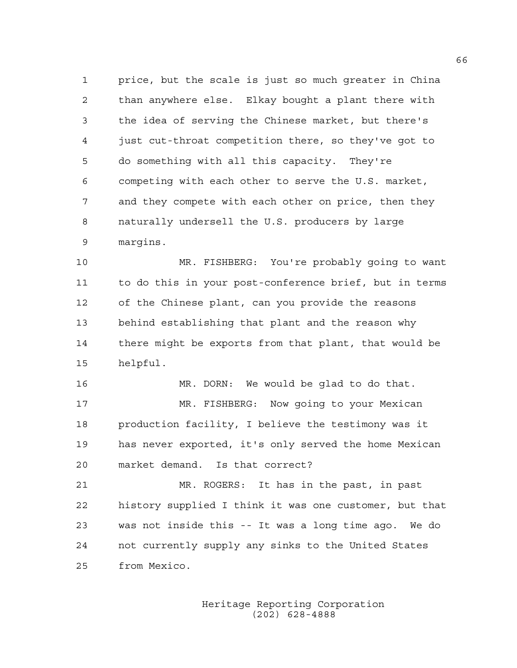1 price, but the scale is just so much greater in China 2 than anywhere else. Elkay bought a plant there with 3 the idea of serving the Chinese market, but there's 4 just cut-throat competition there, so they've got to 5 do something with all this capacity. They're 6 competing with each other to serve the U.S. market, 7 and they compete with each other on price, then they 8 naturally undersell the U.S. producers by large 9 margins.

10 MR. FISHBERG: You're probably going to want 11 to do this in your post-conference brief, but in terms 12 of the Chinese plant, can you provide the reasons 13 behind establishing that plant and the reason why 14 there might be exports from that plant, that would be 15 helpful.

16 MR. DORN: We would be glad to do that.

17 MR. FISHBERG: Now going to your Mexican 18 production facility, I believe the testimony was it 19 has never exported, it's only served the home Mexican 20 market demand. Is that correct?

21 MR. ROGERS: It has in the past, in past 22 history supplied I think it was one customer, but that 23 was not inside this -- It was a long time ago. We do 24 not currently supply any sinks to the United States 25 from Mexico.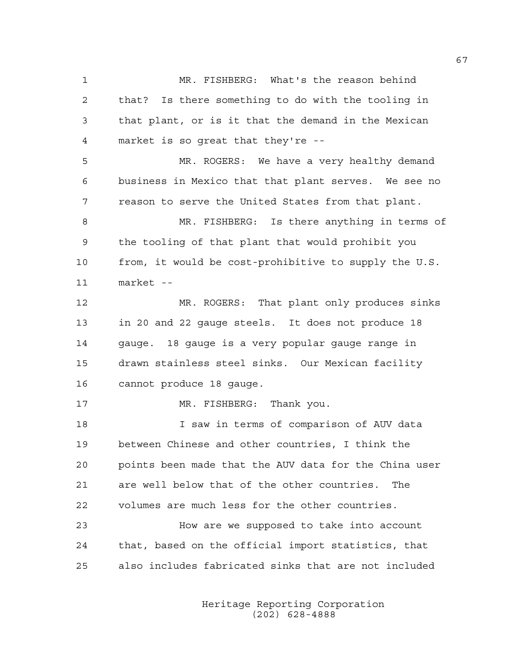1 MR. FISHBERG: What's the reason behind 2 that? Is there something to do with the tooling in 3 that plant, or is it that the demand in the Mexican 4 market is so great that they're -- 5 MR. ROGERS: We have a very healthy demand 6 business in Mexico that that plant serves. We see no 7 reason to serve the United States from that plant. 8 MR. FISHBERG: Is there anything in terms of 9 the tooling of that plant that would prohibit you

10 from, it would be cost-prohibitive to supply the U.S. 11 market --

12 MR. ROGERS: That plant only produces sinks 13 in 20 and 22 gauge steels. It does not produce 18 14 gauge. 18 gauge is a very popular gauge range in 15 drawn stainless steel sinks. Our Mexican facility 16 cannot produce 18 gauge.

17 MR. FISHBERG: Thank you.

18 I saw in terms of comparison of AUV data 19 between Chinese and other countries, I think the 20 points been made that the AUV data for the China user 21 are well below that of the other countries. The 22 volumes are much less for the other countries.

23 How are we supposed to take into account 24 that, based on the official import statistics, that 25 also includes fabricated sinks that are not included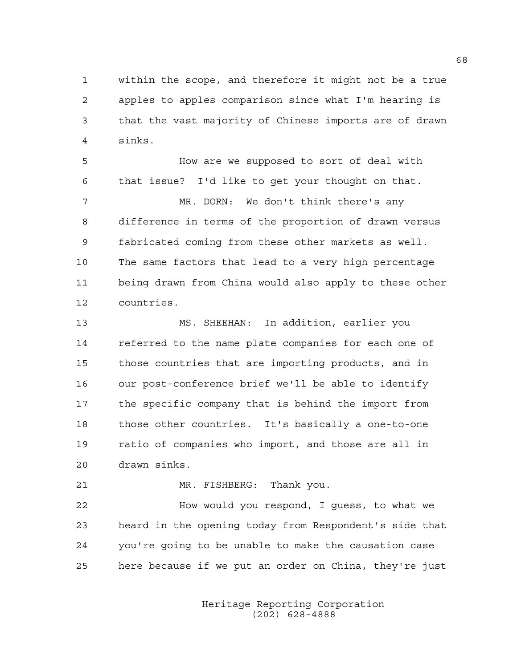1 within the scope, and therefore it might not be a true 2 apples to apples comparison since what I'm hearing is 3 that the vast majority of Chinese imports are of drawn 4 sinks.

5 How are we supposed to sort of deal with 6 that issue? I'd like to get your thought on that. 7 MR. DORN: We don't think there's any 8 difference in terms of the proportion of drawn versus 9 fabricated coming from these other markets as well. 10 The same factors that lead to a very high percentage 11 being drawn from China would also apply to these other 12 countries.

13 MS. SHEEHAN: In addition, earlier you 14 referred to the name plate companies for each one of 15 those countries that are importing products, and in 16 our post-conference brief we'll be able to identify 17 the specific company that is behind the import from 18 those other countries. It's basically a one-to-one 19 ratio of companies who import, and those are all in 20 drawn sinks.

21 MR. FISHBERG: Thank you.

22 How would you respond, I guess, to what we 23 heard in the opening today from Respondent's side that 24 you're going to be unable to make the causation case 25 here because if we put an order on China, they're just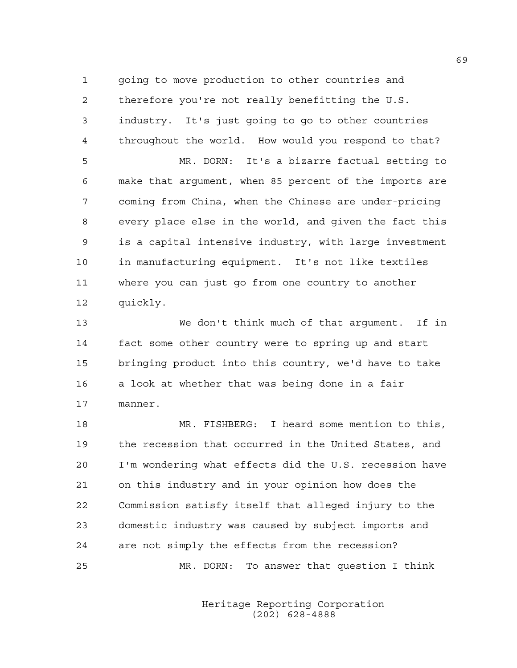1 going to move production to other countries and 2 therefore you're not really benefitting the U.S. 3 industry. It's just going to go to other countries 4 throughout the world. How would you respond to that?

5 MR. DORN: It's a bizarre factual setting to 6 make that argument, when 85 percent of the imports are 7 coming from China, when the Chinese are under-pricing 8 every place else in the world, and given the fact this 9 is a capital intensive industry, with large investment 10 in manufacturing equipment. It's not like textiles 11 where you can just go from one country to another 12 quickly.

13 We don't think much of that argument. If in 14 fact some other country were to spring up and start 15 bringing product into this country, we'd have to take 16 a look at whether that was being done in a fair 17 manner.

18 MR. FISHBERG: I heard some mention to this, 19 the recession that occurred in the United States, and 20 I'm wondering what effects did the U.S. recession have 21 on this industry and in your opinion how does the 22 Commission satisfy itself that alleged injury to the 23 domestic industry was caused by subject imports and 24 are not simply the effects from the recession? 25 MR. DORN: To answer that question I think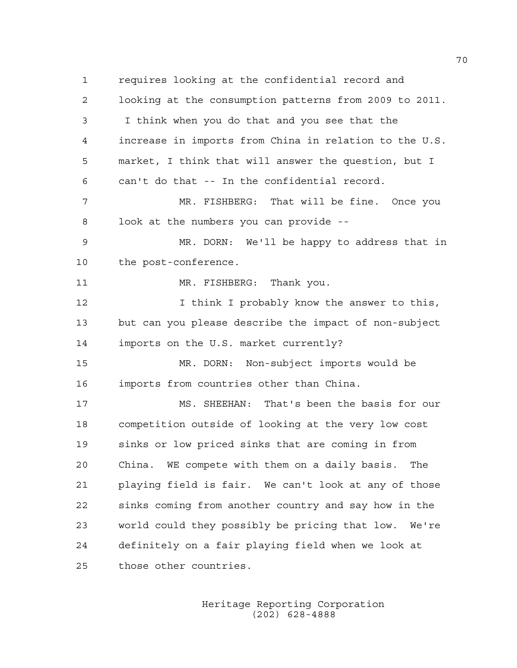1 requires looking at the confidential record and 2 looking at the consumption patterns from 2009 to 2011. 3 I think when you do that and you see that the 4 increase in imports from China in relation to the U.S. 5 market, I think that will answer the question, but I 6 can't do that -- In the confidential record. 7 MR. FISHBERG: That will be fine. Once you 8 look at the numbers you can provide -- 9 MR. DORN: We'll be happy to address that in 10 the post-conference. 11 MR. FISHBERG: Thank you. 12 12 I think I probably know the answer to this, 13 but can you please describe the impact of non-subject 14 imports on the U.S. market currently? 15 MR. DORN: Non-subject imports would be 16 imports from countries other than China. 17 MS. SHEEHAN: That's been the basis for our 18 competition outside of looking at the very low cost 19 sinks or low priced sinks that are coming in from 20 China. WE compete with them on a daily basis. The 21 playing field is fair. We can't look at any of those 22 sinks coming from another country and say how in the 23 world could they possibly be pricing that low. We're 24 definitely on a fair playing field when we look at 25 those other countries.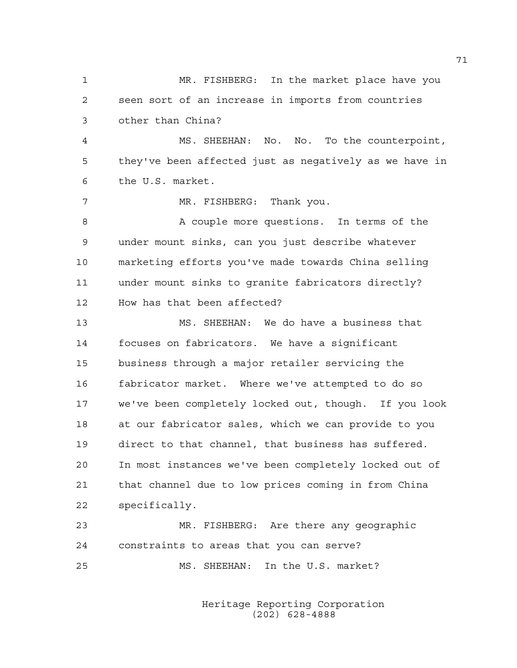1 MR. FISHBERG: In the market place have you 2 seen sort of an increase in imports from countries 3 other than China? 4 MS. SHEEHAN: No. No. To the counterpoint, 5 they've been affected just as negatively as we have in 6 the U.S. market. 7 MR. FISHBERG: Thank you. 8 A couple more questions. In terms of the 9 under mount sinks, can you just describe whatever 10 marketing efforts you've made towards China selling 11 under mount sinks to granite fabricators directly? 12 How has that been affected? 13 MS. SHEEHAN: We do have a business that 14 focuses on fabricators. We have a significant 15 business through a major retailer servicing the 16 fabricator market. Where we've attempted to do so 17 we've been completely locked out, though. If you look 18 at our fabricator sales, which we can provide to you 19 direct to that channel, that business has suffered. 20 In most instances we've been completely locked out of 21 that channel due to low prices coming in from China 22 specifically. 23 MR. FISHBERG: Are there any geographic 24 constraints to areas that you can serve? 25 MS. SHEEHAN: In the U.S. market?

> Heritage Reporting Corporation (202) 628-4888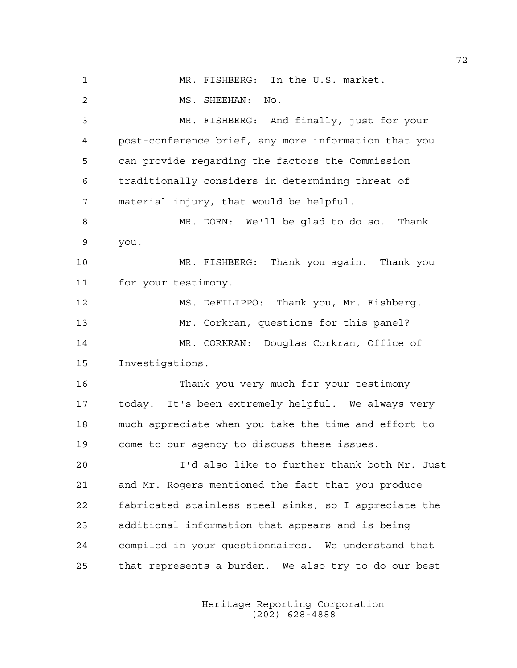1 MR. FISHBERG: In the U.S. market. 2 MS. SHEEHAN: No. 3 MR. FISHBERG: And finally, just for your 4 post-conference brief, any more information that you 5 can provide regarding the factors the Commission 6 traditionally considers in determining threat of 7 material injury, that would be helpful. 8 MR. DORN: We'll be glad to do so. Thank 9 you. 10 MR. FISHBERG: Thank you again. Thank you 11 for your testimony. 12 MS. DeFILIPPO: Thank you, Mr. Fishberg. 13 Mr. Corkran, questions for this panel? 14 MR. CORKRAN: Douglas Corkran, Office of 15 Investigations. 16 Thank you very much for your testimony 17 today. It's been extremely helpful. We always very 18 much appreciate when you take the time and effort to 19 come to our agency to discuss these issues. 20 I'd also like to further thank both Mr. Just 21 and Mr. Rogers mentioned the fact that you produce 22 fabricated stainless steel sinks, so I appreciate the 23 additional information that appears and is being 24 compiled in your questionnaires. We understand that 25 that represents a burden. We also try to do our best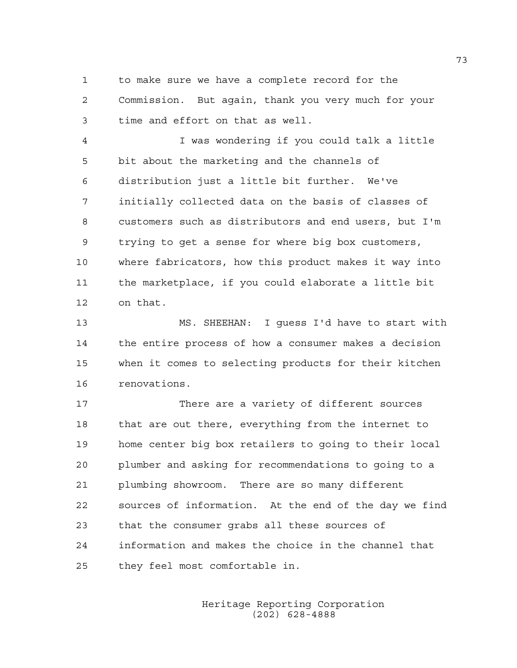1 to make sure we have a complete record for the 2 Commission. But again, thank you very much for your 3 time and effort on that as well.

4 I was wondering if you could talk a little 5 bit about the marketing and the channels of 6 distribution just a little bit further. We've 7 initially collected data on the basis of classes of 8 customers such as distributors and end users, but I'm 9 trying to get a sense for where big box customers, 10 where fabricators, how this product makes it way into 11 the marketplace, if you could elaborate a little bit 12 on that.

13 MS. SHEEHAN: I guess I'd have to start with 14 the entire process of how a consumer makes a decision 15 when it comes to selecting products for their kitchen 16 renovations.

17 There are a variety of different sources 18 that are out there, everything from the internet to 19 home center big box retailers to going to their local 20 plumber and asking for recommendations to going to a 21 plumbing showroom. There are so many different 22 sources of information. At the end of the day we find 23 that the consumer grabs all these sources of 24 information and makes the choice in the channel that 25 they feel most comfortable in.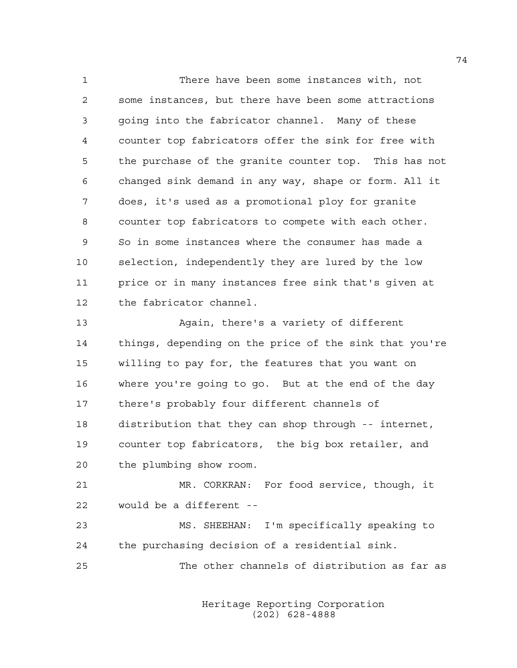1 There have been some instances with, not 2 some instances, but there have been some attractions 3 going into the fabricator channel. Many of these 4 counter top fabricators offer the sink for free with 5 the purchase of the granite counter top. This has not 6 changed sink demand in any way, shape or form. All it 7 does, it's used as a promotional ploy for granite 8 counter top fabricators to compete with each other. 9 So in some instances where the consumer has made a 10 selection, independently they are lured by the low 11 price or in many instances free sink that's given at 12 the fabricator channel. 13 Again, there's a variety of different

14 things, depending on the price of the sink that you're 15 willing to pay for, the features that you want on 16 where you're going to go. But at the end of the day 17 there's probably four different channels of 18 distribution that they can shop through -- internet, 19 counter top fabricators, the big box retailer, and 20 the plumbing show room.

21 MR. CORKRAN: For food service, though, it 22 would be a different --

23 MS. SHEEHAN: I'm specifically speaking to 24 the purchasing decision of a residential sink.

25 The other channels of distribution as far as

 Heritage Reporting Corporation (202) 628-4888

74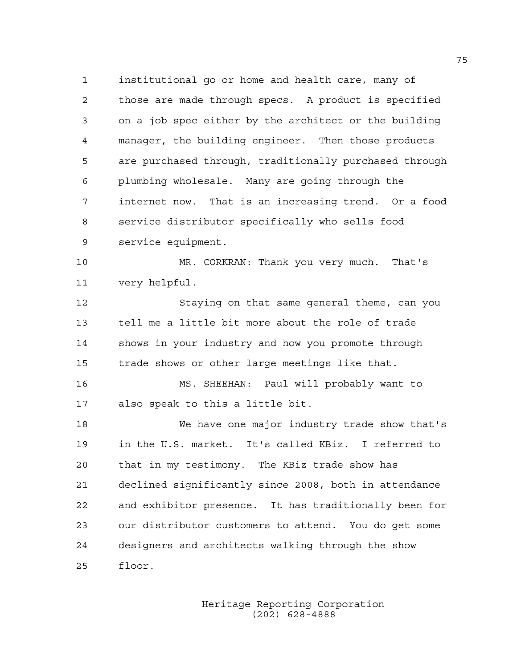1 institutional go or home and health care, many of 2 those are made through specs. A product is specified 3 on a job spec either by the architect or the building 4 manager, the building engineer. Then those products 5 are purchased through, traditionally purchased through 6 plumbing wholesale. Many are going through the 7 internet now. That is an increasing trend. Or a food 8 service distributor specifically who sells food 9 service equipment.

10 MR. CORKRAN: Thank you very much. That's 11 very helpful.

12 Staying on that same general theme, can you 13 tell me a little bit more about the role of trade 14 shows in your industry and how you promote through 15 trade shows or other large meetings like that.

16 MS. SHEEHAN: Paul will probably want to 17 also speak to this a little bit.

18 We have one major industry trade show that's 19 in the U.S. market. It's called KBiz. I referred to 20 that in my testimony. The KBiz trade show has 21 declined significantly since 2008, both in attendance 22 and exhibitor presence. It has traditionally been for 23 our distributor customers to attend. You do get some 24 designers and architects walking through the show 25 floor.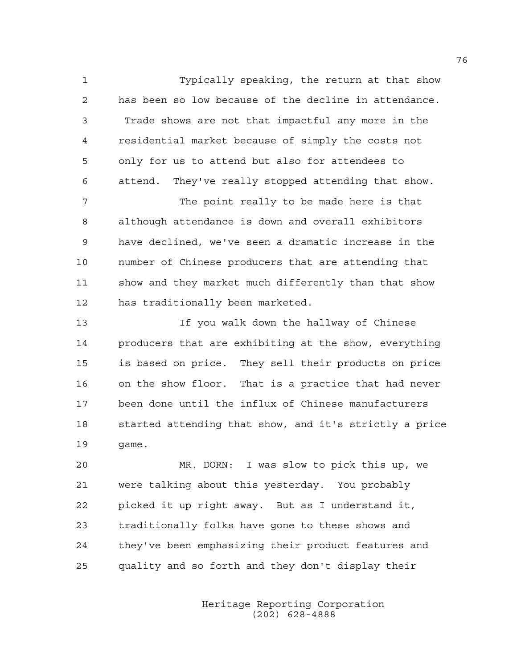1 Typically speaking, the return at that show 2 has been so low because of the decline in attendance. 3 Trade shows are not that impactful any more in the 4 residential market because of simply the costs not 5 only for us to attend but also for attendees to 6 attend. They've really stopped attending that show.

7 The point really to be made here is that 8 although attendance is down and overall exhibitors 9 have declined, we've seen a dramatic increase in the 10 number of Chinese producers that are attending that 11 show and they market much differently than that show 12 has traditionally been marketed.

13 If you walk down the hallway of Chinese 14 producers that are exhibiting at the show, everything 15 is based on price. They sell their products on price 16 on the show floor. That is a practice that had never 17 been done until the influx of Chinese manufacturers 18 started attending that show, and it's strictly a price 19 game.

20 MR. DORN: I was slow to pick this up, we 21 were talking about this yesterday. You probably 22 picked it up right away. But as I understand it, 23 traditionally folks have gone to these shows and 24 they've been emphasizing their product features and 25 quality and so forth and they don't display their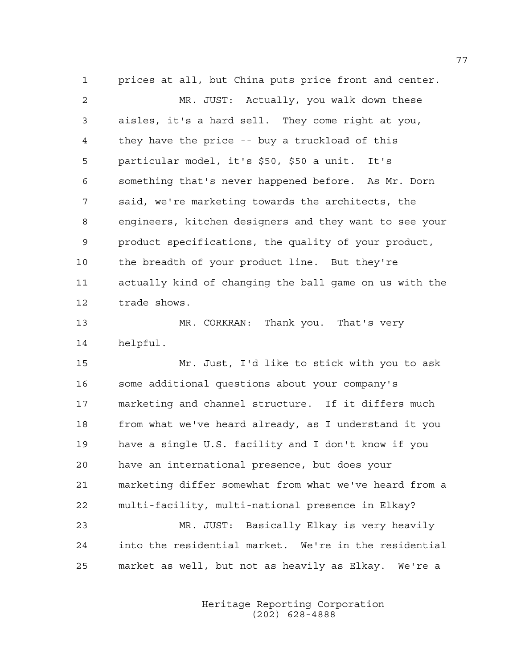1 prices at all, but China puts price front and center. 2 MR. JUST: Actually, you walk down these 3 aisles, it's a hard sell. They come right at you, 4 they have the price -- buy a truckload of this 5 particular model, it's \$50, \$50 a unit. It's 6 something that's never happened before. As Mr. Dorn 7 said, we're marketing towards the architects, the 8 engineers, kitchen designers and they want to see your 9 product specifications, the quality of your product, 10 the breadth of your product line. But they're 11 actually kind of changing the ball game on us with the 12 trade shows.

13 MR. CORKRAN: Thank you. That's very 14 helpful.

15 Mr. Just, I'd like to stick with you to ask 16 some additional questions about your company's 17 marketing and channel structure. If it differs much 18 from what we've heard already, as I understand it you 19 have a single U.S. facility and I don't know if you 20 have an international presence, but does your 21 marketing differ somewhat from what we've heard from a 22 multi-facility, multi-national presence in Elkay? 23 MR. JUST: Basically Elkay is very heavily 24 into the residential market. We're in the residential 25 market as well, but not as heavily as Elkay. We're a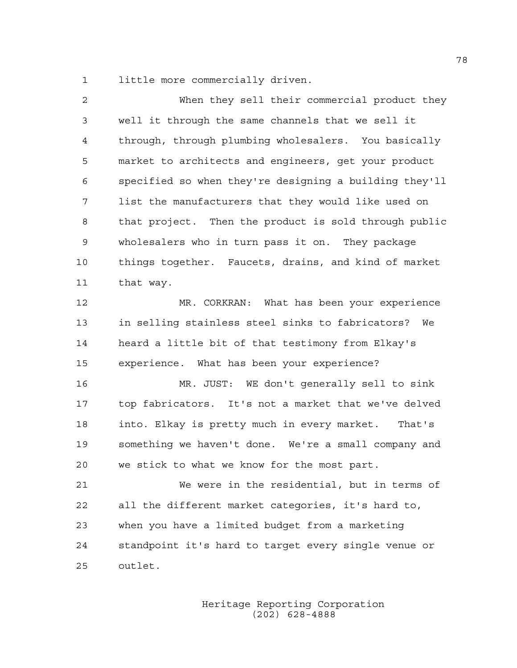1 little more commercially driven.

| 2  | When they sell their commercial product they           |
|----|--------------------------------------------------------|
| 3  | well it through the same channels that we sell it      |
| 4  | through, through plumbing wholesalers. You basically   |
| 5  | market to architects and engineers, get your product   |
| 6  | specified so when they're designing a building they'll |
| 7  | list the manufacturers that they would like used on    |
| 8  | that project. Then the product is sold through public  |
| 9  | wholesalers who in turn pass it on. They package       |
| 10 | things together. Faucets, drains, and kind of market   |
| 11 | that way.                                              |
| 12 | MR. CORKRAN: What has been your experience             |
| 13 | in selling stainless steel sinks to fabricators? We    |
| 14 | heard a little bit of that testimony from Elkay's      |
| 15 | experience. What has been your experience?             |
| 16 | MR. JUST: WE don't generally sell to sink              |
| 17 | top fabricators. It's not a market that we've delved   |
| 18 | into. Elkay is pretty much in every market.<br>That's  |
| 19 | something we haven't done. We're a small company and   |
| 20 | we stick to what we know for the most part.            |
| 21 | We were in the residential, but in terms of            |
| 22 | all the different market categories, it's hard to,     |
| 23 | when you have a limited budget from a marketing        |
| 24 | standpoint it's hard to target every single venue or   |
| 25 | outlet.                                                |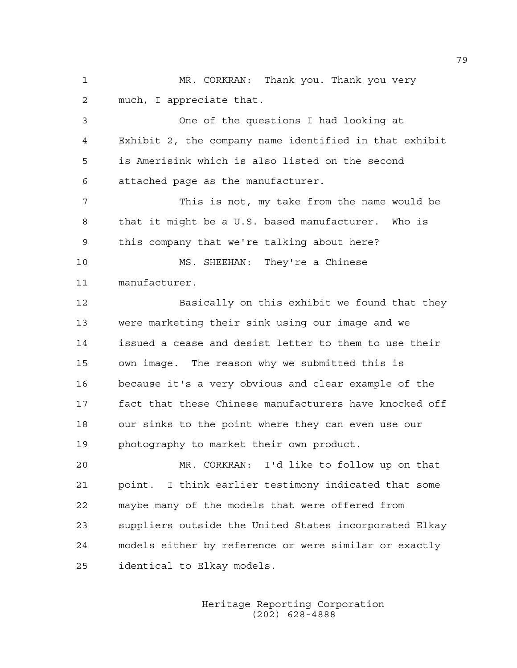1 MR. CORKRAN: Thank you. Thank you very 2 much, I appreciate that.

3 One of the questions I had looking at 4 Exhibit 2, the company name identified in that exhibit 5 is Amerisink which is also listed on the second 6 attached page as the manufacturer.

7 This is not, my take from the name would be 8 that it might be a U.S. based manufacturer. Who is 9 this company that we're talking about here?

10 MS. SHEEHAN: They're a Chinese 11 manufacturer.

12 Basically on this exhibit we found that they 13 were marketing their sink using our image and we 14 issued a cease and desist letter to them to use their 15 own image. The reason why we submitted this is 16 because it's a very obvious and clear example of the 17 fact that these Chinese manufacturers have knocked off 18 our sinks to the point where they can even use our 19 photography to market their own product.

20 MR. CORKRAN: I'd like to follow up on that 21 point. I think earlier testimony indicated that some 22 maybe many of the models that were offered from 23 suppliers outside the United States incorporated Elkay 24 models either by reference or were similar or exactly 25 identical to Elkay models.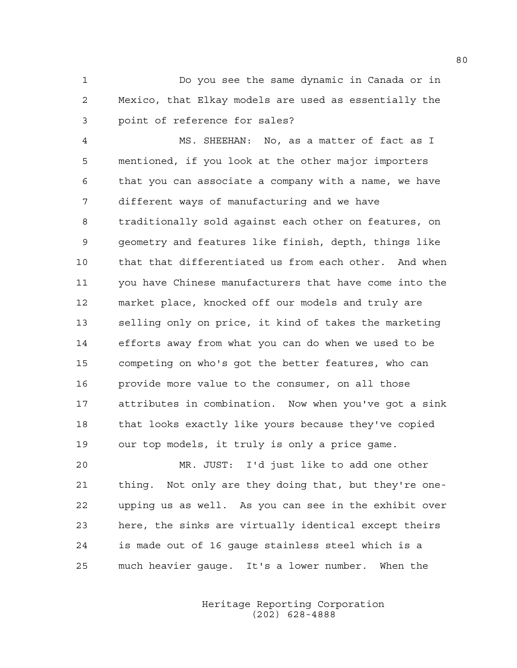1 Do you see the same dynamic in Canada or in 2 Mexico, that Elkay models are used as essentially the 3 point of reference for sales?

4 MS. SHEEHAN: No, as a matter of fact as I 5 mentioned, if you look at the other major importers 6 that you can associate a company with a name, we have 7 different ways of manufacturing and we have 8 traditionally sold against each other on features, on 9 geometry and features like finish, depth, things like 10 that that differentiated us from each other. And when 11 you have Chinese manufacturers that have come into the 12 market place, knocked off our models and truly are 13 selling only on price, it kind of takes the marketing 14 efforts away from what you can do when we used to be 15 competing on who's got the better features, who can 16 provide more value to the consumer, on all those 17 attributes in combination. Now when you've got a sink 18 that looks exactly like yours because they've copied 19 our top models, it truly is only a price game.

20 MR. JUST: I'd just like to add one other 21 thing. Not only are they doing that, but they're one-22 upping us as well. As you can see in the exhibit over 23 here, the sinks are virtually identical except theirs 24 is made out of 16 gauge stainless steel which is a 25 much heavier gauge. It's a lower number. When the

> Heritage Reporting Corporation (202) 628-4888

80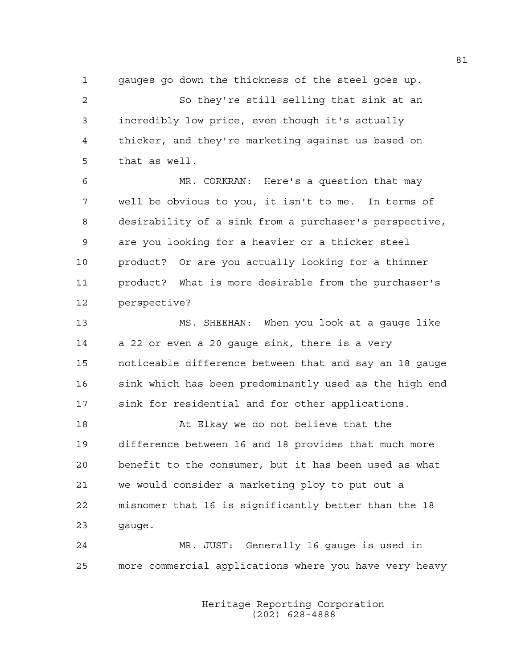1 gauges go down the thickness of the steel goes up. 2 So they're still selling that sink at an 3 incredibly low price, even though it's actually 4 thicker, and they're marketing against us based on 5 that as well.

6 MR. CORKRAN: Here's a question that may 7 well be obvious to you, it isn't to me. In terms of 8 desirability of a sink from a purchaser's perspective, 9 are you looking for a heavier or a thicker steel 10 product? Or are you actually looking for a thinner 11 product? What is more desirable from the purchaser's 12 perspective?

13 MS. SHEEHAN: When you look at a gauge like 14 a 22 or even a 20 gauge sink, there is a very 15 noticeable difference between that and say an 18 gauge 16 sink which has been predominantly used as the high end 17 sink for residential and for other applications.

18 At Elkay we do not believe that the 19 difference between 16 and 18 provides that much more 20 benefit to the consumer, but it has been used as what 21 we would consider a marketing ploy to put out a 22 misnomer that 16 is significantly better than the 18 23 gauge.

24 MR. JUST: Generally 16 gauge is used in 25 more commercial applications where you have very heavy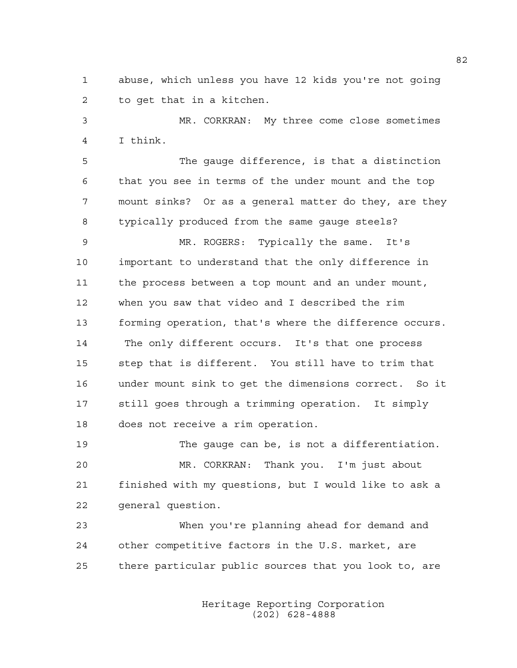1 abuse, which unless you have 12 kids you're not going 2 to get that in a kitchen.

3 MR. CORKRAN: My three come close sometimes 4 I think.

5 The gauge difference, is that a distinction 6 that you see in terms of the under mount and the top 7 mount sinks? Or as a general matter do they, are they 8 typically produced from the same gauge steels?

9 MR. ROGERS: Typically the same. It's 10 important to understand that the only difference in 11 the process between a top mount and an under mount, 12 when you saw that video and I described the rim 13 forming operation, that's where the difference occurs. 14 The only different occurs. It's that one process 15 step that is different. You still have to trim that 16 under mount sink to get the dimensions correct. So it 17 still goes through a trimming operation. It simply 18 does not receive a rim operation.

19 The gauge can be, is not a differentiation. 20 MR. CORKRAN: Thank you. I'm just about 21 finished with my questions, but I would like to ask a 22 general question.

23 When you're planning ahead for demand and 24 other competitive factors in the U.S. market, are 25 there particular public sources that you look to, are

> Heritage Reporting Corporation (202) 628-4888

82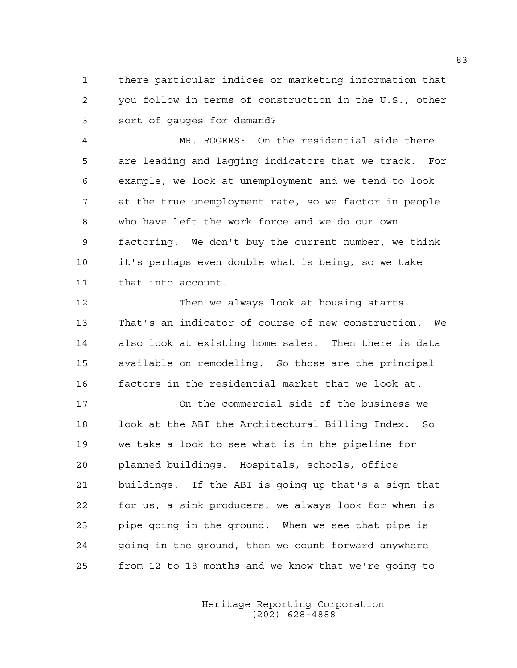1 there particular indices or marketing information that 2 you follow in terms of construction in the U.S., other 3 sort of gauges for demand?

4 MR. ROGERS: On the residential side there 5 are leading and lagging indicators that we track. For 6 example, we look at unemployment and we tend to look 7 at the true unemployment rate, so we factor in people 8 who have left the work force and we do our own 9 factoring. We don't buy the current number, we think 10 it's perhaps even double what is being, so we take 11 that into account.

12 Then we always look at housing starts. 13 That's an indicator of course of new construction. We 14 also look at existing home sales. Then there is data 15 available on remodeling. So those are the principal 16 factors in the residential market that we look at.

17 On the commercial side of the business we 18 look at the ABI the Architectural Billing Index. So 19 we take a look to see what is in the pipeline for 20 planned buildings. Hospitals, schools, office 21 buildings. If the ABI is going up that's a sign that 22 for us, a sink producers, we always look for when is 23 pipe going in the ground. When we see that pipe is 24 going in the ground, then we count forward anywhere 25 from 12 to 18 months and we know that we're going to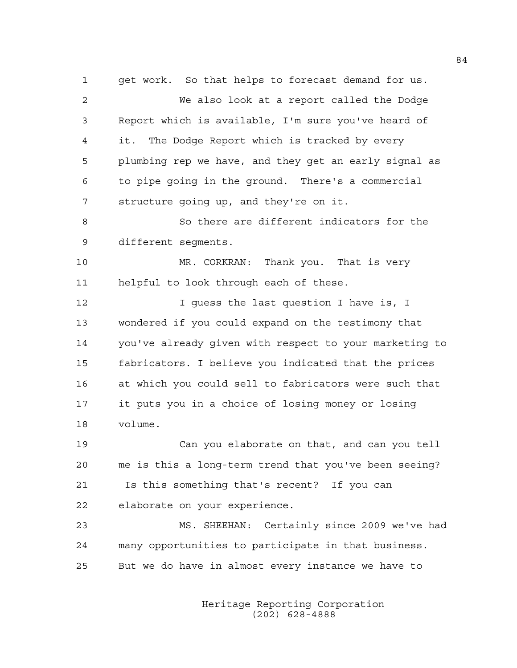1 get work. So that helps to forecast demand for us. 2 We also look at a report called the Dodge 3 Report which is available, I'm sure you've heard of 4 it. The Dodge Report which is tracked by every 5 plumbing rep we have, and they get an early signal as 6 to pipe going in the ground. There's a commercial 7 structure going up, and they're on it.

8 So there are different indicators for the 9 different segments.

10 MR. CORKRAN: Thank you. That is very 11 helpful to look through each of these.

12 12 I guess the last question I have is, I 13 wondered if you could expand on the testimony that 14 you've already given with respect to your marketing to 15 fabricators. I believe you indicated that the prices 16 at which you could sell to fabricators were such that 17 it puts you in a choice of losing money or losing 18 volume.

19 Can you elaborate on that, and can you tell 20 me is this a long-term trend that you've been seeing? 21 Is this something that's recent? If you can 22 elaborate on your experience.

23 MS. SHEEHAN: Certainly since 2009 we've had 24 many opportunities to participate in that business. 25 But we do have in almost every instance we have to

> Heritage Reporting Corporation (202) 628-4888

84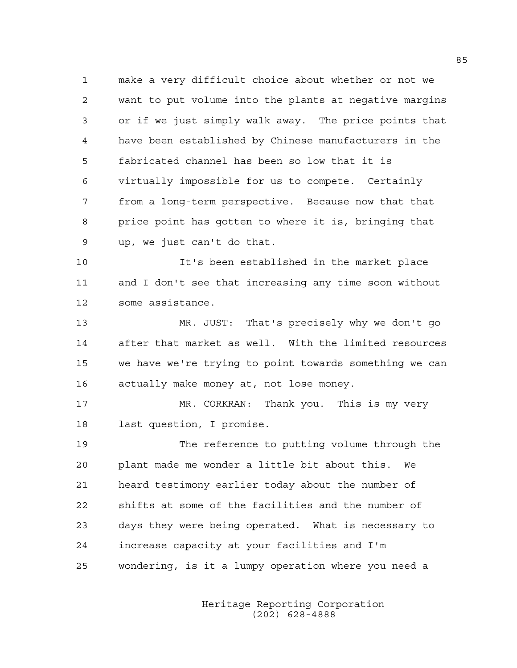1 make a very difficult choice about whether or not we 2 want to put volume into the plants at negative margins 3 or if we just simply walk away. The price points that 4 have been established by Chinese manufacturers in the 5 fabricated channel has been so low that it is 6 virtually impossible for us to compete. Certainly 7 from a long-term perspective. Because now that that 8 price point has gotten to where it is, bringing that 9 up, we just can't do that.

10 It's been established in the market place 11 and I don't see that increasing any time soon without 12 some assistance.

13 MR. JUST: That's precisely why we don't go 14 after that market as well. With the limited resources 15 we have we're trying to point towards something we can 16 actually make money at, not lose money.

17 MR. CORKRAN: Thank you. This is my very 18 last question, I promise.

19 The reference to putting volume through the 20 plant made me wonder a little bit about this. We 21 heard testimony earlier today about the number of 22 shifts at some of the facilities and the number of 23 days they were being operated. What is necessary to 24 increase capacity at your facilities and I'm 25 wondering, is it a lumpy operation where you need a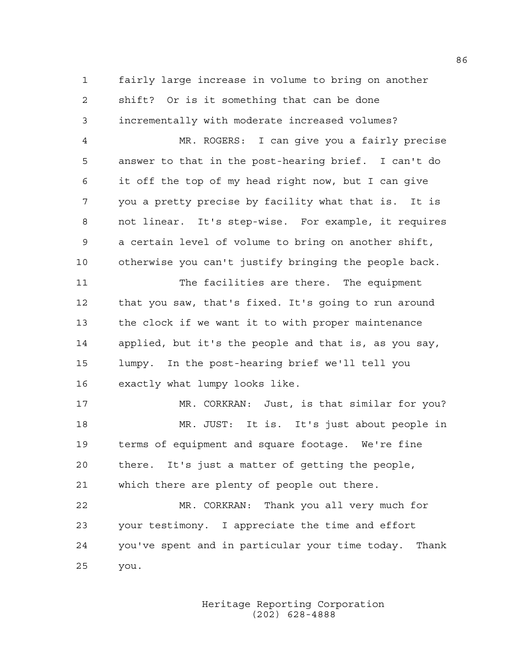1 fairly large increase in volume to bring on another 2 shift? Or is it something that can be done 3 incrementally with moderate increased volumes?

4 MR. ROGERS: I can give you a fairly precise 5 answer to that in the post-hearing brief. I can't do 6 it off the top of my head right now, but I can give 7 you a pretty precise by facility what that is. It is 8 not linear. It's step-wise. For example, it requires 9 a certain level of volume to bring on another shift, 10 otherwise you can't justify bringing the people back.

11 The facilities are there. The equipment 12 that you saw, that's fixed. It's going to run around 13 the clock if we want it to with proper maintenance 14 applied, but it's the people and that is, as you say, 15 lumpy. In the post-hearing brief we'll tell you 16 exactly what lumpy looks like.

17 MR. CORKRAN: Just, is that similar for you? 18 MR. JUST: It is. It's just about people in 19 terms of equipment and square footage. We're fine 20 there. It's just a matter of getting the people, 21 which there are plenty of people out there.

22 MR. CORKRAN: Thank you all very much for 23 your testimony. I appreciate the time and effort 24 you've spent and in particular your time today. Thank 25 you.

> Heritage Reporting Corporation (202) 628-4888

86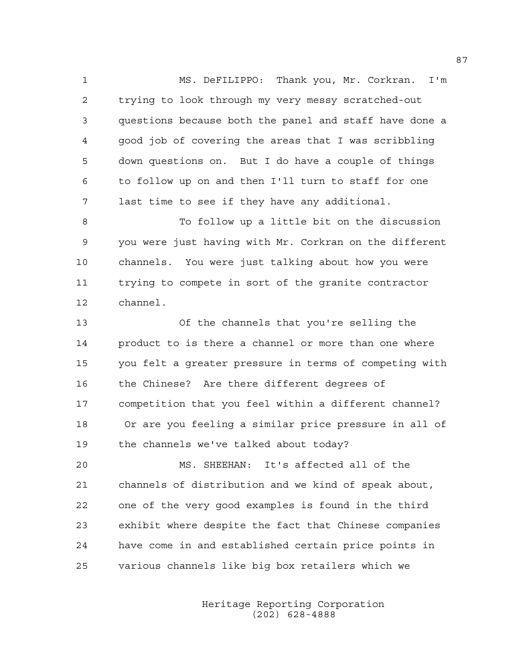1 MS. DeFILIPPO: Thank you, Mr. Corkran. I'm 2 trying to look through my very messy scratched-out 3 questions because both the panel and staff have done a 4 good job of covering the areas that I was scribbling 5 down questions on. But I do have a couple of things 6 to follow up on and then I'll turn to staff for one 7 last time to see if they have any additional.

8 To follow up a little bit on the discussion 9 you were just having with Mr. Corkran on the different 10 channels. You were just talking about how you were 11 trying to compete in sort of the granite contractor 12 channel.

13 Of the channels that you're selling the 14 product to is there a channel or more than one where 15 you felt a greater pressure in terms of competing with 16 the Chinese? Are there different degrees of 17 competition that you feel within a different channel? 18 Or are you feeling a similar price pressure in all of 19 the channels we've talked about today?

20 MS. SHEEHAN: It's affected all of the 21 channels of distribution and we kind of speak about, 22 one of the very good examples is found in the third 23 exhibit where despite the fact that Chinese companies 24 have come in and established certain price points in 25 various channels like big box retailers which we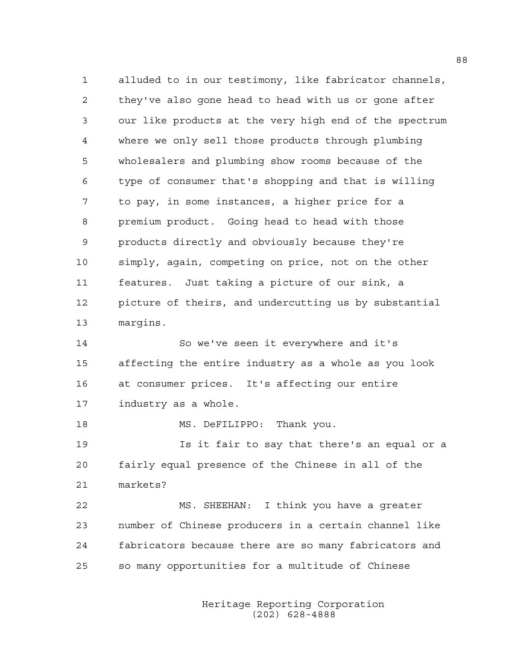1 alluded to in our testimony, like fabricator channels, 2 they've also gone head to head with us or gone after 3 our like products at the very high end of the spectrum 4 where we only sell those products through plumbing 5 wholesalers and plumbing show rooms because of the 6 type of consumer that's shopping and that is willing 7 to pay, in some instances, a higher price for a 8 premium product. Going head to head with those 9 products directly and obviously because they're 10 simply, again, competing on price, not on the other 11 features. Just taking a picture of our sink, a 12 picture of theirs, and undercutting us by substantial 13 margins.

14 So we've seen it everywhere and it's 15 affecting the entire industry as a whole as you look 16 at consumer prices. It's affecting our entire 17 industry as a whole.

18 MS. DeFILIPPO: Thank you.

19 Is it fair to say that there's an equal or a 20 fairly equal presence of the Chinese in all of the 21 markets?

22 MS. SHEEHAN: I think you have a greater 23 number of Chinese producers in a certain channel like 24 fabricators because there are so many fabricators and 25 so many opportunities for a multitude of Chinese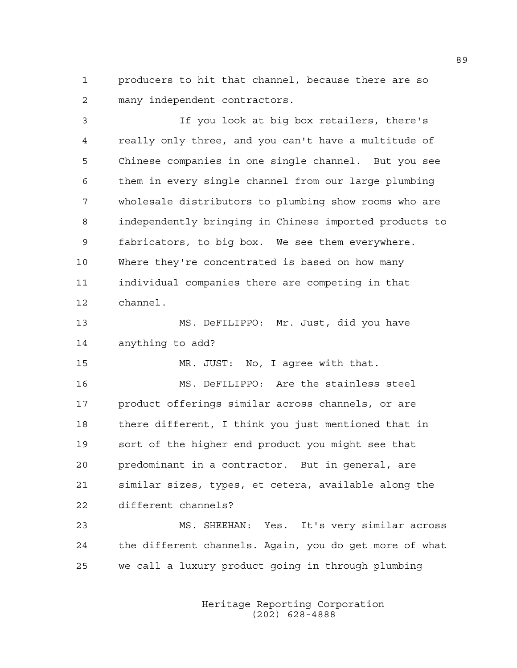1 producers to hit that channel, because there are so 2 many independent contractors.

3 If you look at big box retailers, there's 4 really only three, and you can't have a multitude of 5 Chinese companies in one single channel. But you see 6 them in every single channel from our large plumbing 7 wholesale distributors to plumbing show rooms who are 8 independently bringing in Chinese imported products to 9 fabricators, to big box. We see them everywhere. 10 Where they're concentrated is based on how many 11 individual companies there are competing in that 12 channel. 13 MS. DeFILIPPO: Mr. Just, did you have 14 anything to add? 15 MR. JUST: No, I agree with that. 16 MS. DeFILIPPO: Are the stainless steel 17 product offerings similar across channels, or are 18 there different, I think you just mentioned that in 19 sort of the higher end product you might see that 20 predominant in a contractor. But in general, are 21 similar sizes, types, et cetera, available along the 22 different channels?

23 MS. SHEEHAN: Yes. It's very similar across 24 the different channels. Again, you do get more of what 25 we call a luxury product going in through plumbing

> Heritage Reporting Corporation (202) 628-4888

89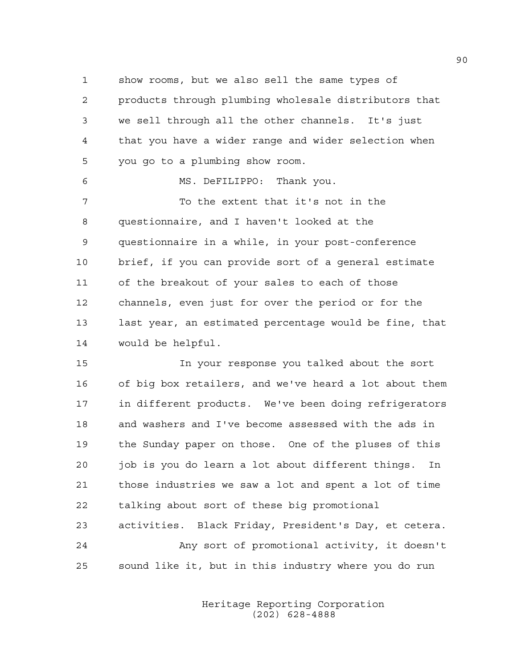1 show rooms, but we also sell the same types of 2 products through plumbing wholesale distributors that 3 we sell through all the other channels. It's just 4 that you have a wider range and wider selection when 5 you go to a plumbing show room.

6 MS. DeFILIPPO: Thank you. 7 To the extent that it's not in the 8 questionnaire, and I haven't looked at the 9 questionnaire in a while, in your post-conference 10 brief, if you can provide sort of a general estimate 11 of the breakout of your sales to each of those 12 channels, even just for over the period or for the 13 last year, an estimated percentage would be fine, that 14 would be helpful.

15 In your response you talked about the sort 16 of big box retailers, and we've heard a lot about them 17 in different products. We've been doing refrigerators 18 and washers and I've become assessed with the ads in 19 the Sunday paper on those. One of the pluses of this 20 job is you do learn a lot about different things. In 21 those industries we saw a lot and spent a lot of time 22 talking about sort of these big promotional 23 activities. Black Friday, President's Day, et cetera. 24 Any sort of promotional activity, it doesn't 25 sound like it, but in this industry where you do run

> Heritage Reporting Corporation (202) 628-4888

90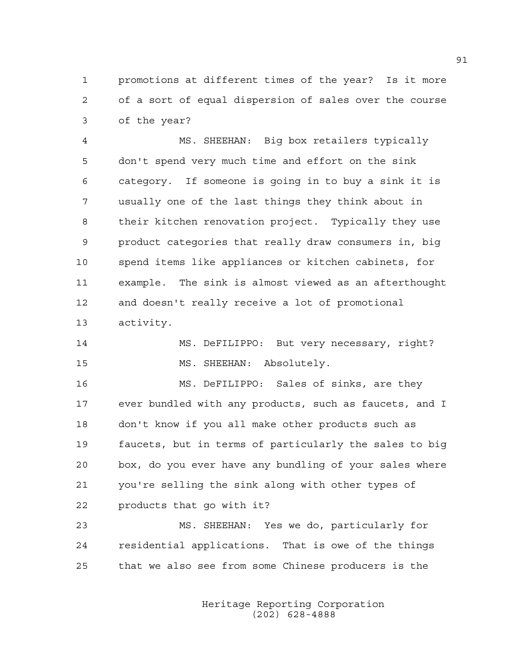1 promotions at different times of the year? Is it more 2 of a sort of equal dispersion of sales over the course 3 of the year?

4 MS. SHEEHAN: Big box retailers typically 5 don't spend very much time and effort on the sink 6 category. If someone is going in to buy a sink it is 7 usually one of the last things they think about in 8 their kitchen renovation project. Typically they use 9 product categories that really draw consumers in, big 10 spend items like appliances or kitchen cabinets, for 11 example. The sink is almost viewed as an afterthought 12 and doesn't really receive a lot of promotional 13 activity.

```
14 MS. DeFILIPPO: But very necessary, right? 
15 MS. SHEEHAN: Absolutely.
```
16 MS. DeFILIPPO: Sales of sinks, are they 17 ever bundled with any products, such as faucets, and I 18 don't know if you all make other products such as 19 faucets, but in terms of particularly the sales to big 20 box, do you ever have any bundling of your sales where 21 you're selling the sink along with other types of 22 products that go with it?

23 MS. SHEEHAN: Yes we do, particularly for 24 residential applications. That is owe of the things 25 that we also see from some Chinese producers is the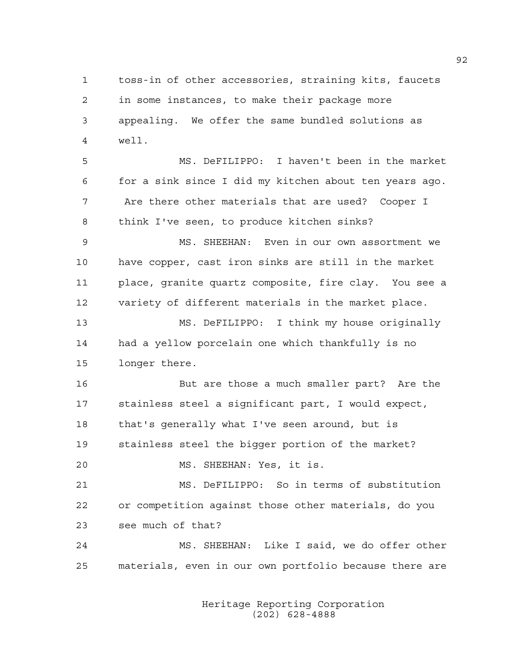1 toss-in of other accessories, straining kits, faucets 2 in some instances, to make their package more 3 appealing. We offer the same bundled solutions as 4 well.

5 MS. DeFILIPPO: I haven't been in the market 6 for a sink since I did my kitchen about ten years ago. 7 Are there other materials that are used? Cooper I 8 think I've seen, to produce kitchen sinks?

9 MS. SHEEHAN: Even in our own assortment we 10 have copper, cast iron sinks are still in the market 11 place, granite quartz composite, fire clay. You see a 12 variety of different materials in the market place.

13 MS. DeFILIPPO: I think my house originally 14 had a yellow porcelain one which thankfully is no 15 longer there.

16 But are those a much smaller part? Are the 17 stainless steel a significant part, I would expect, 18 that's generally what I've seen around, but is 19 stainless steel the bigger portion of the market?

20 MS. SHEEHAN: Yes, it is.

21 MS. DeFILIPPO: So in terms of substitution 22 or competition against those other materials, do you 23 see much of that?

24 MS. SHEEHAN: Like I said, we do offer other 25 materials, even in our own portfolio because there are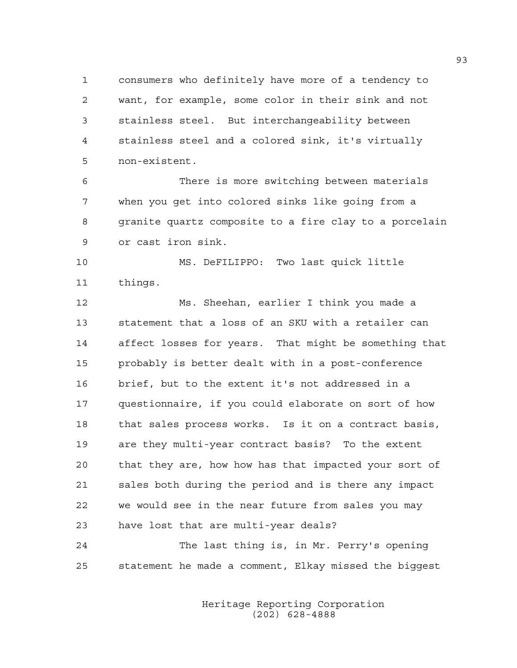1 consumers who definitely have more of a tendency to 2 want, for example, some color in their sink and not 3 stainless steel. But interchangeability between 4 stainless steel and a colored sink, it's virtually 5 non-existent.

6 There is more switching between materials 7 when you get into colored sinks like going from a 8 granite quartz composite to a fire clay to a porcelain 9 or cast iron sink.

10 MS. DeFILIPPO: Two last quick little 11 things.

12 Ms. Sheehan, earlier I think you made a 13 statement that a loss of an SKU with a retailer can 14 affect losses for years. That might be something that 15 probably is better dealt with in a post-conference 16 brief, but to the extent it's not addressed in a 17 questionnaire, if you could elaborate on sort of how 18 that sales process works. Is it on a contract basis, 19 are they multi-year contract basis? To the extent 20 that they are, how how has that impacted your sort of 21 sales both during the period and is there any impact 22 we would see in the near future from sales you may 23 have lost that are multi-year deals?

24 The last thing is, in Mr. Perry's opening 25 statement he made a comment, Elkay missed the biggest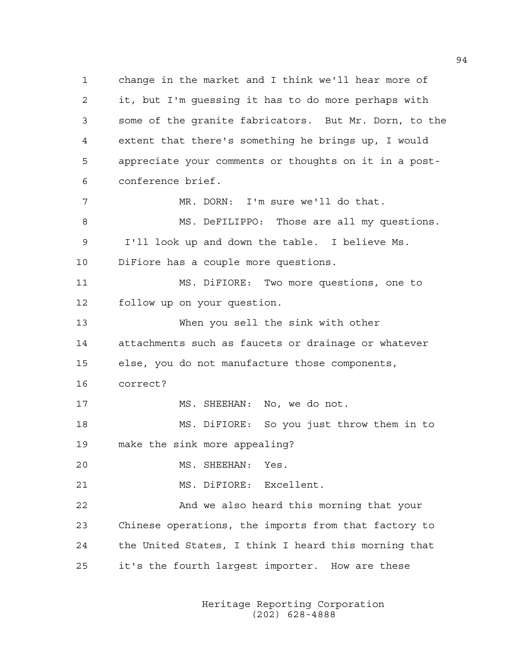1 change in the market and I think we'll hear more of 2 it, but I'm guessing it has to do more perhaps with 3 some of the granite fabricators. But Mr. Dorn, to the 4 extent that there's something he brings up, I would 5 appreciate your comments or thoughts on it in a post-6 conference brief. 7 MR. DORN: I'm sure we'll do that. 8 MS. DeFILIPPO: Those are all my questions. 9 I'll look up and down the table. I believe Ms. 10 DiFiore has a couple more questions. 11 MS. DiFIORE: Two more questions, one to 12 follow up on your question. 13 When you sell the sink with other 14 attachments such as faucets or drainage or whatever 15 else, you do not manufacture those components, 16 correct? 17 MS. SHEEHAN: No, we do not. 18 MS. DiFIORE: So you just throw them in to 19 make the sink more appealing? 20 MS. SHEEHAN: Yes. 21 MS. DiFIORE: Excellent. 22 And we also heard this morning that your 23 Chinese operations, the imports from that factory to 24 the United States, I think I heard this morning that 25 it's the fourth largest importer. How are these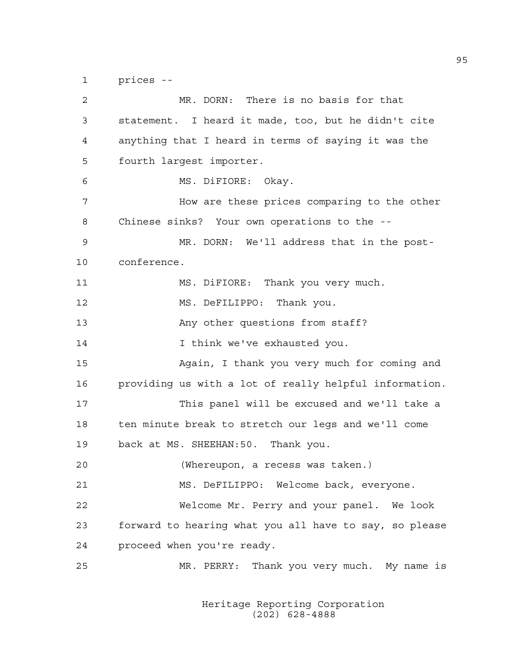1 prices --

2 MR. DORN: There is no basis for that 3 statement. I heard it made, too, but he didn't cite 4 anything that I heard in terms of saying it was the 5 fourth largest importer. 6 MS. DiFIORE: Okay. 7 How are these prices comparing to the other 8 Chinese sinks? Your own operations to the -- 9 MR. DORN: We'll address that in the post-10 conference. 11 MS. DiFIORE: Thank you very much. 12 MS. DeFILIPPO: Thank you. 13 Any other questions from staff? 14 I think we've exhausted you. 15 Again, I thank you very much for coming and 16 providing us with a lot of really helpful information. 17 This panel will be excused and we'll take a 18 ten minute break to stretch our legs and we'll come 19 back at MS. SHEEHAN:50. Thank you. 20 (Whereupon, a recess was taken.) 21 MS. DeFILIPPO: Welcome back, everyone. 22 Welcome Mr. Perry and your panel. We look 23 forward to hearing what you all have to say, so please 24 proceed when you're ready. 25 MR. PERRY: Thank you very much. My name is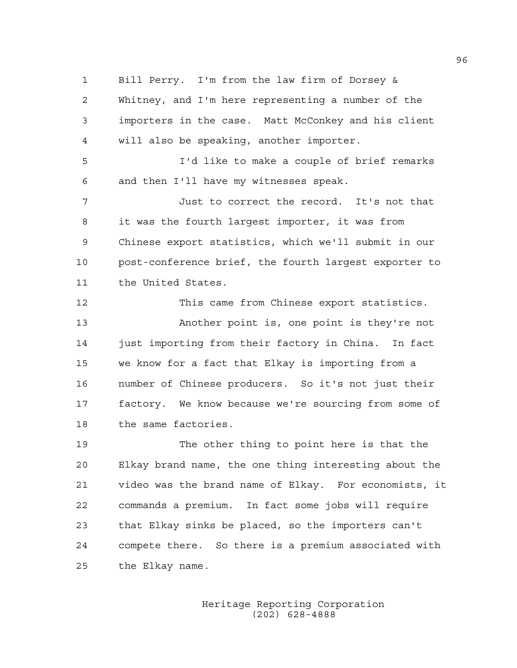1 Bill Perry. I'm from the law firm of Dorsey & 2 Whitney, and I'm here representing a number of the 3 importers in the case. Matt McConkey and his client 4 will also be speaking, another importer.

5 I'd like to make a couple of brief remarks 6 and then I'll have my witnesses speak.

7 Just to correct the record. It's not that 8 it was the fourth largest importer, it was from 9 Chinese export statistics, which we'll submit in our 10 post-conference brief, the fourth largest exporter to 11 the United States.

12 This came from Chinese export statistics. 13 Another point is, one point is they're not 14 just importing from their factory in China. In fact 15 we know for a fact that Elkay is importing from a 16 number of Chinese producers. So it's not just their 17 factory. We know because we're sourcing from some of 18 the same factories.

19 The other thing to point here is that the 20 Elkay brand name, the one thing interesting about the 21 video was the brand name of Elkay. For economists, it 22 commands a premium. In fact some jobs will require 23 that Elkay sinks be placed, so the importers can't 24 compete there. So there is a premium associated with 25 the Elkay name.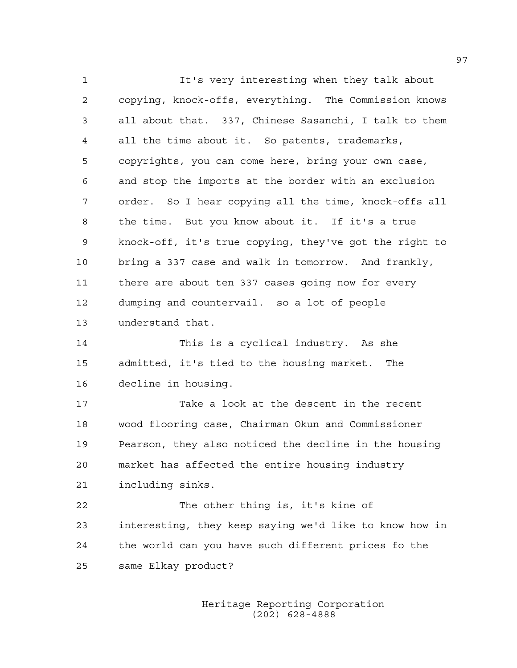1 It's very interesting when they talk about 2 copying, knock-offs, everything. The Commission knows 3 all about that. 337, Chinese Sasanchi, I talk to them 4 all the time about it. So patents, trademarks, 5 copyrights, you can come here, bring your own case, 6 and stop the imports at the border with an exclusion 7 order. So I hear copying all the time, knock-offs all 8 the time. But you know about it. If it's a true 9 knock-off, it's true copying, they've got the right to 10 bring a 337 case and walk in tomorrow. And frankly, 11 there are about ten 337 cases going now for every 12 dumping and countervail. so a lot of people 13 understand that.

14 This is a cyclical industry. As she 15 admitted, it's tied to the housing market. The 16 decline in housing.

17 Take a look at the descent in the recent 18 wood flooring case, Chairman Okun and Commissioner 19 Pearson, they also noticed the decline in the housing 20 market has affected the entire housing industry 21 including sinks.

22 The other thing is, it's kine of 23 interesting, they keep saying we'd like to know how in 24 the world can you have such different prices fo the 25 same Elkay product?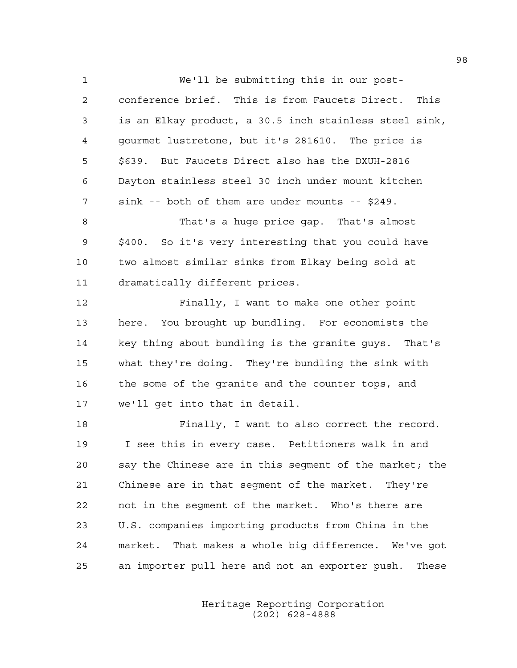1 We'll be submitting this in our post-2 conference brief. This is from Faucets Direct. This 3 is an Elkay product, a 30.5 inch stainless steel sink, 4 gourmet lustretone, but it's 281610. The price is 5 \$639. But Faucets Direct also has the DXUH-2816 6 Dayton stainless steel 30 inch under mount kitchen 7 sink -- both of them are under mounts -- \$249.

8 That's a huge price gap. That's almost 9 \$400. So it's very interesting that you could have 10 two almost similar sinks from Elkay being sold at 11 dramatically different prices.

12 Finally, I want to make one other point 13 here. You brought up bundling. For economists the 14 key thing about bundling is the granite guys. That's 15 what they're doing. They're bundling the sink with 16 the some of the granite and the counter tops, and 17 we'll get into that in detail.

18 Finally, I want to also correct the record. 19 I see this in every case. Petitioners walk in and 20 say the Chinese are in this segment of the market; the 21 Chinese are in that segment of the market. They're 22 not in the segment of the market. Who's there are 23 U.S. companies importing products from China in the 24 market. That makes a whole big difference. We've got 25 an importer pull here and not an exporter push. These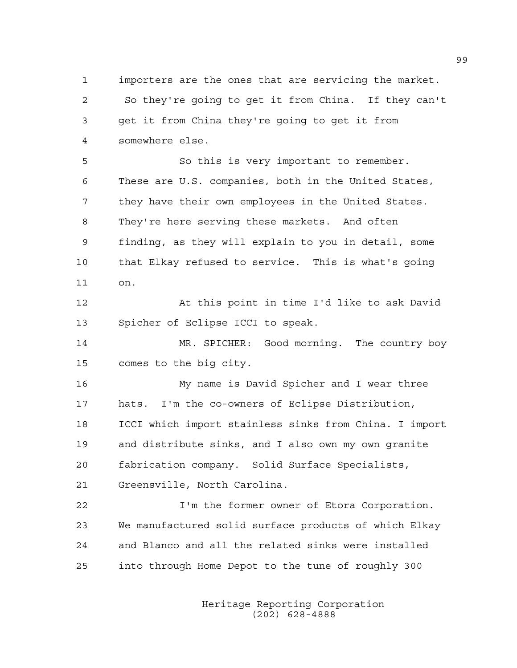1 importers are the ones that are servicing the market. 2 So they're going to get it from China. If they can't 3 get it from China they're going to get it from 4 somewhere else.

5 So this is very important to remember. 6 These are U.S. companies, both in the United States, 7 they have their own employees in the United States. 8 They're here serving these markets. And often 9 finding, as they will explain to you in detail, some 10 that Elkay refused to service. This is what's going 11 on.

12 At this point in time I'd like to ask David 13 Spicher of Eclipse ICCI to speak.

14 MR. SPICHER: Good morning. The country boy 15 comes to the big city.

16 My name is David Spicher and I wear three 17 hats. I'm the co-owners of Eclipse Distribution, 18 ICCI which import stainless sinks from China. I import 19 and distribute sinks, and I also own my own granite 20 fabrication company. Solid Surface Specialists, 21 Greensville, North Carolina.

22 I'm the former owner of Etora Corporation. 23 We manufactured solid surface products of which Elkay 24 and Blanco and all the related sinks were installed 25 into through Home Depot to the tune of roughly 300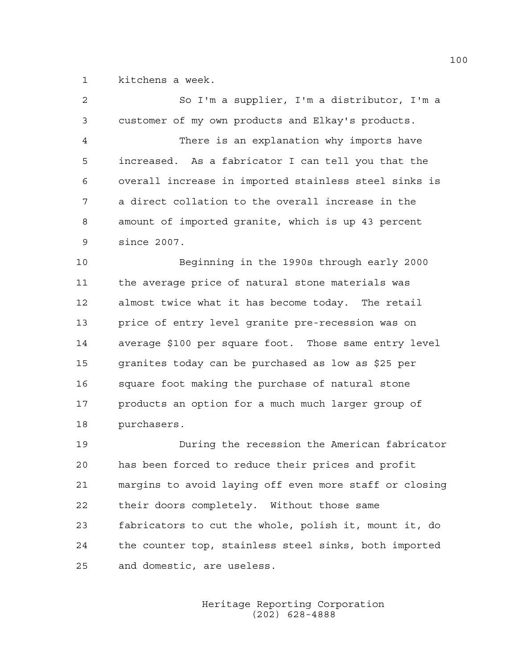1 kitchens a week.

| $\overline{2}$ | So I'm a supplier, I'm a distributor, I'm a            |
|----------------|--------------------------------------------------------|
| 3              | customer of my own products and Elkay's products.      |
| 4              | There is an explanation why imports have               |
| 5              | increased. As a fabricator I can tell you that the     |
| 6              | overall increase in imported stainless steel sinks is  |
| 7              | a direct collation to the overall increase in the      |
| 8              | amount of imported granite, which is up 43 percent     |
| 9              | since 2007.                                            |
| 10             | Beginning in the 1990s through early 2000              |
| 11             | the average price of natural stone materials was       |
| 12             | almost twice what it has become today. The retail      |
| 13             | price of entry level granite pre-recession was on      |
| 14             | average \$100 per square foot. Those same entry level  |
| 15             | granites today can be purchased as low as \$25 per     |
| 16             | square foot making the purchase of natural stone       |
| 17             | products an option for a much much larger group of     |
| 18             | purchasers.                                            |
| 19             | During the recession the American fabricator           |
| 20             | has been forced to reduce their prices and profit      |
| 21             | margins to avoid laying off even more staff or closing |
| 22             | their doors completely. Without those same             |

23 fabricators to cut the whole, polish it, mount it, do 24 the counter top, stainless steel sinks, both imported 25 and domestic, are useless.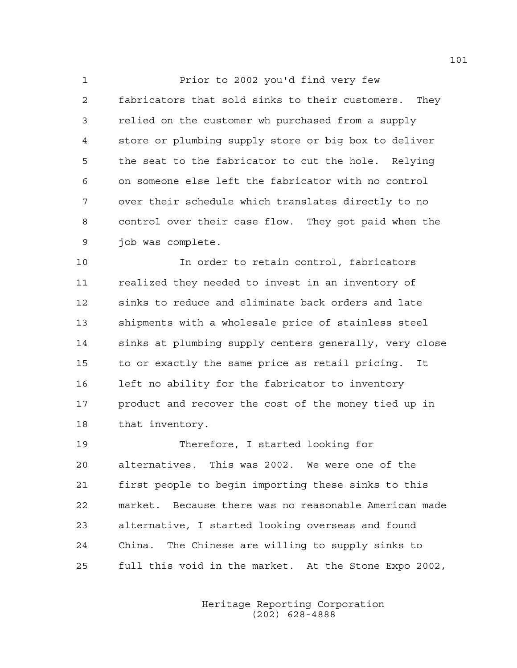1 Prior to 2002 you'd find very few 2 fabricators that sold sinks to their customers. They 3 relied on the customer wh purchased from a supply 4 store or plumbing supply store or big box to deliver 5 the seat to the fabricator to cut the hole. Relying 6 on someone else left the fabricator with no control 7 over their schedule which translates directly to no 8 control over their case flow. They got paid when the 9 job was complete.

10 In order to retain control, fabricators 11 realized they needed to invest in an inventory of 12 sinks to reduce and eliminate back orders and late 13 shipments with a wholesale price of stainless steel 14 sinks at plumbing supply centers generally, very close 15 to or exactly the same price as retail pricing. It 16 left no ability for the fabricator to inventory 17 product and recover the cost of the money tied up in 18 that inventory.

19 Therefore, I started looking for 20 alternatives. This was 2002. We were one of the 21 first people to begin importing these sinks to this 22 market. Because there was no reasonable American made 23 alternative, I started looking overseas and found 24 China. The Chinese are willing to supply sinks to 25 full this void in the market. At the Stone Expo 2002,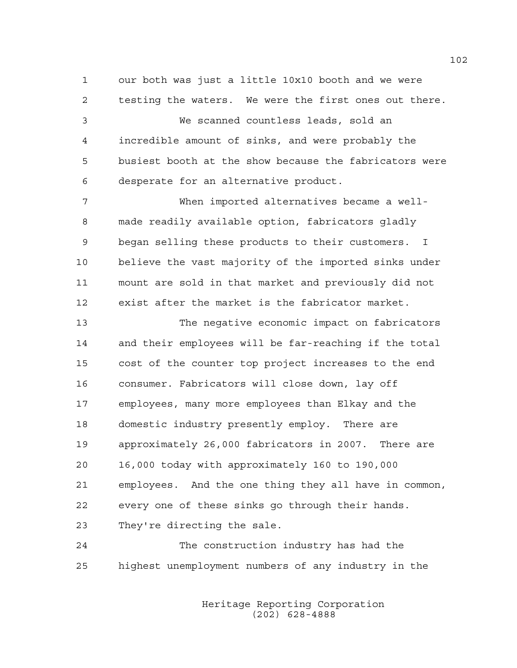1 our both was just a little 10x10 booth and we were 2 testing the waters. We were the first ones out there.

3 We scanned countless leads, sold an 4 incredible amount of sinks, and were probably the 5 busiest booth at the show because the fabricators were 6 desperate for an alternative product.

7 When imported alternatives became a well-8 made readily available option, fabricators gladly 9 began selling these products to their customers. I 10 believe the vast majority of the imported sinks under 11 mount are sold in that market and previously did not 12 exist after the market is the fabricator market.

13 The negative economic impact on fabricators 14 and their employees will be far-reaching if the total 15 cost of the counter top project increases to the end 16 consumer. Fabricators will close down, lay off 17 employees, many more employees than Elkay and the 18 domestic industry presently employ. There are 19 approximately 26,000 fabricators in 2007. There are 20 16,000 today with approximately 160 to 190,000 21 employees. And the one thing they all have in common, 22 every one of these sinks go through their hands. 23 They're directing the sale.

24 The construction industry has had the 25 highest unemployment numbers of any industry in the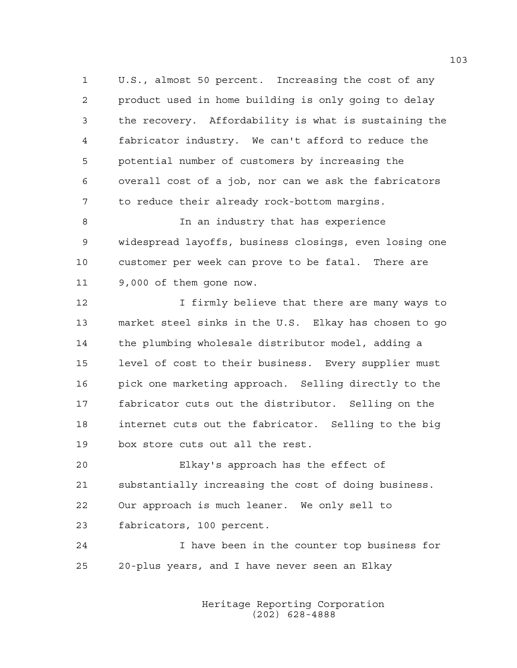1 U.S., almost 50 percent. Increasing the cost of any 2 product used in home building is only going to delay 3 the recovery. Affordability is what is sustaining the 4 fabricator industry. We can't afford to reduce the 5 potential number of customers by increasing the 6 overall cost of a job, nor can we ask the fabricators 7 to reduce their already rock-bottom margins.

8 In an industry that has experience 9 widespread layoffs, business closings, even losing one 10 customer per week can prove to be fatal. There are 11 9,000 of them gone now.

12 12 I firmly believe that there are many ways to 13 market steel sinks in the U.S. Elkay has chosen to go 14 the plumbing wholesale distributor model, adding a 15 level of cost to their business. Every supplier must 16 pick one marketing approach. Selling directly to the 17 fabricator cuts out the distributor. Selling on the 18 internet cuts out the fabricator. Selling to the big 19 box store cuts out all the rest.

20 Elkay's approach has the effect of 21 substantially increasing the cost of doing business. 22 Our approach is much leaner. We only sell to 23 fabricators, 100 percent.

24 I have been in the counter top business for 25 20-plus years, and I have never seen an Elkay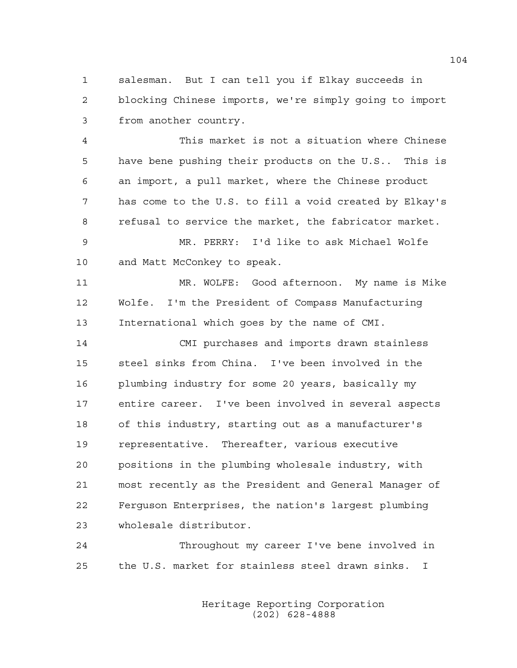1 salesman. But I can tell you if Elkay succeeds in 2 blocking Chinese imports, we're simply going to import 3 from another country.

4 This market is not a situation where Chinese 5 have bene pushing their products on the U.S.. This is 6 an import, a pull market, where the Chinese product 7 has come to the U.S. to fill a void created by Elkay's 8 refusal to service the market, the fabricator market.

9 MR. PERRY: I'd like to ask Michael Wolfe 10 and Matt McConkey to speak.

11 MR. WOLFE: Good afternoon. My name is Mike 12 Wolfe. I'm the President of Compass Manufacturing 13 International which goes by the name of CMI.

14 CMI purchases and imports drawn stainless 15 steel sinks from China. I've been involved in the 16 plumbing industry for some 20 years, basically my 17 entire career. I've been involved in several aspects 18 of this industry, starting out as a manufacturer's 19 representative. Thereafter, various executive 20 positions in the plumbing wholesale industry, with 21 most recently as the President and General Manager of 22 Ferguson Enterprises, the nation's largest plumbing 23 wholesale distributor.

24 Throughout my career I've bene involved in 25 the U.S. market for stainless steel drawn sinks. I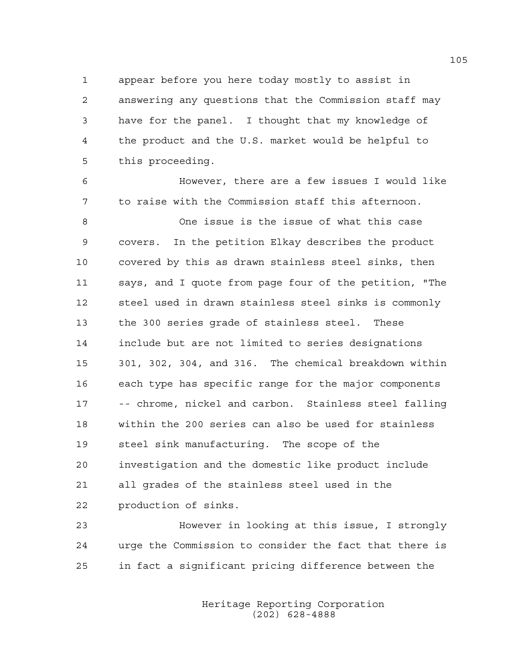1 appear before you here today mostly to assist in 2 answering any questions that the Commission staff may 3 have for the panel. I thought that my knowledge of 4 the product and the U.S. market would be helpful to 5 this proceeding.

6 However, there are a few issues I would like 7 to raise with the Commission staff this afternoon. 8 One issue is the issue of what this case 9 covers. In the petition Elkay describes the product 10 covered by this as drawn stainless steel sinks, then 11 says, and I quote from page four of the petition, "The 12 steel used in drawn stainless steel sinks is commonly 13 the 300 series grade of stainless steel. These 14 include but are not limited to series designations 15 301, 302, 304, and 316. The chemical breakdown within 16 each type has specific range for the major components 17 -- chrome, nickel and carbon. Stainless steel falling 18 within the 200 series can also be used for stainless 19 steel sink manufacturing. The scope of the 20 investigation and the domestic like product include 21 all grades of the stainless steel used in the 22 production of sinks.

23 However in looking at this issue, I strongly 24 urge the Commission to consider the fact that there is 25 in fact a significant pricing difference between the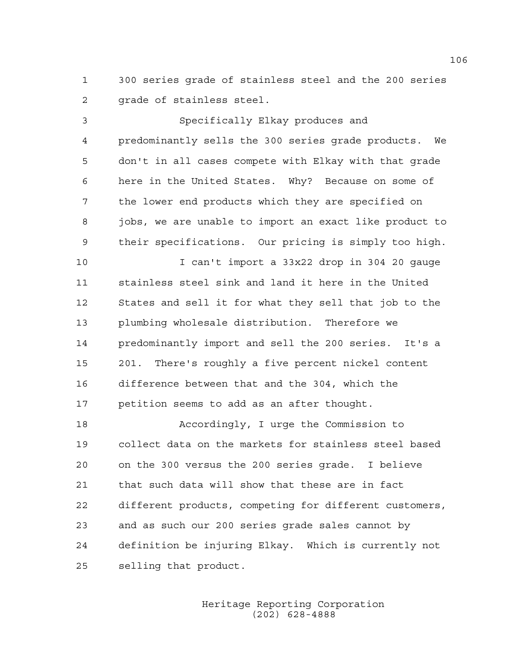1 300 series grade of stainless steel and the 200 series 2 arade of stainless steel.

3 Specifically Elkay produces and 4 predominantly sells the 300 series grade products. We 5 don't in all cases compete with Elkay with that grade 6 here in the United States. Why? Because on some of 7 the lower end products which they are specified on 8 jobs, we are unable to import an exact like product to 9 their specifications. Our pricing is simply too high.

10 I can't import a 33x22 drop in 304 20 gauge 11 stainless steel sink and land it here in the United 12 States and sell it for what they sell that job to the 13 plumbing wholesale distribution. Therefore we 14 predominantly import and sell the 200 series. It's a 15 201. There's roughly a five percent nickel content 16 difference between that and the 304, which the 17 petition seems to add as an after thought.

18 Accordingly, I urge the Commission to 19 collect data on the markets for stainless steel based 20 on the 300 versus the 200 series grade. I believe 21 that such data will show that these are in fact 22 different products, competing for different customers, 23 and as such our 200 series grade sales cannot by 24 definition be injuring Elkay. Which is currently not 25 selling that product.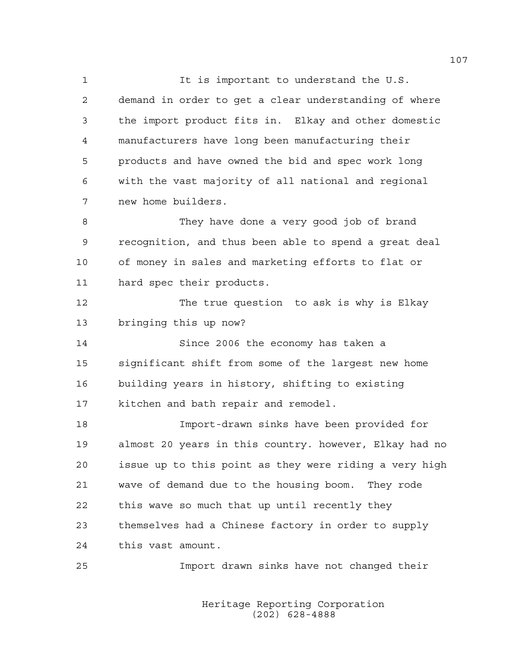1 It is important to understand the U.S. 2 demand in order to get a clear understanding of where 3 the import product fits in. Elkay and other domestic 4 manufacturers have long been manufacturing their 5 products and have owned the bid and spec work long 6 with the vast majority of all national and regional 7 new home builders. 8 They have done a very good job of brand 9 recognition, and thus been able to spend a great deal 10 of money in sales and marketing efforts to flat or 11 hard spec their products. 12 The true question to ask is why is Elkay 13 bringing this up now? 14 Since 2006 the economy has taken a 15 significant shift from some of the largest new home 16 building years in history, shifting to existing 17 kitchen and bath repair and remodel. 18 Import-drawn sinks have been provided for 19 almost 20 years in this country. however, Elkay had no 20 issue up to this point as they were riding a very high 21 wave of demand due to the housing boom. They rode 22 this wave so much that up until recently they 23 themselves had a Chinese factory in order to supply 24 this vast amount.

25 Import drawn sinks have not changed their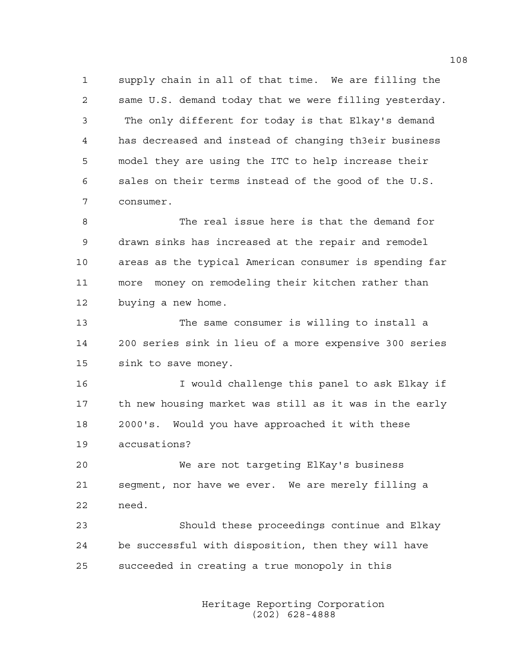1 supply chain in all of that time. We are filling the 2 same U.S. demand today that we were filling yesterday. 3 The only different for today is that Elkay's demand 4 has decreased and instead of changing th3eir business 5 model they are using the ITC to help increase their 6 sales on their terms instead of the good of the U.S. 7 consumer.

8 The real issue here is that the demand for 9 drawn sinks has increased at the repair and remodel 10 areas as the typical American consumer is spending far 11 more money on remodeling their kitchen rather than 12 buying a new home.

13 The same consumer is willing to install a 14 200 series sink in lieu of a more expensive 300 series 15 sink to save money.

16 I would challenge this panel to ask Elkay if 17 th new housing market was still as it was in the early 18 2000's. Would you have approached it with these 19 accusations?

20 We are not targeting ElKay's business 21 segment, nor have we ever. We are merely filling a 22 need.

23 Should these proceedings continue and Elkay 24 be successful with disposition, then they will have 25 succeeded in creating a true monopoly in this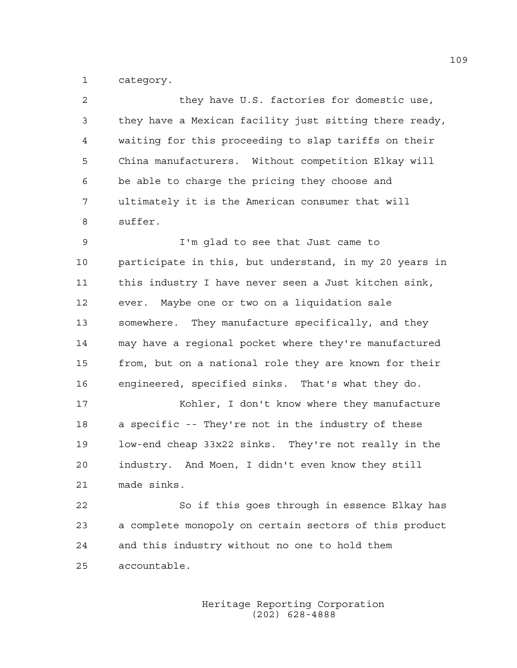1 category.

| $\mathcal{L}$  | they have U.S. factories for domestic use,             |
|----------------|--------------------------------------------------------|
| $\overline{3}$ | they have a Mexican facility just sitting there ready, |
| 4              | waiting for this proceeding to slap tariffs on their   |
| -5             | China manufacturers. Without competition Elkay will    |
| 6              | be able to charge the pricing they choose and          |
| 7              | ultimately it is the American consumer that will       |
| -8             | suffer.                                                |
| 9              | I'm glad to see that Just came to                      |

10 participate in this, but understand, in my 20 years in 11 this industry I have never seen a Just kitchen sink, 12 ever. Maybe one or two on a liquidation sale 13 somewhere. They manufacture specifically, and they 14 may have a regional pocket where they're manufactured 15 from, but on a national role they are known for their 16 engineered, specified sinks. That's what they do.

17 Kohler, I don't know where they manufacture 18 a specific -- They're not in the industry of these 19 low-end cheap 33x22 sinks. They're not really in the 20 industry. And Moen, I didn't even know they still 21 made sinks.

22 So if this goes through in essence Elkay has 23 a complete monopoly on certain sectors of this product 24 and this industry without no one to hold them 25 accountable.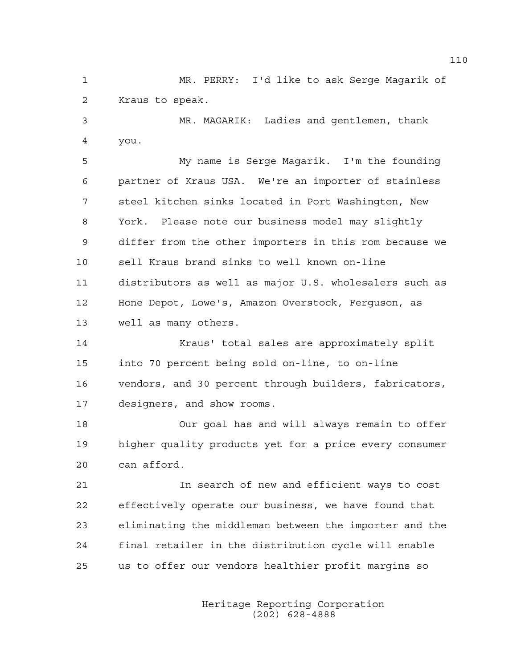1 MR. PERRY: I'd like to ask Serge Magarik of 2 Kraus to speak.

3 MR. MAGARIK: Ladies and gentlemen, thank 4 you.

5 My name is Serge Magarik. I'm the founding 6 partner of Kraus USA. We're an importer of stainless 7 steel kitchen sinks located in Port Washington, New 8 York. Please note our business model may slightly 9 differ from the other importers in this rom because we 10 sell Kraus brand sinks to well known on-line 11 distributors as well as major U.S. wholesalers such as 12 Hone Depot, Lowe's, Amazon Overstock, Ferguson, as 13 well as many others.

14 Kraus' total sales are approximately split 15 into 70 percent being sold on-line, to on-line 16 vendors, and 30 percent through builders, fabricators, 17 designers, and show rooms.

18 Our goal has and will always remain to offer 19 higher quality products yet for a price every consumer 20 can afford.

21 In search of new and efficient ways to cost 22 effectively operate our business, we have found that 23 eliminating the middleman between the importer and the 24 final retailer in the distribution cycle will enable 25 us to offer our vendors healthier profit margins so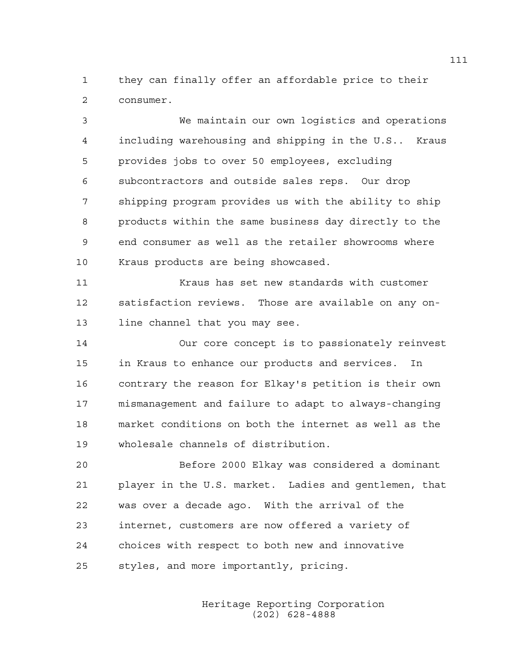1 they can finally offer an affordable price to their 2 consumer.

3 We maintain our own logistics and operations 4 including warehousing and shipping in the U.S.. Kraus 5 provides jobs to over 50 employees, excluding 6 subcontractors and outside sales reps. Our drop 7 shipping program provides us with the ability to ship 8 products within the same business day directly to the 9 end consumer as well as the retailer showrooms where 10 Kraus products are being showcased.

11 Kraus has set new standards with customer 12 satisfaction reviews. Those are available on any on-13 line channel that you may see.

14 Our core concept is to passionately reinvest 15 in Kraus to enhance our products and services. In 16 contrary the reason for Elkay's petition is their own 17 mismanagement and failure to adapt to always-changing 18 market conditions on both the internet as well as the 19 wholesale channels of distribution.

20 Before 2000 Elkay was considered a dominant 21 player in the U.S. market. Ladies and gentlemen, that 22 was over a decade ago. With the arrival of the 23 internet, customers are now offered a variety of 24 choices with respect to both new and innovative 25 styles, and more importantly, pricing.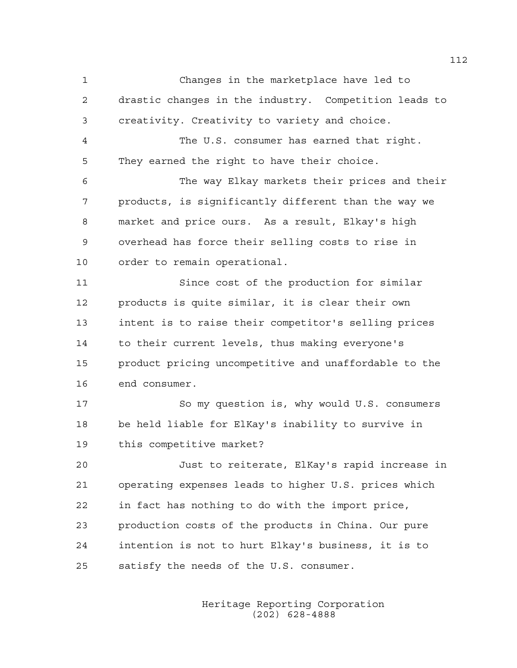1 Changes in the marketplace have led to 2 drastic changes in the industry. Competition leads to 3 creativity. Creativity to variety and choice. 4 The U.S. consumer has earned that right. 5 They earned the right to have their choice. 6 The way Elkay markets their prices and their 7 products, is significantly different than the way we 8 market and price ours. As a result, Elkay's high 9 overhead has force their selling costs to rise in 10 order to remain operational. 11 Since cost of the production for similar 12 products is quite similar, it is clear their own 13 intent is to raise their competitor's selling prices 14 to their current levels, thus making everyone's 15 product pricing uncompetitive and unaffordable to the 16 end consumer. 17 So my question is, why would U.S. consumers 18 be held liable for ElKay's inability to survive in 19 this competitive market? 20 Just to reiterate, ElKay's rapid increase in 21 operating expenses leads to higher U.S. prices which 22 in fact has nothing to do with the import price, 23 production costs of the products in China. Our pure 24 intention is not to hurt Elkay's business, it is to 25 satisfy the needs of the U.S. consumer.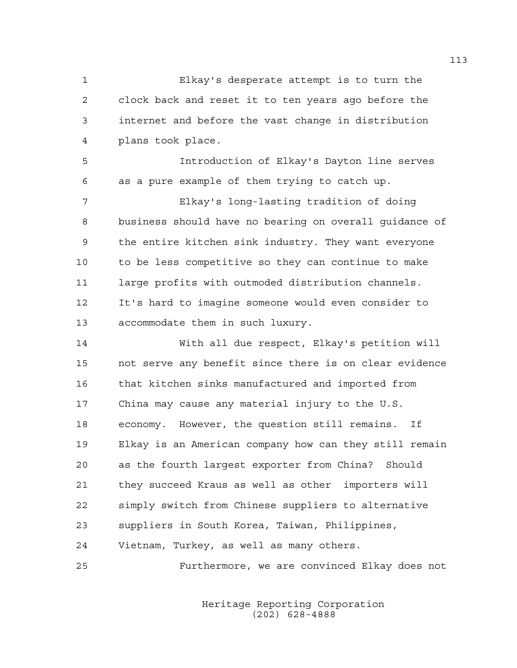1 Elkay's desperate attempt is to turn the 2 clock back and reset it to ten years ago before the 3 internet and before the vast change in distribution 4 plans took place.

5 Introduction of Elkay's Dayton line serves 6 as a pure example of them trying to catch up.

7 Elkay's long-lasting tradition of doing 8 business should have no bearing on overall guidance of 9 the entire kitchen sink industry. They want everyone 10 to be less competitive so they can continue to make 11 large profits with outmoded distribution channels. 12 It's hard to imagine someone would even consider to 13 accommodate them in such luxury.

14 With all due respect, Elkay's petition will 15 not serve any benefit since there is on clear evidence 16 that kitchen sinks manufactured and imported from 17 China may cause any material injury to the U.S. 18 economy. However, the question still remains. If 19 Elkay is an American company how can they still remain 20 as the fourth largest exporter from China? Should 21 they succeed Kraus as well as other importers will 22 simply switch from Chinese suppliers to alternative 23 suppliers in South Korea, Taiwan, Philippines, 24 Vietnam, Turkey, as well as many others.

25 Furthermore, we are convinced Elkay does not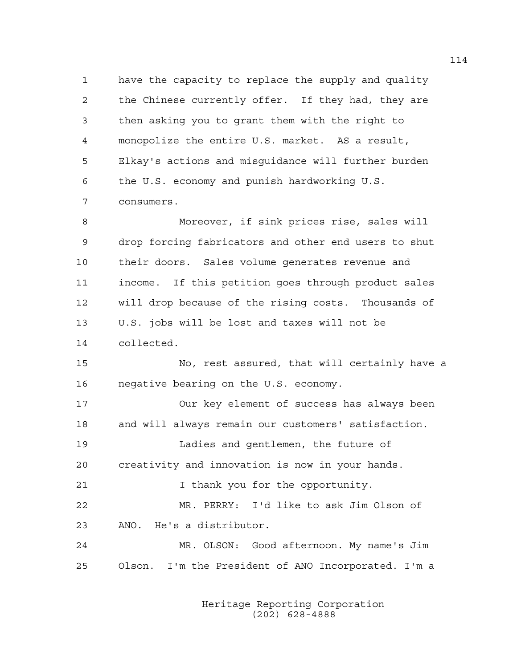1 have the capacity to replace the supply and quality 2 the Chinese currently offer. If they had, they are 3 then asking you to grant them with the right to 4 monopolize the entire U.S. market. AS a result, 5 Elkay's actions and misguidance will further burden 6 the U.S. economy and punish hardworking U.S. 7 consumers.

8 Moreover, if sink prices rise, sales will 9 drop forcing fabricators and other end users to shut 10 their doors. Sales volume generates revenue and 11 income. If this petition goes through product sales 12 will drop because of the rising costs. Thousands of 13 U.S. jobs will be lost and taxes will not be 14 collected.

15 No, rest assured, that will certainly have a 16 negative bearing on the U.S. economy.

17 Our key element of success has always been 18 and will always remain our customers' satisfaction.

19 Ladies and gentlemen, the future of 20 creativity and innovation is now in your hands.

21 Thank you for the opportunity.

22 MR. PERRY: I'd like to ask Jim Olson of 23 ANO. He's a distributor.

24 MR. OLSON: Good afternoon. My name's Jim 25 Olson. I'm the President of ANO Incorporated. I'm a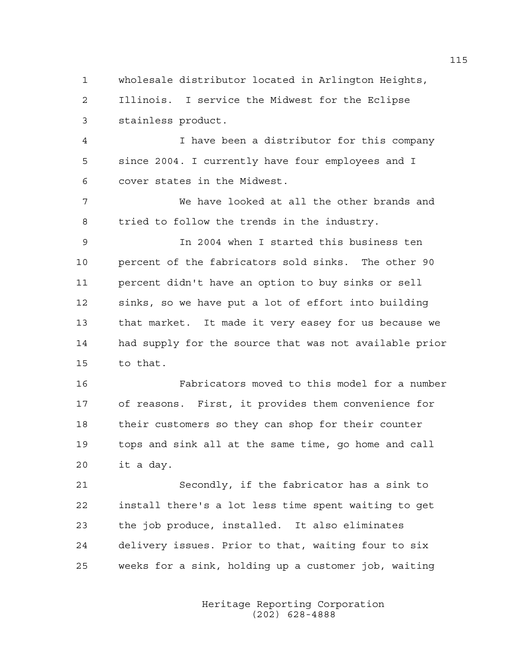1 wholesale distributor located in Arlington Heights, 2 Illinois. I service the Midwest for the Eclipse 3 stainless product. 4 I have been a distributor for this company 5 since 2004. I currently have four employees and I 6 cover states in the Midwest. 7 We have looked at all the other brands and 8 tried to follow the trends in the industry. 9 In 2004 when I started this business ten 10 percent of the fabricators sold sinks. The other 90 11 percent didn't have an option to buy sinks or sell 12 sinks, so we have put a lot of effort into building 13 that market. It made it very easey for us because we 14 had supply for the source that was not available prior 15 to that. 16 Fabricators moved to this model for a number 17 of reasons. First, it provides them convenience for 18 their customers so they can shop for their counter 19 tops and sink all at the same time, go home and call 20 it a day. 21 Secondly, if the fabricator has a sink to 22 install there's a lot less time spent waiting to get 23 the job produce, installed. It also eliminates 24 delivery issues. Prior to that, waiting four to six 25 weeks for a sink, holding up a customer job, waiting

> Heritage Reporting Corporation (202) 628-4888

115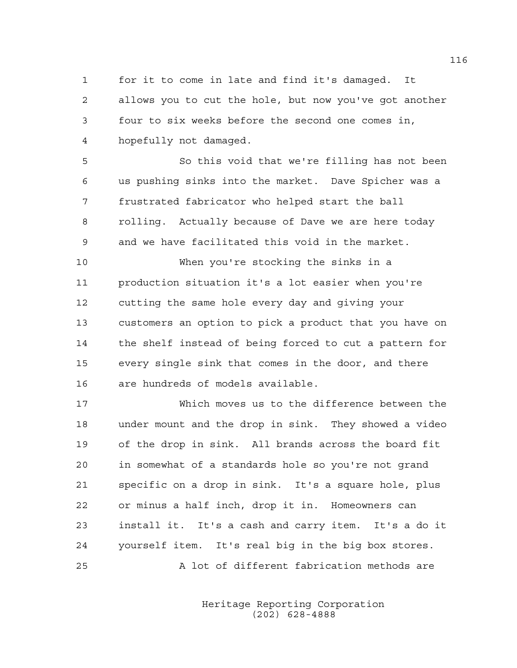1 for it to come in late and find it's damaged. It 2 allows you to cut the hole, but now you've got another 3 four to six weeks before the second one comes in, 4 hopefully not damaged.

5 So this void that we're filling has not been 6 us pushing sinks into the market. Dave Spicher was a 7 frustrated fabricator who helped start the ball 8 rolling. Actually because of Dave we are here today 9 and we have facilitated this void in the market.

10 When you're stocking the sinks in a 11 production situation it's a lot easier when you're 12 cutting the same hole every day and giving your 13 customers an option to pick a product that you have on 14 the shelf instead of being forced to cut a pattern for 15 every single sink that comes in the door, and there 16 are hundreds of models available.

17 Which moves us to the difference between the 18 under mount and the drop in sink. They showed a video 19 of the drop in sink. All brands across the board fit 20 in somewhat of a standards hole so you're not grand 21 specific on a drop in sink. It's a square hole, plus 22 or minus a half inch, drop it in. Homeowners can 23 install it. It's a cash and carry item. It's a do it 24 yourself item. It's real big in the big box stores. 25 A lot of different fabrication methods are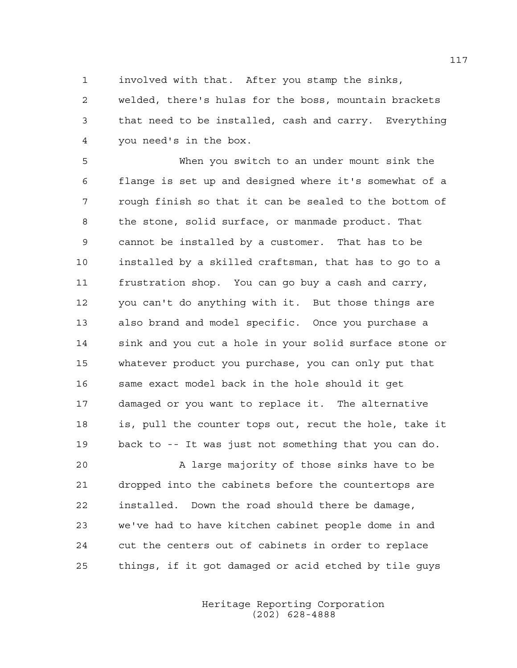1 involved with that. After you stamp the sinks,

2 welded, there's hulas for the boss, mountain brackets 3 that need to be installed, cash and carry. Everything 4 you need's in the box.

5 When you switch to an under mount sink the 6 flange is set up and designed where it's somewhat of a 7 rough finish so that it can be sealed to the bottom of 8 the stone, solid surface, or manmade product. That 9 cannot be installed by a customer. That has to be 10 installed by a skilled craftsman, that has to go to a 11 frustration shop. You can go buy a cash and carry, 12 you can't do anything with it. But those things are 13 also brand and model specific. Once you purchase a 14 sink and you cut a hole in your solid surface stone or 15 whatever product you purchase, you can only put that 16 same exact model back in the hole should it get 17 damaged or you want to replace it. The alternative 18 is, pull the counter tops out, recut the hole, take it 19 back to -- It was just not something that you can do.

20 A large majority of those sinks have to be 21 dropped into the cabinets before the countertops are 22 installed. Down the road should there be damage, 23 we've had to have kitchen cabinet people dome in and 24 cut the centers out of cabinets in order to replace 25 things, if it got damaged or acid etched by tile guys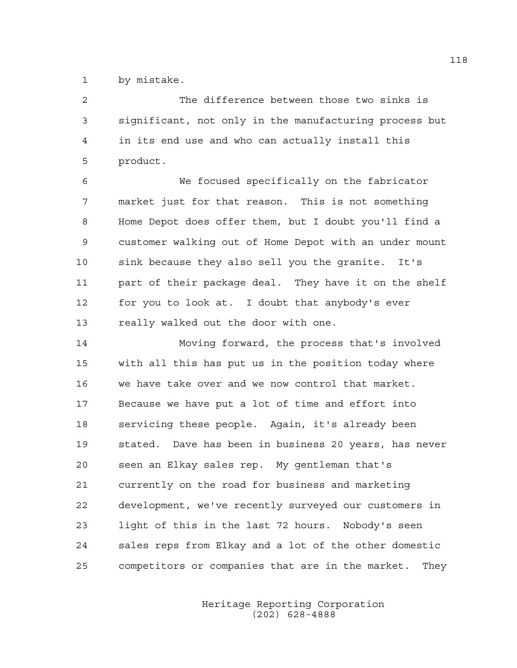1 by mistake.

2 The difference between those two sinks is 3 significant, not only in the manufacturing process but 4 in its end use and who can actually install this 5 product.

6 We focused specifically on the fabricator 7 market just for that reason. This is not something 8 Home Depot does offer them, but I doubt you'll find a 9 customer walking out of Home Depot with an under mount 10 sink because they also sell you the granite. It's 11 part of their package deal. They have it on the shelf 12 for you to look at. I doubt that anybody's ever 13 really walked out the door with one.

14 Moving forward, the process that's involved 15 with all this has put us in the position today where 16 we have take over and we now control that market. 17 Because we have put a lot of time and effort into 18 servicing these people. Again, it's already been 19 stated. Dave has been in business 20 years, has never 20 seen an Elkay sales rep. My gentleman that's 21 currently on the road for business and marketing 22 development, we've recently surveyed our customers in 23 light of this in the last 72 hours. Nobody's seen 24 sales reps from Elkay and a lot of the other domestic 25 competitors or companies that are in the market. They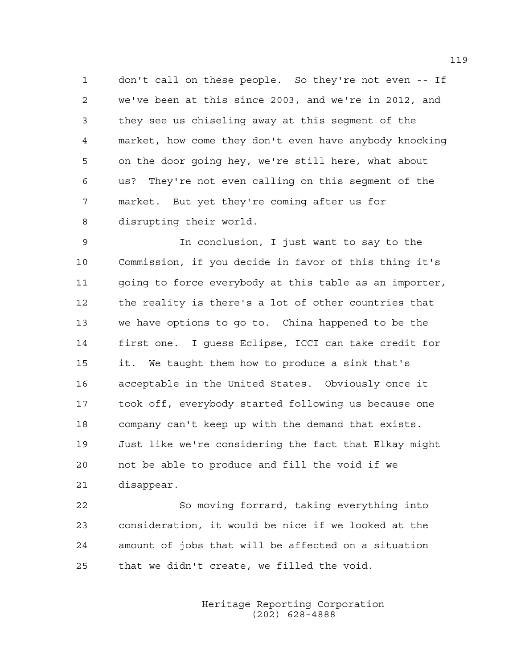1 don't call on these people. So they're not even -- If 2 we've been at this since 2003, and we're in 2012, and 3 they see us chiseling away at this segment of the 4 market, how come they don't even have anybody knocking 5 on the door going hey, we're still here, what about 6 us? They're not even calling on this segment of the 7 market. But yet they're coming after us for 8 disrupting their world.

9 In conclusion, I just want to say to the 10 Commission, if you decide in favor of this thing it's 11 going to force everybody at this table as an importer, 12 the reality is there's a lot of other countries that 13 we have options to go to. China happened to be the 14 first one. I guess Eclipse, ICCI can take credit for 15 it. We taught them how to produce a sink that's 16 acceptable in the United States. Obviously once it 17 took off, everybody started following us because one 18 company can't keep up with the demand that exists. 19 Just like we're considering the fact that Elkay might 20 not be able to produce and fill the void if we 21 disappear.

22 So moving forrard, taking everything into 23 consideration, it would be nice if we looked at the 24 amount of jobs that will be affected on a situation 25 that we didn't create, we filled the void.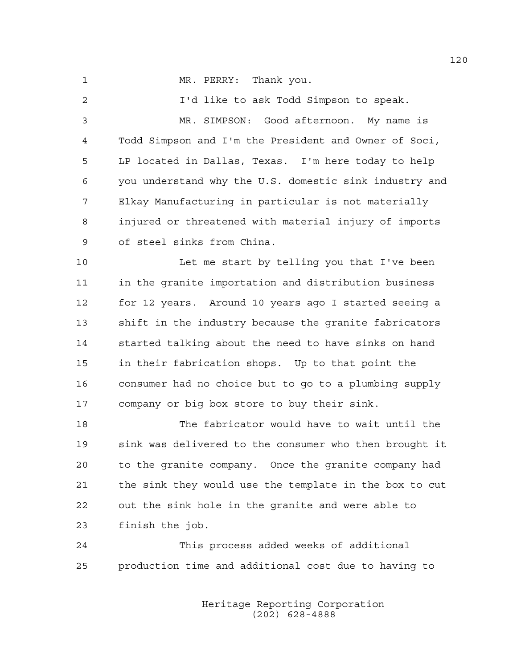1 MR. PERRY: Thank you.

2 I'd like to ask Todd Simpson to speak. 3 MR. SIMPSON: Good afternoon. My name is 4 Todd Simpson and I'm the President and Owner of Soci, 5 LP located in Dallas, Texas. I'm here today to help 6 you understand why the U.S. domestic sink industry and 7 Elkay Manufacturing in particular is not materially 8 injured or threatened with material injury of imports 9 of steel sinks from China. 10 Let me start by telling you that I've been 11 in the granite importation and distribution business 12 for 12 years. Around 10 years ago I started seeing a 13 shift in the industry because the granite fabricators 14 started talking about the need to have sinks on hand 15 in their fabrication shops. Up to that point the 16 consumer had no choice but to go to a plumbing supply 17 company or big box store to buy their sink. 18 The fabricator would have to wait until the 19 sink was delivered to the consumer who then brought it 20 to the granite company. Once the granite company had 21 the sink they would use the template in the box to cut 22 out the sink hole in the granite and were able to 23 finish the job. 24 This process added weeks of additional 25 production time and additional cost due to having to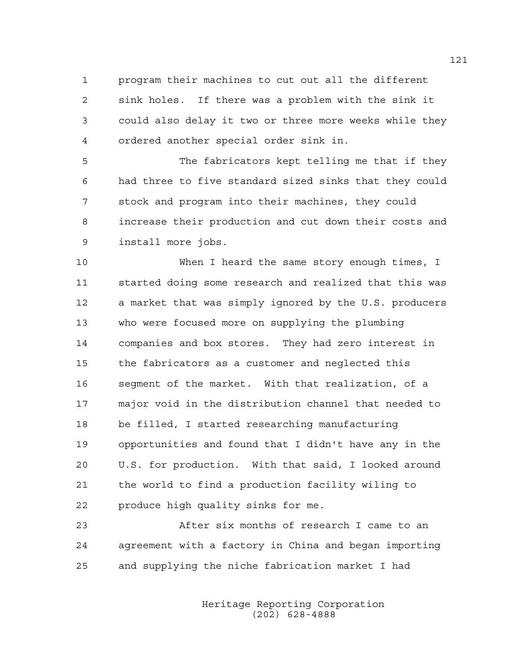1 program their machines to cut out all the different 2 sink holes. If there was a problem with the sink it 3 could also delay it two or three more weeks while they 4 ordered another special order sink in.

5 The fabricators kept telling me that if they 6 had three to five standard sized sinks that they could 7 stock and program into their machines, they could 8 increase their production and cut down their costs and 9 install more jobs.

10 When I heard the same story enough times, I 11 started doing some research and realized that this was 12 a market that was simply ignored by the U.S. producers 13 who were focused more on supplying the plumbing 14 companies and box stores. They had zero interest in 15 the fabricators as a customer and neglected this 16 segment of the market. With that realization, of a 17 major void in the distribution channel that needed to 18 be filled, I started researching manufacturing 19 opportunities and found that I didn't have any in the 20 U.S. for production. With that said, I looked around 21 the world to find a production facility wiling to 22 produce high quality sinks for me.

23 After six months of research I came to an 24 agreement with a factory in China and began importing 25 and supplying the niche fabrication market I had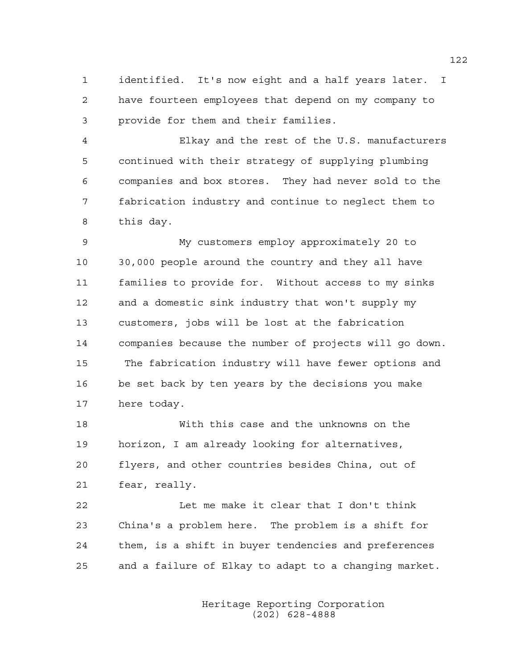1 identified. It's now eight and a half years later. I 2 have fourteen employees that depend on my company to 3 provide for them and their families.

4 Elkay and the rest of the U.S. manufacturers 5 continued with their strategy of supplying plumbing 6 companies and box stores. They had never sold to the 7 fabrication industry and continue to neglect them to 8 this day.

9 My customers employ approximately 20 to 10 30,000 people around the country and they all have 11 families to provide for. Without access to my sinks 12 and a domestic sink industry that won't supply my 13 customers, jobs will be lost at the fabrication 14 companies because the number of projects will go down. 15 The fabrication industry will have fewer options and 16 be set back by ten years by the decisions you make 17 here today.

18 With this case and the unknowns on the 19 horizon, I am already looking for alternatives, 20 flyers, and other countries besides China, out of 21 fear, really.

22 Let me make it clear that I don't think 23 China's a problem here. The problem is a shift for 24 them, is a shift in buyer tendencies and preferences 25 and a failure of Elkay to adapt to a changing market.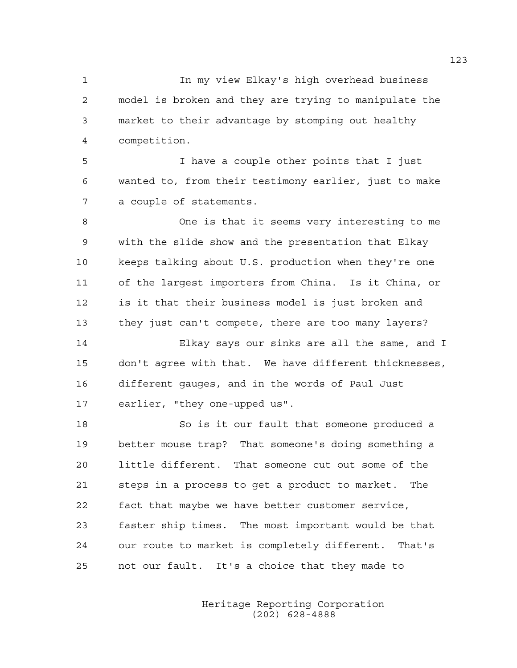1 In my view Elkay's high overhead business 2 model is broken and they are trying to manipulate the 3 market to their advantage by stomping out healthy 4 competition.

5 I have a couple other points that I just 6 wanted to, from their testimony earlier, just to make 7 a couple of statements.

8 One is that it seems very interesting to me 9 with the slide show and the presentation that Elkay 10 keeps talking about U.S. production when they're one 11 of the largest importers from China. Is it China, or 12 is it that their business model is just broken and 13 they just can't compete, there are too many layers?

14 Elkay says our sinks are all the same, and I 15 don't agree with that. We have different thicknesses, 16 different gauges, and in the words of Paul Just 17 earlier, "they one-upped us".

18 So is it our fault that someone produced a 19 better mouse trap? That someone's doing something a 20 little different. That someone cut out some of the 21 steps in a process to get a product to market. The 22 fact that maybe we have better customer service, 23 faster ship times. The most important would be that 24 our route to market is completely different. That's 25 not our fault. It's a choice that they made to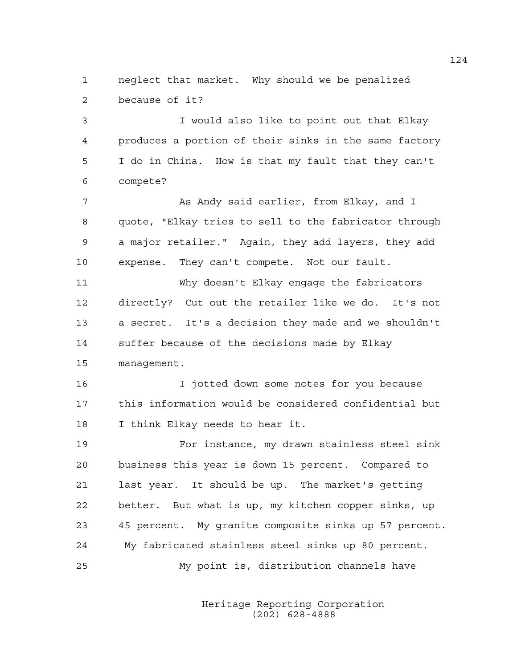1 neglect that market. Why should we be penalized 2 because of it?

3 I would also like to point out that Elkay 4 produces a portion of their sinks in the same factory 5 I do in China. How is that my fault that they can't 6 compete?

7 As Andy said earlier, from Elkay, and I 8 quote, "Elkay tries to sell to the fabricator through 9 a major retailer." Again, they add layers, they add 10 expense. They can't compete. Not our fault.

11 Why doesn't Elkay engage the fabricators 12 directly? Cut out the retailer like we do. It's not 13 a secret. It's a decision they made and we shouldn't 14 suffer because of the decisions made by Elkay 15 management.

16 I jotted down some notes for you because 17 this information would be considered confidential but 18 I think Elkay needs to hear it.

19 For instance, my drawn stainless steel sink 20 business this year is down 15 percent. Compared to 21 last year. It should be up. The market's getting 22 better. But what is up, my kitchen copper sinks, up 23 45 percent. My granite composite sinks up 57 percent. 24 My fabricated stainless steel sinks up 80 percent. 25 My point is, distribution channels have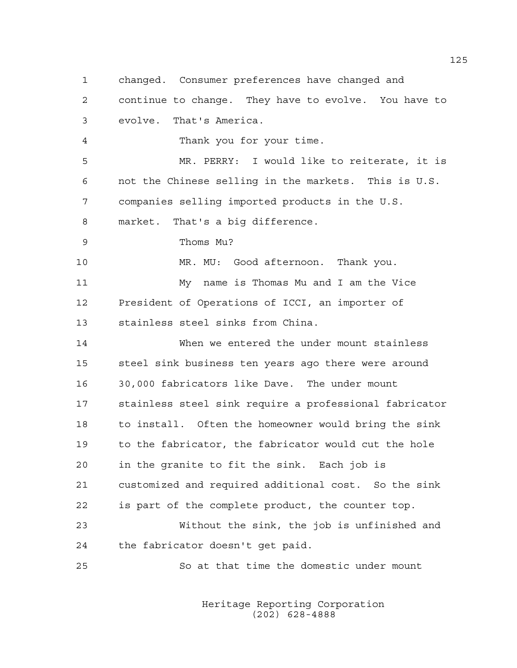1 changed. Consumer preferences have changed and 2 continue to change. They have to evolve. You have to 3 evolve. That's America. 4 Thank you for your time. 5 MR. PERRY: I would like to reiterate, it is 6 not the Chinese selling in the markets. This is U.S. 7 companies selling imported products in the U.S. 8 market. That's a big difference. 9 Thoms Mu? 10 MR. MU: Good afternoon. Thank you. 11 My name is Thomas Mu and I am the Vice 12 President of Operations of ICCI, an importer of 13 stainless steel sinks from China. 14 When we entered the under mount stainless 15 steel sink business ten years ago there were around 16 30,000 fabricators like Dave. The under mount 17 stainless steel sink require a professional fabricator 18 to install. Often the homeowner would bring the sink 19 to the fabricator, the fabricator would cut the hole 20 in the granite to fit the sink. Each job is 21 customized and required additional cost. So the sink 22 is part of the complete product, the counter top. 23 Without the sink, the job is unfinished and 24 the fabricator doesn't get paid.

25 So at that time the domestic under mount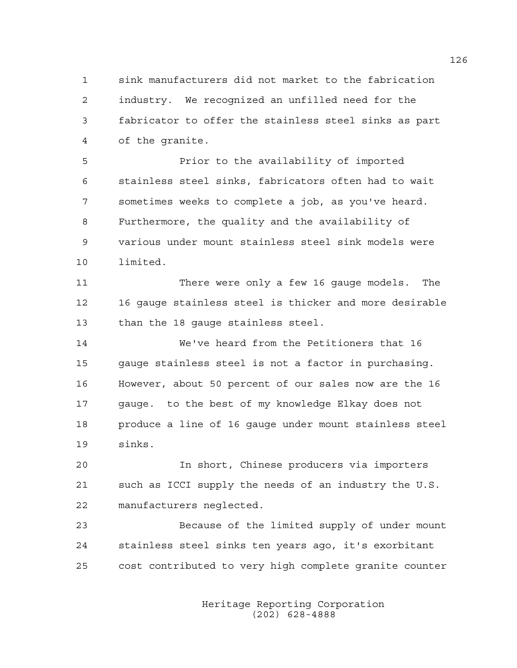1 sink manufacturers did not market to the fabrication 2 industry. We recognized an unfilled need for the 3 fabricator to offer the stainless steel sinks as part 4 of the granite.

5 Prior to the availability of imported 6 stainless steel sinks, fabricators often had to wait 7 sometimes weeks to complete a job, as you've heard. 8 Furthermore, the quality and the availability of 9 various under mount stainless steel sink models were 10 limited.

11 There were only a few 16 gauge models. The 12 16 gauge stainless steel is thicker and more desirable 13 than the 18 gauge stainless steel.

14 We've heard from the Petitioners that 16 15 gauge stainless steel is not a factor in purchasing. 16 However, about 50 percent of our sales now are the 16 17 gauge. to the best of my knowledge Elkay does not 18 produce a line of 16 gauge under mount stainless steel 19 sinks.

20 In short, Chinese producers via importers 21 such as ICCI supply the needs of an industry the U.S. 22 manufacturers neglected.

23 Because of the limited supply of under mount 24 stainless steel sinks ten years ago, it's exorbitant 25 cost contributed to very high complete granite counter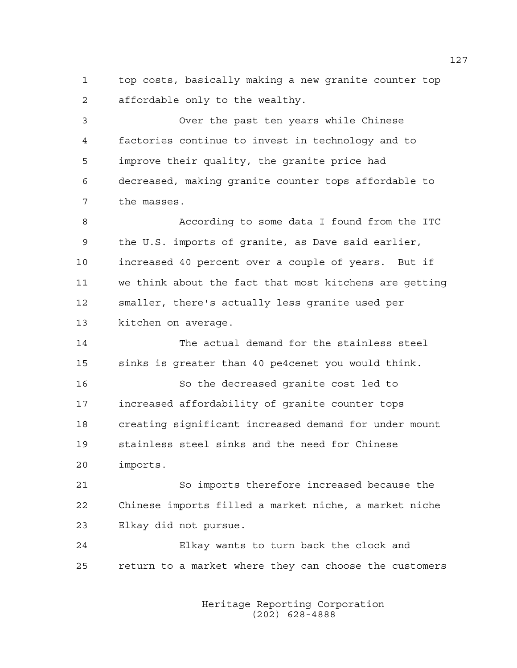1 top costs, basically making a new granite counter top 2 affordable only to the wealthy.

3 Over the past ten years while Chinese 4 factories continue to invest in technology and to 5 improve their quality, the granite price had 6 decreased, making granite counter tops affordable to 7 the masses.

8 According to some data I found from the ITC 9 the U.S. imports of granite, as Dave said earlier, 10 increased 40 percent over a couple of years. But if 11 we think about the fact that most kitchens are getting 12 smaller, there's actually less granite used per 13 kitchen on average.

14 The actual demand for the stainless steel 15 sinks is greater than 40 pe4cenet you would think. 16 So the decreased granite cost led to 17 increased affordability of granite counter tops 18 creating significant increased demand for under mount 19 stainless steel sinks and the need for Chinese 20 imports.

21 So imports therefore increased because the 22 Chinese imports filled a market niche, a market niche 23 Elkay did not pursue.

24 Elkay wants to turn back the clock and 25 return to a market where they can choose the customers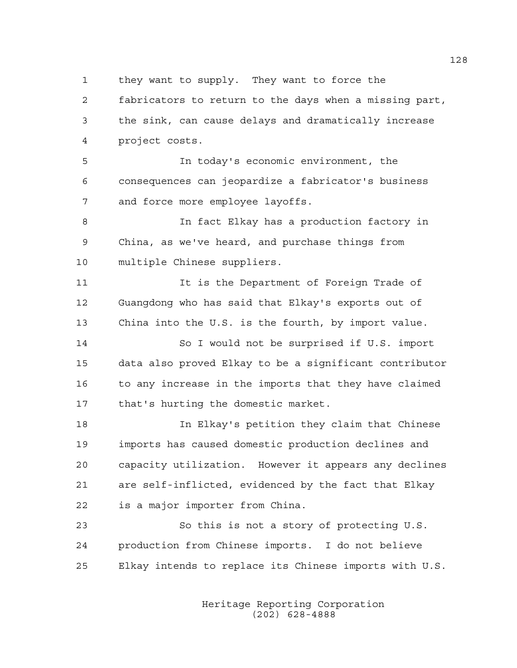1 they want to supply. They want to force the

2 fabricators to return to the days when a missing part, 3 the sink, can cause delays and dramatically increase 4 project costs.

5 In today's economic environment, the 6 consequences can jeopardize a fabricator's business 7 and force more employee layoffs.

8 In fact Elkay has a production factory in 9 China, as we've heard, and purchase things from 10 multiple Chinese suppliers.

11 It is the Department of Foreign Trade of 12 Guangdong who has said that Elkay's exports out of 13 China into the U.S. is the fourth, by import value.

14 So I would not be surprised if U.S. import 15 data also proved Elkay to be a significant contributor 16 to any increase in the imports that they have claimed 17 that's hurting the domestic market.

18 In Elkay's petition they claim that Chinese 19 imports has caused domestic production declines and 20 capacity utilization. However it appears any declines 21 are self-inflicted, evidenced by the fact that Elkay 22 is a major importer from China.

23 So this is not a story of protecting U.S. 24 production from Chinese imports. I do not believe 25 Elkay intends to replace its Chinese imports with U.S.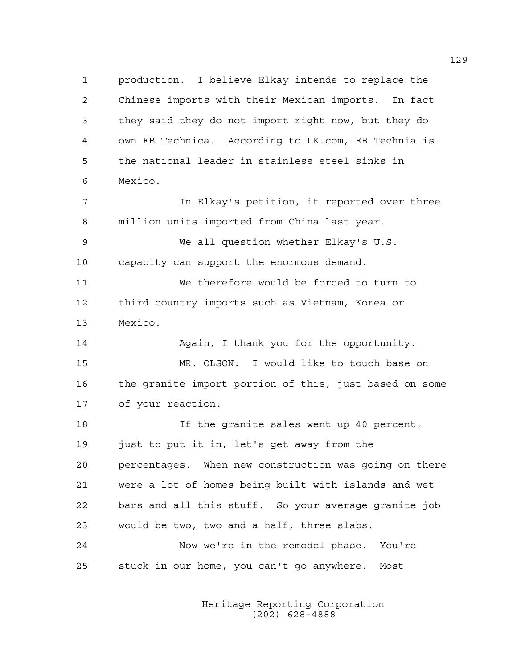1 production. I believe Elkay intends to replace the 2 Chinese imports with their Mexican imports. In fact 3 they said they do not import right now, but they do 4 own EB Technica. According to LK.com, EB Technia is 5 the national leader in stainless steel sinks in 6 Mexico. 7 In Elkay's petition, it reported over three 8 million units imported from China last year. 9 We all question whether Elkay's U.S. 10 capacity can support the enormous demand. 11 We therefore would be forced to turn to 12 third country imports such as Vietnam, Korea or 13 Mexico. 14 Again, I thank you for the opportunity. 15 MR. OLSON: I would like to touch base on 16 the granite import portion of this, just based on some 17 of your reaction. 18 If the granite sales went up 40 percent,

19 just to put it in, let's get away from the 20 percentages. When new construction was going on there 21 were a lot of homes being built with islands and wet 22 bars and all this stuff. So your average granite job 23 would be two, two and a half, three slabs. 24 Now we're in the remodel phase. You're

25 stuck in our home, you can't go anywhere. Most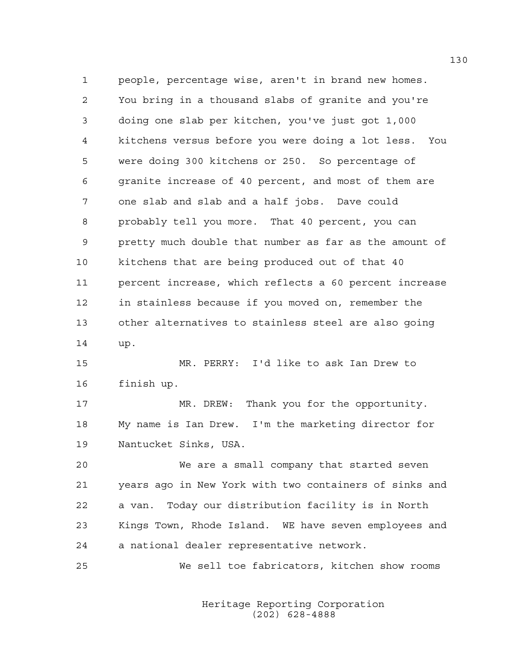1 people, percentage wise, aren't in brand new homes. 2 You bring in a thousand slabs of granite and you're 3 doing one slab per kitchen, you've just got 1,000 4 kitchens versus before you were doing a lot less. You 5 were doing 300 kitchens or 250. So percentage of 6 granite increase of 40 percent, and most of them are 7 one slab and slab and a half jobs. Dave could 8 probably tell you more. That 40 percent, you can 9 pretty much double that number as far as the amount of 10 kitchens that are being produced out of that 40 11 percent increase, which reflects a 60 percent increase 12 in stainless because if you moved on, remember the 13 other alternatives to stainless steel are also going 14 up. 15 MR. PERRY: I'd like to ask Ian Drew to 16 finish up. 17 MR. DREW: Thank you for the opportunity. 18 My name is Ian Drew. I'm the marketing director for 19 Nantucket Sinks, USA. 20 We are a small company that started seven 21 years ago in New York with two containers of sinks and 22 a van. Today our distribution facility is in North

23 Kings Town, Rhode Island. WE have seven employees and 24 a national dealer representative network.

25 We sell toe fabricators, kitchen show rooms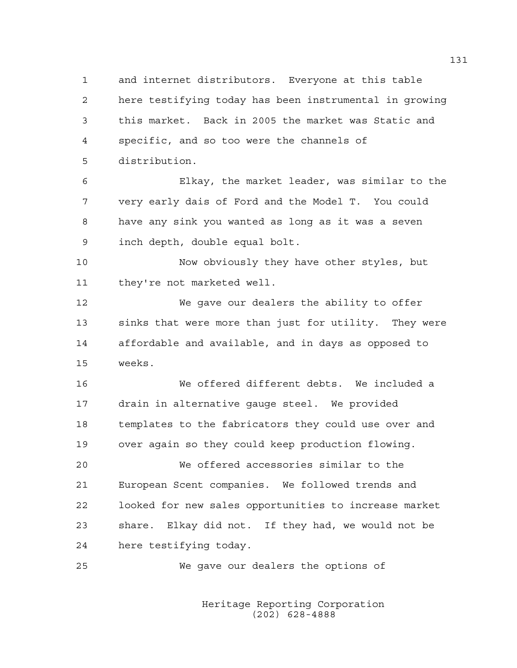1 and internet distributors. Everyone at this table 2 here testifying today has been instrumental in growing 3 this market. Back in 2005 the market was Static and 4 specific, and so too were the channels of 5 distribution.

6 Elkay, the market leader, was similar to the 7 very early dais of Ford and the Model T. You could 8 have any sink you wanted as long as it was a seven 9 inch depth, double equal bolt.

10 Now obviously they have other styles, but 11 they're not marketed well.

12 We gave our dealers the ability to offer 13 sinks that were more than just for utility. They were 14 affordable and available, and in days as opposed to 15 weeks.

16 We offered different debts. We included a 17 drain in alternative gauge steel. We provided 18 templates to the fabricators they could use over and 19 over again so they could keep production flowing.

20 We offered accessories similar to the 21 European Scent companies. We followed trends and 22 looked for new sales opportunities to increase market 23 share. Elkay did not. If they had, we would not be 24 here testifying today.

25 We gave our dealers the options of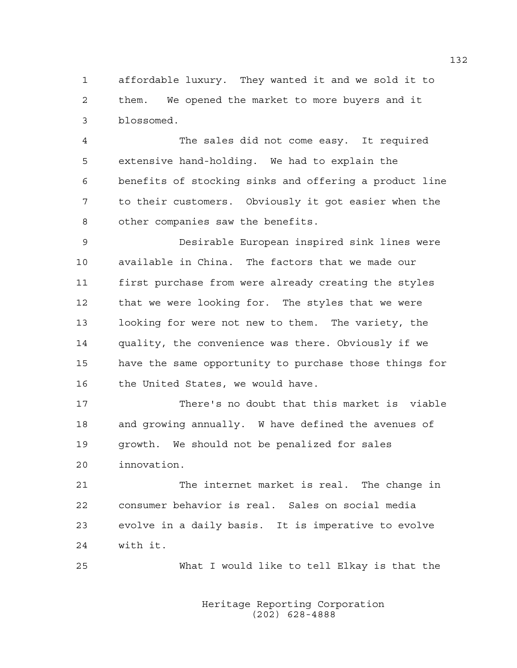1 affordable luxury. They wanted it and we sold it to 2 them. We opened the market to more buyers and it 3 blossomed.

4 The sales did not come easy. It required 5 extensive hand-holding. We had to explain the 6 benefits of stocking sinks and offering a product line 7 to their customers. Obviously it got easier when the 8 other companies saw the benefits.

9 Desirable European inspired sink lines were 10 available in China. The factors that we made our 11 first purchase from were already creating the styles 12 that we were looking for. The styles that we were 13 looking for were not new to them. The variety, the 14 quality, the convenience was there. Obviously if we 15 have the same opportunity to purchase those things for 16 the United States, we would have.

17 There's no doubt that this market is viable 18 and growing annually. W have defined the avenues of 19 growth. We should not be penalized for sales 20 innovation.

21 The internet market is real. The change in 22 consumer behavior is real. Sales on social media 23 evolve in a daily basis. It is imperative to evolve 24 with it.

25 What I would like to tell Elkay is that the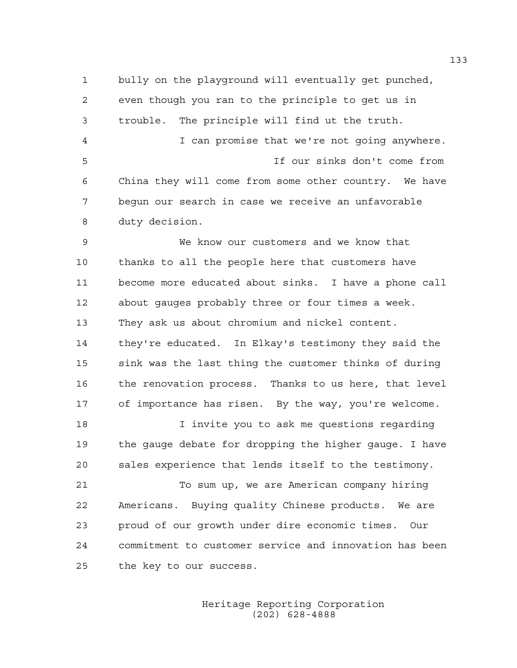1 bully on the playground will eventually get punched, 2 even though you ran to the principle to get us in 3 trouble. The principle will find ut the truth. 4 I can promise that we're not going anywhere. 5 If our sinks don't come from 6 China they will come from some other country. We have 7 begun our search in case we receive an unfavorable 8 duty decision.

9 We know our customers and we know that 10 thanks to all the people here that customers have 11 become more educated about sinks. I have a phone call 12 about gauges probably three or four times a week. 13 They ask us about chromium and nickel content. 14 they're educated. In Elkay's testimony they said the 15 sink was the last thing the customer thinks of during 16 the renovation process. Thanks to us here, that level 17 of importance has risen. By the way, you're welcome.

18 I invite you to ask me questions regarding 19 the gauge debate for dropping the higher gauge. I have 20 sales experience that lends itself to the testimony.

21 To sum up, we are American company hiring 22 Americans. Buying quality Chinese products. We are 23 proud of our growth under dire economic times. Our 24 commitment to customer service and innovation has been 25 the key to our success.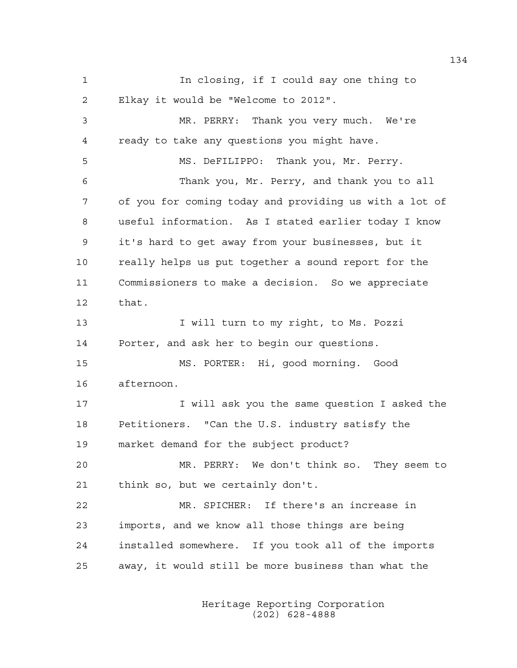1 In closing, if I could say one thing to 2 Elkay it would be "Welcome to 2012". 3 MR. PERRY: Thank you very much. We're 4 ready to take any questions you might have. 5 MS. DeFILIPPO: Thank you, Mr. Perry. 6 Thank you, Mr. Perry, and thank you to all

7 of you for coming today and providing us with a lot of 8 useful information. As I stated earlier today I know 9 it's hard to get away from your businesses, but it 10 really helps us put together a sound report for the 11 Commissioners to make a decision. So we appreciate 12 that.

13 I will turn to my right, to Ms. Pozzi 14 Porter, and ask her to begin our questions.

15 MS. PORTER: Hi, good morning. Good 16 afternoon.

17 17 I will ask you the same question I asked the 18 Petitioners. "Can the U.S. industry satisfy the 19 market demand for the subject product?

20 MR. PERRY: We don't think so. They seem to 21 think so, but we certainly don't.

22 MR. SPICHER: If there's an increase in 23 imports, and we know all those things are being 24 installed somewhere. If you took all of the imports 25 away, it would still be more business than what the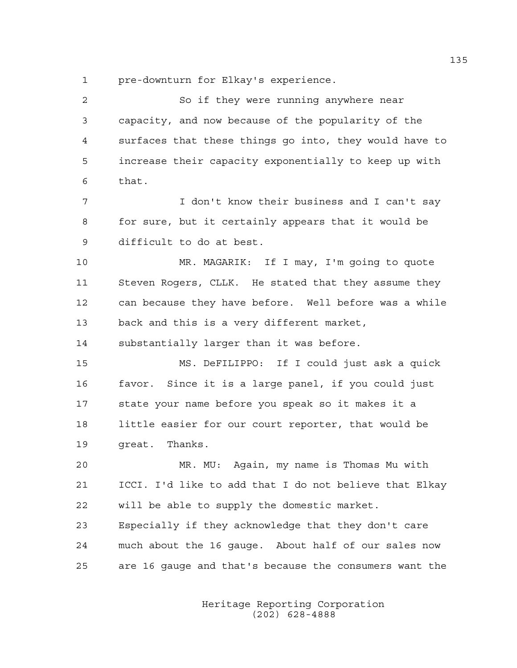1 pre-downturn for Elkay's experience.

2 So if they were running anywhere near 3 capacity, and now because of the popularity of the 4 surfaces that these things go into, they would have to 5 increase their capacity exponentially to keep up with 6 that.

7 I don't know their business and I can't say 8 for sure, but it certainly appears that it would be 9 difficult to do at best.

10 MR. MAGARIK: If I may, I'm going to quote 11 Steven Rogers, CLLK. He stated that they assume they 12 can because they have before. Well before was a while 13 back and this is a very different market,

14 substantially larger than it was before.

15 MS. DeFILIPPO: If I could just ask a quick 16 favor. Since it is a large panel, if you could just 17 state your name before you speak so it makes it a 18 little easier for our court reporter, that would be 19 great. Thanks.

20 MR. MU: Again, my name is Thomas Mu with 21 ICCI. I'd like to add that I do not believe that Elkay 22 will be able to supply the domestic market. 23 Especially if they acknowledge that they don't care 24 much about the 16 gauge. About half of our sales now 25 are 16 gauge and that's because the consumers want the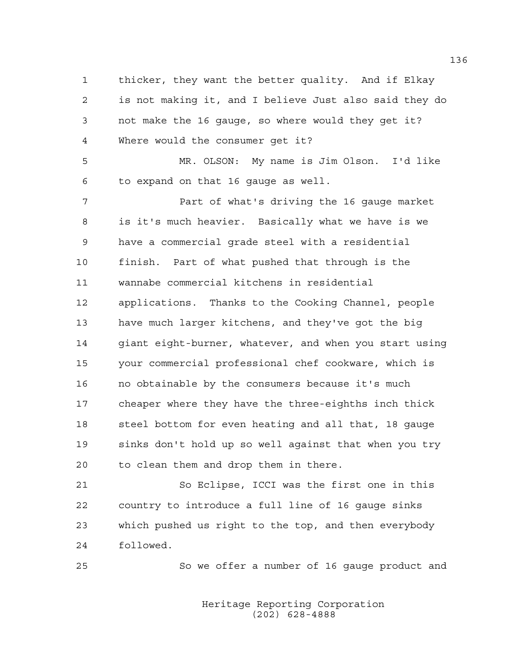1 thicker, they want the better quality. And if Elkay 2 is not making it, and I believe Just also said they do 3 not make the 16 gauge, so where would they get it? 4 Where would the consumer get it?

5 MR. OLSON: My name is Jim Olson. I'd like 6 to expand on that 16 gauge as well.

7 Part of what's driving the 16 gauge market 8 is it's much heavier. Basically what we have is we 9 have a commercial grade steel with a residential 10 finish. Part of what pushed that through is the 11 wannabe commercial kitchens in residential 12 applications. Thanks to the Cooking Channel, people 13 have much larger kitchens, and they've got the big 14 giant eight-burner, whatever, and when you start using 15 your commercial professional chef cookware, which is 16 no obtainable by the consumers because it's much 17 cheaper where they have the three-eighths inch thick 18 steel bottom for even heating and all that, 18 gauge 19 sinks don't hold up so well against that when you try 20 to clean them and drop them in there.

21 So Eclipse, ICCI was the first one in this 22 country to introduce a full line of 16 gauge sinks 23 which pushed us right to the top, and then everybody 24 followed.

25 So we offer a number of 16 gauge product and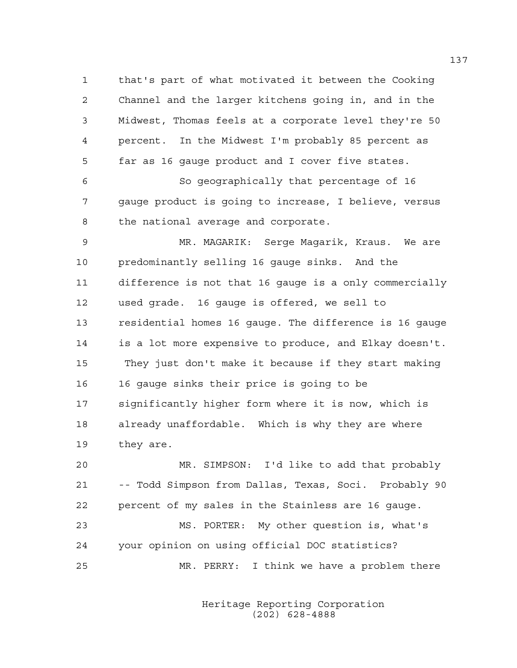1 that's part of what motivated it between the Cooking 2 Channel and the larger kitchens going in, and in the 3 Midwest, Thomas feels at a corporate level they're 50 4 percent. In the Midwest I'm probably 85 percent as 5 far as 16 gauge product and I cover five states.

6 So geographically that percentage of 16 7 gauge product is going to increase, I believe, versus 8 the national average and corporate.

9 MR. MAGARIK: Serge Magarik, Kraus. We are 10 predominantly selling 16 gauge sinks. And the 11 difference is not that 16 gauge is a only commercially 12 used grade. 16 gauge is offered, we sell to 13 residential homes 16 gauge. The difference is 16 gauge 14 is a lot more expensive to produce, and Elkay doesn't. 15 They just don't make it because if they start making 16 16 gauge sinks their price is going to be 17 significantly higher form where it is now, which is 18 already unaffordable. Which is why they are where 19 they are.

20 MR. SIMPSON: I'd like to add that probably 21 -- Todd Simpson from Dallas, Texas, Soci. Probably 90 22 percent of my sales in the Stainless are 16 gauge. 23 MS. PORTER: My other question is, what's 24 your opinion on using official DOC statistics? 25 MR. PERRY: I think we have a problem there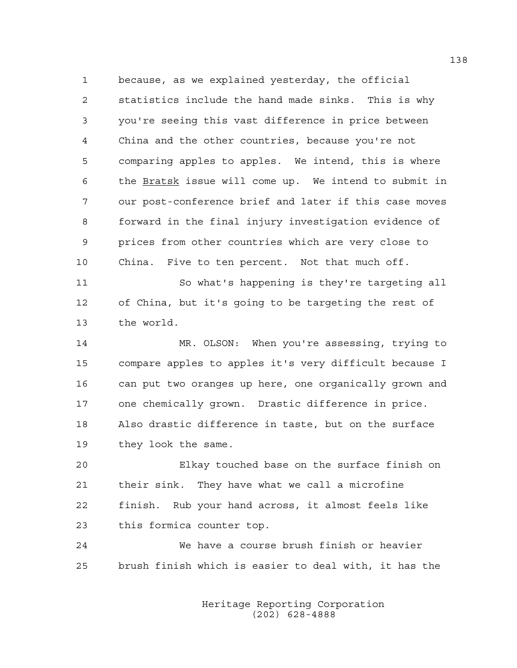1 because, as we explained yesterday, the official 2 statistics include the hand made sinks. This is why 3 you're seeing this vast difference in price between 4 China and the other countries, because you're not 5 comparing apples to apples. We intend, this is where 6 the Bratsk issue will come up. We intend to submit in 7 our post-conference brief and later if this case moves 8 forward in the final injury investigation evidence of 9 prices from other countries which are very close to 10 China. Five to ten percent. Not that much off.

11 So what's happening is they're targeting all 12 of China, but it's going to be targeting the rest of 13 the world.

14 MR. OLSON: When you're assessing, trying to 15 compare apples to apples it's very difficult because I 16 can put two oranges up here, one organically grown and 17 one chemically grown. Drastic difference in price. 18 Also drastic difference in taste, but on the surface 19 they look the same.

20 Elkay touched base on the surface finish on 21 their sink. They have what we call a microfine 22 finish. Rub your hand across, it almost feels like 23 this formica counter top.

24 We have a course brush finish or heavier 25 brush finish which is easier to deal with, it has the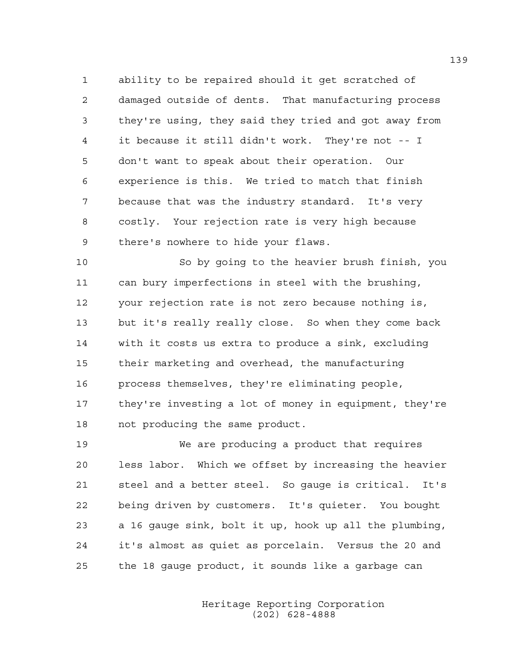1 ability to be repaired should it get scratched of 2 damaged outside of dents. That manufacturing process 3 they're using, they said they tried and got away from 4 it because it still didn't work. They're not -- I 5 don't want to speak about their operation. Our 6 experience is this. We tried to match that finish 7 because that was the industry standard. It's very 8 costly. Your rejection rate is very high because 9 there's nowhere to hide your flaws.

10 So by going to the heavier brush finish, you 11 can bury imperfections in steel with the brushing, 12 your rejection rate is not zero because nothing is, 13 but it's really really close. So when they come back 14 with it costs us extra to produce a sink, excluding 15 their marketing and overhead, the manufacturing 16 process themselves, they're eliminating people, 17 they're investing a lot of money in equipment, they're 18 not producing the same product.

19 We are producing a product that requires 20 less labor. Which we offset by increasing the heavier 21 steel and a better steel. So gauge is critical. It's 22 being driven by customers. It's quieter. You bought 23 a 16 gauge sink, bolt it up, hook up all the plumbing, 24 it's almost as quiet as porcelain. Versus the 20 and 25 the 18 gauge product, it sounds like a garbage can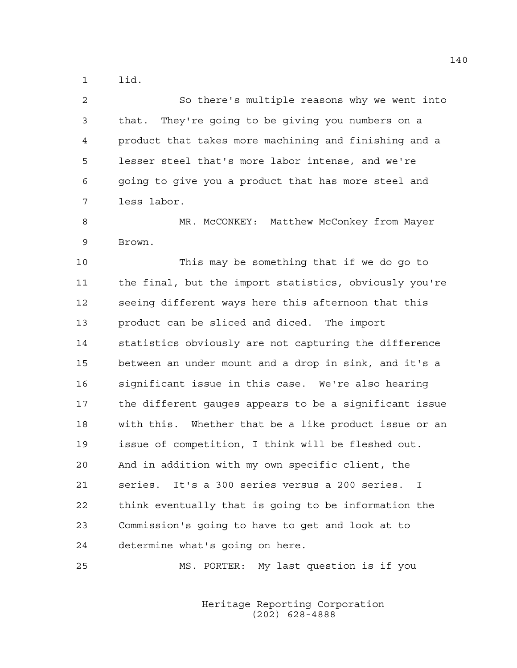1 lid.

2 So there's multiple reasons why we went into 3 that. They're going to be giving you numbers on a 4 product that takes more machining and finishing and a 5 lesser steel that's more labor intense, and we're 6 going to give you a product that has more steel and 7 less labor.

8 MR. McCONKEY: Matthew McConkey from Mayer 9 Brown.

10 This may be something that if we do go to 11 the final, but the import statistics, obviously you're 12 seeing different ways here this afternoon that this 13 product can be sliced and diced. The import 14 statistics obviously are not capturing the difference 15 between an under mount and a drop in sink, and it's a 16 significant issue in this case. We're also hearing 17 the different gauges appears to be a significant issue 18 with this. Whether that be a like product issue or an 19 issue of competition, I think will be fleshed out. 20 And in addition with my own specific client, the 21 series. It's a 300 series versus a 200 series. I 22 think eventually that is going to be information the 23 Commission's going to have to get and look at to 24 determine what's going on here.

25 MS. PORTER: My last question is if you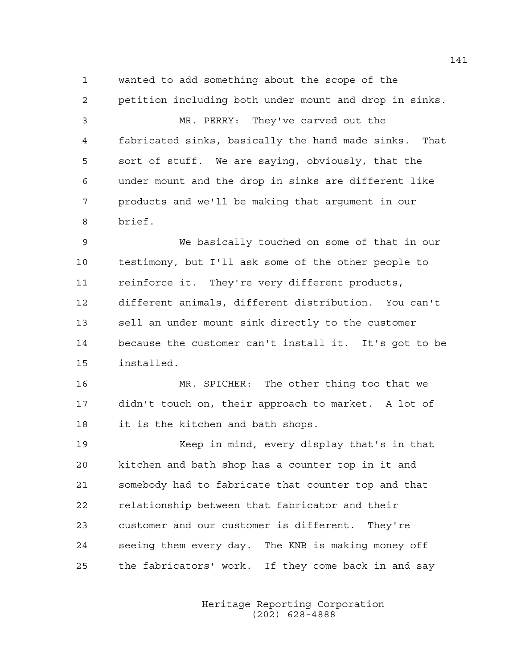1 wanted to add something about the scope of the 2 petition including both under mount and drop in sinks.

3 MR. PERRY: They've carved out the 4 fabricated sinks, basically the hand made sinks. That 5 sort of stuff. We are saying, obviously, that the 6 under mount and the drop in sinks are different like 7 products and we'll be making that argument in our 8 brief.

9 We basically touched on some of that in our 10 testimony, but I'll ask some of the other people to 11 reinforce it. They're very different products, 12 different animals, different distribution. You can't 13 sell an under mount sink directly to the customer 14 because the customer can't install it. It's got to be 15 installed.

16 MR. SPICHER: The other thing too that we 17 didn't touch on, their approach to market. A lot of 18 it is the kitchen and bath shops.

19 Keep in mind, every display that's in that 20 kitchen and bath shop has a counter top in it and 21 somebody had to fabricate that counter top and that 22 relationship between that fabricator and their 23 customer and our customer is different. They're 24 seeing them every day. The KNB is making money off 25 the fabricators' work. If they come back in and say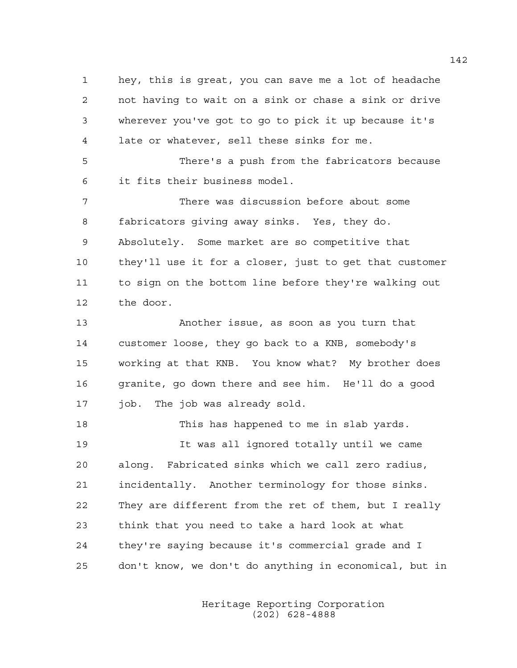1 hey, this is great, you can save me a lot of headache 2 not having to wait on a sink or chase a sink or drive 3 wherever you've got to go to pick it up because it's 4 late or whatever, sell these sinks for me.

5 There's a push from the fabricators because 6 it fits their business model.

7 There was discussion before about some 8 fabricators giving away sinks. Yes, they do. 9 Absolutely. Some market are so competitive that 10 they'll use it for a closer, just to get that customer 11 to sign on the bottom line before they're walking out 12 the door.

13 Another issue, as soon as you turn that 14 customer loose, they go back to a KNB, somebody's 15 working at that KNB. You know what? My brother does 16 granite, go down there and see him. He'll do a good 17 job. The job was already sold.

18 This has happened to me in slab yards. 19 It was all ignored totally until we came 20 along. Fabricated sinks which we call zero radius, 21 incidentally. Another terminology for those sinks. 22 They are different from the ret of them, but I really 23 think that you need to take a hard look at what 24 they're saying because it's commercial grade and I 25 don't know, we don't do anything in economical, but in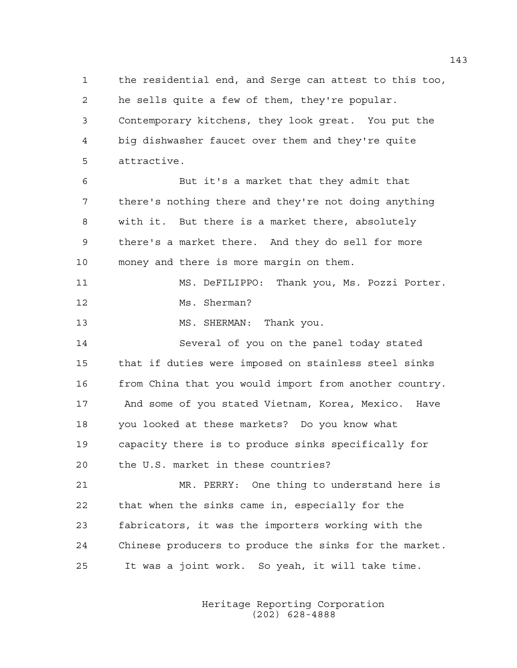1 the residential end, and Serge can attest to this too, 2 he sells quite a few of them, they're popular. 3 Contemporary kitchens, they look great. You put the 4 big dishwasher faucet over them and they're quite 5 attractive.

6 But it's a market that they admit that 7 there's nothing there and they're not doing anything 8 with it. But there is a market there, absolutely 9 there's a market there. And they do sell for more 10 money and there is more margin on them.

11 MS. DeFILIPPO: Thank you, Ms. Pozzi Porter. 12 Ms. Sherman?

13 MS. SHERMAN: Thank you.

14 Several of you on the panel today stated 15 that if duties were imposed on stainless steel sinks 16 from China that you would import from another country. 17 And some of you stated Vietnam, Korea, Mexico. Have 18 you looked at these markets? Do you know what 19 capacity there is to produce sinks specifically for 20 the U.S. market in these countries?

21 MR. PERRY: One thing to understand here is 22 that when the sinks came in, especially for the 23 fabricators, it was the importers working with the 24 Chinese producers to produce the sinks for the market. 25 It was a joint work. So yeah, it will take time.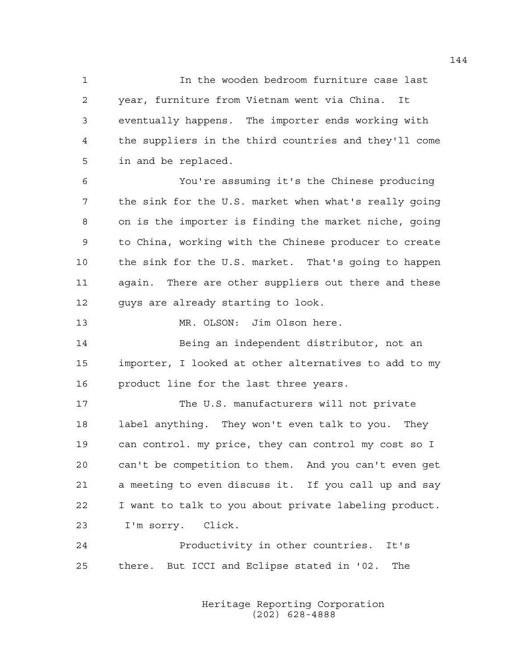1 In the wooden bedroom furniture case last 2 year, furniture from Vietnam went via China. It 3 eventually happens. The importer ends working with 4 the suppliers in the third countries and they'll come 5 in and be replaced.

6 You're assuming it's the Chinese producing 7 the sink for the U.S. market when what's really going 8 on is the importer is finding the market niche, going 9 to China, working with the Chinese producer to create 10 the sink for the U.S. market. That's going to happen 11 again. There are other suppliers out there and these 12 guys are already starting to look.

13 MR. OLSON: Jim Olson here.

14 Being an independent distributor, not an 15 importer, I looked at other alternatives to add to my 16 product line for the last three years.

17 The U.S. manufacturers will not private 18 label anything. They won't even talk to you. They 19 can control. my price, they can control my cost so I 20 can't be competition to them. And you can't even get 21 a meeting to even discuss it. If you call up and say 22 I want to talk to you about private labeling product. 23 I'm sorry. Click.

24 Productivity in other countries. It's 25 there. But ICCI and Eclipse stated in '02. The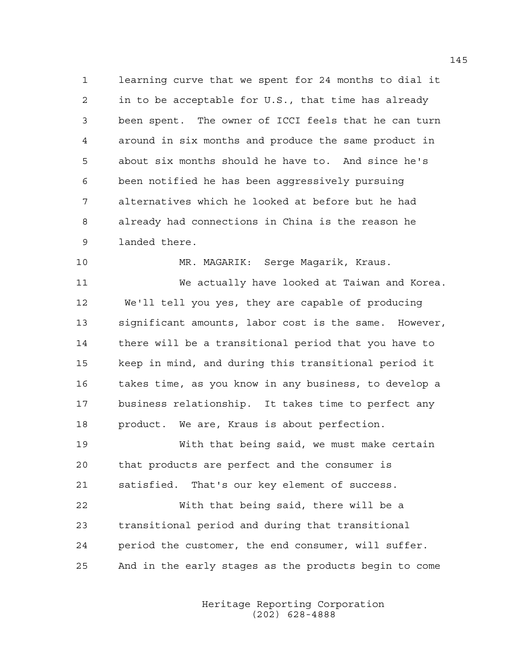1 learning curve that we spent for 24 months to dial it 2 in to be acceptable for U.S., that time has already 3 been spent. The owner of ICCI feels that he can turn 4 around in six months and produce the same product in 5 about six months should he have to. And since he's 6 been notified he has been aggressively pursuing 7 alternatives which he looked at before but he had 8 already had connections in China is the reason he 9 landed there.

10 MR. MAGARIK: Serge Magarik, Kraus.

11 We actually have looked at Taiwan and Korea. 12 We'll tell you yes, they are capable of producing 13 significant amounts, labor cost is the same. However, 14 there will be a transitional period that you have to 15 keep in mind, and during this transitional period it 16 takes time, as you know in any business, to develop a 17 business relationship. It takes time to perfect any 18 product. We are, Kraus is about perfection.

19 With that being said, we must make certain 20 that products are perfect and the consumer is 21 satisfied. That's our key element of success.

22 With that being said, there will be a 23 transitional period and during that transitional 24 period the customer, the end consumer, will suffer. 25 And in the early stages as the products begin to come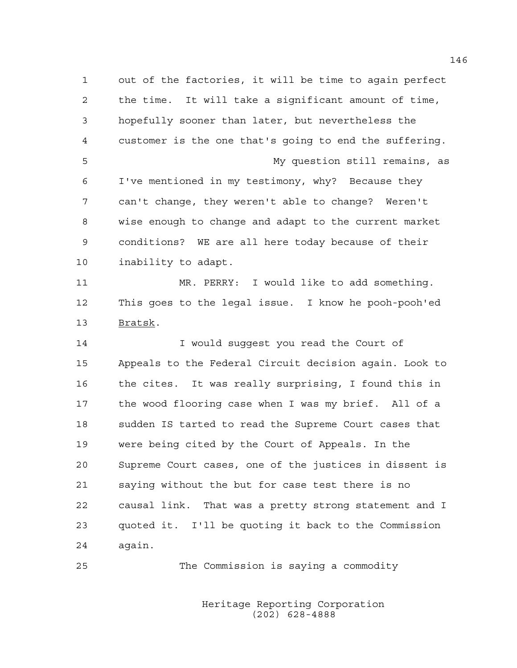1 out of the factories, it will be time to again perfect 2 the time. It will take a significant amount of time, 3 hopefully sooner than later, but nevertheless the 4 customer is the one that's going to end the suffering. 5 My question still remains, as 6 I've mentioned in my testimony, why? Because they 7 can't change, they weren't able to change? Weren't 8 wise enough to change and adapt to the current market 9 conditions? WE are all here today because of their 10 inability to adapt. 11 MR. PERRY: I would like to add something. 12 This goes to the legal issue. I know he pooh-pooh'ed 13 Bratsk. 14 I would suqqest you read the Court of 15 Appeals to the Federal Circuit decision again. Look to 16 the cites. It was really surprising, I found this in 17 the wood flooring case when I was my brief. All of a 18 sudden IS tarted to read the Supreme Court cases that 19 were being cited by the Court of Appeals. In the 20 Supreme Court cases, one of the justices in dissent is 21 saying without the but for case test there is no 22 causal link. That was a pretty strong statement and I 23 quoted it. I'll be quoting it back to the Commission 24 again.

25 The Commission is saying a commodity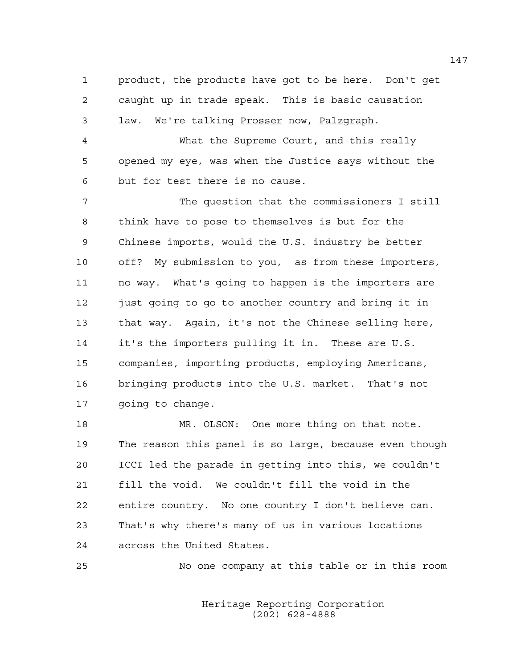1 product, the products have got to be here. Don't get 2 caught up in trade speak. This is basic causation 3 law. We're talking Prosser now, Palzgraph.

4 What the Supreme Court, and this really 5 opened my eye, was when the Justice says without the 6 but for test there is no cause.

7 The question that the commissioners I still 8 think have to pose to themselves is but for the 9 Chinese imports, would the U.S. industry be better 10 off? My submission to you, as from these importers, 11 no way. What's going to happen is the importers are 12 just going to go to another country and bring it in 13 that way. Again, it's not the Chinese selling here, 14 it's the importers pulling it in. These are U.S. 15 companies, importing products, employing Americans, 16 bringing products into the U.S. market. That's not 17 going to change.

18 MR. OLSON: One more thing on that note. 19 The reason this panel is so large, because even though 20 ICCI led the parade in getting into this, we couldn't 21 fill the void. We couldn't fill the void in the 22 entire country. No one country I don't believe can. 23 That's why there's many of us in various locations 24 across the United States.

25 No one company at this table or in this room

 Heritage Reporting Corporation (202) 628-4888

147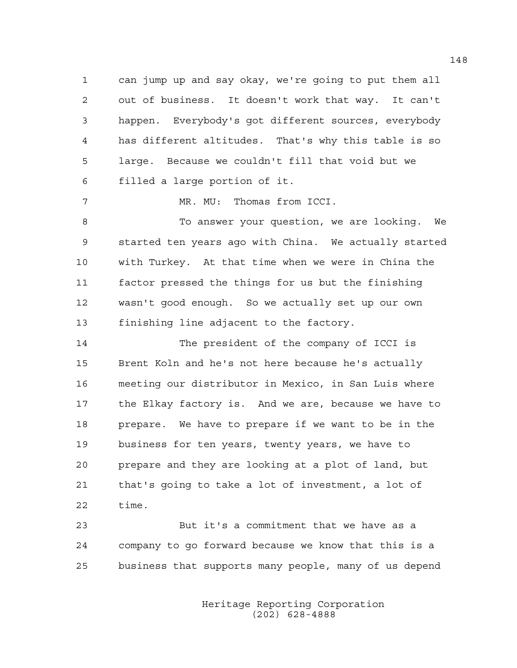1 can jump up and say okay, we're going to put them all 2 out of business. It doesn't work that way. It can't 3 happen. Everybody's got different sources, everybody 4 has different altitudes. That's why this table is so 5 large. Because we couldn't fill that void but we 6 filled a large portion of it.

7 MR. MU: Thomas from ICCI.

8 To answer your question, we are looking. We 9 started ten years ago with China. We actually started 10 with Turkey. At that time when we were in China the 11 factor pressed the things for us but the finishing 12 wasn't good enough. So we actually set up our own 13 finishing line adjacent to the factory.

14 The president of the company of ICCI is 15 Brent Koln and he's not here because he's actually 16 meeting our distributor in Mexico, in San Luis where 17 the Elkay factory is. And we are, because we have to 18 prepare. We have to prepare if we want to be in the 19 business for ten years, twenty years, we have to 20 prepare and they are looking at a plot of land, but 21 that's going to take a lot of investment, a lot of 22 time.

23 But it's a commitment that we have as a 24 company to go forward because we know that this is a 25 business that supports many people, many of us depend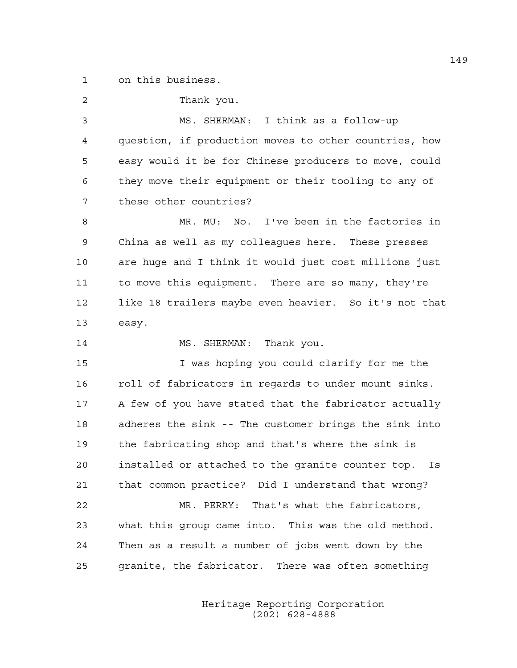1 on this business.

| $\overline{2}$ | Thank you.                                              |
|----------------|---------------------------------------------------------|
| 3              | MS. SHERMAN: I think as a follow-up                     |
| 4              | question, if production moves to other countries, how   |
| 5              | easy would it be for Chinese producers to move, could   |
| 6              | they move their equipment or their tooling to any of    |
| 7              | these other countries?                                  |
| 8              | MR. MU: No. I've been in the factories in               |
| 9              | China as well as my colleagues here. These presses      |
| 10             | are huge and I think it would just cost millions just   |
| 11             | to move this equipment. There are so many, they're      |
| 12             | like 18 trailers maybe even heavier. So it's not that   |
| 13             | easy.                                                   |
| 14             | MS. SHERMAN: Thank you.                                 |
| 15             | I was hoping you could clarify for me the               |
| 16             | roll of fabricators in regards to under mount sinks.    |
| 17             | A few of you have stated that the fabricator actually   |
| 18             | adheres the sink -- The customer brings the sink into   |
| 19             | the fabricating shop and that's where the sink is       |
| 20             | installed or attached to the granite counter top.<br>Is |
| 21             | that common practice? Did I understand that wrong?      |
| 22             | MR. PERRY: That's what the fabricators,                 |
| 23             | what this group came into. This was the old method.     |
| 24             | Then as a result a number of jobs went down by the      |
| 25             | granite, the fabricator. There was often something      |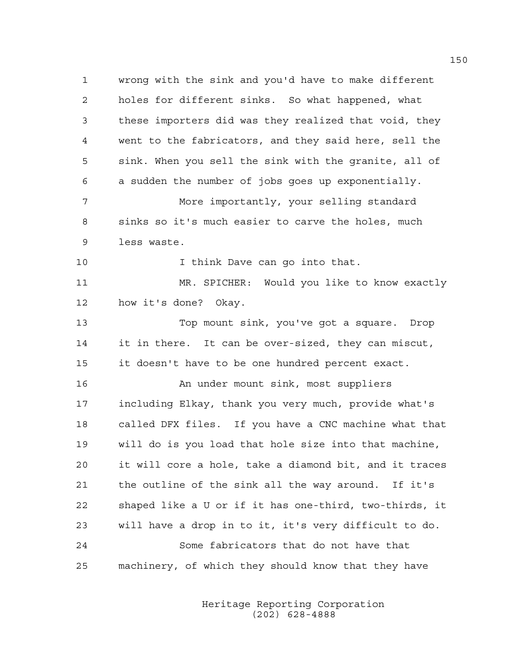1 wrong with the sink and you'd have to make different 2 holes for different sinks. So what happened, what 3 these importers did was they realized that void, they 4 went to the fabricators, and they said here, sell the 5 sink. When you sell the sink with the granite, all of 6 a sudden the number of jobs goes up exponentially. 7 More importantly, your selling standard 8 sinks so it's much easier to carve the holes, much 9 less waste. 10 10 I think Dave can go into that. 11 MR. SPICHER: Would you like to know exactly 12 how it's done? Okay. 13 Top mount sink, you've got a square. Drop 14 it in there. It can be over-sized, they can miscut, 15 it doesn't have to be one hundred percent exact. 16 An under mount sink, most suppliers 17 including Elkay, thank you very much, provide what's 18 called DFX files. If you have a CNC machine what that 19 will do is you load that hole size into that machine, 20 it will core a hole, take a diamond bit, and it traces 21 the outline of the sink all the way around. If it's 22 shaped like a U or if it has one-third, two-thirds, it 23 will have a drop in to it, it's very difficult to do. 24 Some fabricators that do not have that 25 machinery, of which they should know that they have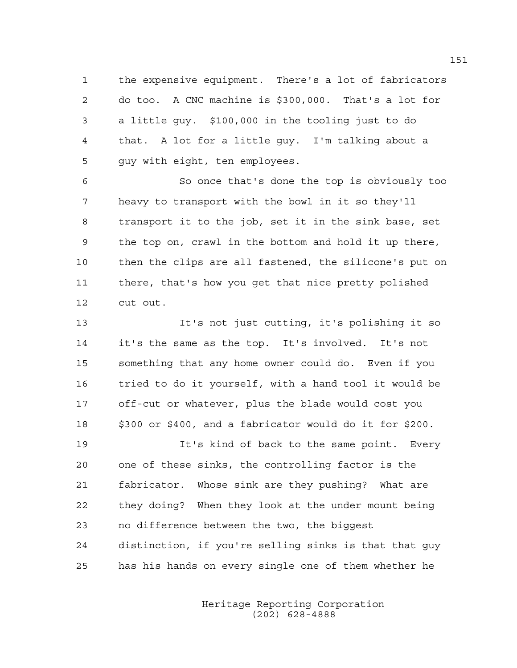1 the expensive equipment. There's a lot of fabricators 2 do too. A CNC machine is \$300,000. That's a lot for 3 a little guy. \$100,000 in the tooling just to do 4 that. A lot for a little guy. I'm talking about a 5 guy with eight, ten employees.

6 So once that's done the top is obviously too 7 heavy to transport with the bowl in it so they'll 8 transport it to the job, set it in the sink base, set 9 the top on, crawl in the bottom and hold it up there, 10 then the clips are all fastened, the silicone's put on 11 there, that's how you get that nice pretty polished 12 cut out.

13 It's not just cutting, it's polishing it so 14 it's the same as the top. It's involved. It's not 15 something that any home owner could do. Even if you 16 tried to do it yourself, with a hand tool it would be 17 off-cut or whatever, plus the blade would cost you 18 \$300 or \$400, and a fabricator would do it for \$200.

19 It's kind of back to the same point. Every 20 one of these sinks, the controlling factor is the 21 fabricator. Whose sink are they pushing? What are 22 they doing? When they look at the under mount being 23 no difference between the two, the biggest 24 distinction, if you're selling sinks is that that guy 25 has his hands on every single one of them whether he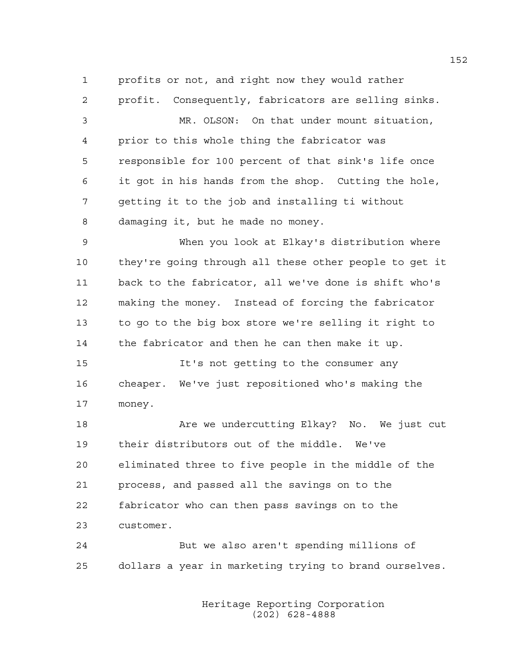1 profits or not, and right now they would rather

2 profit. Consequently, fabricators are selling sinks.

3 MR. OLSON: On that under mount situation, 4 prior to this whole thing the fabricator was 5 responsible for 100 percent of that sink's life once 6 it got in his hands from the shop. Cutting the hole, 7 getting it to the job and installing ti without 8 damaging it, but he made no money.

9 When you look at Elkay's distribution where 10 they're going through all these other people to get it 11 back to the fabricator, all we've done is shift who's 12 making the money. Instead of forcing the fabricator 13 to go to the big box store we're selling it right to 14 the fabricator and then he can then make it up.

15 It's not getting to the consumer any 16 cheaper. We've just repositioned who's making the 17 money.

18 Are we undercutting Elkay? No. We just cut 19 their distributors out of the middle. We've 20 eliminated three to five people in the middle of the 21 process, and passed all the savings on to the 22 fabricator who can then pass savings on to the 23 customer.

24 But we also aren't spending millions of 25 dollars a year in marketing trying to brand ourselves.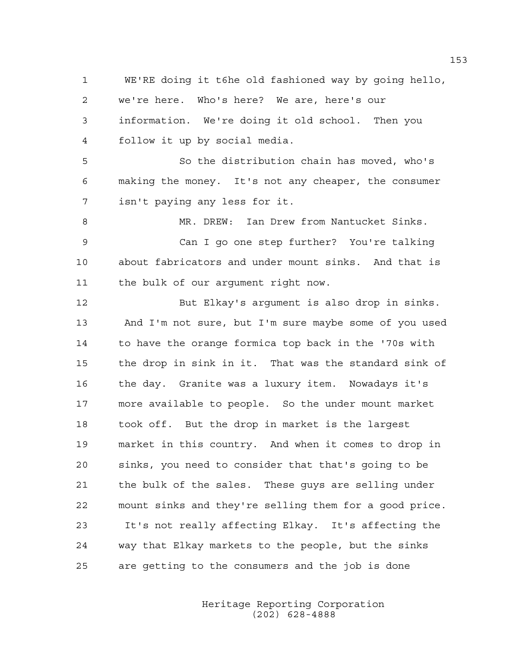1 WE'RE doing it t6he old fashioned way by going hello, 2 we're here. Who's here? We are, here's our 3 information. We're doing it old school. Then you 4 follow it up by social media. 5 So the distribution chain has moved, who's 6 making the money. It's not any cheaper, the consumer 7 isn't paying any less for it. 8 MR. DREW: Ian Drew from Nantucket Sinks. 9 Can I go one step further? You're talking 10 about fabricators and under mount sinks. And that is 11 the bulk of our argument right now. 12 But Elkay's argument is also drop in sinks. 13 And I'm not sure, but I'm sure maybe some of you used 14 to have the orange formica top back in the '70s with 15 the drop in sink in it. That was the standard sink of 16 the day. Granite was a luxury item. Nowadays it's 17 more available to people. So the under mount market 18 took off. But the drop in market is the largest 19 market in this country. And when it comes to drop in 20 sinks, you need to consider that that's going to be 21 the bulk of the sales. These guys are selling under 22 mount sinks and they're selling them for a good price. 23 It's not really affecting Elkay. It's affecting the 24 way that Elkay markets to the people, but the sinks 25 are getting to the consumers and the job is done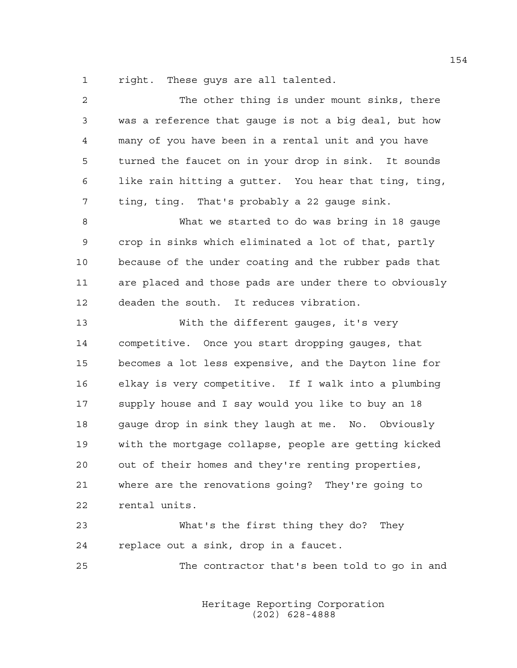1 right. These guys are all talented.

| $\overline{c}$ | The other thing is under mount sinks, there            |
|----------------|--------------------------------------------------------|
| 3              | was a reference that gauge is not a big deal, but how  |
| 4              | many of you have been in a rental unit and you have    |
| 5              | turned the faucet on in your drop in sink. It sounds   |
| 6              | like rain hitting a gutter. You hear that ting, ting,  |
| 7              | ting, ting. That's probably a 22 gauge sink.           |
| 8              | What we started to do was bring in 18 gauge            |
| $\mathsf 9$    | crop in sinks which eliminated a lot of that, partly   |
| 10             | because of the under coating and the rubber pads that  |
| 11             | are placed and those pads are under there to obviously |
| 12             | deaden the south. It reduces vibration.                |
| 13             | With the different gauges, it's very                   |
| 14             | competitive. Once you start dropping gauges, that      |
| 15             | becomes a lot less expensive, and the Dayton line for  |
| 16             | elkay is very competitive. If I walk into a plumbing   |
| 17             | supply house and I say would you like to buy an 18     |
| 18             | gauge drop in sink they laugh at me. No. Obviously     |
| 19             | with the mortgage collapse, people are getting kicked  |
| 20             | out of their homes and they're renting properties,     |
| 21             | where are the renovations going? They're going to      |
| 22             | rental units.                                          |
| 23             | What's the first thing they do?<br>They                |
| 24             | replace out a sink, drop in a faucet.                  |
| 25             | The contractor that's been told to go in and           |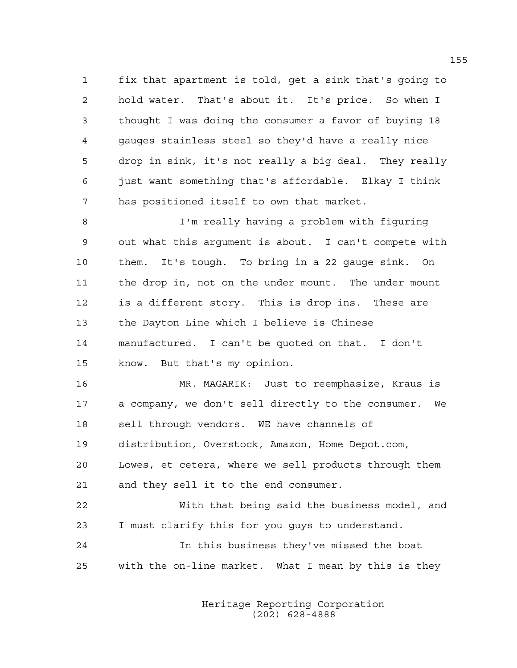1 fix that apartment is told, get a sink that's going to 2 hold water. That's about it. It's price. So when I 3 thought I was doing the consumer a favor of buying 18 4 gauges stainless steel so they'd have a really nice 5 drop in sink, it's not really a big deal. They really 6 just want something that's affordable. Elkay I think 7 has positioned itself to own that market.

8 I'm really having a problem with figuring 9 out what this argument is about. I can't compete with 10 them. It's tough. To bring in a 22 gauge sink. On 11 the drop in, not on the under mount. The under mount 12 is a different story. This is drop ins. These are 13 the Dayton Line which I believe is Chinese 14 manufactured. I can't be quoted on that. I don't 15 know. But that's my opinion.

16 MR. MAGARIK: Just to reemphasize, Kraus is 17 a company, we don't sell directly to the consumer. We 18 sell through vendors. WE have channels of 19 distribution, Overstock, Amazon, Home Depot.com, 20 Lowes, et cetera, where we sell products through them 21 and they sell it to the end consumer.

22 With that being said the business model, and 23 I must clarify this for you guys to understand.

24 In this business they've missed the boat 25 with the on-line market. What I mean by this is they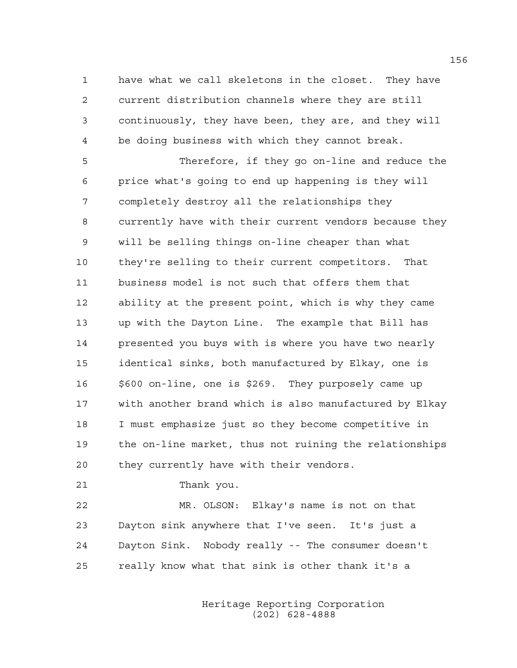1 have what we call skeletons in the closet. They have 2 current distribution channels where they are still 3 continuously, they have been, they are, and they will 4 be doing business with which they cannot break.

5 Therefore, if they go on-line and reduce the 6 price what's going to end up happening is they will 7 completely destroy all the relationships they 8 currently have with their current vendors because they 9 will be selling things on-line cheaper than what 10 they're selling to their current competitors. That 11 business model is not such that offers them that 12 ability at the present point, which is why they came 13 up with the Dayton Line. The example that Bill has 14 presented you buys with is where you have two nearly 15 identical sinks, both manufactured by Elkay, one is 16 \$600 on-line, one is \$269. They purposely came up 17 with another brand which is also manufactured by Elkay 18 I must emphasize just so they become competitive in 19 the on-line market, thus not ruining the relationships 20 they currently have with their vendors.

21 Thank you.

22 MR. OLSON: Elkay's name is not on that 23 Dayton sink anywhere that I've seen. It's just a 24 Dayton Sink. Nobody really -- The consumer doesn't 25 really know what that sink is other thank it's a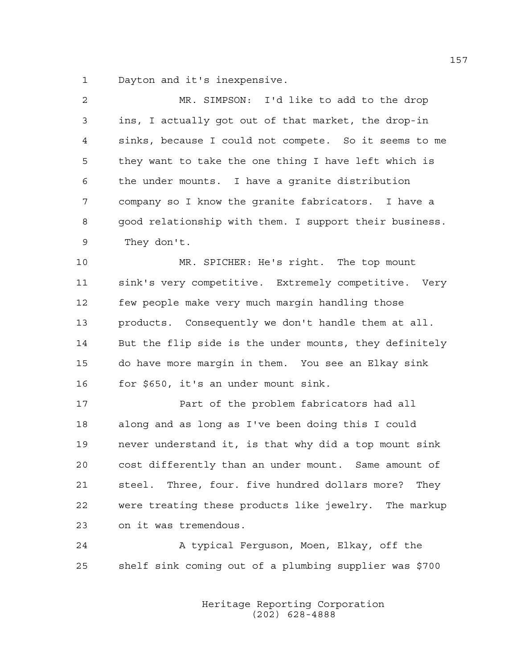1 Dayton and it's inexpensive.

| $\overline{2}$ | MR. SIMPSON: I'd like to add to the drop               |
|----------------|--------------------------------------------------------|
| 3              | ins, I actually got out of that market, the drop-in    |
| 4              | sinks, because I could not compete. So it seems to me  |
| 5              | they want to take the one thing I have left which is   |
| 6              | the under mounts. I have a granite distribution        |
| 7              | company so I know the granite fabricators. I have a    |
| 8              | good relationship with them. I support their business. |
| 9              | They don't.                                            |
| 10             | MR. SPICHER: He's right. The top mount                 |
| 11             | sink's very competitive. Extremely competitive. Very   |
| 12             | few people make very much margin handling those        |
| 13             | products. Consequently we don't handle them at all.    |
| 14             | But the flip side is the under mounts, they definitely |
| 15             | do have more margin in them. You see an Elkay sink     |
| 16             | for \$650, it's an under mount sink.                   |
| 17             | Part of the problem fabricators had all                |
| 18             | along and as long as I've been doing this I could      |
| 19             | never understand it, is that why did a top mount sink  |
| 20             | cost differently than an under mount. Same amount of   |
| 21             | steel. Three, four. five hundred dollars more?<br>They |
| 22             | were treating these products like jewelry. The markup  |
|                |                                                        |

23 on it was tremendous.

24 A typical Ferguson, Moen, Elkay, off the 25 shelf sink coming out of a plumbing supplier was \$700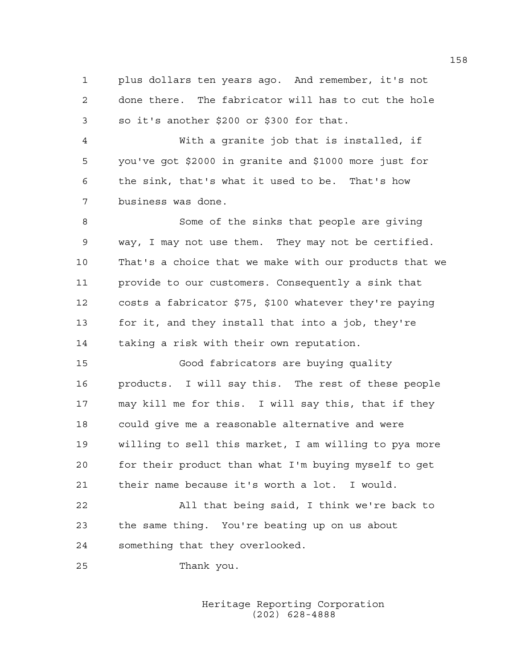1 plus dollars ten years ago. And remember, it's not 2 done there. The fabricator will has to cut the hole 3 so it's another \$200 or \$300 for that.

4 With a granite job that is installed, if 5 you've got \$2000 in granite and \$1000 more just for 6 the sink, that's what it used to be. That's how 7 business was done.

8 Some of the sinks that people are giving 9 way, I may not use them. They may not be certified. 10 That's a choice that we make with our products that we 11 provide to our customers. Consequently a sink that 12 costs a fabricator \$75, \$100 whatever they're paying 13 for it, and they install that into a job, they're 14 taking a risk with their own reputation.

15 Good fabricators are buying quality 16 products. I will say this. The rest of these people 17 may kill me for this. I will say this, that if they 18 could give me a reasonable alternative and were 19 willing to sell this market, I am willing to pya more 20 for their product than what I'm buying myself to get 21 their name because it's worth a lot. I would.

22 All that being said, I think we're back to 23 the same thing. You're beating up on us about 24 something that they overlooked.

25 Thank you.

 Heritage Reporting Corporation (202) 628-4888

158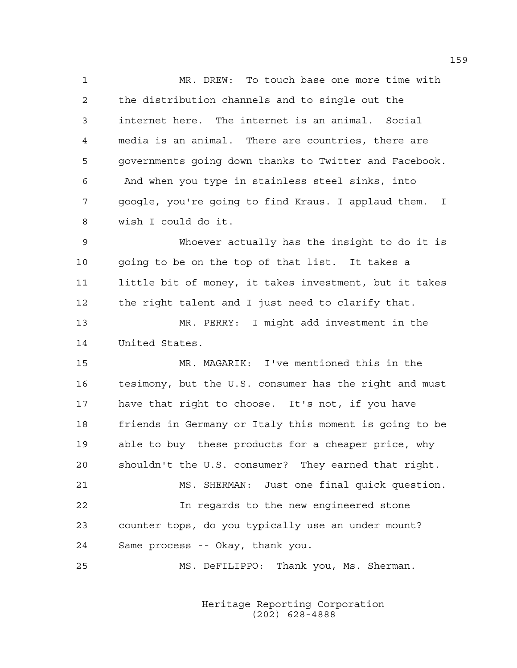1 MR. DREW: To touch base one more time with 2 the distribution channels and to single out the 3 internet here. The internet is an animal. Social 4 media is an animal. There are countries, there are 5 governments going down thanks to Twitter and Facebook. 6 And when you type in stainless steel sinks, into 7 google, you're going to find Kraus. I applaud them. I 8 wish I could do it. 9 Whoever actually has the insight to do it is 10 going to be on the top of that list. It takes a 11 little bit of money, it takes investment, but it takes 12 the right talent and I just need to clarify that. 13 MR. PERRY: I might add investment in the 14 United States. 15 MR. MAGARIK: I've mentioned this in the 16 tesimony, but the U.S. consumer has the right and must 17 have that right to choose. It's not, if you have 18 friends in Germany or Italy this moment is going to be 19 able to buy these products for a cheaper price, why 20 shouldn't the U.S. consumer? They earned that right. 21 MS. SHERMAN: Just one final quick question.

22 In regards to the new engineered stone 23 counter tops, do you typically use an under mount? 24 Same process -- Okay, thank you.

25 MS. DeFILIPPO: Thank you, Ms. Sherman.

 Heritage Reporting Corporation (202) 628-4888

159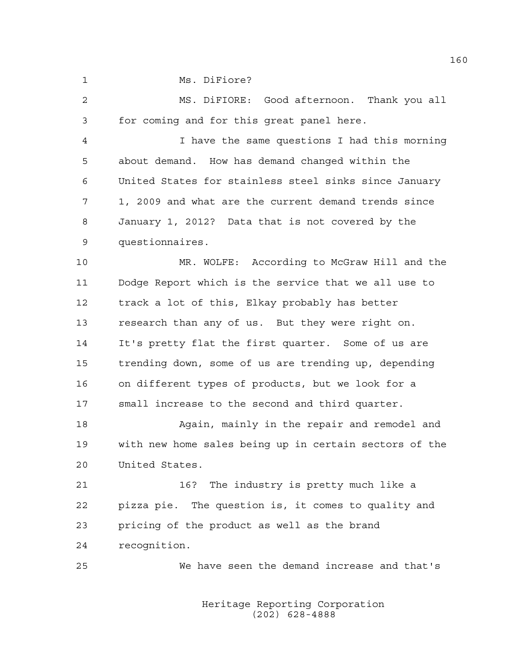1 Ms. DiFiore?

2 MS. DiFIORE: Good afternoon. Thank you all 3 for coming and for this great panel here.

4 I have the same questions I had this morning 5 about demand. How has demand changed within the 6 United States for stainless steel sinks since January 7 1, 2009 and what are the current demand trends since 8 January 1, 2012? Data that is not covered by the 9 questionnaires.

10 MR. WOLFE: According to McGraw Hill and the 11 Dodge Report which is the service that we all use to 12 track a lot of this, Elkay probably has better 13 research than any of us. But they were right on. 14 It's pretty flat the first quarter. Some of us are 15 trending down, some of us are trending up, depending 16 on different types of products, but we look for a 17 small increase to the second and third quarter.

18 Again, mainly in the repair and remodel and 19 with new home sales being up in certain sectors of the 20 United States.

21 16? The industry is pretty much like a 22 pizza pie. The question is, it comes to quality and 23 pricing of the product as well as the brand 24 recognition.

25 We have seen the demand increase and that's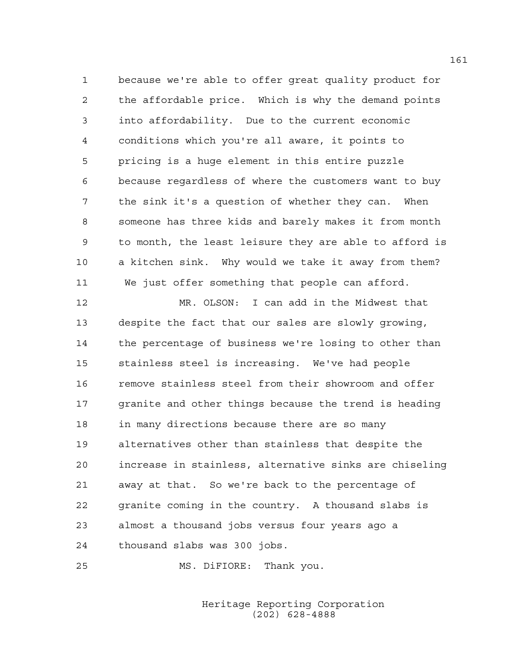1 because we're able to offer great quality product for 2 the affordable price. Which is why the demand points 3 into affordability. Due to the current economic 4 conditions which you're all aware, it points to 5 pricing is a huge element in this entire puzzle 6 because regardless of where the customers want to buy 7 the sink it's a question of whether they can. When 8 someone has three kids and barely makes it from month 9 to month, the least leisure they are able to afford is 10 a kitchen sink. Why would we take it away from them? 11 We just offer something that people can afford.

12 MR. OLSON: I can add in the Midwest that 13 despite the fact that our sales are slowly growing, 14 the percentage of business we're losing to other than 15 stainless steel is increasing. We've had people 16 remove stainless steel from their showroom and offer 17 granite and other things because the trend is heading 18 in many directions because there are so many 19 alternatives other than stainless that despite the 20 increase in stainless, alternative sinks are chiseling 21 away at that. So we're back to the percentage of 22 granite coming in the country. A thousand slabs is 23 almost a thousand jobs versus four years ago a 24 thousand slabs was 300 jobs.

25 MS. DiFIORE: Thank you.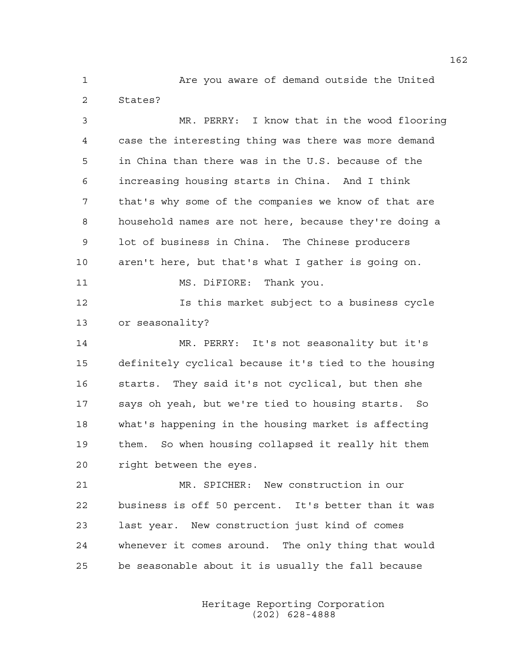1 Are you aware of demand outside the United 2 States?

3 MR. PERRY: I know that in the wood flooring 4 case the interesting thing was there was more demand 5 in China than there was in the U.S. because of the 6 increasing housing starts in China. And I think 7 that's why some of the companies we know of that are 8 household names are not here, because they're doing a 9 lot of business in China. The Chinese producers 10 aren't here, but that's what I gather is going on. 11 MS. DiFIORE: Thank you. 12 Is this market subject to a business cycle 13 or seasonality? 14 MR. PERRY: It's not seasonality but it's 15 definitely cyclical because it's tied to the housing 16 starts. They said it's not cyclical, but then she 17 says oh yeah, but we're tied to housing starts. So 18 what's happening in the housing market is affecting 19 them. So when housing collapsed it really hit them 20 right between the eyes. 21 MR. SPICHER: New construction in our 22 business is off 50 percent. It's better than it was 23 last year. New construction just kind of comes 24 whenever it comes around. The only thing that would

> Heritage Reporting Corporation (202) 628-4888

25 be seasonable about it is usually the fall because

162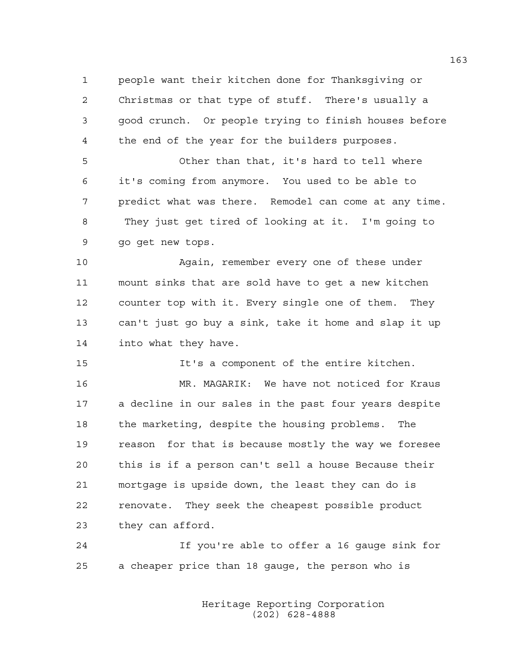1 people want their kitchen done for Thanksgiving or 2 Christmas or that type of stuff. There's usually a 3 good crunch. Or people trying to finish houses before 4 the end of the year for the builders purposes.

5 Other than that, it's hard to tell where 6 it's coming from anymore. You used to be able to 7 predict what was there. Remodel can come at any time. 8 They just get tired of looking at it. I'm going to 9 go get new tops.

10 Again, remember every one of these under 11 mount sinks that are sold have to get a new kitchen 12 counter top with it. Every single one of them. They 13 can't just go buy a sink, take it home and slap it up 14 into what they have.

15 It's a component of the entire kitchen.

16 MR. MAGARIK: We have not noticed for Kraus 17 a decline in our sales in the past four years despite 18 the marketing, despite the housing problems. The 19 reason for that is because mostly the way we foresee 20 this is if a person can't sell a house Because their 21 mortgage is upside down, the least they can do is 22 renovate. They seek the cheapest possible product 23 they can afford.

24 If you're able to offer a 16 gauge sink for 25 a cheaper price than 18 gauge, the person who is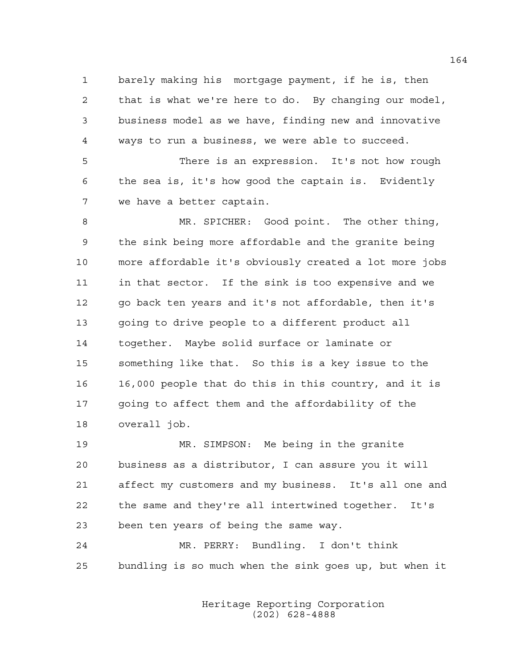1 barely making his mortgage payment, if he is, then 2 that is what we're here to do. By changing our model, 3 business model as we have, finding new and innovative 4 ways to run a business, we were able to succeed.

5 There is an expression. It's not how rough 6 the sea is, it's how good the captain is. Evidently 7 we have a better captain.

8 MR. SPICHER: Good point. The other thing, 9 the sink being more affordable and the granite being 10 more affordable it's obviously created a lot more jobs 11 in that sector. If the sink is too expensive and we 12 go back ten years and it's not affordable, then it's 13 going to drive people to a different product all 14 together. Maybe solid surface or laminate or 15 something like that. So this is a key issue to the 16 16,000 people that do this in this country, and it is 17 going to affect them and the affordability of the 18 overall job.

19 MR. SIMPSON: Me being in the granite 20 business as a distributor, I can assure you it will 21 affect my customers and my business. It's all one and 22 the same and they're all intertwined together. It's 23 been ten years of being the same way.

24 MR. PERRY: Bundling. I don't think 25 bundling is so much when the sink goes up, but when it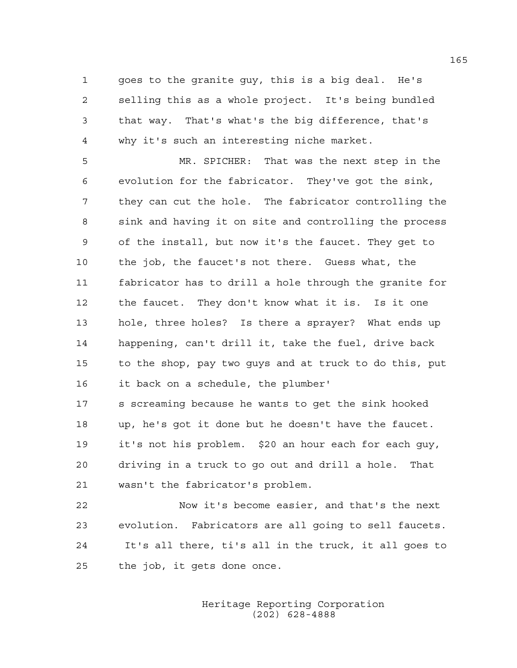1 goes to the granite guy, this is a big deal. He's 2 selling this as a whole project. It's being bundled 3 that way. That's what's the big difference, that's 4 why it's such an interesting niche market.

5 MR. SPICHER: That was the next step in the 6 evolution for the fabricator. They've got the sink, 7 they can cut the hole. The fabricator controlling the 8 sink and having it on site and controlling the process 9 of the install, but now it's the faucet. They get to 10 the job, the faucet's not there. Guess what, the 11 fabricator has to drill a hole through the granite for 12 the faucet. They don't know what it is. Is it one 13 hole, three holes? Is there a sprayer? What ends up 14 happening, can't drill it, take the fuel, drive back 15 to the shop, pay two guys and at truck to do this, put 16 it back on a schedule, the plumber'

17 s screaming because he wants to get the sink hooked 18 up, he's got it done but he doesn't have the faucet. 19 it's not his problem. \$20 an hour each for each guy, 20 driving in a truck to go out and drill a hole. That 21 wasn't the fabricator's problem.

22 Now it's become easier, and that's the next 23 evolution. Fabricators are all going to sell faucets. 24 It's all there, ti's all in the truck, it all goes to 25 the job, it gets done once.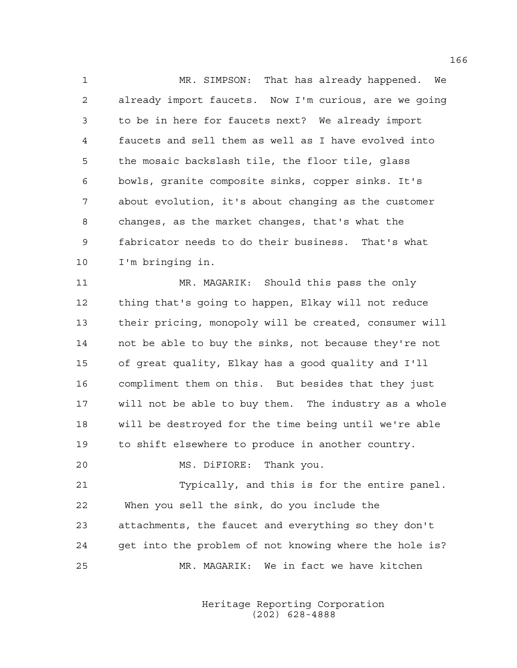1 MR. SIMPSON: That has already happened. We 2 already import faucets. Now I'm curious, are we going 3 to be in here for faucets next? We already import 4 faucets and sell them as well as I have evolved into 5 the mosaic backslash tile, the floor tile, glass 6 bowls, granite composite sinks, copper sinks. It's 7 about evolution, it's about changing as the customer 8 changes, as the market changes, that's what the 9 fabricator needs to do their business. That's what 10 I'm bringing in.

11 MR. MAGARIK: Should this pass the only 12 thing that's going to happen, Elkay will not reduce 13 their pricing, monopoly will be created, consumer will 14 not be able to buy the sinks, not because they're not 15 of great quality, Elkay has a good quality and I'll 16 compliment them on this. But besides that they just 17 will not be able to buy them. The industry as a whole 18 will be destroyed for the time being until we're able 19 to shift elsewhere to produce in another country.

20 MS. DiFIORE: Thank you.

21 Typically, and this is for the entire panel. 22 When you sell the sink, do you include the 23 attachments, the faucet and everything so they don't 24 get into the problem of not knowing where the hole is? 25 MR. MAGARIK: We in fact we have kitchen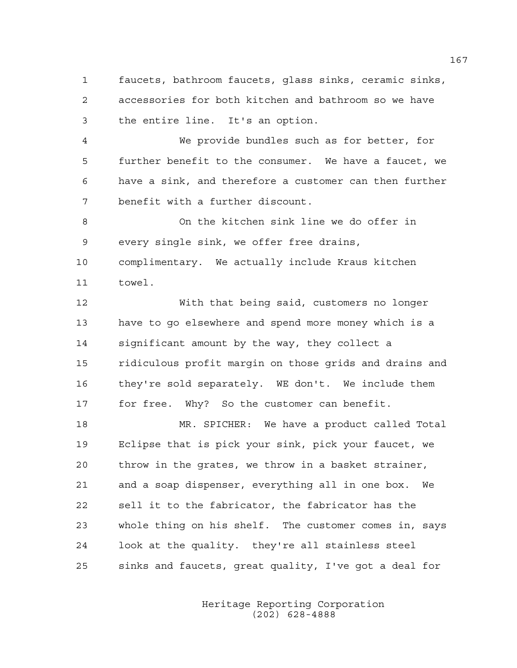1 faucets, bathroom faucets, glass sinks, ceramic sinks, 2 accessories for both kitchen and bathroom so we have 3 the entire line. It's an option.

4 We provide bundles such as for better, for 5 further benefit to the consumer. We have a faucet, we 6 have a sink, and therefore a customer can then further 7 benefit with a further discount.

8 On the kitchen sink line we do offer in 9 every single sink, we offer free drains, 10 complimentary. We actually include Kraus kitchen 11 towel.

12 With that being said, customers no longer 13 have to go elsewhere and spend more money which is a 14 significant amount by the way, they collect a 15 ridiculous profit margin on those grids and drains and 16 they're sold separately. WE don't. We include them 17 for free. Why? So the customer can benefit.

18 MR. SPICHER: We have a product called Total 19 Eclipse that is pick your sink, pick your faucet, we 20 throw in the grates, we throw in a basket strainer, 21 and a soap dispenser, everything all in one box. We 22 sell it to the fabricator, the fabricator has the 23 whole thing on his shelf. The customer comes in, says 24 look at the quality. they're all stainless steel 25 sinks and faucets, great quality, I've got a deal for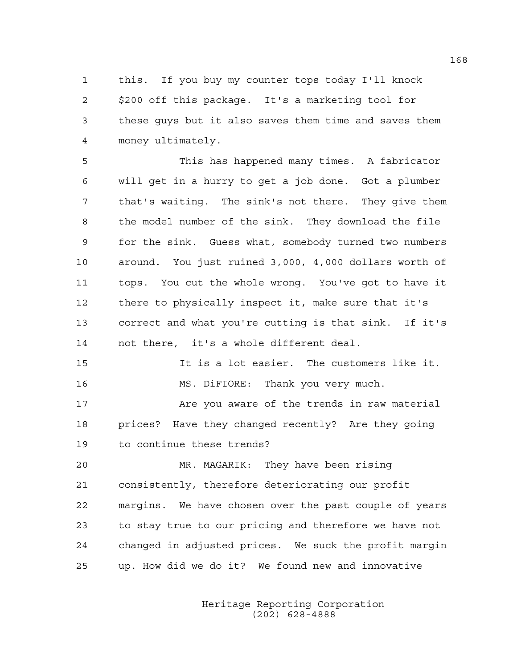1 this. If you buy my counter tops today I'll knock 2 \$200 off this package. It's a marketing tool for 3 these guys but it also saves them time and saves them 4 money ultimately.

5 This has happened many times. A fabricator 6 will get in a hurry to get a job done. Got a plumber 7 that's waiting. The sink's not there. They give them 8 the model number of the sink. They download the file 9 for the sink. Guess what, somebody turned two numbers 10 around. You just ruined 3,000, 4,000 dollars worth of 11 tops. You cut the whole wrong. You've got to have it 12 there to physically inspect it, make sure that it's 13 correct and what you're cutting is that sink. If it's 14 not there, it's a whole different deal.

15 It is a lot easier. The customers like it. 16 MS. DiFIORE: Thank you very much.

17 Are you aware of the trends in raw material 18 prices? Have they changed recently? Are they going 19 to continue these trends?

20 MR. MAGARIK: They have been rising 21 consistently, therefore deteriorating our profit 22 margins. We have chosen over the past couple of years 23 to stay true to our pricing and therefore we have not 24 changed in adjusted prices. We suck the profit margin 25 up. How did we do it? We found new and innovative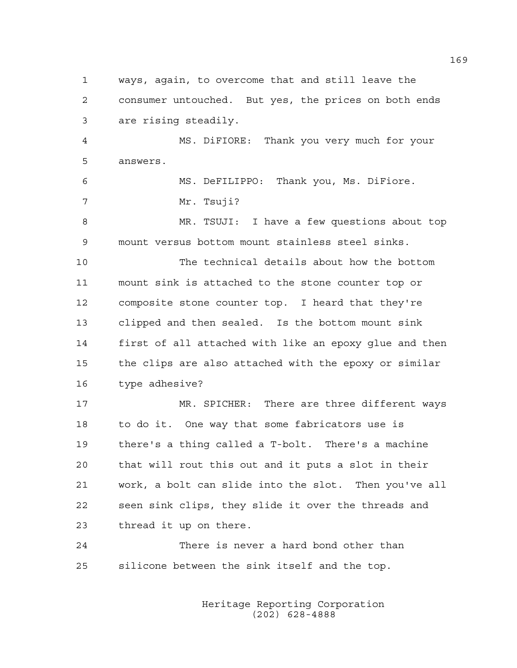1 ways, again, to overcome that and still leave the 2 consumer untouched. But yes, the prices on both ends 3 are rising steadily.

4 MS. DiFIORE: Thank you very much for your 5 answers.

6 MS. DeFILIPPO: Thank you, Ms. DiFiore. 7 Mr. Tsuji?

8 MR. TSUJI: I have a few questions about top 9 mount versus bottom mount stainless steel sinks.

10 The technical details about how the bottom 11 mount sink is attached to the stone counter top or 12 composite stone counter top. I heard that they're 13 clipped and then sealed. Is the bottom mount sink 14 first of all attached with like an epoxy glue and then 15 the clips are also attached with the epoxy or similar 16 type adhesive?

17 MR. SPICHER: There are three different ways 18 to do it. One way that some fabricators use is 19 there's a thing called a T-bolt. There's a machine 20 that will rout this out and it puts a slot in their 21 work, a bolt can slide into the slot. Then you've all 22 seen sink clips, they slide it over the threads and 23 thread it up on there.

24 There is never a hard bond other than 25 silicone between the sink itself and the top.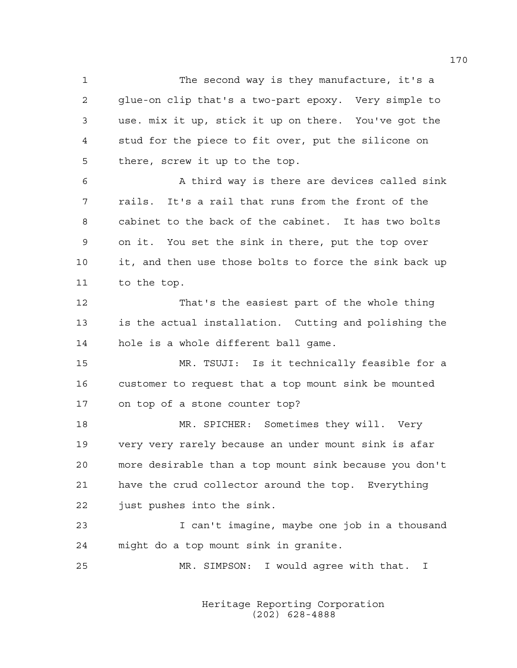1 The second way is they manufacture, it's a 2 glue-on clip that's a two-part epoxy. Very simple to 3 use. mix it up, stick it up on there. You've got the 4 stud for the piece to fit over, put the silicone on 5 there, screw it up to the top.

6 A third way is there are devices called sink 7 rails. It's a rail that runs from the front of the 8 cabinet to the back of the cabinet. It has two bolts 9 on it. You set the sink in there, put the top over 10 it, and then use those bolts to force the sink back up 11 to the top.

12 That's the easiest part of the whole thing 13 is the actual installation. Cutting and polishing the 14 hole is a whole different ball game.

15 MR. TSUJI: Is it technically feasible for a 16 customer to request that a top mount sink be mounted 17 on top of a stone counter top?

18 MR. SPICHER: Sometimes they will. Very 19 very very rarely because an under mount sink is afar 20 more desirable than a top mount sink because you don't 21 have the crud collector around the top. Everything 22 just pushes into the sink.

23 I can't imagine, maybe one job in a thousand 24 might do a top mount sink in granite.

25 MR. SIMPSON: I would agree with that. I

 Heritage Reporting Corporation (202) 628-4888

170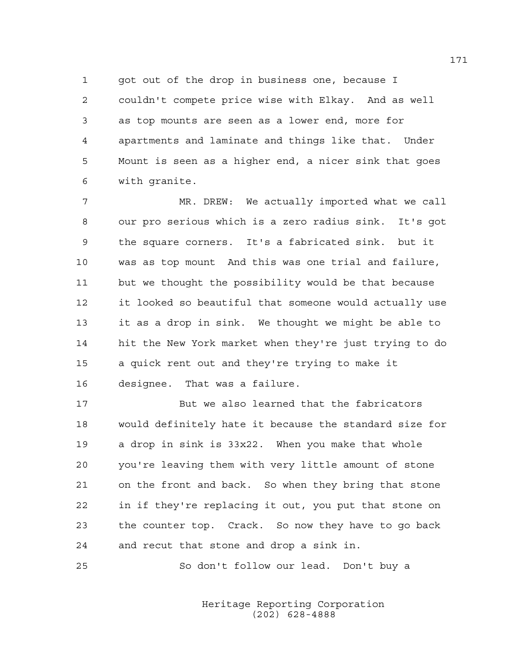1 got out of the drop in business one, because I 2 couldn't compete price wise with Elkay. And as well 3 as top mounts are seen as a lower end, more for 4 apartments and laminate and things like that. Under 5 Mount is seen as a higher end, a nicer sink that goes 6 with granite.

7 MR. DREW: We actually imported what we call 8 our pro serious which is a zero radius sink. It's got 9 the square corners. It's a fabricated sink. but it 10 was as top mount And this was one trial and failure, 11 but we thought the possibility would be that because 12 it looked so beautiful that someone would actually use 13 it as a drop in sink. We thought we might be able to 14 hit the New York market when they're just trying to do 15 a quick rent out and they're trying to make it 16 designee. That was a failure.

17 But we also learned that the fabricators 18 would definitely hate it because the standard size for 19 a drop in sink is 33x22. When you make that whole 20 you're leaving them with very little amount of stone 21 on the front and back. So when they bring that stone 22 in if they're replacing it out, you put that stone on 23 the counter top. Crack. So now they have to go back 24 and recut that stone and drop a sink in.

25 So don't follow our lead. Don't buy a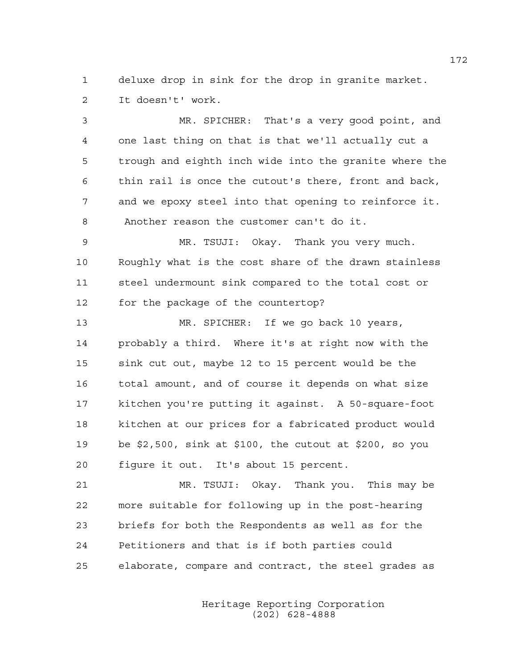1 deluxe drop in sink for the drop in granite market. 2 It doesn't' work.

3 MR. SPICHER: That's a very good point, and 4 one last thing on that is that we'll actually cut a 5 trough and eighth inch wide into the granite where the 6 thin rail is once the cutout's there, front and back, 7 and we epoxy steel into that opening to reinforce it. 8 Another reason the customer can't do it.

9 MR. TSUJI: Okay. Thank you very much. 10 Roughly what is the cost share of the drawn stainless 11 steel undermount sink compared to the total cost or 12 for the package of the countertop?

13 MR. SPICHER: If we go back 10 years, 14 probably a third. Where it's at right now with the 15 sink cut out, maybe 12 to 15 percent would be the 16 total amount, and of course it depends on what size 17 kitchen you're putting it against. A 50-square-foot 18 kitchen at our prices for a fabricated product would 19 be \$2,500, sink at \$100, the cutout at \$200, so you 20 figure it out. It's about 15 percent.

21 MR. TSUJI: Okay. Thank you. This may be 22 more suitable for following up in the post-hearing 23 briefs for both the Respondents as well as for the 24 Petitioners and that is if both parties could 25 elaborate, compare and contract, the steel grades as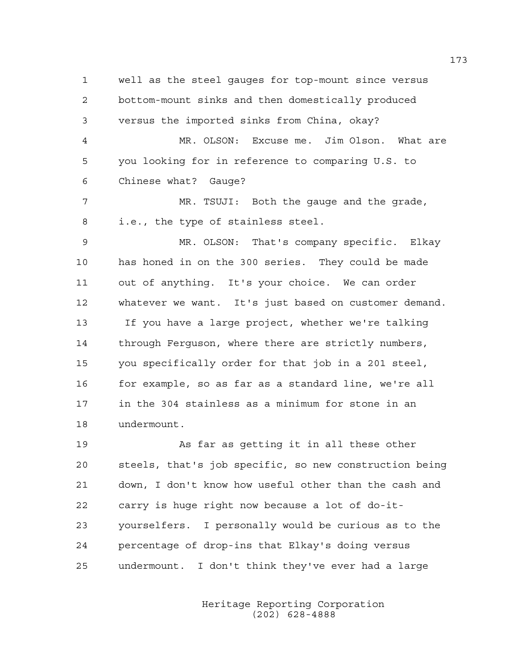1 well as the steel gauges for top-mount since versus 2 bottom-mount sinks and then domestically produced 3 versus the imported sinks from China, okay? 4 MR. OLSON: Excuse me. Jim Olson. What are 5 you looking for in reference to comparing U.S. to 6 Chinese what? Gauge? 7 MR. TSUJI: Both the gauge and the grade, 8 i.e., the type of stainless steel. 9 MR. OLSON: That's company specific. Elkay 10 has honed in on the 300 series. They could be made 11 out of anything. It's your choice. We can order 12 whatever we want. It's just based on customer demand. 13 If you have a large project, whether we're talking 14 through Ferguson, where there are strictly numbers, 15 you specifically order for that job in a 201 steel, 16 for example, so as far as a standard line, we're all 17 in the 304 stainless as a minimum for stone in an 18 undermount. 19 As far as getting it in all these other

20 steels, that's job specific, so new construction being 21 down, I don't know how useful other than the cash and 22 carry is huge right now because a lot of do-it-23 yourselfers. I personally would be curious as to the 24 percentage of drop-ins that Elkay's doing versus 25 undermount. I don't think they've ever had a large

> Heritage Reporting Corporation (202) 628-4888

173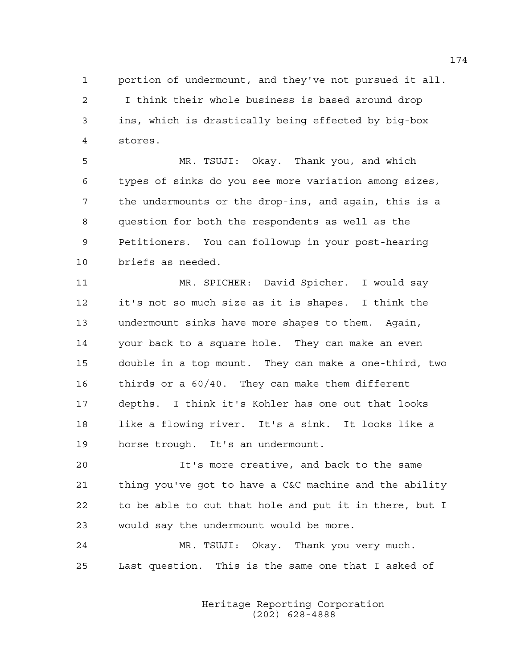1 portion of undermount, and they've not pursued it all. 2 I think their whole business is based around drop 3 ins, which is drastically being effected by big-box 4 stores.

5 MR. TSUJI: Okay. Thank you, and which 6 types of sinks do you see more variation among sizes, 7 the undermounts or the drop-ins, and again, this is a 8 question for both the respondents as well as the 9 Petitioners. You can followup in your post-hearing 10 briefs as needed.

11 MR. SPICHER: David Spicher. I would say 12 it's not so much size as it is shapes. I think the 13 undermount sinks have more shapes to them. Again, 14 your back to a square hole. They can make an even 15 double in a top mount. They can make a one-third, two 16 thirds or a 60/40. They can make them different 17 depths. I think it's Kohler has one out that looks 18 like a flowing river. It's a sink. It looks like a 19 horse trough. It's an undermount.

20 It's more creative, and back to the same 21 thing you've got to have a C&C machine and the ability 22 to be able to cut that hole and put it in there, but I 23 would say the undermount would be more.

24 MR. TSUJI: Okay. Thank you very much. 25 Last question. This is the same one that I asked of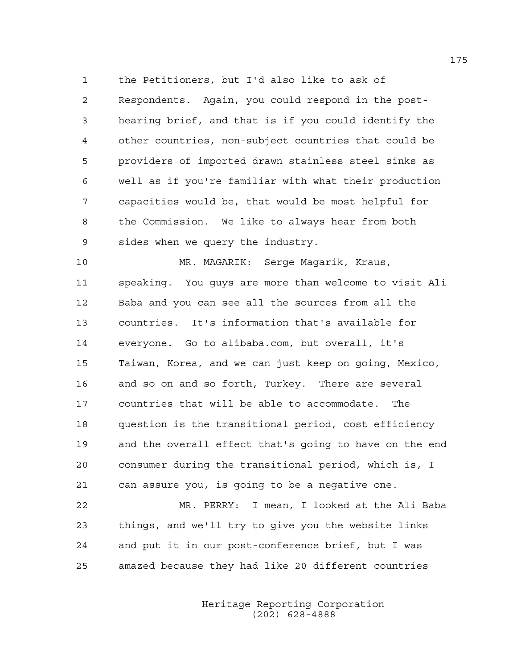1 the Petitioners, but I'd also like to ask of 2 Respondents. Again, you could respond in the post-3 hearing brief, and that is if you could identify the 4 other countries, non-subject countries that could be 5 providers of imported drawn stainless steel sinks as 6 well as if you're familiar with what their production 7 capacities would be, that would be most helpful for 8 the Commission. We like to always hear from both 9 sides when we query the industry.

10 MR. MAGARIK: Serge Magarik, Kraus, 11 speaking. You guys are more than welcome to visit Ali 12 Baba and you can see all the sources from all the 13 countries. It's information that's available for 14 everyone. Go to alibaba.com, but overall, it's 15 Taiwan, Korea, and we can just keep on going, Mexico, 16 and so on and so forth, Turkey. There are several 17 countries that will be able to accommodate. The 18 question is the transitional period, cost efficiency 19 and the overall effect that's going to have on the end 20 consumer during the transitional period, which is, I 21 can assure you, is going to be a negative one.

22 MR. PERRY: I mean, I looked at the Ali Baba 23 things, and we'll try to give you the website links 24 and put it in our post-conference brief, but I was 25 amazed because they had like 20 different countries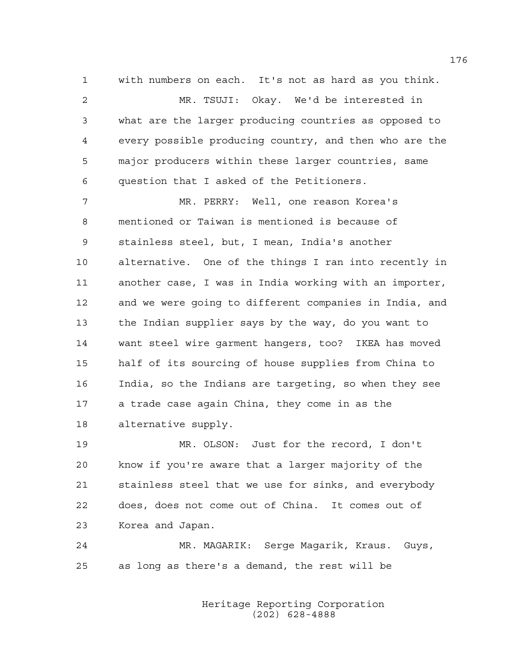1 with numbers on each. It's not as hard as you think. 2 MR. TSUJI: Okay. We'd be interested in 3 what are the larger producing countries as opposed to 4 every possible producing country, and then who are the 5 major producers within these larger countries, same 6 question that I asked of the Petitioners.

7 MR. PERRY: Well, one reason Korea's 8 mentioned or Taiwan is mentioned is because of 9 stainless steel, but, I mean, India's another 10 alternative. One of the things I ran into recently in 11 another case, I was in India working with an importer, 12 and we were going to different companies in India, and 13 the Indian supplier says by the way, do you want to 14 want steel wire garment hangers, too? IKEA has moved 15 half of its sourcing of house supplies from China to 16 India, so the Indians are targeting, so when they see 17 a trade case again China, they come in as the 18 alternative supply.

19 MR. OLSON: Just for the record, I don't 20 know if you're aware that a larger majority of the 21 stainless steel that we use for sinks, and everybody 22 does, does not come out of China. It comes out of 23 Korea and Japan.

24 MR. MAGARIK: Serge Magarik, Kraus. Guys, 25 as long as there's a demand, the rest will be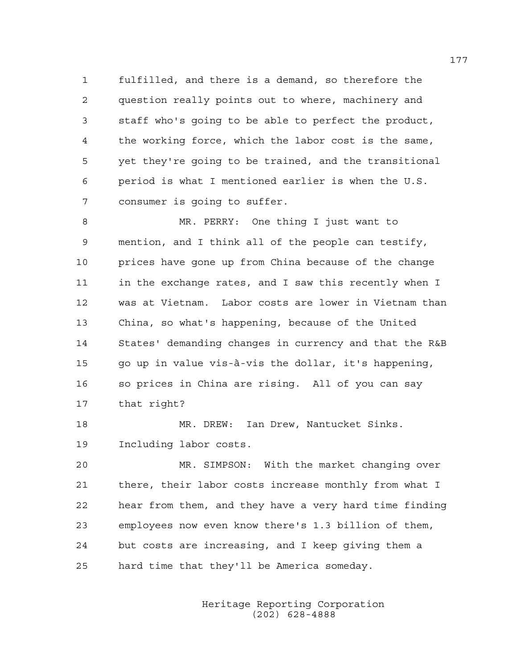1 fulfilled, and there is a demand, so therefore the 2 question really points out to where, machinery and 3 staff who's going to be able to perfect the product, 4 the working force, which the labor cost is the same, 5 yet they're going to be trained, and the transitional 6 period is what I mentioned earlier is when the U.S. 7 consumer is going to suffer.

8 MR. PERRY: One thing I just want to 9 mention, and I think all of the people can testify, 10 prices have gone up from China because of the change 11 in the exchange rates, and I saw this recently when I 12 was at Vietnam. Labor costs are lower in Vietnam than 13 China, so what's happening, because of the United 14 States' demanding changes in currency and that the R&B 15 go up in value vis-à-vis the dollar, it's happening, 16 so prices in China are rising. All of you can say 17 that right?

18 MR. DREW: Ian Drew, Nantucket Sinks. 19 Including labor costs.

20 MR. SIMPSON: With the market changing over 21 there, their labor costs increase monthly from what I 22 hear from them, and they have a very hard time finding 23 employees now even know there's 1.3 billion of them, 24 but costs are increasing, and I keep giving them a 25 hard time that they'll be America someday.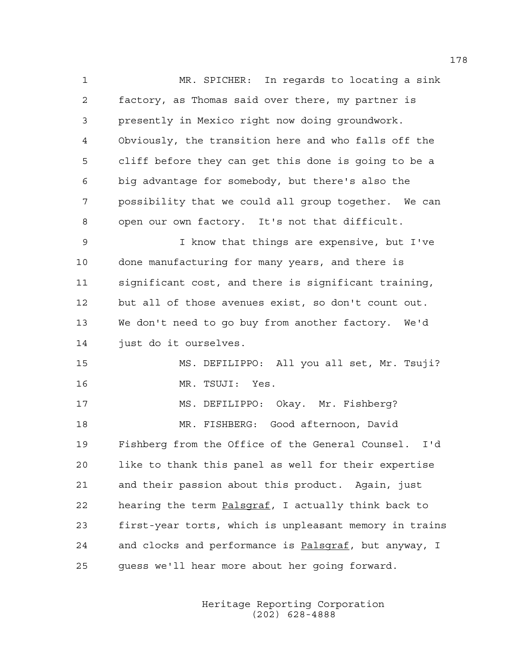1 MR. SPICHER: In regards to locating a sink 2 factory, as Thomas said over there, my partner is 3 presently in Mexico right now doing groundwork. 4 Obviously, the transition here and who falls off the 5 cliff before they can get this done is going to be a 6 big advantage for somebody, but there's also the 7 possibility that we could all group together. We can 8 open our own factory. It's not that difficult. 9 I know that things are expensive, but I've 10 done manufacturing for many years, and there is 11 significant cost, and there is significant training, 12 but all of those avenues exist, so don't count out. 13 We don't need to go buy from another factory. We'd 14 just do it ourselves. 15 MS. DEFILIPPO: All you all set, Mr. Tsuji? 16 MR. TSUJI: Yes. 17 MS. DEFILIPPO: Okay. Mr. Fishberg? 18 MR. FISHBERG: Good afternoon, David 19 Fishberg from the Office of the General Counsel. I'd 20 like to thank this panel as well for their expertise 21 and their passion about this product. Again, just 22 hearing the term Palsgraf, I actually think back to 23 first-year torts, which is unpleasant memory in trains 24 and clocks and performance is Palsgraf, but anyway, I 25 guess we'll hear more about her going forward.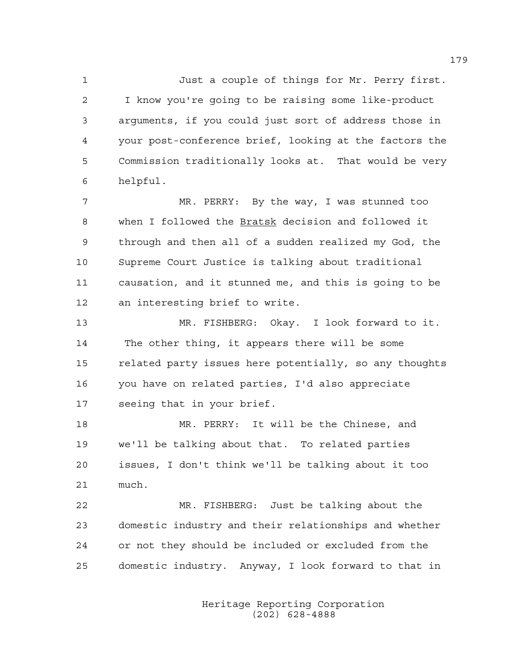1 Just a couple of things for Mr. Perry first. 2 I know you're going to be raising some like-product 3 arguments, if you could just sort of address those in 4 your post-conference brief, looking at the factors the 5 Commission traditionally looks at. That would be very 6 helpful.

7 MR. PERRY: By the way, I was stunned too 8 when I followed the Bratsk decision and followed it 9 through and then all of a sudden realized my God, the 10 Supreme Court Justice is talking about traditional 11 causation, and it stunned me, and this is going to be 12 an interesting brief to write.

13 MR. FISHBERG: Okay. I look forward to it. 14 The other thing, it appears there will be some 15 related party issues here potentially, so any thoughts 16 you have on related parties, I'd also appreciate 17 seeing that in your brief.

18 MR. PERRY: It will be the Chinese, and 19 we'll be talking about that. To related parties 20 issues, I don't think we'll be talking about it too 21 much.

22 MR. FISHBERG: Just be talking about the 23 domestic industry and their relationships and whether 24 or not they should be included or excluded from the 25 domestic industry. Anyway, I look forward to that in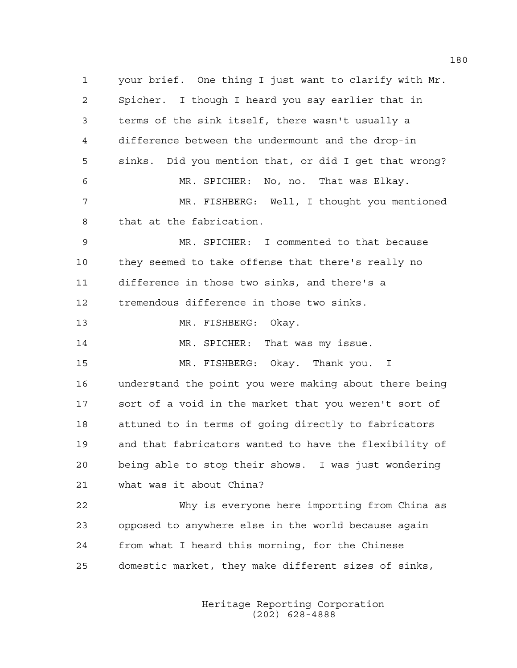1 your brief. One thing I just want to clarify with Mr. 2 Spicher. I though I heard you say earlier that in 3 terms of the sink itself, there wasn't usually a 4 difference between the undermount and the drop-in 5 sinks. Did you mention that, or did I get that wrong? 6 MR. SPICHER: No, no. That was Elkay. 7 MR. FISHBERG: Well, I thought you mentioned 8 that at the fabrication. 9 MR. SPICHER: I commented to that because 10 they seemed to take offense that there's really no 11 difference in those two sinks, and there's a 12 tremendous difference in those two sinks. 13 MR. FISHBERG: Okay. 14 MR. SPICHER: That was my issue. 15 MR. FISHBERG: Okay. Thank you. I 16 understand the point you were making about there being 17 sort of a void in the market that you weren't sort of 18 attuned to in terms of going directly to fabricators 19 and that fabricators wanted to have the flexibility of 20 being able to stop their shows. I was just wondering 21 what was it about China? 22 Why is everyone here importing from China as 23 opposed to anywhere else in the world because again 24 from what I heard this morning, for the Chinese 25 domestic market, they make different sizes of sinks,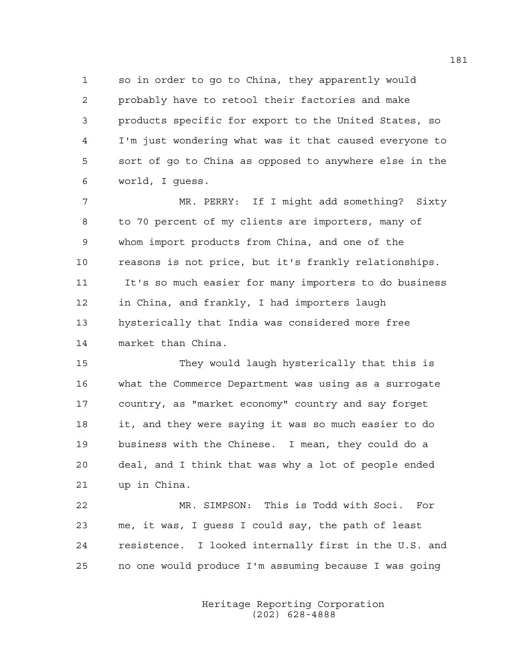1 so in order to go to China, they apparently would 2 probably have to retool their factories and make 3 products specific for export to the United States, so 4 I'm just wondering what was it that caused everyone to 5 sort of go to China as opposed to anywhere else in the 6 world, I guess.

7 MR. PERRY: If I might add something? Sixty 8 to 70 percent of my clients are importers, many of 9 whom import products from China, and one of the 10 reasons is not price, but it's frankly relationships. 11 It's so much easier for many importers to do business 12 in China, and frankly, I had importers laugh 13 hysterically that India was considered more free 14 market than China.

15 They would laugh hysterically that this is 16 what the Commerce Department was using as a surrogate 17 country, as "market economy" country and say forget 18 it, and they were saying it was so much easier to do 19 business with the Chinese. I mean, they could do a 20 deal, and I think that was why a lot of people ended 21 up in China.

22 MR. SIMPSON: This is Todd with Soci. For 23 me, it was, I guess I could say, the path of least 24 resistence. I looked internally first in the U.S. and 25 no one would produce I'm assuming because I was going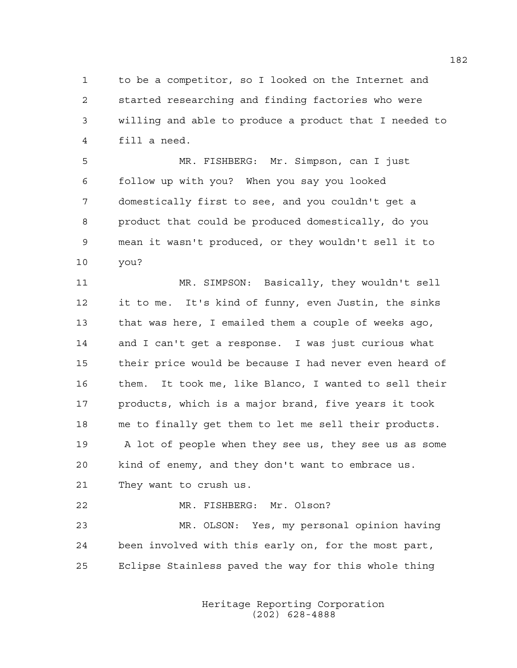1 to be a competitor, so I looked on the Internet and 2 started researching and finding factories who were 3 willing and able to produce a product that I needed to 4 fill a need.

5 MR. FISHBERG: Mr. Simpson, can I just 6 follow up with you? When you say you looked 7 domestically first to see, and you couldn't get a 8 product that could be produced domestically, do you 9 mean it wasn't produced, or they wouldn't sell it to 10 you?

11 MR. SIMPSON: Basically, they wouldn't sell 12 it to me. It's kind of funny, even Justin, the sinks 13 that was here, I emailed them a couple of weeks ago, 14 and I can't get a response. I was just curious what 15 their price would be because I had never even heard of 16 them. It took me, like Blanco, I wanted to sell their 17 products, which is a major brand, five years it took 18 me to finally get them to let me sell their products. 19 A lot of people when they see us, they see us as some 20 kind of enemy, and they don't want to embrace us. 21 They want to crush us. 22 MR. FISHBERG: Mr. Olson?

23 MR. OLSON: Yes, my personal opinion having 24 been involved with this early on, for the most part, 25 Eclipse Stainless paved the way for this whole thing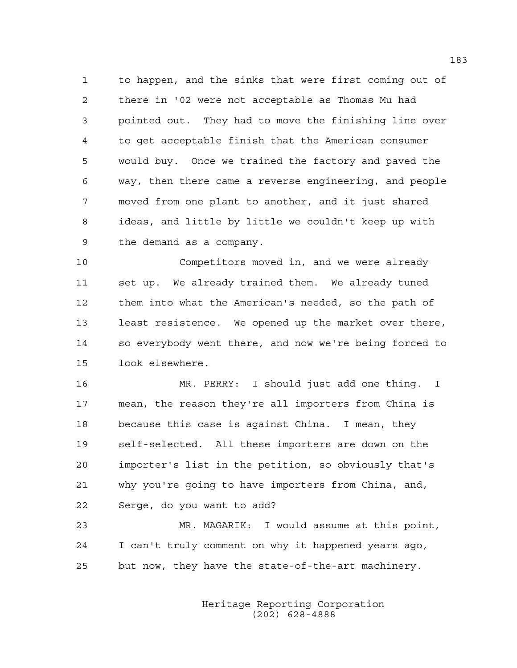1 to happen, and the sinks that were first coming out of 2 there in '02 were not acceptable as Thomas Mu had 3 pointed out. They had to move the finishing line over 4 to get acceptable finish that the American consumer 5 would buy. Once we trained the factory and paved the 6 way, then there came a reverse engineering, and people 7 moved from one plant to another, and it just shared 8 ideas, and little by little we couldn't keep up with 9 the demand as a company.

10 Competitors moved in, and we were already 11 set up. We already trained them. We already tuned 12 them into what the American's needed, so the path of 13 least resistence. We opened up the market over there, 14 so everybody went there, and now we're being forced to 15 look elsewhere.

16 MR. PERRY: I should just add one thing. I 17 mean, the reason they're all importers from China is 18 because this case is against China. I mean, they 19 self-selected. All these importers are down on the 20 importer's list in the petition, so obviously that's 21 why you're going to have importers from China, and, 22 Serge, do you want to add?

23 MR. MAGARIK: I would assume at this point, 24 I can't truly comment on why it happened years ago, 25 but now, they have the state-of-the-art machinery.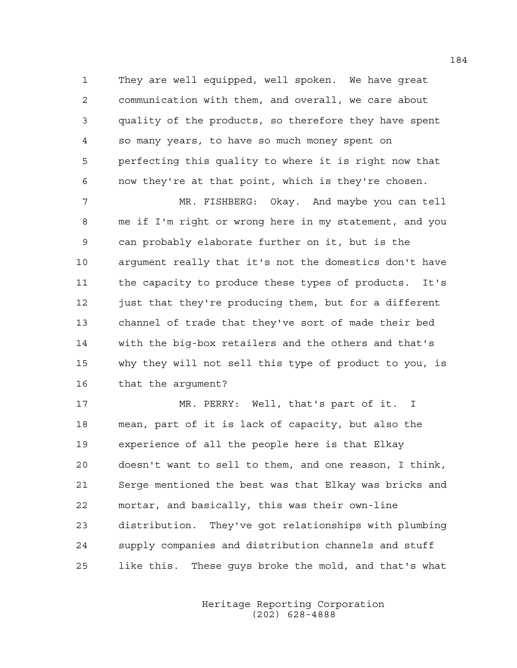1 They are well equipped, well spoken. We have great 2 communication with them, and overall, we care about 3 quality of the products, so therefore they have spent 4 so many years, to have so much money spent on 5 perfecting this quality to where it is right now that 6 now they're at that point, which is they're chosen.

7 MR. FISHBERG: Okay. And maybe you can tell 8 me if I'm right or wrong here in my statement, and you 9 can probably elaborate further on it, but is the 10 argument really that it's not the domestics don't have 11 the capacity to produce these types of products. It's 12 just that they're producing them, but for a different 13 channel of trade that they've sort of made their bed 14 with the big-box retailers and the others and that's 15 why they will not sell this type of product to you, is 16 that the argument?

17 MR. PERRY: Well, that's part of it. I 18 mean, part of it is lack of capacity, but also the 19 experience of all the people here is that Elkay 20 doesn't want to sell to them, and one reason, I think, 21 Serge mentioned the best was that Elkay was bricks and 22 mortar, and basically, this was their own-line 23 distribution. They've got relationships with plumbing 24 supply companies and distribution channels and stuff 25 like this. These guys broke the mold, and that's what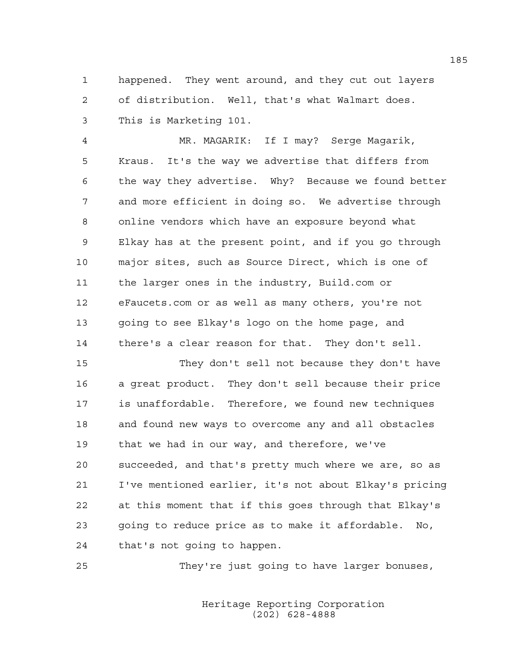1 happened. They went around, and they cut out layers 2 of distribution. Well, that's what Walmart does. 3 This is Marketing 101.

4 MR. MAGARIK: If I may? Serge Magarik, 5 Kraus. It's the way we advertise that differs from 6 the way they advertise. Why? Because we found better 7 and more efficient in doing so. We advertise through 8 online vendors which have an exposure beyond what 9 Elkay has at the present point, and if you go through 10 major sites, such as Source Direct, which is one of 11 the larger ones in the industry, Build.com or 12 eFaucets.com or as well as many others, you're not 13 going to see Elkay's logo on the home page, and 14 there's a clear reason for that. They don't sell.

15 They don't sell not because they don't have 16 a great product. They don't sell because their price 17 is unaffordable. Therefore, we found new techniques 18 and found new ways to overcome any and all obstacles 19 that we had in our way, and therefore, we've 20 succeeded, and that's pretty much where we are, so as 21 I've mentioned earlier, it's not about Elkay's pricing 22 at this moment that if this goes through that Elkay's 23 going to reduce price as to make it affordable. No, 24 that's not going to happen.

25 They're just going to have larger bonuses,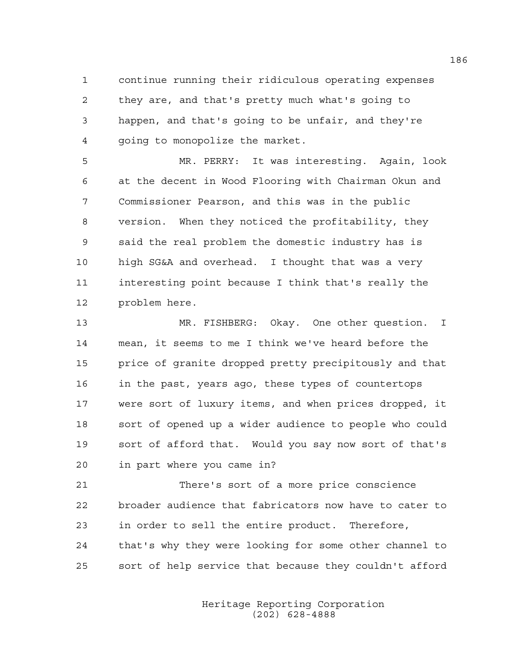1 continue running their ridiculous operating expenses 2 they are, and that's pretty much what's going to 3 happen, and that's going to be unfair, and they're 4 going to monopolize the market.

5 MR. PERRY: It was interesting. Again, look 6 at the decent in Wood Flooring with Chairman Okun and 7 Commissioner Pearson, and this was in the public 8 version. When they noticed the profitability, they 9 said the real problem the domestic industry has is 10 high SG&A and overhead. I thought that was a very 11 interesting point because I think that's really the 12 problem here.

13 MR. FISHBERG: Okay. One other question. I 14 mean, it seems to me I think we've heard before the 15 price of granite dropped pretty precipitously and that 16 in the past, years ago, these types of countertops 17 were sort of luxury items, and when prices dropped, it 18 sort of opened up a wider audience to people who could 19 sort of afford that. Would you say now sort of that's 20 in part where you came in?

21 There's sort of a more price conscience 22 broader audience that fabricators now have to cater to 23 in order to sell the entire product. Therefore, 24 that's why they were looking for some other channel to 25 sort of help service that because they couldn't afford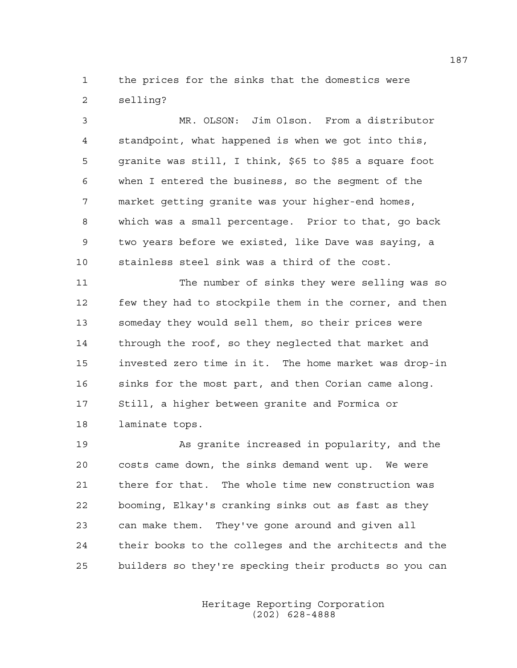1 the prices for the sinks that the domestics were 2 selling?

3 MR. OLSON: Jim Olson. From a distributor 4 standpoint, what happened is when we got into this, 5 granite was still, I think, \$65 to \$85 a square foot 6 when I entered the business, so the segment of the 7 market getting granite was your higher-end homes, 8 which was a small percentage. Prior to that, go back 9 two years before we existed, like Dave was saying, a 10 stainless steel sink was a third of the cost.

11 The number of sinks they were selling was so 12 few they had to stockpile them in the corner, and then 13 someday they would sell them, so their prices were 14 through the roof, so they neglected that market and 15 invested zero time in it. The home market was drop-in 16 sinks for the most part, and then Corian came along. 17 Still, a higher between granite and Formica or 18 laminate tops.

19 As granite increased in popularity, and the 20 costs came down, the sinks demand went up. We were 21 there for that. The whole time new construction was 22 booming, Elkay's cranking sinks out as fast as they 23 can make them. They've gone around and given all 24 their books to the colleges and the architects and the 25 builders so they're specking their products so you can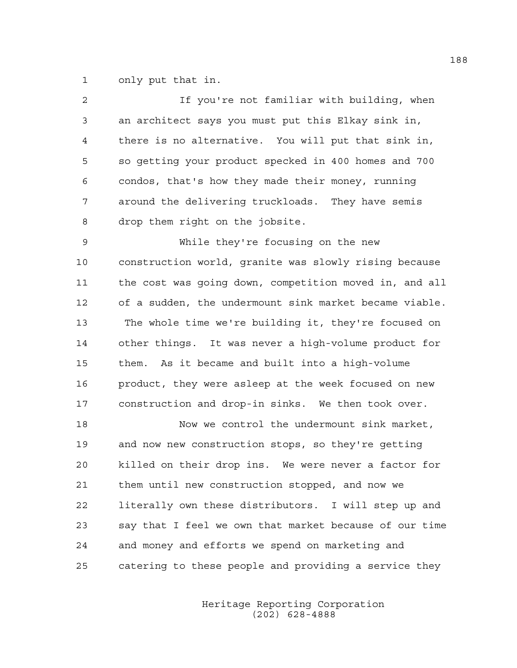1 only put that in.

| $\overline{c}$ | If you're not familiar with building, when             |
|----------------|--------------------------------------------------------|
| 3              | an architect says you must put this Elkay sink in,     |
| 4              | there is no alternative. You will put that sink in,    |
| 5              | so getting your product specked in 400 homes and 700   |
| 6              | condos, that's how they made their money, running      |
| 7              | around the delivering truckloads. They have semis      |
| 8              | drop them right on the jobsite.                        |
| 9              | While they're focusing on the new                      |
| 10             | construction world, granite was slowly rising because  |
| 11             | the cost was going down, competition moved in, and all |
| 12             | of a sudden, the undermount sink market became viable. |
| 13             | The whole time we're building it, they're focused on   |
| 14             | other things. It was never a high-volume product for   |
| 15             | As it became and built into a high-volume<br>them.     |
| 16             | product, they were asleep at the week focused on new   |
| 17             | construction and drop-in sinks. We then took over.     |
| 18             | Now we control the undermount sink market,             |
| 19             | and now new construction stops, so they're getting     |
| 20             | killed on their drop ins. We were never a factor for   |
| 21             | them until new construction stopped, and now we        |
| 22             | literally own these distributors. I will step up and   |
| 23             | say that I feel we own that market because of our time |
| 24             | and money and efforts we spend on marketing and        |
| 25             | catering to these people and providing a service they  |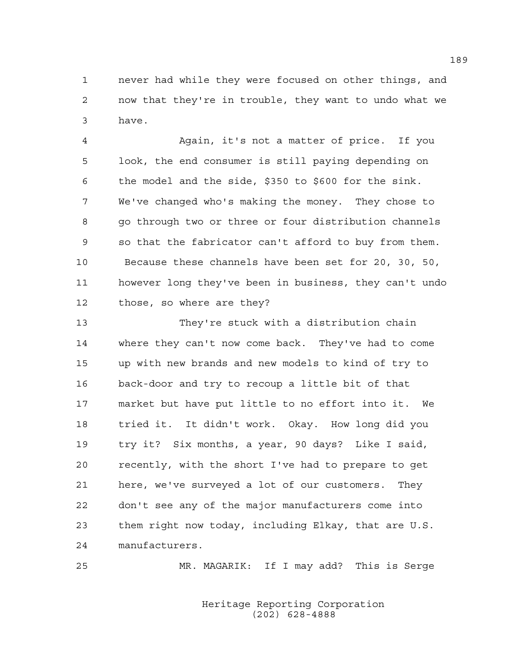1 never had while they were focused on other things, and 2 now that they're in trouble, they want to undo what we 3 have.

4 Again, it's not a matter of price. If you 5 look, the end consumer is still paying depending on 6 the model and the side, \$350 to \$600 for the sink. 7 We've changed who's making the money. They chose to 8 go through two or three or four distribution channels 9 so that the fabricator can't afford to buy from them. 10 Because these channels have been set for 20, 30, 50, 11 however long they've been in business, they can't undo 12 those, so where are they?

13 They're stuck with a distribution chain 14 where they can't now come back. They've had to come 15 up with new brands and new models to kind of try to 16 back-door and try to recoup a little bit of that 17 market but have put little to no effort into it. We 18 tried it. It didn't work. Okay. How long did you 19 try it? Six months, a year, 90 days? Like I said, 20 recently, with the short I've had to prepare to get 21 here, we've surveyed a lot of our customers. They 22 don't see any of the major manufacturers come into 23 them right now today, including Elkay, that are U.S. 24 manufacturers.

25 MR. MAGARIK: If I may add? This is Serge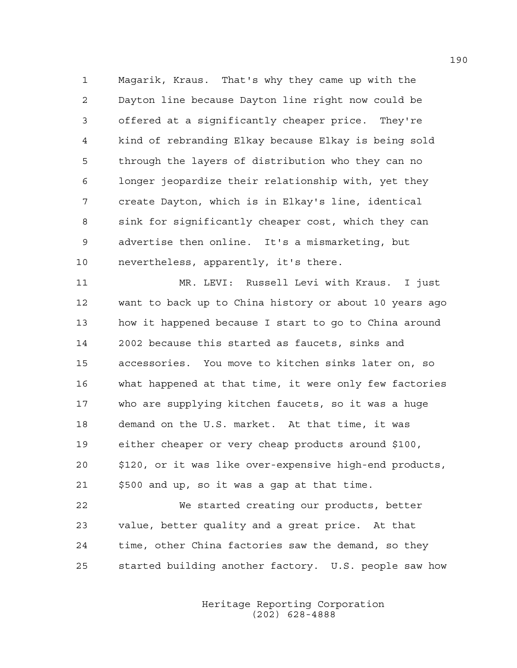1 Magarik, Kraus. That's why they came up with the 2 Dayton line because Dayton line right now could be 3 offered at a significantly cheaper price. They're 4 kind of rebranding Elkay because Elkay is being sold 5 through the layers of distribution who they can no 6 longer jeopardize their relationship with, yet they 7 create Dayton, which is in Elkay's line, identical 8 sink for significantly cheaper cost, which they can 9 advertise then online. It's a mismarketing, but 10 nevertheless, apparently, it's there.

11 MR. LEVI: Russell Levi with Kraus. I just 12 want to back up to China history or about 10 years ago 13 how it happened because I start to go to China around 14 2002 because this started as faucets, sinks and 15 accessories. You move to kitchen sinks later on, so 16 what happened at that time, it were only few factories 17 who are supplying kitchen faucets, so it was a huge 18 demand on the U.S. market. At that time, it was 19 either cheaper or very cheap products around \$100, 20 \$120, or it was like over-expensive high-end products, 21 \$500 and up, so it was a gap at that time.

22 We started creating our products, better 23 value, better quality and a great price. At that 24 time, other China factories saw the demand, so they 25 started building another factory. U.S. people saw how

> Heritage Reporting Corporation (202) 628-4888

190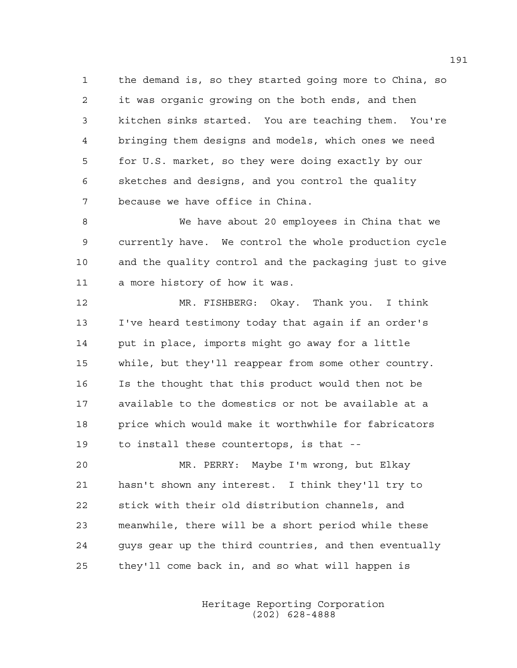1 the demand is, so they started going more to China, so 2 it was organic growing on the both ends, and then 3 kitchen sinks started. You are teaching them. You're 4 bringing them designs and models, which ones we need 5 for U.S. market, so they were doing exactly by our 6 sketches and designs, and you control the quality 7 because we have office in China.

8 We have about 20 employees in China that we 9 currently have. We control the whole production cycle 10 and the quality control and the packaging just to give 11 a more history of how it was.

12 MR. FISHBERG: Okay. Thank you. I think 13 I've heard testimony today that again if an order's 14 put in place, imports might go away for a little 15 while, but they'll reappear from some other country. 16 Is the thought that this product would then not be 17 available to the domestics or not be available at a 18 price which would make it worthwhile for fabricators 19 to install these countertops, is that --

20 MR. PERRY: Maybe I'm wrong, but Elkay 21 hasn't shown any interest. I think they'll try to 22 stick with their old distribution channels, and 23 meanwhile, there will be a short period while these 24 guys gear up the third countries, and then eventually 25 they'll come back in, and so what will happen is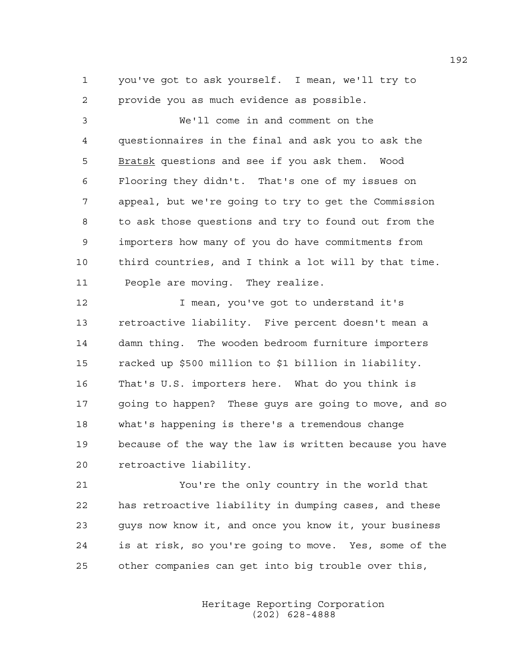1 you've got to ask yourself. I mean, we'll try to 2 provide you as much evidence as possible.

3 We'll come in and comment on the 4 questionnaires in the final and ask you to ask the 5 Bratsk questions and see if you ask them. Wood 6 Flooring they didn't. That's one of my issues on 7 appeal, but we're going to try to get the Commission 8 to ask those questions and try to found out from the 9 importers how many of you do have commitments from 10 third countries, and I think a lot will by that time. 11 People are moving. They realize.

12 12 I mean, you've got to understand it's 13 retroactive liability. Five percent doesn't mean a 14 damn thing. The wooden bedroom furniture importers 15 racked up \$500 million to \$1 billion in liability. 16 That's U.S. importers here. What do you think is 17 going to happen? These guys are going to move, and so 18 what's happening is there's a tremendous change 19 because of the way the law is written because you have 20 retroactive liability.

21 You're the only country in the world that 22 has retroactive liability in dumping cases, and these 23 guys now know it, and once you know it, your business 24 is at risk, so you're going to move. Yes, some of the 25 other companies can get into big trouble over this,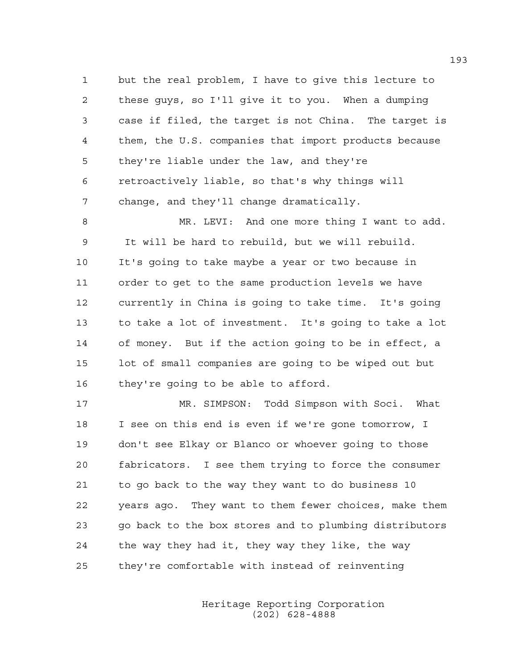1 but the real problem, I have to give this lecture to 2 these guys, so I'll give it to you. When a dumping 3 case if filed, the target is not China. The target is 4 them, the U.S. companies that import products because 5 they're liable under the law, and they're 6 retroactively liable, so that's why things will 7 change, and they'll change dramatically.

8 MR. LEVI: And one more thing I want to add. 9 It will be hard to rebuild, but we will rebuild. 10 It's going to take maybe a year or two because in 11 order to get to the same production levels we have 12 currently in China is going to take time. It's going 13 to take a lot of investment. It's going to take a lot 14 of money. But if the action going to be in effect, a 15 lot of small companies are going to be wiped out but 16 they're going to be able to afford.

17 MR. SIMPSON: Todd Simpson with Soci. What 18 I see on this end is even if we're gone tomorrow, I 19 don't see Elkay or Blanco or whoever going to those 20 fabricators. I see them trying to force the consumer 21 to go back to the way they want to do business 10 22 years ago. They want to them fewer choices, make them 23 go back to the box stores and to plumbing distributors 24 the way they had it, they way they like, the way 25 they're comfortable with instead of reinventing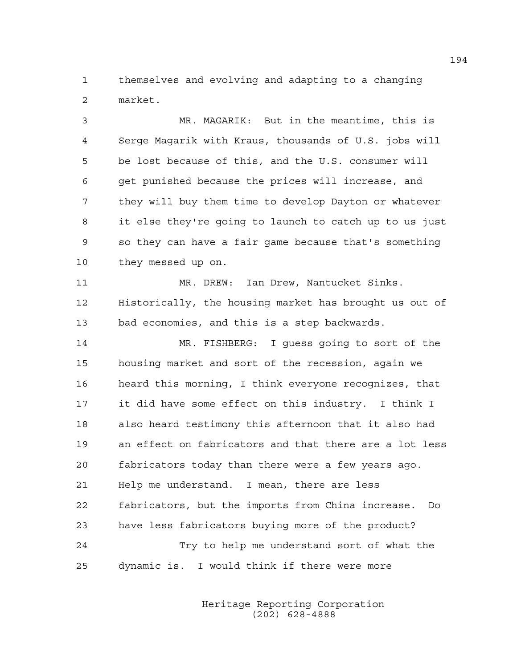1 themselves and evolving and adapting to a changing 2 market.

3 MR. MAGARIK: But in the meantime, this is 4 Serge Magarik with Kraus, thousands of U.S. jobs will 5 be lost because of this, and the U.S. consumer will 6 get punished because the prices will increase, and 7 they will buy them time to develop Dayton or whatever 8 it else they're going to launch to catch up to us just 9 so they can have a fair game because that's something 10 they messed up on. 11 MR. DREW: Ian Drew, Nantucket Sinks. 12 Historically, the housing market has brought us out of 13 bad economies, and this is a step backwards. 14 MR. FISHBERG: I guess going to sort of the 15 housing market and sort of the recession, again we 16 heard this morning, I think everyone recognizes, that 17 it did have some effect on this industry. I think I 18 also heard testimony this afternoon that it also had 19 an effect on fabricators and that there are a lot less 20 fabricators today than there were a few years ago. 21 Help me understand. I mean, there are less 22 fabricators, but the imports from China increase. Do 23 have less fabricators buying more of the product? 24 Try to help me understand sort of what the 25 dynamic is. I would think if there were more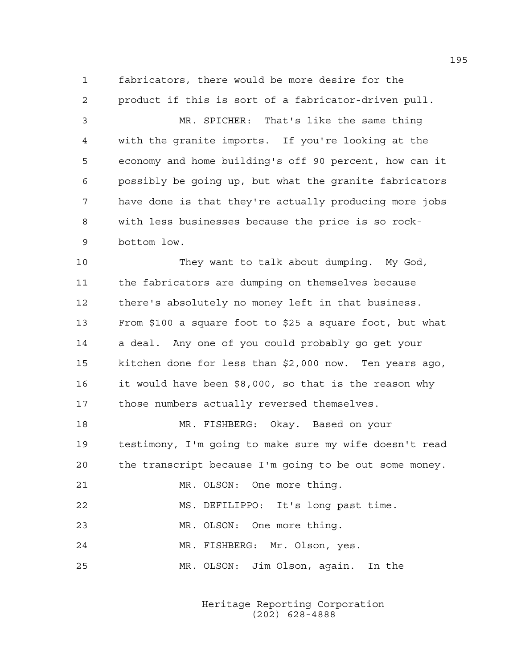1 fabricators, there would be more desire for the 2 product if this is sort of a fabricator-driven pull.

3 MR. SPICHER: That's like the same thing 4 with the granite imports. If you're looking at the 5 economy and home building's off 90 percent, how can it 6 possibly be going up, but what the granite fabricators 7 have done is that they're actually producing more jobs 8 with less businesses because the price is so rock-9 bottom low.

10 They want to talk about dumping. My God, 11 the fabricators are dumping on themselves because 12 there's absolutely no money left in that business. 13 From \$100 a square foot to \$25 a square foot, but what 14 a deal. Any one of you could probably go get your 15 kitchen done for less than \$2,000 now. Ten years ago, 16 it would have been \$8,000, so that is the reason why 17 those numbers actually reversed themselves.

18 MR. FISHBERG: Okay. Based on your 19 testimony, I'm going to make sure my wife doesn't read 20 the transcript because I'm going to be out some money. 21 MR. OLSON: One more thing.

22 MS. DEFILIPPO: It's long past time.

23 MR. OLSON: One more thing.

24 MR. FISHBERG: Mr. Olson, yes.

25 MR. OLSON: Jim Olson, again. In the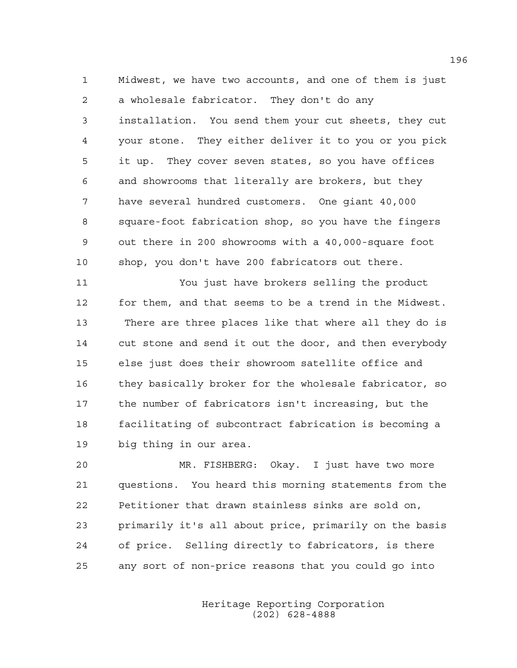1 Midwest, we have two accounts, and one of them is just 2 a wholesale fabricator. They don't do any 3 installation. You send them your cut sheets, they cut 4 your stone. They either deliver it to you or you pick 5 it up. They cover seven states, so you have offices 6 and showrooms that literally are brokers, but they 7 have several hundred customers. One giant 40,000 8 square-foot fabrication shop, so you have the fingers 9 out there in 200 showrooms with a 40,000-square foot 10 shop, you don't have 200 fabricators out there.

11 You just have brokers selling the product 12 for them, and that seems to be a trend in the Midwest. 13 There are three places like that where all they do is 14 cut stone and send it out the door, and then everybody 15 else just does their showroom satellite office and 16 they basically broker for the wholesale fabricator, so 17 the number of fabricators isn't increasing, but the 18 facilitating of subcontract fabrication is becoming a 19 big thing in our area.

20 MR. FISHBERG: Okay. I just have two more 21 questions. You heard this morning statements from the 22 Petitioner that drawn stainless sinks are sold on, 23 primarily it's all about price, primarily on the basis 24 of price. Selling directly to fabricators, is there 25 any sort of non-price reasons that you could go into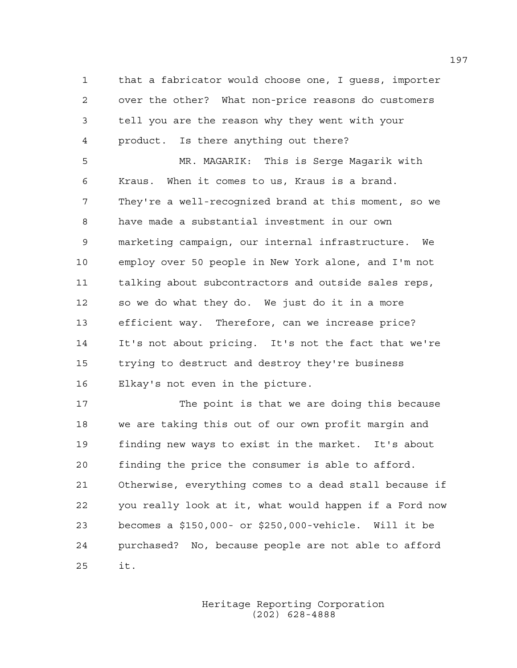1 that a fabricator would choose one, I guess, importer 2 over the other? What non-price reasons do customers 3 tell you are the reason why they went with your 4 product. Is there anything out there? 5 MR. MAGARIK: This is Serge Magarik with 6 Kraus. When it comes to us, Kraus is a brand. 7 They're a well-recognized brand at this moment, so we 8 have made a substantial investment in our own 9 marketing campaign, our internal infrastructure. We 10 employ over 50 people in New York alone, and I'm not 11 talking about subcontractors and outside sales reps, 12 so we do what they do. We just do it in a more 13 efficient way. Therefore, can we increase price? 14 It's not about pricing. It's not the fact that we're 15 trying to destruct and destroy they're business 16 Elkay's not even in the picture.

17 The point is that we are doing this because 18 we are taking this out of our own profit margin and 19 finding new ways to exist in the market. It's about 20 finding the price the consumer is able to afford. 21 Otherwise, everything comes to a dead stall because if 22 you really look at it, what would happen if a Ford now 23 becomes a \$150,000- or \$250,000-vehicle. Will it be 24 purchased? No, because people are not able to afford 25 it.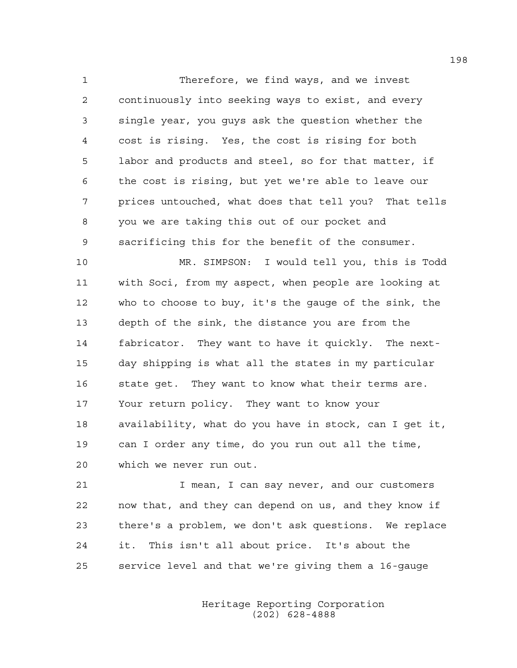1 Therefore, we find ways, and we invest 2 continuously into seeking ways to exist, and every 3 single year, you guys ask the question whether the 4 cost is rising. Yes, the cost is rising for both 5 labor and products and steel, so for that matter, if 6 the cost is rising, but yet we're able to leave our 7 prices untouched, what does that tell you? That tells 8 you we are taking this out of our pocket and 9 sacrificing this for the benefit of the consumer.

10 MR. SIMPSON: I would tell you, this is Todd 11 with Soci, from my aspect, when people are looking at 12 who to choose to buy, it's the gauge of the sink, the 13 depth of the sink, the distance you are from the 14 fabricator. They want to have it quickly. The next-15 day shipping is what all the states in my particular 16 state get. They want to know what their terms are. 17 Your return policy. They want to know your 18 availability, what do you have in stock, can I get it, 19 can I order any time, do you run out all the time, 20 which we never run out.

21 I mean, I can say never, and our customers 22 now that, and they can depend on us, and they know if 23 there's a problem, we don't ask questions. We replace 24 it. This isn't all about price. It's about the 25 service level and that we're giving them a 16-gauge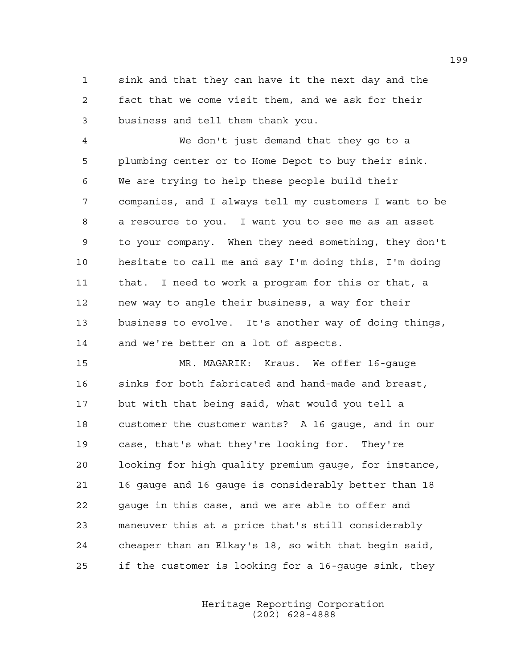1 sink and that they can have it the next day and the 2 fact that we come visit them, and we ask for their 3 business and tell them thank you.

4 We don't just demand that they go to a 5 plumbing center or to Home Depot to buy their sink. 6 We are trying to help these people build their 7 companies, and I always tell my customers I want to be 8 a resource to you. I want you to see me as an asset 9 to your company. When they need something, they don't 10 hesitate to call me and say I'm doing this, I'm doing 11 that. I need to work a program for this or that, a 12 new way to angle their business, a way for their 13 business to evolve. It's another way of doing things, 14 and we're better on a lot of aspects.

15 MR. MAGARIK: Kraus. We offer 16-gauge 16 sinks for both fabricated and hand-made and breast, 17 but with that being said, what would you tell a 18 customer the customer wants? A 16 gauge, and in our 19 case, that's what they're looking for. They're 20 looking for high quality premium gauge, for instance, 21 16 gauge and 16 gauge is considerably better than 18 22 gauge in this case, and we are able to offer and 23 maneuver this at a price that's still considerably 24 cheaper than an Elkay's 18, so with that begin said, 25 if the customer is looking for a 16-gauge sink, they

> Heritage Reporting Corporation (202) 628-4888

199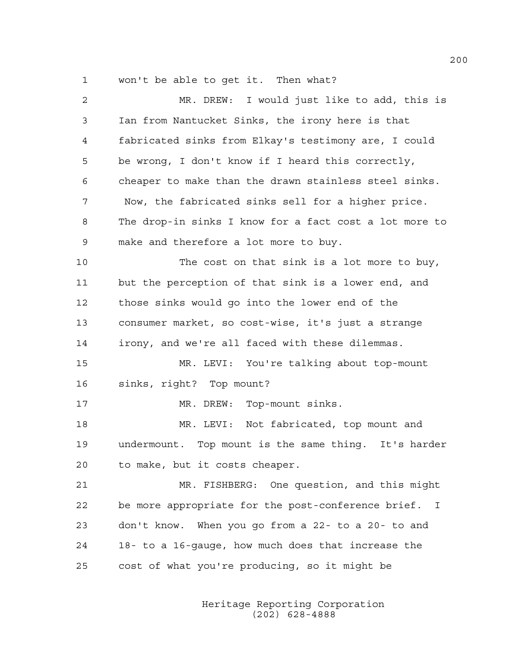1 won't be able to get it. Then what?

| 2  | MR. DREW: I would just like to add, this is                        |
|----|--------------------------------------------------------------------|
| 3  | Ian from Nantucket Sinks, the irony here is that                   |
| 4  | fabricated sinks from Elkay's testimony are, I could               |
| 5  | be wrong, I don't know if I heard this correctly,                  |
| 6  | cheaper to make than the drawn stainless steel sinks.              |
| 7  | Now, the fabricated sinks sell for a higher price.                 |
| 8  | The drop-in sinks I know for a fact cost a lot more to             |
| 9  | make and therefore a lot more to buy.                              |
| 10 | The cost on that sink is a lot more to buy,                        |
| 11 | but the perception of that sink is a lower end, and                |
| 12 | those sinks would go into the lower end of the                     |
| 13 | consumer market, so cost-wise, it's just a strange                 |
| 14 | irony, and we're all faced with these dilemmas.                    |
| 15 | MR. LEVI: You're talking about top-mount                           |
| 16 | sinks, right? Top mount?                                           |
| 17 | MR. DREW: Top-mount sinks.                                         |
| 18 | MR. LEVI: Not fabricated, top mount and                            |
| 19 | undermount. Top mount is the same thing. It's harder               |
| 20 | to make, but it costs cheaper.                                     |
| 21 | MR. FISHBERG: One question, and this might                         |
| 22 | be more appropriate for the post-conference brief.<br>$\mathbf{I}$ |
| 23 | don't know. When you go from a 22- to a 20- to and                 |
| 24 | 18- to a 16-gauge, how much does that increase the                 |
| 25 | cost of what you're producing, so it might be                      |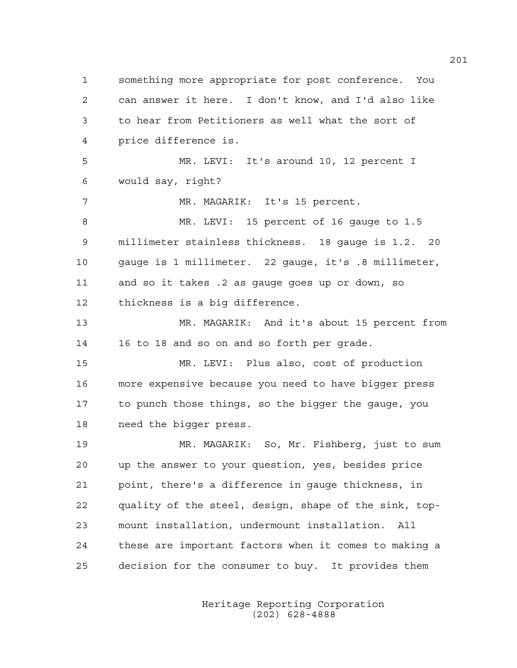1 something more appropriate for post conference. You 2 can answer it here. I don't know, and I'd also like 3 to hear from Petitioners as well what the sort of 4 price difference is. 5 MR. LEVI: It's around 10, 12 percent I 6 would say, right? 7 MR. MAGARIK: It's 15 percent. 8 MR. LEVI: 15 percent of 16 gauge to 1.5 9 millimeter stainless thickness. 18 gauge is 1.2. 20 10 gauge is 1 millimeter. 22 gauge, it's .8 millimeter, 11 and so it takes .2 as gauge goes up or down, so 12 thickness is a big difference. 13 MR. MAGARIK: And it's about 15 percent from 14 16 to 18 and so on and so forth per grade. 15 MR. LEVI: Plus also, cost of production 16 more expensive because you need to have bigger press 17 to punch those things, so the bigger the gauge, you 18 need the bigger press. 19 MR. MAGARIK: So, Mr. Fishberg, just to sum 20 up the answer to your question, yes, besides price 21 point, there's a difference in gauge thickness, in 22 quality of the steel, design, shape of the sink, top-23 mount installation, undermount installation. All 24 these are important factors when it comes to making a 25 decision for the consumer to buy. It provides them

> Heritage Reporting Corporation (202) 628-4888

201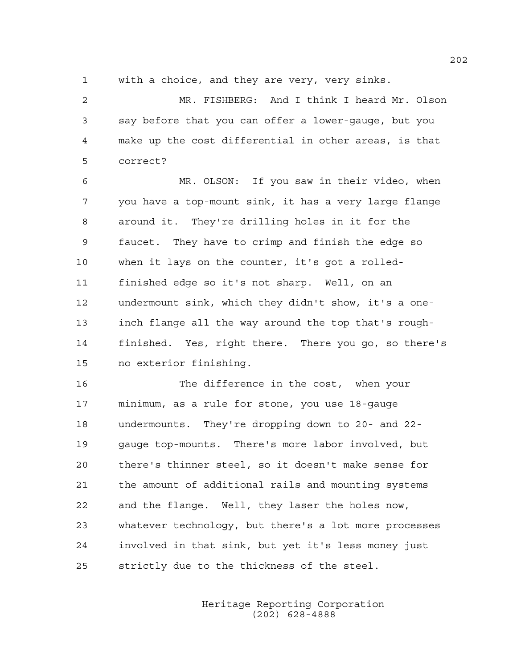1 with a choice, and they are very, very sinks.

2 MR. FISHBERG: And I think I heard Mr. Olson 3 say before that you can offer a lower-gauge, but you 4 make up the cost differential in other areas, is that 5 correct?

6 MR. OLSON: If you saw in their video, when 7 you have a top-mount sink, it has a very large flange 8 around it. They're drilling holes in it for the 9 faucet. They have to crimp and finish the edge so 10 when it lays on the counter, it's got a rolled-11 finished edge so it's not sharp. Well, on an 12 undermount sink, which they didn't show, it's a one-13 inch flange all the way around the top that's rough-14 finished. Yes, right there. There you go, so there's 15 no exterior finishing.

16 The difference in the cost, when your 17 minimum, as a rule for stone, you use 18-gauge 18 undermounts. They're dropping down to 20- and 22- 19 gauge top-mounts. There's more labor involved, but 20 there's thinner steel, so it doesn't make sense for 21 the amount of additional rails and mounting systems 22 and the flange. Well, they laser the holes now, 23 whatever technology, but there's a lot more processes 24 involved in that sink, but yet it's less money just 25 strictly due to the thickness of the steel.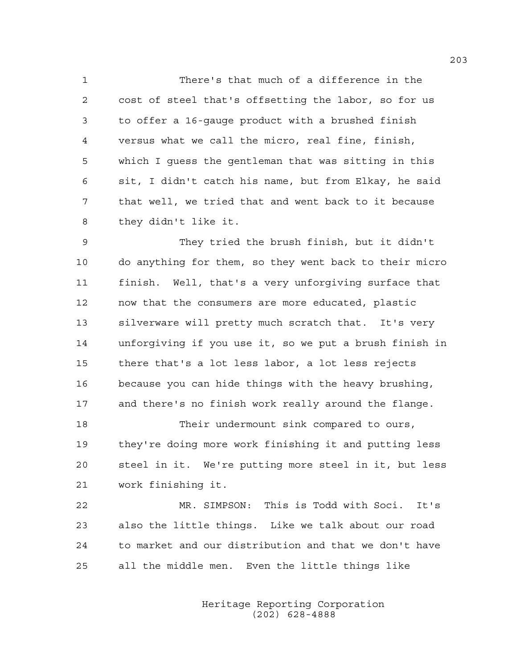1 There's that much of a difference in the 2 cost of steel that's offsetting the labor, so for us 3 to offer a 16-gauge product with a brushed finish 4 versus what we call the micro, real fine, finish, 5 which I guess the gentleman that was sitting in this 6 sit, I didn't catch his name, but from Elkay, he said 7 that well, we tried that and went back to it because 8 they didn't like it.

9 They tried the brush finish, but it didn't 10 do anything for them, so they went back to their micro 11 finish. Well, that's a very unforgiving surface that 12 now that the consumers are more educated, plastic 13 silverware will pretty much scratch that. It's very 14 unforgiving if you use it, so we put a brush finish in 15 there that's a lot less labor, a lot less rejects 16 because you can hide things with the heavy brushing, 17 and there's no finish work really around the flange.

18 Their undermount sink compared to ours, 19 they're doing more work finishing it and putting less 20 steel in it. We're putting more steel in it, but less 21 work finishing it.

22 MR. SIMPSON: This is Todd with Soci. It's 23 also the little things. Like we talk about our road 24 to market and our distribution and that we don't have 25 all the middle men. Even the little things like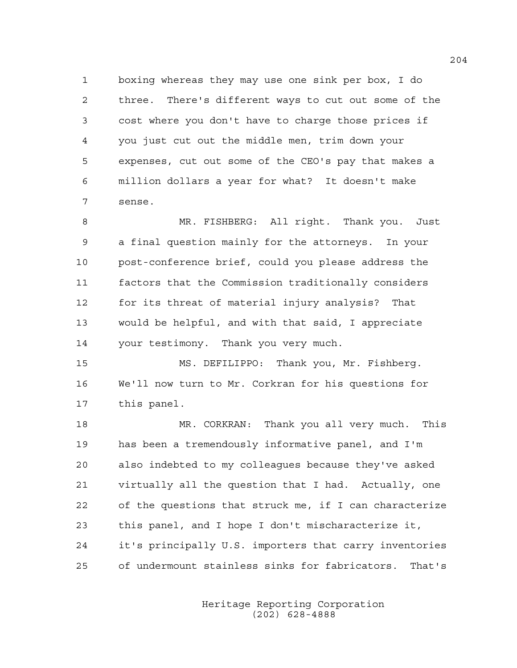1 boxing whereas they may use one sink per box, I do 2 three. There's different ways to cut out some of the 3 cost where you don't have to charge those prices if 4 you just cut out the middle men, trim down your 5 expenses, cut out some of the CEO's pay that makes a 6 million dollars a year for what? It doesn't make 7 sense.

8 MR. FISHBERG: All right. Thank you. Just 9 a final question mainly for the attorneys. In your 10 post-conference brief, could you please address the 11 factors that the Commission traditionally considers 12 for its threat of material injury analysis? That 13 would be helpful, and with that said, I appreciate 14 your testimony. Thank you very much.

15 MS. DEFILIPPO: Thank you, Mr. Fishberg. 16 We'll now turn to Mr. Corkran for his questions for 17 this panel.

18 MR. CORKRAN: Thank you all very much. This 19 has been a tremendously informative panel, and I'm 20 also indebted to my colleagues because they've asked 21 virtually all the question that I had. Actually, one 22 of the questions that struck me, if I can characterize 23 this panel, and I hope I don't mischaracterize it, 24 it's principally U.S. importers that carry inventories 25 of undermount stainless sinks for fabricators. That's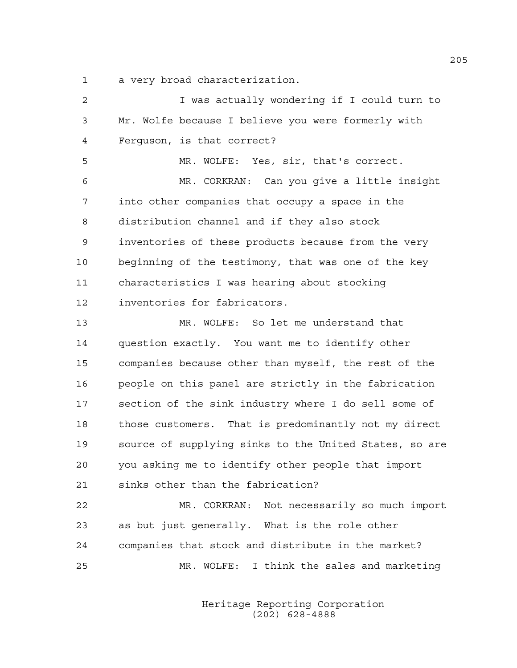1 a very broad characterization.

| 2  | I was actually wondering if I could turn to            |
|----|--------------------------------------------------------|
| 3  | Mr. Wolfe because I believe you were formerly with     |
| 4  | Ferquson, is that correct?                             |
| 5  | MR. WOLFE: Yes, sir, that's correct.                   |
| 6  | MR. CORKRAN: Can you give a little insight             |
| 7  | into other companies that occupy a space in the        |
| 8  | distribution channel and if they also stock            |
| 9  | inventories of these products because from the very    |
| 10 | beginning of the testimony, that was one of the key    |
| 11 | characteristics I was hearing about stocking           |
| 12 | inventories for fabricators.                           |
| 13 | MR. WOLFE: So let me understand that                   |
| 14 | question exactly. You want me to identify other        |
| 15 | companies because other than myself, the rest of the   |
| 16 | people on this panel are strictly in the fabrication   |
| 17 | section of the sink industry where I do sell some of   |
| 18 | those customers. That is predominantly not my direct   |
| 19 | source of supplying sinks to the United States, so are |
| 20 | you asking me to identify other people that import     |
| 21 | sinks other than the fabrication?                      |
| 22 | MR. CORKRAN: Not necessarily so much import            |
| 23 | as but just generally. What is the role other          |
| 24 | companies that stock and distribute in the market?     |
| 25 | MR. WOLFE: I think the sales and marketing             |
|    |                                                        |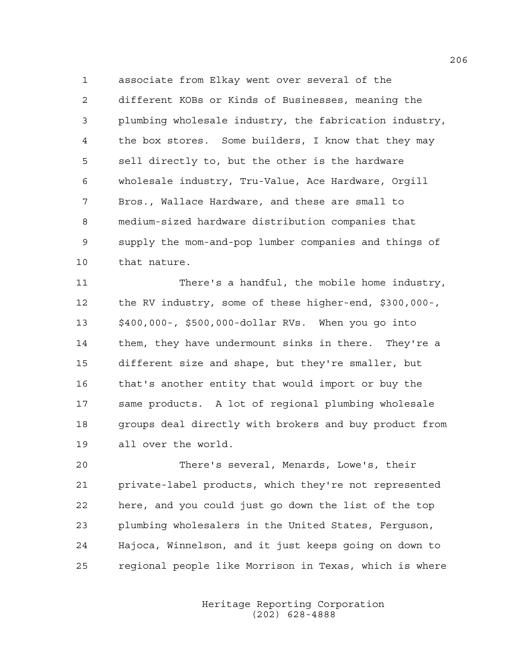1 associate from Elkay went over several of the 2 different KOBs or Kinds of Businesses, meaning the 3 plumbing wholesale industry, the fabrication industry, 4 the box stores. Some builders, I know that they may 5 sell directly to, but the other is the hardware 6 wholesale industry, Tru-Value, Ace Hardware, Orgill 7 Bros., Wallace Hardware, and these are small to 8 medium-sized hardware distribution companies that 9 supply the mom-and-pop lumber companies and things of 10 that nature.

11 There's a handful, the mobile home industry, 12 the RV industry, some of these higher-end, \$300,000-, 13 \$400,000-, \$500,000-dollar RVs. When you go into 14 them, they have undermount sinks in there. They're a 15 different size and shape, but they're smaller, but 16 that's another entity that would import or buy the 17 same products. A lot of regional plumbing wholesale 18 groups deal directly with brokers and buy product from 19 all over the world.

20 There's several, Menards, Lowe's, their 21 private-label products, which they're not represented 22 here, and you could just go down the list of the top 23 plumbing wholesalers in the United States, Ferguson, 24 Hajoca, Winnelson, and it just keeps going on down to 25 regional people like Morrison in Texas, which is where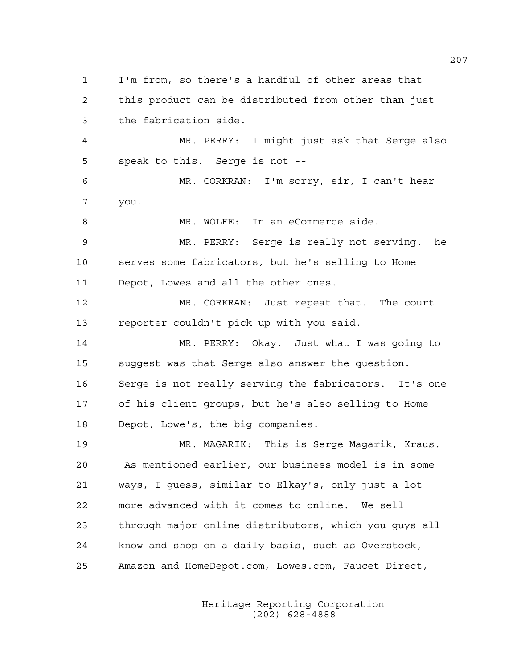1 I'm from, so there's a handful of other areas that 2 this product can be distributed from other than just 3 the fabrication side. 4 MR. PERRY: I might just ask that Serge also 5 speak to this. Serge is not -- 6 MR. CORKRAN: I'm sorry, sir, I can't hear 7 you. 8 MR. WOLFE: In an eCommerce side. 9 MR. PERRY: Serge is really not serving. he 10 serves some fabricators, but he's selling to Home 11 Depot, Lowes and all the other ones. 12 MR. CORKRAN: Just repeat that. The court 13 reporter couldn't pick up with you said. 14 MR. PERRY: Okay. Just what I was going to 15 suggest was that Serge also answer the question. 16 Serge is not really serving the fabricators. It's one 17 of his client groups, but he's also selling to Home 18 Depot, Lowe's, the big companies. 19 MR. MAGARIK: This is Serge Magarik, Kraus. 20 As mentioned earlier, our business model is in some 21 ways, I guess, similar to Elkay's, only just a lot 22 more advanced with it comes to online. We sell 23 through major online distributors, which you guys all 24 know and shop on a daily basis, such as Overstock, 25 Amazon and HomeDepot.com, Lowes.com, Faucet Direct,

> Heritage Reporting Corporation (202) 628-4888

207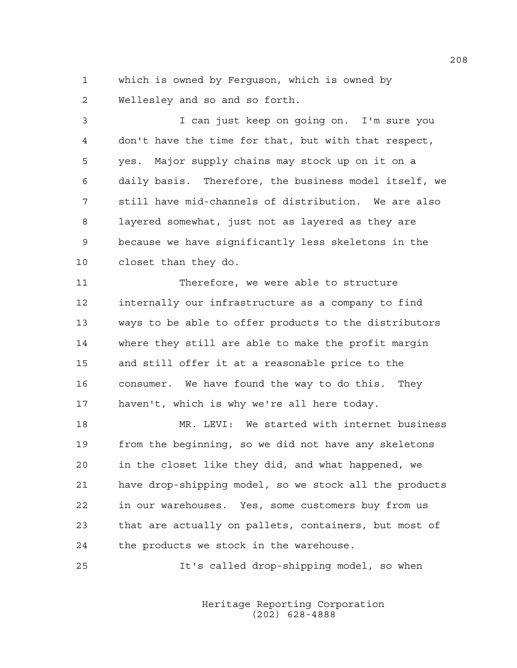1 which is owned by Ferguson, which is owned by 2 Wellesley and so and so forth.

3 I can just keep on going on. I'm sure you 4 don't have the time for that, but with that respect, 5 yes. Major supply chains may stock up on it on a 6 daily basis. Therefore, the business model itself, we 7 still have mid-channels of distribution. We are also 8 layered somewhat, just not as layered as they are 9 because we have significantly less skeletons in the 10 closet than they do.

11 Therefore, we were able to structure 12 internally our infrastructure as a company to find 13 ways to be able to offer products to the distributors 14 where they still are able to make the profit margin 15 and still offer it at a reasonable price to the 16 consumer. We have found the way to do this. They 17 haven't, which is why we're all here today.

18 MR. LEVI: We started with internet business 19 from the beginning, so we did not have any skeletons 20 in the closet like they did, and what happened, we 21 have drop-shipping model, so we stock all the products 22 in our warehouses. Yes, some customers buy from us 23 that are actually on pallets, containers, but most of 24 the products we stock in the warehouse.

25 It's called drop-shipping model, so when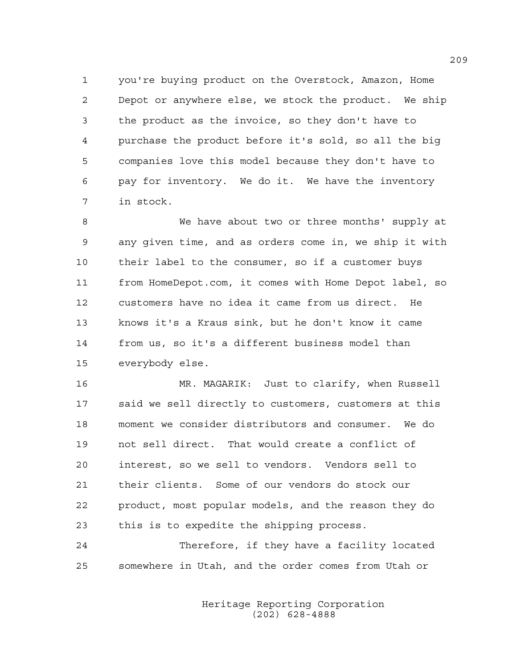1 you're buying product on the Overstock, Amazon, Home 2 Depot or anywhere else, we stock the product. We ship 3 the product as the invoice, so they don't have to 4 purchase the product before it's sold, so all the big 5 companies love this model because they don't have to 6 pay for inventory. We do it. We have the inventory 7 in stock.

8 We have about two or three months' supply at 9 any given time, and as orders come in, we ship it with 10 their label to the consumer, so if a customer buys 11 from HomeDepot.com, it comes with Home Depot label, so 12 customers have no idea it came from us direct. He 13 knows it's a Kraus sink, but he don't know it came 14 from us, so it's a different business model than 15 everybody else.

16 MR. MAGARIK: Just to clarify, when Russell 17 said we sell directly to customers, customers at this 18 moment we consider distributors and consumer. We do 19 not sell direct. That would create a conflict of 20 interest, so we sell to vendors. Vendors sell to 21 their clients. Some of our vendors do stock our 22 product, most popular models, and the reason they do 23 this is to expedite the shipping process.

24 Therefore, if they have a facility located 25 somewhere in Utah, and the order comes from Utah or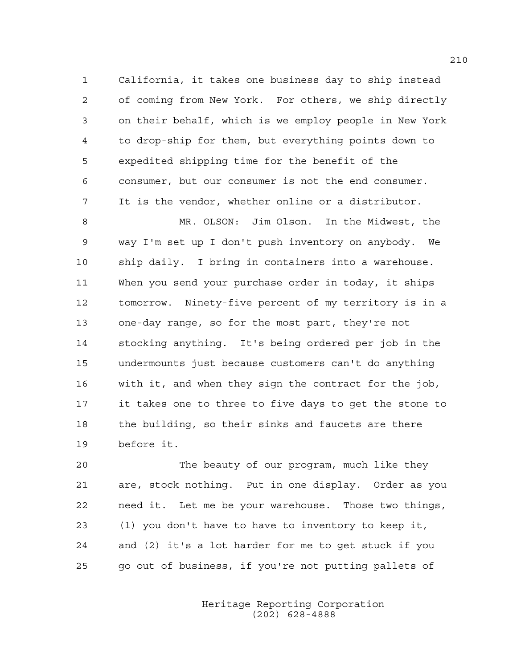1 California, it takes one business day to ship instead 2 of coming from New York. For others, we ship directly 3 on their behalf, which is we employ people in New York 4 to drop-ship for them, but everything points down to 5 expedited shipping time for the benefit of the 6 consumer, but our consumer is not the end consumer. 7 It is the vendor, whether online or a distributor.

8 MR. OLSON: Jim Olson. In the Midwest, the 9 way I'm set up I don't push inventory on anybody. We 10 ship daily. I bring in containers into a warehouse. 11 When you send your purchase order in today, it ships 12 tomorrow. Ninety-five percent of my territory is in a 13 one-day range, so for the most part, they're not 14 stocking anything. It's being ordered per job in the 15 undermounts just because customers can't do anything 16 with it, and when they sign the contract for the job, 17 it takes one to three to five days to get the stone to 18 the building, so their sinks and faucets are there 19 before it.

20 The beauty of our program, much like they 21 are, stock nothing. Put in one display. Order as you 22 need it. Let me be your warehouse. Those two things, 23 (1) you don't have to have to inventory to keep it, 24 and (2) it's a lot harder for me to get stuck if you 25 go out of business, if you're not putting pallets of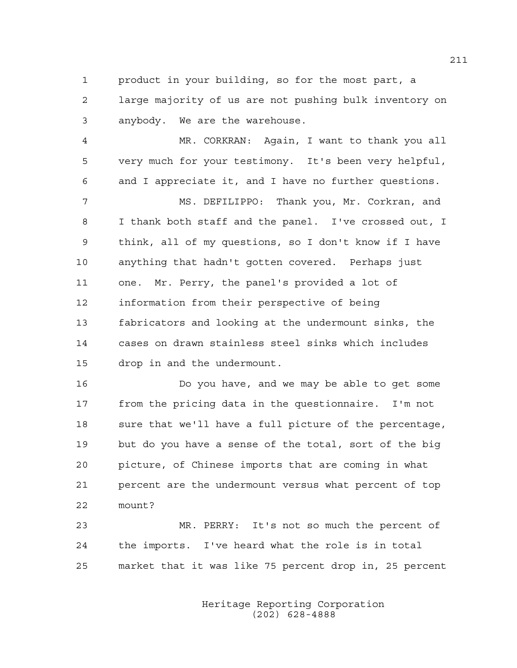1 product in your building, so for the most part, a 2 large majority of us are not pushing bulk inventory on 3 anybody. We are the warehouse.

4 MR. CORKRAN: Again, I want to thank you all 5 very much for your testimony. It's been very helpful, 6 and I appreciate it, and I have no further questions.

7 MS. DEFILIPPO: Thank you, Mr. Corkran, and 8 I thank both staff and the panel. I've crossed out, I 9 think, all of my questions, so I don't know if I have 10 anything that hadn't gotten covered. Perhaps just 11 one. Mr. Perry, the panel's provided a lot of 12 information from their perspective of being 13 fabricators and looking at the undermount sinks, the 14 cases on drawn stainless steel sinks which includes 15 drop in and the undermount.

16 Do you have, and we may be able to get some 17 from the pricing data in the questionnaire. I'm not 18 sure that we'll have a full picture of the percentage, 19 but do you have a sense of the total, sort of the big 20 picture, of Chinese imports that are coming in what 21 percent are the undermount versus what percent of top 22 mount?

23 MR. PERRY: It's not so much the percent of 24 the imports. I've heard what the role is in total 25 market that it was like 75 percent drop in, 25 percent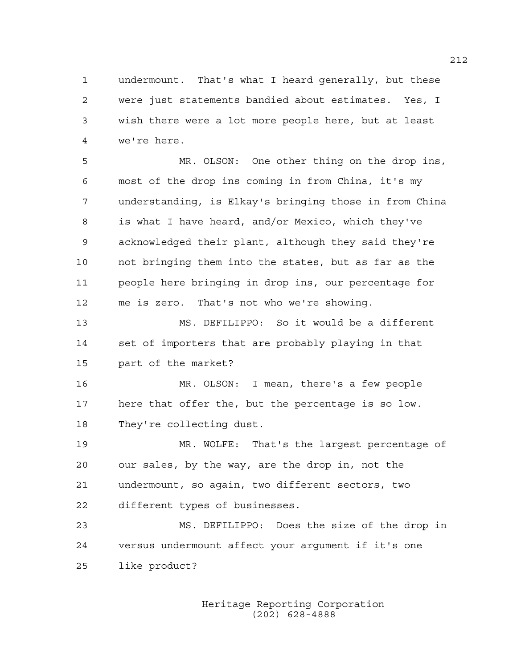1 undermount. That's what I heard generally, but these 2 were just statements bandied about estimates. Yes, I 3 wish there were a lot more people here, but at least 4 we're here.

5 MR. OLSON: One other thing on the drop ins, 6 most of the drop ins coming in from China, it's my 7 understanding, is Elkay's bringing those in from China 8 is what I have heard, and/or Mexico, which they've 9 acknowledged their plant, although they said they're 10 not bringing them into the states, but as far as the 11 people here bringing in drop ins, our percentage for 12 me is zero. That's not who we're showing.

13 MS. DEFILIPPO: So it would be a different 14 set of importers that are probably playing in that 15 part of the market?

16 MR. OLSON: I mean, there's a few people 17 here that offer the, but the percentage is so low. 18 They're collecting dust.

19 MR. WOLFE: That's the largest percentage of 20 our sales, by the way, are the drop in, not the 21 undermount, so again, two different sectors, two 22 different types of businesses.

23 MS. DEFILIPPO: Does the size of the drop in 24 versus undermount affect your argument if it's one 25 like product?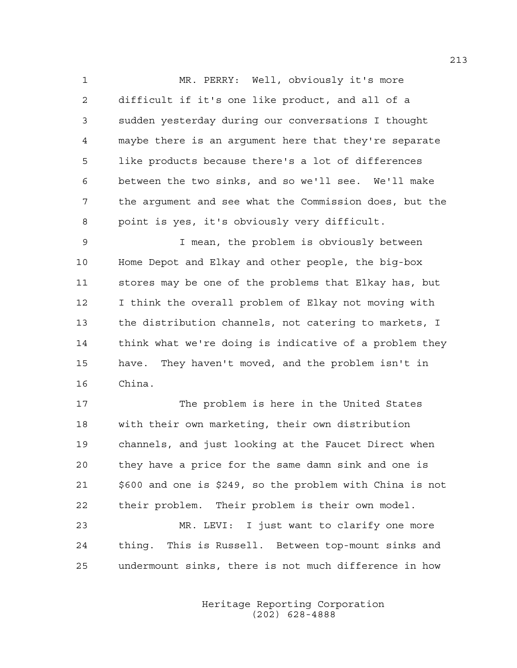1 MR. PERRY: Well, obviously it's more 2 difficult if it's one like product, and all of a 3 sudden yesterday during our conversations I thought 4 maybe there is an argument here that they're separate 5 like products because there's a lot of differences 6 between the two sinks, and so we'll see. We'll make 7 the argument and see what the Commission does, but the 8 point is yes, it's obviously very difficult.

9 I mean, the problem is obviously between 10 Home Depot and Elkay and other people, the big-box 11 stores may be one of the problems that Elkay has, but 12 I think the overall problem of Elkay not moving with 13 the distribution channels, not catering to markets, I 14 think what we're doing is indicative of a problem they 15 have. They haven't moved, and the problem isn't in 16 China.

17 The problem is here in the United States 18 with their own marketing, their own distribution 19 channels, and just looking at the Faucet Direct when 20 they have a price for the same damn sink and one is 21 \$600 and one is \$249, so the problem with China is not 22 their problem. Their problem is their own model.

23 MR. LEVI: I just want to clarify one more 24 thing. This is Russell. Between top-mount sinks and 25 undermount sinks, there is not much difference in how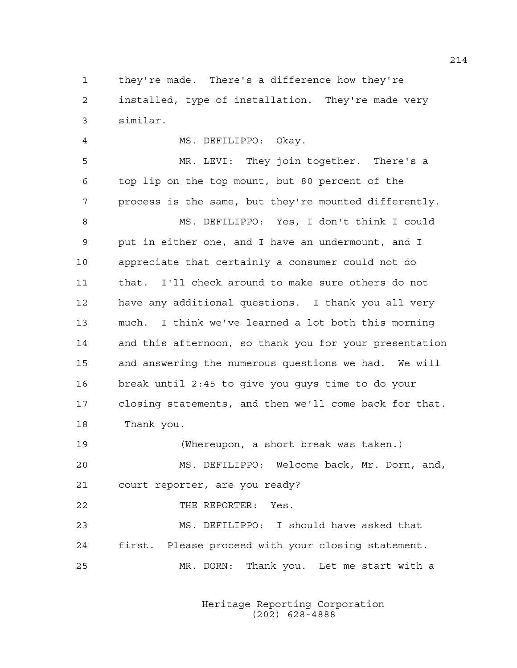1 they're made. There's a difference how they're 2 installed, type of installation. They're made very 3 similar.

4 MS. DEFILIPPO: Okay. 5 MR. LEVI: They join together. There's a 6 top lip on the top mount, but 80 percent of the 7 process is the same, but they're mounted differently. 8 MS. DEFILIPPO: Yes, I don't think I could 9 put in either one, and I have an undermount, and I 10 appreciate that certainly a consumer could not do 11 that. I'll check around to make sure others do not 12 have any additional questions. I thank you all very 13 much. I think we've learned a lot both this morning 14 and this afternoon, so thank you for your presentation 15 and answering the numerous questions we had. We will 16 break until 2:45 to give you guys time to do your 17 closing statements, and then we'll come back for that. 18 Thank you.

19 (Whereupon, a short break was taken.) 20 MS. DEFILIPPO: Welcome back, Mr. Dorn, and, 21 court reporter, are you ready?

22 THE REPORTER: Yes. 23 MS. DEFILIPPO: I should have asked that 24 first. Please proceed with your closing statement. 25 MR. DORN: Thank you. Let me start with a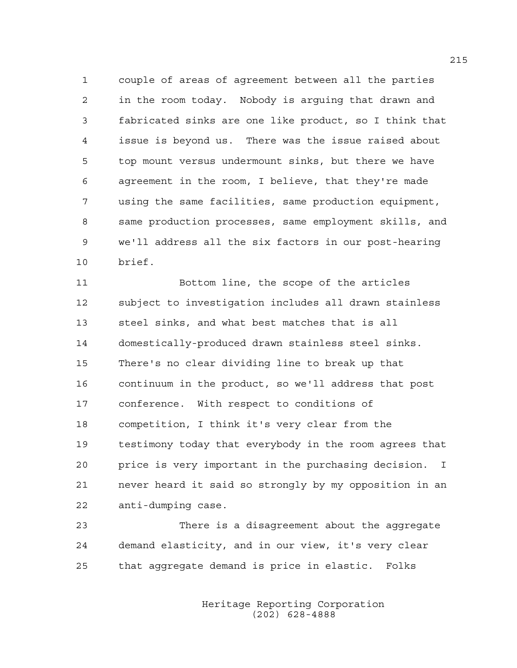1 couple of areas of agreement between all the parties 2 in the room today. Nobody is arguing that drawn and 3 fabricated sinks are one like product, so I think that 4 issue is beyond us. There was the issue raised about 5 top mount versus undermount sinks, but there we have 6 agreement in the room, I believe, that they're made 7 using the same facilities, same production equipment, 8 same production processes, same employment skills, and 9 we'll address all the six factors in our post-hearing 10 brief.

11 Bottom line, the scope of the articles 12 subject to investigation includes all drawn stainless 13 steel sinks, and what best matches that is all 14 domestically-produced drawn stainless steel sinks. 15 There's no clear dividing line to break up that 16 continuum in the product, so we'll address that post 17 conference. With respect to conditions of 18 competition, I think it's very clear from the 19 testimony today that everybody in the room agrees that 20 price is very important in the purchasing decision. I 21 never heard it said so strongly by my opposition in an 22 anti-dumping case.

23 There is a disagreement about the aggregate 24 demand elasticity, and in our view, it's very clear 25 that aggregate demand is price in elastic. Folks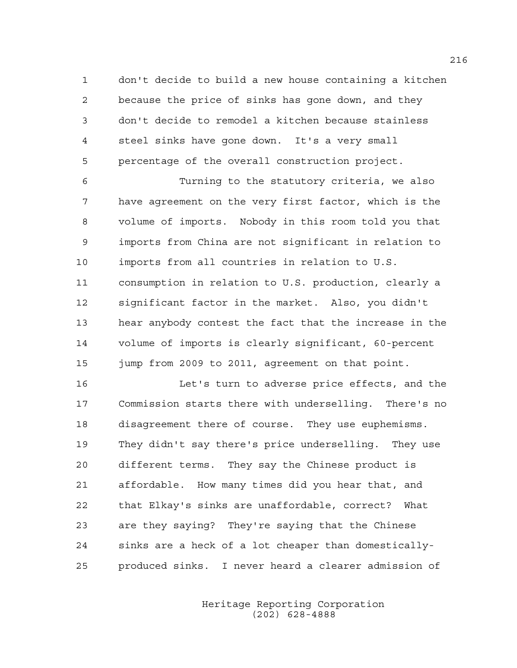1 don't decide to build a new house containing a kitchen 2 because the price of sinks has gone down, and they 3 don't decide to remodel a kitchen because stainless 4 steel sinks have gone down. It's a very small 5 percentage of the overall construction project.

6 Turning to the statutory criteria, we also 7 have agreement on the very first factor, which is the 8 volume of imports. Nobody in this room told you that 9 imports from China are not significant in relation to 10 imports from all countries in relation to U.S. 11 consumption in relation to U.S. production, clearly a 12 significant factor in the market. Also, you didn't 13 hear anybody contest the fact that the increase in the 14 volume of imports is clearly significant, 60-percent 15 jump from 2009 to 2011, agreement on that point.

16 Let's turn to adverse price effects, and the 17 Commission starts there with underselling. There's no 18 disagreement there of course. They use euphemisms. 19 They didn't say there's price underselling. They use 20 different terms. They say the Chinese product is 21 affordable. How many times did you hear that, and 22 that Elkay's sinks are unaffordable, correct? What 23 are they saying? They're saying that the Chinese 24 sinks are a heck of a lot cheaper than domestically-25 produced sinks. I never heard a clearer admission of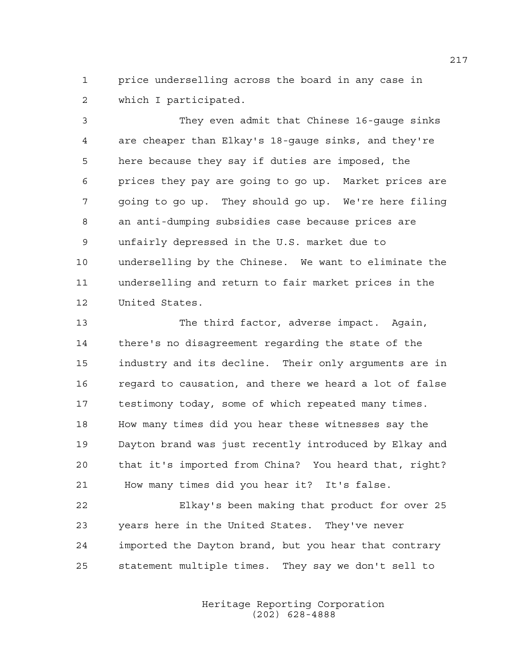1 price underselling across the board in any case in 2 which I participated.

3 They even admit that Chinese 16-gauge sinks 4 are cheaper than Elkay's 18-gauge sinks, and they're 5 here because they say if duties are imposed, the 6 prices they pay are going to go up. Market prices are 7 going to go up. They should go up. We're here filing 8 an anti-dumping subsidies case because prices are 9 unfairly depressed in the U.S. market due to 10 underselling by the Chinese. We want to eliminate the 11 underselling and return to fair market prices in the 12 United States.

13 The third factor, adverse impact. Again, 14 there's no disagreement regarding the state of the 15 industry and its decline. Their only arguments are in 16 regard to causation, and there we heard a lot of false 17 testimony today, some of which repeated many times. 18 How many times did you hear these witnesses say the 19 Dayton brand was just recently introduced by Elkay and 20 that it's imported from China? You heard that, right? 21 How many times did you hear it? It's false.

22 Elkay's been making that product for over 25 23 years here in the United States. They've never 24 imported the Dayton brand, but you hear that contrary 25 statement multiple times. They say we don't sell to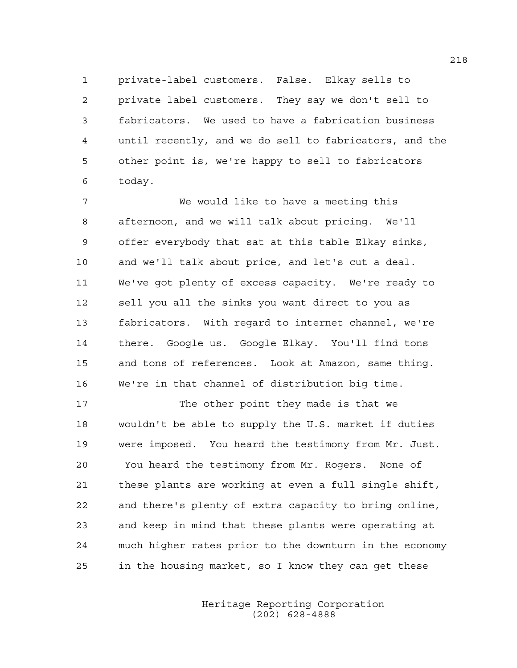1 private-label customers. False. Elkay sells to 2 private label customers. They say we don't sell to 3 fabricators. We used to have a fabrication business 4 until recently, and we do sell to fabricators, and the 5 other point is, we're happy to sell to fabricators 6 today.

7 We would like to have a meeting this 8 afternoon, and we will talk about pricing. We'll 9 offer everybody that sat at this table Elkay sinks, 10 and we'll talk about price, and let's cut a deal. 11 We've got plenty of excess capacity. We're ready to 12 sell you all the sinks you want direct to you as 13 fabricators. With regard to internet channel, we're 14 there. Google us. Google Elkay. You'll find tons 15 and tons of references. Look at Amazon, same thing. 16 We're in that channel of distribution big time.

17 The other point they made is that we 18 wouldn't be able to supply the U.S. market if duties 19 were imposed. You heard the testimony from Mr. Just. 20 You heard the testimony from Mr. Rogers. None of 21 these plants are working at even a full single shift, 22 and there's plenty of extra capacity to bring online, 23 and keep in mind that these plants were operating at 24 much higher rates prior to the downturn in the economy 25 in the housing market, so I know they can get these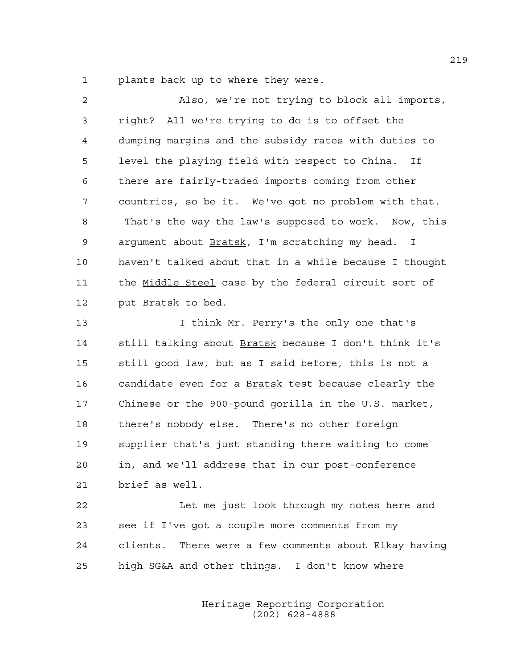1 plants back up to where they were.

| dumping margins and the subsidy rates with duties to   |
|--------------------------------------------------------|
| level the playing field with respect to China. If      |
| there are fairly-traded imports coming from other      |
| countries, so be it. We've got no problem with that.   |
| That's the way the law's supposed to work. Now, this   |
| argument about Bratsk, I'm scratching my head. I       |
| haven't talked about that in a while because I thought |
| the Middle Steel case by the federal circuit sort of   |
|                                                        |
| I think Mr. Perry's the only one that's                |
| still talking about Bratsk because I don't think it's  |
| still good law, but as I said before, this is not a    |
| candidate even for a Bratsk test because clearly the   |
|                                                        |

17 Chinese or the 900-pound gorilla in the U.S. market, 18 there's nobody else. There's no other foreign 19 supplier that's just standing there waiting to come 20 in, and we'll address that in our post-conference 21 brief as well.

22 Let me just look through my notes here and 23 see if I've got a couple more comments from my 24 clients. There were a few comments about Elkay having 25 high SG&A and other things. I don't know where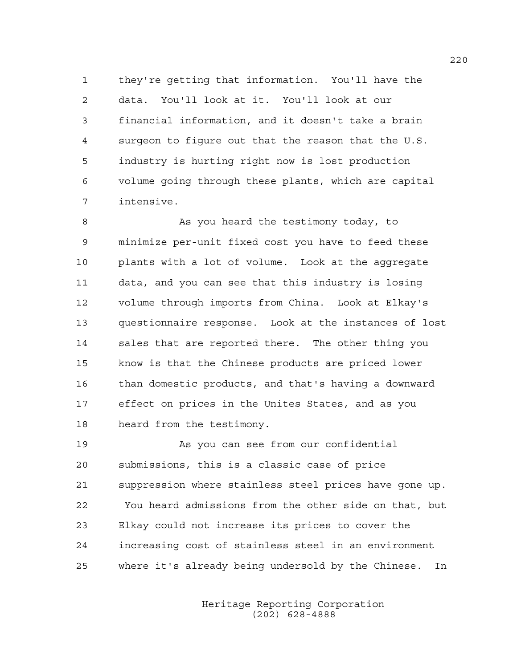1 they're getting that information. You'll have the 2 data. You'll look at it. You'll look at our 3 financial information, and it doesn't take a brain 4 surgeon to figure out that the reason that the U.S. 5 industry is hurting right now is lost production 6 volume going through these plants, which are capital 7 intensive.

8 As you heard the testimony today, to 9 minimize per-unit fixed cost you have to feed these 10 plants with a lot of volume. Look at the aggregate 11 data, and you can see that this industry is losing 12 volume through imports from China. Look at Elkay's 13 questionnaire response. Look at the instances of lost 14 sales that are reported there. The other thing you 15 know is that the Chinese products are priced lower 16 than domestic products, and that's having a downward 17 effect on prices in the Unites States, and as you 18 heard from the testimony.

19 As you can see from our confidential 20 submissions, this is a classic case of price 21 suppression where stainless steel prices have gone up. 22 You heard admissions from the other side on that, but 23 Elkay could not increase its prices to cover the 24 increasing cost of stainless steel in an environment 25 where it's already being undersold by the Chinese. In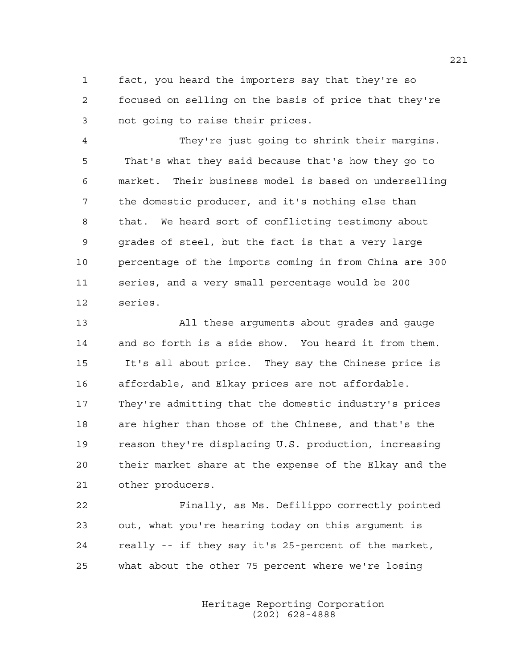1 fact, you heard the importers say that they're so 2 focused on selling on the basis of price that they're 3 not going to raise their prices.

4 They're just going to shrink their margins. 5 That's what they said because that's how they go to 6 market. Their business model is based on underselling 7 the domestic producer, and it's nothing else than 8 that. We heard sort of conflicting testimony about 9 grades of steel, but the fact is that a very large 10 percentage of the imports coming in from China are 300 11 series, and a very small percentage would be 200 12 series.

13 All these arguments about grades and gauge 14 and so forth is a side show. You heard it from them. 15 It's all about price. They say the Chinese price is 16 affordable, and Elkay prices are not affordable. 17 They're admitting that the domestic industry's prices 18 are higher than those of the Chinese, and that's the 19 reason they're displacing U.S. production, increasing 20 their market share at the expense of the Elkay and the 21 other producers.

22 Finally, as Ms. Defilippo correctly pointed 23 out, what you're hearing today on this argument is 24 really -- if they say it's 25-percent of the market, 25 what about the other 75 percent where we're losing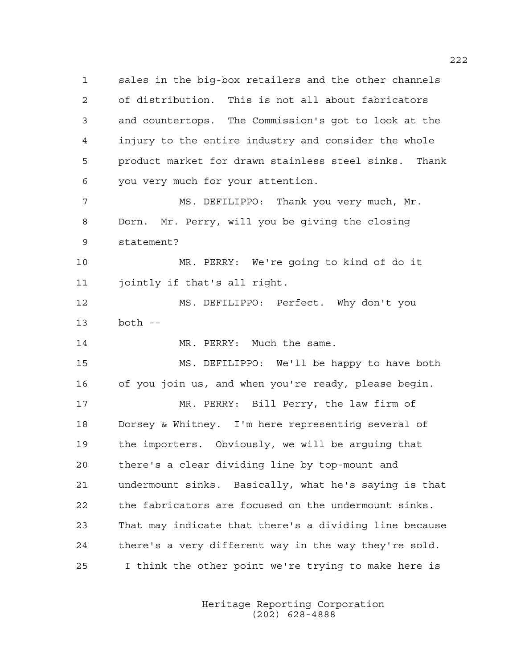1 sales in the big-box retailers and the other channels 2 of distribution. This is not all about fabricators 3 and countertops. The Commission's got to look at the 4 injury to the entire industry and consider the whole 5 product market for drawn stainless steel sinks. Thank 6 you very much for your attention. 7 MS. DEFILIPPO: Thank you very much, Mr. 8 Dorn. Mr. Perry, will you be giving the closing

10 MR. PERRY: We're going to kind of do it 11 jointly if that's all right.

12 MS. DEFILIPPO: Perfect. Why don't you 13 both --

14 MR. PERRY: Much the same.

9 statement?

15 MS. DEFILIPPO: We'll be happy to have both 16 of you join us, and when you're ready, please begin.

17 MR. PERRY: Bill Perry, the law firm of 18 Dorsey & Whitney. I'm here representing several of 19 the importers. Obviously, we will be arguing that 20 there's a clear dividing line by top-mount and 21 undermount sinks. Basically, what he's saying is that 22 the fabricators are focused on the undermount sinks. 23 That may indicate that there's a dividing line because 24 there's a very different way in the way they're sold. 25 I think the other point we're trying to make here is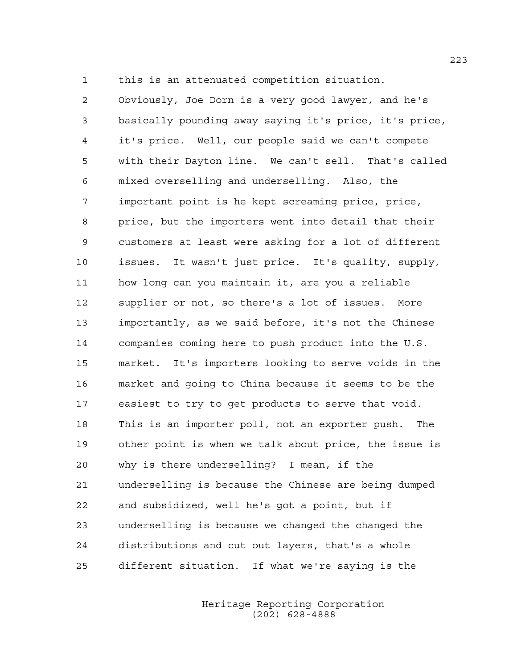1 this is an attenuated competition situation.

2 Obviously, Joe Dorn is a very good lawyer, and he's 3 basically pounding away saying it's price, it's price, 4 it's price. Well, our people said we can't compete 5 with their Dayton line. We can't sell. That's called 6 mixed overselling and underselling. Also, the 7 important point is he kept screaming price, price, 8 price, but the importers went into detail that their 9 customers at least were asking for a lot of different 10 issues. It wasn't just price. It's quality, supply, 11 how long can you maintain it, are you a reliable 12 supplier or not, so there's a lot of issues. More 13 importantly, as we said before, it's not the Chinese 14 companies coming here to push product into the U.S. 15 market. It's importers looking to serve voids in the 16 market and going to China because it seems to be the 17 easiest to try to get products to serve that void. 18 This is an importer poll, not an exporter push. The 19 other point is when we talk about price, the issue is 20 why is there underselling? I mean, if the 21 underselling is because the Chinese are being dumped 22 and subsidized, well he's got a point, but if 23 underselling is because we changed the changed the 24 distributions and cut out layers, that's a whole 25 different situation. If what we're saying is the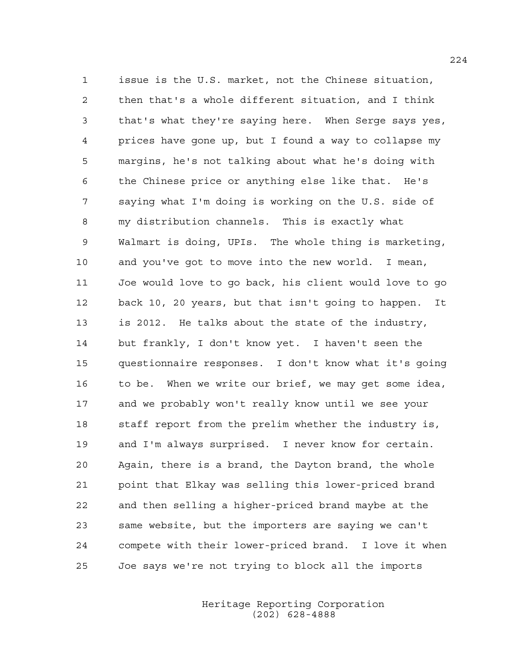1 issue is the U.S. market, not the Chinese situation, 2 then that's a whole different situation, and I think 3 that's what they're saying here. When Serge says yes, 4 prices have gone up, but I found a way to collapse my 5 margins, he's not talking about what he's doing with 6 the Chinese price or anything else like that. He's 7 saying what I'm doing is working on the U.S. side of 8 my distribution channels. This is exactly what 9 Walmart is doing, UPIs. The whole thing is marketing, 10 and you've got to move into the new world. I mean, 11 Joe would love to go back, his client would love to go 12 back 10, 20 years, but that isn't going to happen. It 13 is 2012. He talks about the state of the industry, 14 but frankly, I don't know yet. I haven't seen the 15 questionnaire responses. I don't know what it's going 16 to be. When we write our brief, we may get some idea, 17 and we probably won't really know until we see your 18 staff report from the prelim whether the industry is, 19 and I'm always surprised. I never know for certain. 20 Again, there is a brand, the Dayton brand, the whole 21 point that Elkay was selling this lower-priced brand 22 and then selling a higher-priced brand maybe at the 23 same website, but the importers are saying we can't 24 compete with their lower-priced brand. I love it when 25 Joe says we're not trying to block all the imports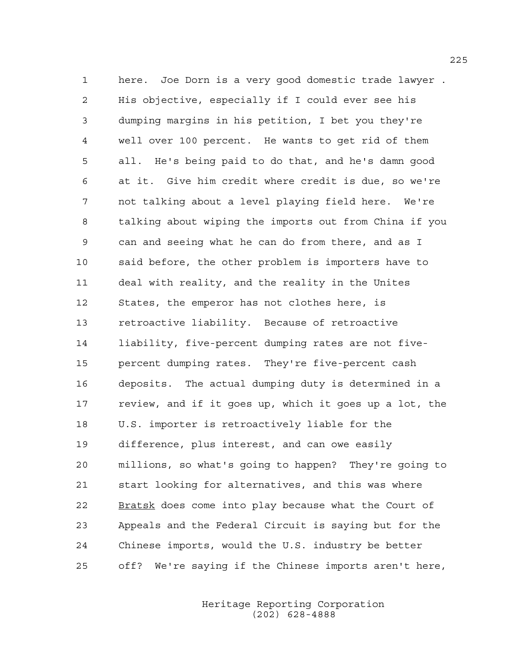1 here. Joe Dorn is a very good domestic trade lawyer . 2 His objective, especially if I could ever see his 3 dumping margins in his petition, I bet you they're 4 well over 100 percent. He wants to get rid of them 5 all. He's being paid to do that, and he's damn good 6 at it. Give him credit where credit is due, so we're 7 not talking about a level playing field here. We're 8 talking about wiping the imports out from China if you 9 can and seeing what he can do from there, and as I 10 said before, the other problem is importers have to 11 deal with reality, and the reality in the Unites 12 States, the emperor has not clothes here, is 13 retroactive liability. Because of retroactive 14 liability, five-percent dumping rates are not five-15 percent dumping rates. They're five-percent cash 16 deposits. The actual dumping duty is determined in a 17 review, and if it goes up, which it goes up a lot, the 18 U.S. importer is retroactively liable for the 19 difference, plus interest, and can owe easily 20 millions, so what's going to happen? They're going to 21 start looking for alternatives, and this was where 22 Bratsk does come into play because what the Court of 23 Appeals and the Federal Circuit is saying but for the 24 Chinese imports, would the U.S. industry be better 25 off? We're saying if the Chinese imports aren't here,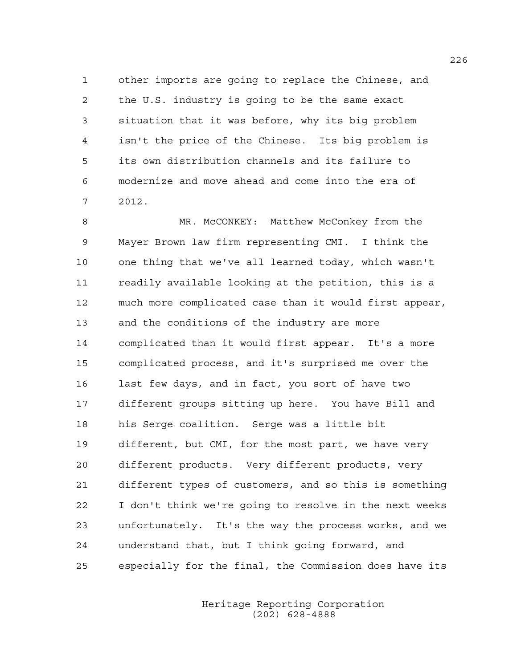1 other imports are going to replace the Chinese, and 2 the U.S. industry is going to be the same exact 3 situation that it was before, why its big problem 4 isn't the price of the Chinese. Its big problem is 5 its own distribution channels and its failure to 6 modernize and move ahead and come into the era of 7 2012.

8 MR. McCONKEY: Matthew McConkey from the 9 Mayer Brown law firm representing CMI. I think the 10 one thing that we've all learned today, which wasn't 11 readily available looking at the petition, this is a 12 much more complicated case than it would first appear, 13 and the conditions of the industry are more 14 complicated than it would first appear. It's a more 15 complicated process, and it's surprised me over the 16 last few days, and in fact, you sort of have two 17 different groups sitting up here. You have Bill and 18 his Serge coalition. Serge was a little bit 19 different, but CMI, for the most part, we have very 20 different products. Very different products, very 21 different types of customers, and so this is something 22 I don't think we're going to resolve in the next weeks 23 unfortunately. It's the way the process works, and we 24 understand that, but I think going forward, and 25 especially for the final, the Commission does have its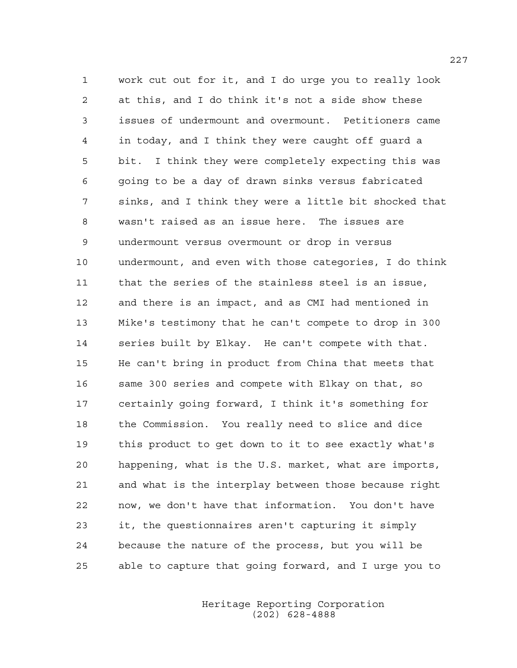1 work cut out for it, and I do urge you to really look 2 at this, and I do think it's not a side show these 3 issues of undermount and overmount. Petitioners came 4 in today, and I think they were caught off guard a 5 bit. I think they were completely expecting this was 6 going to be a day of drawn sinks versus fabricated 7 sinks, and I think they were a little bit shocked that 8 wasn't raised as an issue here. The issues are 9 undermount versus overmount or drop in versus 10 undermount, and even with those categories, I do think 11 that the series of the stainless steel is an issue, 12 and there is an impact, and as CMI had mentioned in 13 Mike's testimony that he can't compete to drop in 300 14 series built by Elkay. He can't compete with that. 15 He can't bring in product from China that meets that 16 same 300 series and compete with Elkay on that, so 17 certainly going forward, I think it's something for 18 the Commission. You really need to slice and dice 19 this product to get down to it to see exactly what's 20 happening, what is the U.S. market, what are imports, 21 and what is the interplay between those because right 22 now, we don't have that information. You don't have 23 it, the questionnaires aren't capturing it simply 24 because the nature of the process, but you will be 25 able to capture that going forward, and I urge you to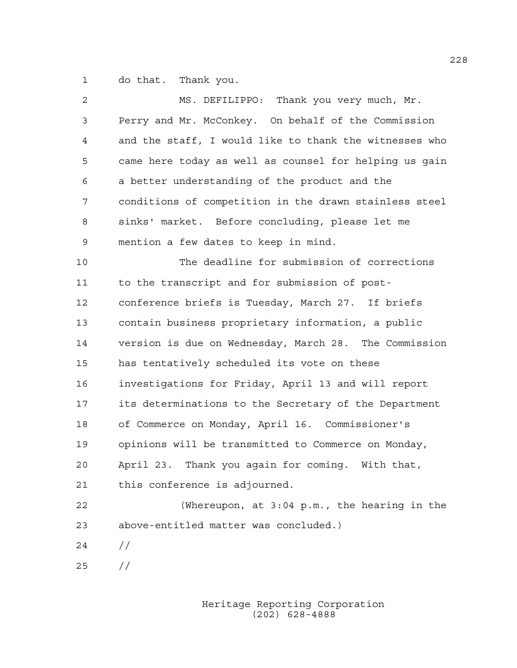1 do that. Thank you.

| 2  | MS. DEFILIPPO: Thank you very much, Mr.                |  |  |  |  |  |
|----|--------------------------------------------------------|--|--|--|--|--|
| 3  | Perry and Mr. McConkey. On behalf of the Commission    |  |  |  |  |  |
| 4  | and the staff, I would like to thank the witnesses who |  |  |  |  |  |
| 5  | came here today as well as counsel for helping us gain |  |  |  |  |  |
| 6  | a better understanding of the product and the          |  |  |  |  |  |
| 7  | conditions of competition in the drawn stainless steel |  |  |  |  |  |
| 8  | sinks' market. Before concluding, please let me        |  |  |  |  |  |
| 9  | mention a few dates to keep in mind.                   |  |  |  |  |  |
| 10 | The deadline for submission of corrections             |  |  |  |  |  |
| 11 | to the transcript and for submission of post-          |  |  |  |  |  |
| 12 | conference briefs is Tuesday, March 27. If briefs      |  |  |  |  |  |
| 13 | contain business proprietary information, a public     |  |  |  |  |  |
| 14 | version is due on Wednesday, March 28. The Commission  |  |  |  |  |  |
| 15 | has tentatively scheduled its vote on these            |  |  |  |  |  |
| 16 | investigations for Friday, April 13 and will report    |  |  |  |  |  |
| 17 | its determinations to the Secretary of the Department  |  |  |  |  |  |
| 18 | of Commerce on Monday, April 16. Commissioner's        |  |  |  |  |  |
| 19 | opinions will be transmitted to Commerce on Monday,    |  |  |  |  |  |
| 20 | April 23. Thank you again for coming. With that,       |  |  |  |  |  |
| 21 | this conference is adjourned.                          |  |  |  |  |  |
| 22 | (Whereupon, at 3:04 p.m., the hearing in the           |  |  |  |  |  |
| 23 | above-entitled matter was concluded.)                  |  |  |  |  |  |
| 24 | $\frac{1}{2}$                                          |  |  |  |  |  |
| 25 | $\frac{1}{2}$                                          |  |  |  |  |  |
|    |                                                        |  |  |  |  |  |